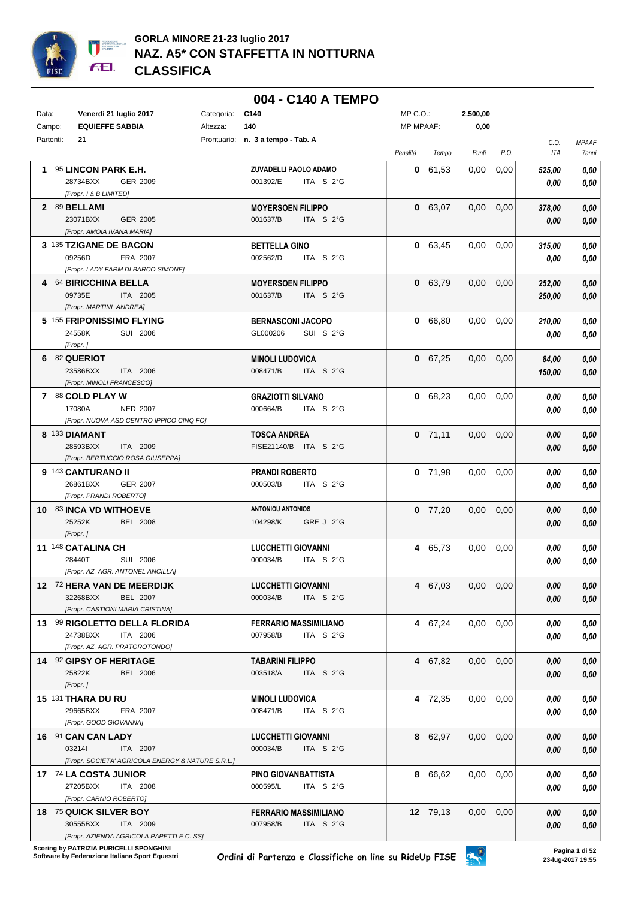

|           |                                                                         |            | 004 - C140 A TEMPO                                          |                  |           |                   |      |              |                       |
|-----------|-------------------------------------------------------------------------|------------|-------------------------------------------------------------|------------------|-----------|-------------------|------|--------------|-----------------------|
| Data:     | Venerdì 21 luglio 2017                                                  | Categoria: | C140                                                        | $MP C. O.$ :     |           | 2.500,00          |      |              |                       |
| Campo:    | <b>EQUIEFFE SABBIA</b>                                                  | Altezza:   | 140                                                         | <b>MP MPAAF:</b> |           | 0,00              |      |              |                       |
| Partenti: | 21                                                                      |            | Prontuario: n. 3 a tempo - Tab. A                           | Penalità         | Tempo     | Punti             | P.O. | C.O.<br>ITA  | <b>MPAAF</b><br>7anni |
|           | 1 95 LINCON PARK E.H.                                                   |            | ZUVADELLI PAOLO ADAMO                                       |                  | 0 61,53   | 0,00              | 0,00 | 525,00       | 0,00                  |
|           | 28734BXX<br>GER 2009                                                    |            | 001392/E<br>ITA S 2°G                                       |                  |           |                   |      | 0.00         | 0,00                  |
|           | [Propr. 1 & B LIMITED]                                                  |            |                                                             |                  |           |                   |      |              |                       |
|           | 2 89 BELLAMI<br>23071BXX<br>GER 2005                                    |            | <b>MOYERSOEN FILIPPO</b><br>001637/B<br>ITA S $2^{\circ}$ G |                  | 0 63,07   | 0,00              | 0,00 | 378,00       | 0,00                  |
|           | [Propr. AMOIA IVANA MARIA]                                              |            |                                                             |                  |           |                   |      | 0,00         | 0,00                  |
|           | 3 135 TZIGANE DE BACON                                                  |            | <b>BETTELLA GINO</b>                                        |                  | 0 63,45   | 0.00              | 0,00 | 315,00       | 0.00                  |
|           | 09256D<br>FRA 2007                                                      |            | 002562/D<br>ITA $S2G$                                       |                  |           |                   |      | 0.00         | 0,00                  |
|           | [Propr. LADY FARM DI BARCO SIMONE]                                      |            |                                                             |                  |           |                   |      |              |                       |
|           | 4 64 BIRICCHINA BELLA                                                   |            | <b>MOYERSOEN FILIPPO</b>                                    |                  | 0 63,79   | 0.00              | 0,00 | 252,00       | 0,00                  |
|           | 09735E<br>ITA 2005                                                      |            | 001637/B<br>ITA S 2°G                                       |                  |           |                   |      | 250,00       | 0,00                  |
|           | [Propr. MARTINI ANDREA]                                                 |            |                                                             |                  |           |                   |      |              |                       |
|           | 5 155 FRIPONISSIMO FLYING<br>24558K<br>SUI 2006                         |            | <b>BERNASCONI JACOPO</b><br>GL000206<br>SUI S 2°G           |                  | 0 66,80   | 0.00              | 0,00 | 210,00       | 0.00                  |
|           | [Propr.]                                                                |            |                                                             |                  |           |                   |      | 0,00         | 0.00                  |
|           | 6 82 QUERIOT                                                            |            | <b>MINOLI LUDOVICA</b>                                      |                  | 0 67,25   | $0,00$ $0,00$     |      | 84,00        | 0.00                  |
|           | 23586BXX<br>ITA 2006                                                    |            | 008471/B<br>ITA S 2°G                                       |                  |           |                   |      | 150,00       | 0,00                  |
|           | [Propr. MINOLI FRANCESCO]                                               |            |                                                             |                  |           |                   |      |              |                       |
|           | 7 88 COLD PLAY W                                                        |            | <b>GRAZIOTTI SILVANO</b>                                    |                  | 0 68,23   | $0,00$ $0,00$     |      | 0,00         | 0,00                  |
|           | 17080A<br><b>NED 2007</b>                                               |            | 000664/B<br>ITA $S2G$                                       |                  |           |                   |      | 0.00         | 0,00                  |
|           | [Propr. NUOVA ASD CENTRO IPPICO CINQ FO]                                |            |                                                             |                  |           |                   |      |              |                       |
|           | 8 133 DIAMANT<br>28593BXX<br>ITA 2009                                   |            | <b>TOSCA ANDREA</b><br>FISE21140/B ITA S 2°G                |                  | $0$ 71,11 | $0,00$ $0,00$     |      | 0.00         | 0.00<br>0,00          |
|           | [Propr. BERTUCCIO ROSA GIUSEPPA]                                        |            |                                                             |                  |           |                   |      | 0,00         |                       |
|           | 9 143 CANTURANO II                                                      |            | <b>PRANDI ROBERTO</b>                                       |                  | $0$ 71,98 | $0,00$ $0,00$     |      | 0,00         | 0.00                  |
|           | 26861BXX<br><b>GER 2007</b>                                             |            | 000503/B<br>ITA S 2°G                                       |                  |           |                   |      | 0.00         | 0,00                  |
|           | [Propr. PRANDI ROBERTO]                                                 |            |                                                             |                  |           |                   |      |              |                       |
|           | 10 83 INCA VD WITHOEVE                                                  |            | <b>ANTONIOU ANTONIOS</b>                                    |                  | $0$ 77,20 | 0,00              | 0,00 | 0.00         | 0.00                  |
|           | 25252K<br><b>BEL 2008</b>                                               |            | 104298/K<br>GRE J 2°G                                       |                  |           |                   |      | 0.00         | 0,00                  |
|           | [Propr.]<br>11 148 CATALINA CH                                          |            |                                                             |                  | 4 65,73   | 0,00              |      |              |                       |
|           | 28440T<br>SUI 2006                                                      |            | <b>LUCCHETTI GIOVANNI</b><br>000034/B<br>ITA $S2G$          |                  |           |                   | 0,00 | 0.00<br>0.00 | 0,00<br>0,00          |
|           | [Propr. AZ. AGR. ANTONEL ANCILLA]                                       |            |                                                             |                  |           |                   |      |              |                       |
|           | 12 72 HERA VAN DE MEERDIJK                                              |            | <b>LUCCHETTI GIOVANNI</b>                                   |                  | 4 67,03   | $0,00$ $0,00$     |      | 0,00         | 0,00                  |
|           | 32268BXX<br><b>BEL 2007</b>                                             |            | 000034/B<br>ITA S 2°G                                       |                  |           |                   |      | 0,00         | 0,00                  |
|           | [Propr. CASTIONI MARIA CRISTINA]                                        |            |                                                             |                  |           |                   |      |              |                       |
|           | 13 99 RIGOLETTO DELLA FLORIDA                                           |            | <b>FERRARIO MASSIMILIANO</b>                                |                  | 4 67,24   | $0.00 \quad 0.00$ |      | 0.00         | 0,00                  |
|           | 24738BXX<br>ITA 2006<br>[Propr. AZ. AGR. PRATOROTONDO]                  |            | 007958/B<br>ITA S 2°G                                       |                  |           |                   |      | 0,00         | 0,00                  |
|           | 14 92 GIPSY OF HERITAGE                                                 |            | <b>TABARINI FILIPPO</b>                                     |                  | 4 67,82   | $0,00$ $0,00$     |      | 0,00         | 0,00                  |
|           | 25822K<br><b>BEL 2006</b>                                               |            | 003518/A<br>ITA S 2°G                                       |                  |           |                   |      | 0,00         | 0,00                  |
|           | [Propr.]                                                                |            |                                                             |                  |           |                   |      |              |                       |
|           | <b>15 131 THARA DU RU</b>                                               |            | <b>MINOLI LUDOVICA</b>                                      |                  | 4 72,35   | $0,00$ $0,00$     |      | 0,00         | 0,00                  |
|           | 29665BXX<br>FRA 2007                                                    |            | 008471/B<br>ITA S 2°G                                       |                  |           |                   |      | 0.00         | 0,00                  |
|           | [Propr. GOOD GIOVANNA]                                                  |            |                                                             |                  |           |                   |      |              |                       |
|           | 16 91 CAN CAN LADY                                                      |            | <b>LUCCHETTI GIOVANNI</b>                                   |                  | 8 62,97   | $0,00$ $0,00$     |      | 0,00         | 0,00                  |
|           | 032141<br>ITA 2007<br>[Propr. SOCIETA' AGRICOLA ENERGY & NATURE S.R.L.] |            | 000034/B<br>ITA S 2°G                                       |                  |           |                   |      | 0.00         | 0,00                  |
|           | 17 74 LA COSTA JUNIOR                                                   |            | PINO GIOVANBATTISTA                                         |                  | 8 66,62   | $0,00$ $0,00$     |      |              | 0,00                  |
|           | 27205BXX<br>ITA 2008                                                    |            | 000595/L<br>ITA S 2°G                                       |                  |           |                   |      | 0,00<br>0.00 | 0,00                  |
|           | [Propr. CARNIO ROBERTO]                                                 |            |                                                             |                  |           |                   |      |              |                       |
|           | 18 75 QUICK SILVER BOY                                                  |            | <b>FERRARIO MASSIMILIANO</b>                                |                  | 12 79,13  | $0,00$ $0,00$     |      | 0,00         | 0,00                  |
|           | 30555BXX<br>ITA 2009                                                    |            | 007958/B<br>ITA S 2°G                                       |                  |           |                   |      | 0.00         | 0,00                  |
|           | [Propr. AZIENDA AGRICOLA PAPETTI E C. SS]                               |            |                                                             |                  |           |                   |      |              |                       |

**.**<br>Scoring by PATRIZIA PURICELLI SPONGHINI<br>Software by Federazione Italiana Sport Equestri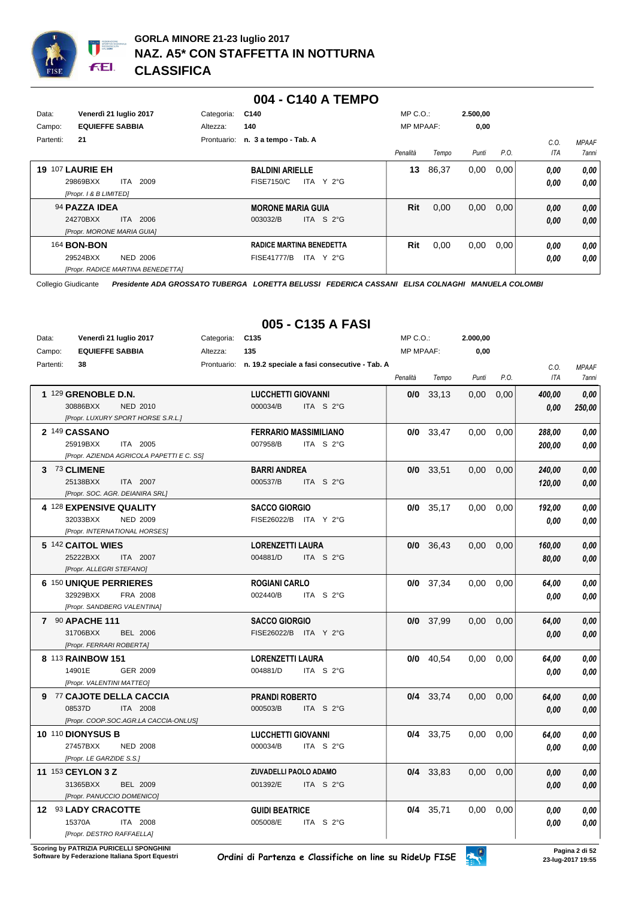

#### **004 - C140 A TEMPO**

| Data:<br>Campo: | Venerdì 21 luglio 2017<br><b>EQUIEFFE SABBIA</b>                                | Categoria:<br>Altezza: | C140<br>140                                 |                                                       | $MP C. O.$ :<br><b>MP MPAAF:</b> |       | 2.500,00<br>0,00 |      |              |              |
|-----------------|---------------------------------------------------------------------------------|------------------------|---------------------------------------------|-------------------------------------------------------|----------------------------------|-------|------------------|------|--------------|--------------|
| Partenti:       | 21                                                                              | Prontuario:            | n. 3 a tempo - Tab. A                       |                                                       |                                  |       |                  |      | C.0          | <b>MPAAF</b> |
|                 |                                                                                 |                        |                                             |                                                       | Penalità                         | Tempo | Punti            | P.O. | ITA          | 7anni        |
| 19              | 107 LAURIE EH<br>2009<br>29869BXX<br><b>ITA</b><br>[Propr. 1 & B LIMITED]       |                        | <b>BALDINI ARIELLE</b><br><b>FISE7150/C</b> | ITA Y 2°G                                             | 13                               | 86,37 | 0,00             | 0,00 | 0,00<br>0,00 | 0,00<br>0.00 |
|                 | 94 PAZZA IDEA<br>2006<br>24270BXX<br>ITA I<br>[Propr. MORONE MARIA GUIA]        |                        | <b>MORONE MARIA GUIA</b><br>003032/B        | ITA S $2^{\circ}$ G                                   | Rit                              | 0,00  | 0,00             | 0.00 | 0,00<br>0,00 | 0,00<br>0,00 |
|                 | 164 <b>BON-BON</b><br>29524BXX<br>NED 2006<br>[Propr. RADICE MARTINA BENEDETTA] |                        | <b>FISE41777/B</b>                          | <b>RADICE MARTINA BENEDETTA</b><br>ITA Y $2^{\circ}G$ | Rit                              | 0,00  | 0,00             | 0,00 | 0,00<br>0,00 | 0,00<br>0,00 |

Collegio Giudicante *Presidente ADA GROSSATO TUBERGA LORETTA BELUSSI FEDERICA CASSANI ELISA COLNAGHI MANUELA COLOMBI*

## **005 - C135 A FASI**

| Data:     | Venerdì 21 luglio 2017                             | Categoria: | C <sub>135</sub>                                         | MP C.O.:         |             | 2.000,00 |      |                    |                       |
|-----------|----------------------------------------------------|------------|----------------------------------------------------------|------------------|-------------|----------|------|--------------------|-----------------------|
| Campo:    | <b>EQUIEFFE SABBIA</b>                             | Altezza:   | 135                                                      | <b>MP MPAAF:</b> |             | 0,00     |      |                    |                       |
| Partenti: | 38                                                 |            | Prontuario: n. 19.2 speciale a fasi consecutive - Tab. A | Penalità         | Tempo       | Punti    | P.O. | C.O.<br><b>ITA</b> | <b>MPAAF</b><br>7anni |
|           | 1 129 GRENOBLE D.N.<br>30886BXX<br><b>NED 2010</b> |            | <b>LUCCHETTI GIOVANNI</b><br>ITA S 2°G<br>000034/B       | 0/0              | 33,13       | 0,00     | 0,00 | 400,00<br>0.00     | 0.00<br>250,00        |
|           | [Propr. LUXURY SPORT HORSE S.R.L.]                 |            |                                                          |                  |             |          |      |                    |                       |
|           | 2 149 CASSANO                                      |            | <b>FERRARIO MASSIMILIANO</b>                             |                  | $0/0$ 33,47 | 0,00     | 0,00 | 288,00             | 0.00                  |
|           | ITA 2005<br>25919BXX                               |            | ITA S 2°G<br>007958/B                                    |                  |             |          |      | 200,00             | 0.00                  |
|           | [Propr. AZIENDA AGRICOLA PAPETTI E C. SS]          |            |                                                          |                  |             |          |      |                    |                       |
|           | 3 73 CLIMENE                                       |            | <b>BARRI ANDREA</b>                                      |                  | $0/0$ 33,51 | 0,00     | 0,00 | 240,00             | 0,00                  |
|           | 25138BXX<br>ITA 2007                               |            | 000537/B<br>ITA S 2°G                                    |                  |             |          |      | 120,00             | 0,00                  |
|           | [Propr. SOC. AGR. DEIANIRA SRL]                    |            |                                                          |                  |             |          |      |                    |                       |
|           | 4 128 EXPENSIVE QUALITY                            |            | <b>SACCO GIORGIO</b>                                     |                  | $0/0$ 35,17 | 0,00     | 0,00 | 192,00             | 0,00                  |
|           | 32033BXX<br><b>NED 2009</b>                        |            | FISE26022/B ITA Y 2°G                                    |                  |             |          |      | 0,00               | 0,00                  |
|           | [Propr. INTERNATIONAL HORSES]                      |            |                                                          |                  |             |          |      |                    |                       |
|           | 5 142 CAITOL WIES                                  |            | <b>LORENZETTI LAURA</b>                                  |                  | $0/0$ 36,43 | 0,00     | 0,00 | 160,00             | 0,00                  |
|           | 25222BXX<br>ITA 2007<br>[Propr. ALLEGRI STEFANO]   |            | 004881/D<br>ITA S 2°G                                    |                  |             |          |      | 80,00              | 0,00                  |
|           |                                                    |            |                                                          |                  |             |          |      |                    |                       |
|           | 6 150 UNIQUE PERRIERES<br>32929BXX<br>FRA 2008     |            | <b>ROGIANI CARLO</b><br>002440/B<br>ITA S 2°G            |                  | $0/0$ 37,34 | 0,00     | 0,00 | 64,00              | 0,00                  |
|           | [Propr. SANDBERG VALENTINA]                        |            |                                                          |                  |             |          |      | 0.00               | 0,00                  |
|           | 7 90 APACHE 111                                    |            | <b>SACCO GIORGIO</b>                                     |                  | $0/0$ 37,99 | 0,00     | 0,00 | 64,00              | 0,00                  |
|           | 31706BXX<br><b>BEL 2006</b>                        |            | FISE26022/B ITA Y 2°G                                    |                  |             |          |      | 0.00               | 0,00                  |
|           | [Propr. FERRARI ROBERTA]                           |            |                                                          |                  |             |          |      |                    |                       |
|           | 8 113 RAINBOW 151                                  |            | <b>LORENZETTI LAURA</b>                                  |                  | $0/0$ 40,54 | 0,00     | 0,00 | 64.00              | 0,00                  |
|           | 14901E<br>GER 2009                                 |            | 004881/D<br>ITA S 2°G                                    |                  |             |          |      | 0.00               | 0.00                  |
|           | [Propr. VALENTINI MATTEO]                          |            |                                                          |                  |             |          |      |                    |                       |
|           | 9 77 CAJOTE DELLA CACCIA                           |            | <b>PRANDI ROBERTO</b>                                    |                  | $0/4$ 33.74 | 0.00     | 0,00 | 64,00              | 0,00                  |
|           | 08537D<br>ITA 2008                                 |            | 000503/B<br>ITA S 2°G                                    |                  |             |          |      | 0.00               | 0,00                  |
|           | [Propr. COOP.SOC.AGR.LA CACCIA-ONLUS]              |            |                                                          |                  |             |          |      |                    |                       |
|           | 10 110 DIONYSUS B                                  |            | <b>LUCCHETTI GIOVANNI</b>                                |                  | $0/4$ 33,75 | 0,00     | 0,00 | 64.00              | 0.00                  |
|           | 27457BXX<br><b>NED 2008</b>                        |            | 000034/B<br>ITA S 2°G                                    |                  |             |          |      | 0.00               | 0.00                  |
|           | [Propr. LE GARZIDE S.S.]                           |            |                                                          |                  |             |          |      |                    |                       |
|           | 11 153 CEYLON 3 Z                                  |            | ZUVADELLI PAOLO ADAMO                                    |                  | $0/4$ 33,83 | 0,00     | 0,00 | 0.00               | 0,00                  |
|           | 31365BXX<br><b>BEL 2009</b>                        |            | ITA S 2°G<br>001392/E                                    |                  |             |          |      | 0.00               | 0.00                  |
|           | [Propr. PANUCCIO DOMENICO]                         |            |                                                          |                  |             |          |      |                    |                       |
|           | 12 93 LADY CRACOTTE                                |            | <b>GUIDI BEATRICE</b>                                    |                  | 0/4 35,71   | 0,00     | 0,00 | 0.00               | 0,00                  |
|           | 15370A<br>ITA 2008                                 |            | 005008/E<br>ITA S 2°G                                    |                  |             |          |      | 0.00               | 0,00                  |
|           | [Propr. DESTRO RAFFAELLA]                          |            |                                                          |                  |             |          |      |                    |                       |

**Scoring by PATRIZIA PURICELLI SPONGHINI<br>Software by Federazione Italiana Sport Equestri**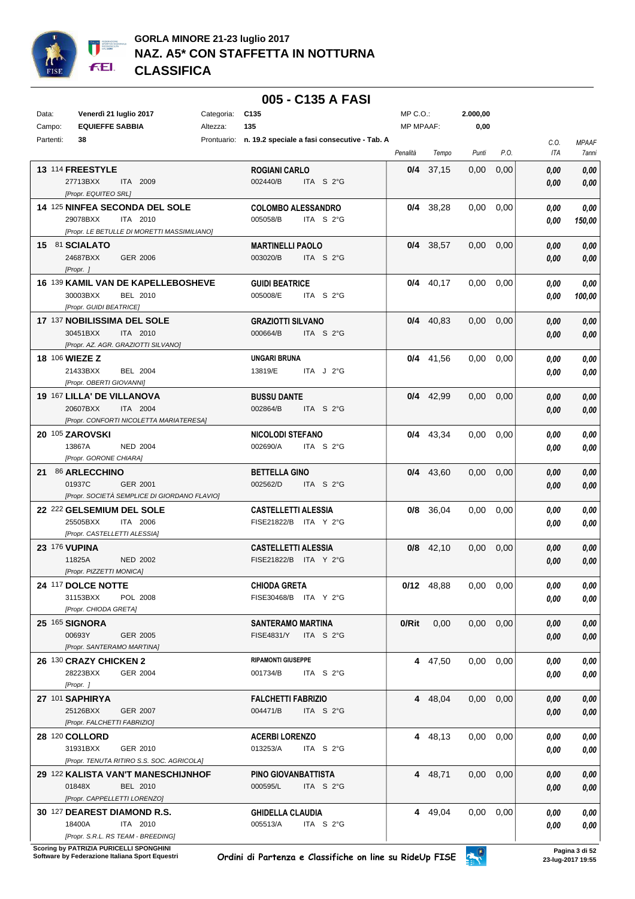

|           |                                                      |            | 005 - C135 A FASI                                          |                  |              |                   |      |              |              |
|-----------|------------------------------------------------------|------------|------------------------------------------------------------|------------------|--------------|-------------------|------|--------------|--------------|
| Data:     | Venerdì 21 luglio 2017                               | Categoria: | C <sub>135</sub>                                           | MP C.O.:         |              | 2.000,00          |      |              |              |
| Campo:    | <b>EQUIEFFE SABBIA</b>                               | Altezza:   | 135                                                        | <b>MP MPAAF:</b> |              | 0,00              |      |              |              |
| Partenti: | 38                                                   |            | Prontuario: n. 19.2 speciale a fasi consecutive - Tab. A   |                  |              |                   |      | C.O.         | <b>MPAAF</b> |
|           |                                                      |            |                                                            | Penalità         | Tempo        | Punti             | P.O. | ITA          | 7anni        |
|           | 13 114 FREESTYLE                                     |            | <b>ROGIANI CARLO</b>                                       |                  | $0/4$ 37,15  | 0.00              | 0,00 | 0.00         | 0,00         |
|           | 27713BXX<br>ITA 2009                                 |            | 002440/B<br>ITA S 2°G                                      |                  |              |                   |      | 0.00         | 0,00         |
|           | [Propr. EQUITEO SRL]                                 |            |                                                            |                  |              |                   |      |              |              |
|           | 14 125 NINFEA SECONDA DEL SOLE                       |            | <b>COLOMBO ALESSANDRO</b>                                  |                  | 0/4 38,28    | 0.00              | 0,00 | 0.00         | 0,00         |
|           | 29078BXX<br>ITA 2010                                 |            | 005058/B<br>ITA $S2°G$                                     |                  |              |                   |      | 0.00         | 150,00       |
|           | [Propr. LE BETULLE DI MORETTI MASSIMILIANO]          |            |                                                            |                  |              |                   |      |              |              |
|           | 15 81 SCIALATO<br>24687BXX<br>GER 2006               |            | <b>MARTINELLI PAOLO</b><br>003020/B<br>ITA S $2^{\circ}$ G |                  | 0/4 38.57    | 0.00 <sub>1</sub> | 0,00 | 0.00         | 0,00         |
|           | [Propr. ]                                            |            |                                                            |                  |              |                   |      | 0.00         | 0,00         |
|           | 16 139 KAMIL VAN DE KAPELLEBOSHEVE                   |            | <b>GUIDI BEATRICE</b>                                      |                  | $0/4$ 40,17  | 0,00              | 0,00 | 0.00         | 0,00         |
|           | 30003BXX<br>BEL 2010                                 |            | 005008/E<br>ITA $S2°G$                                     |                  |              |                   |      | 0.00         | 100,00       |
|           | [Propr. GUIDI BEATRICE]                              |            |                                                            |                  |              |                   |      |              |              |
|           | 17 137 NOBILISSIMA DEL SOLE                          |            | <b>GRAZIOTTI SILVANO</b>                                   |                  | $0/4$ 40.83  | 0.00              | 0.00 | 0,00         | 0,00         |
|           | 30451BXX<br>ITA 2010                                 |            | 000664/B<br>ITA S $2^{\circ}$ G                            |                  |              |                   |      | 0.00         | 0,00         |
|           | [Propr. AZ. AGR. GRAZIOTTI SILVANO]                  |            |                                                            |                  |              |                   |      |              |              |
|           | <b>18 106 WIEZE Z</b>                                |            | <b>UNGARI BRUNA</b>                                        |                  | $0/4$ 41,56  | $0.00 \quad 0.00$ |      | 0.00         | 0,00         |
|           | 21433BXX<br><b>BEL 2004</b>                          |            | 13819/E<br>ITA $J$ 2°G                                     |                  |              |                   |      | 0.00         | 0,00         |
|           | [Propr. OBERTI GIOVANNI]                             |            |                                                            |                  |              |                   |      |              |              |
|           | 19 167 LILLA' DE VILLANOVA<br>20607BXX<br>ITA 2004   |            | <b>BUSSU DANTE</b><br>002864/B<br>ITA $S2°G$               |                  | $0/4$ 42,99  | $0.00\,$          | 0,00 | 0,00         | 0,00         |
|           | [Propr. CONFORTI NICOLETTA MARIATERESA]              |            |                                                            |                  |              |                   |      | 0.00         | 0,00         |
|           | 20 105 ZAROVSKI                                      |            | <b>NICOLODI STEFANO</b>                                    |                  | $0/4$ 43,34  | 0.00              | 0.00 | 0.00         | 0,00         |
|           | 13867A<br><b>NED 2004</b>                            |            | ITA S 2°G<br>002690/A                                      |                  |              |                   |      | 0.00         | 0,00         |
|           | [Propr. GORONE CHIARA]                               |            |                                                            |                  |              |                   |      |              |              |
|           | 21 86 ARLECCHINO                                     |            | <b>BETTELLA GINO</b>                                       |                  | $0/4$ 43,60  | $0.00\,$          | 0,00 | 0,00         | 0,00         |
|           | 01937C<br>GER 2001                                   |            | 002562/D<br>ITA S 2°G                                      |                  |              |                   |      | 0.00         | 0,00         |
|           | [Propr. SOCIETÀ SEMPLICE DI GIORDANO FLAVIO]         |            |                                                            |                  |              |                   |      |              |              |
|           | 22 222 GELSEMIUM DEL SOLE                            |            | <b>CASTELLETTI ALESSIA</b>                                 | 0/8              | 36,04        | 0.00              | 0.00 | 0.00         | 0,00         |
|           | 25505BXX<br>ITA 2006<br>[Propr. CASTELLETTI ALESSIA] |            | FISE21822/B ITA Y 2°G                                      |                  |              |                   |      | 0.00         | 0,00         |
|           | <b>23 176 VUPINA</b>                                 |            |                                                            |                  | $0/8$ 42,10  | 0.00              | 0,00 |              | 0,00         |
|           | 11825A<br><b>NED 2002</b>                            |            | <b>CASTELLETTI ALESSIA</b><br>FISE21822/B ITA Y 2°G        |                  |              |                   |      | 0.00<br>0.00 | 0,00         |
|           | [Propr. PIZZETTI MONICA]                             |            |                                                            |                  |              |                   |      |              |              |
|           | 24 117 DOLCE NOTTE                                   |            | <b>CHIODA GRETA</b>                                        |                  | $0/12$ 48,88 | $0,00$ $0,00$     |      | 0,00         | 0,00         |
|           | 31153BXX<br>POL 2008                                 |            | FISE30468/B ITA Y 2°G                                      |                  |              |                   |      | 0,00         | 0,00         |
|           | [Propr. CHIODA GRETA]                                |            |                                                            |                  |              |                   |      |              |              |
|           | 25 165 SIGNORA                                       |            | <b>SANTERAMO MARTINA</b>                                   | $0/R$ it         | 0,00         | $0.00 \quad 0.00$ |      | 0,00         | 0.00         |
|           | 00693Y<br>GER 2005                                   |            | <b>FISE4831/Y</b><br>ITA S 2°G                             |                  |              |                   |      | 0,00         | 0,00         |
|           | [Propr. SANTERAMO MARTINA]                           |            |                                                            |                  |              |                   |      |              |              |
|           | 26 130 CRAZY CHICKEN 2                               |            | <b>RIPAMONTI GIUSEPPE</b>                                  |                  | 4 47,50      | $0.00 \quad 0.00$ |      | 0,00         | 0,00         |
|           | 28223BXX<br>GER 2004<br>[Propr. ]                    |            | 001734/B<br>ITA $S$ 2°G                                    |                  |              |                   |      | 0.00         | 0,00         |
|           | 27 101 SAPHIRYA                                      |            | <b>FALCHETTI FABRIZIO</b>                                  |                  | 4 48,04      | $0.00 \quad 0.00$ |      | 0,00         | 0,00         |
|           | 25126BXX<br>GER 2007                                 |            | 004471/B<br>ITA $S$ 2°G                                    |                  |              |                   |      | 0,00         | 0,00         |
|           | [Propr. FALCHETTI FABRIZIO]                          |            |                                                            |                  |              |                   |      |              |              |
|           | 28 120 COLLORD                                       |            | <b>ACERBI LORENZO</b>                                      |                  | 4 48,13      | $0,00$ $0,00$     |      | 0,00         | 0,00         |
|           | 31931BXX<br>GER 2010                                 |            | 013253/A<br>ITA $S$ 2°G                                    |                  |              |                   |      | 0.00         | 0,00         |
|           | [Propr. TENUTA RITIRO S.S. SOC. AGRICOLA]            |            |                                                            |                  |              |                   |      |              |              |
|           | 29 122 KALISTA VAN'T MANESCHIJNHOF                   |            | PINO GIOVANBATTISTA                                        |                  | 4 48,71      | $0,00$ $0,00$     |      | 0,00         | 0,00         |
|           | 01848X<br>BEL 2010                                   |            | 000595/L<br>ITA $S$ 2°G                                    |                  |              |                   |      | 0,00         | 0,00         |
|           | [Propr. CAPPELLETTI LORENZO]                         |            |                                                            |                  |              |                   |      |              |              |
|           | 30 127 DEAREST DIAMOND R.S.<br>18400A<br>ITA 2010    |            | <b>GHIDELLA CLAUDIA</b><br>005513/A<br>ITA $S$ 2°G         |                  | 4 49,04      | $0.00 \quad 0.00$ |      | 0,00         | 0,00         |
|           | [Propr. S.R.L. RS TEAM - BREEDING]                   |            |                                                            |                  |              |                   |      | 0.00         | 0,00         |

**Scoring by PATRIZIA PURICELLI SPONGHINI<br>Software by Federazione Italiana Sport Equestri**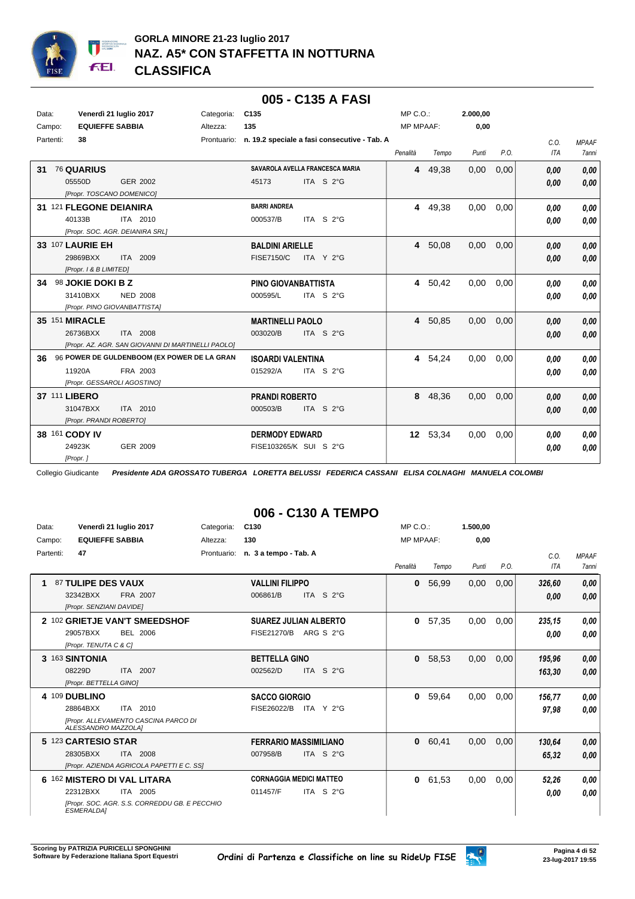

#### **005 - C135 A FASI**

| Data: | Campo:                                                        | Venerdì 21 luglio 2017<br><b>EQUIEFFE SABBIA</b>                                       | Categoria:<br>Altezza: | C <sub>135</sub><br>135                         |                                                          | $MP C. O.$ :<br><b>MP MPAAF:</b> |          | 2.000,00<br>0,00 |      |                    |                              |
|-------|---------------------------------------------------------------|----------------------------------------------------------------------------------------|------------------------|-------------------------------------------------|----------------------------------------------------------|----------------------------------|----------|------------------|------|--------------------|------------------------------|
|       | Partenti:<br>38                                               |                                                                                        |                        |                                                 | Prontuario: n. 19.2 speciale a fasi consecutive - Tab. A | Penalità                         | Tempo    | Punti            | P.O. | C.0.<br><b>ITA</b> | <b>MPAAF</b><br><b>7anni</b> |
| 31    | <b>76 QUARIUS</b><br>05550D                                   | <b>GER 2002</b><br>[Propr. TOSCANO DOMENICO]                                           |                        | 45173                                           | SAVAROLA AVELLA FRANCESCA MARIA<br>ITA S 2°G             |                                  | 4 49,38  | 0,00             | 0,00 | 0.00<br>0,00       | 0,00<br>0,00                 |
|       | 40133B                                                        | 31 121 FLEGONE DEIANIRA<br>ITA 2010<br>[Propr. SOC. AGR. DEIANIRA SRL]                 |                        | <b>BARRI ANDREA</b><br>000537/B                 | ITA S 2°G                                                |                                  | 4 49,38  | 0.00             | 0,00 | 0.00<br>0.00       | 0.00<br>0,00                 |
|       | <b>33 107 LAURIE EH</b><br>29869BXX<br>[Propr. 1 & B LIMITED] | ITA 2009                                                                               |                        | <b>BALDINI ARIELLE</b><br><b>FISE7150/C</b>     | ITA Y 2°G                                                |                                  | 4 50,08  | 0,00             | 0,00 | 0.00<br>0,00       | 0,00<br>0,00                 |
| 34    | 98 JOKIE DOKI B Z<br>31410BXX                                 | <b>NED 2008</b><br>[Propr. PINO GIOVANBATTISTA]                                        |                        | PINO GIOVANBATTISTA<br>000595/L                 | ITA S 2°G                                                |                                  | 4 50,42  | 0,00             | 0.00 | 0.00<br>0.00       | 0.00<br>0.00                 |
|       | <b>35 151 MIRACLE</b><br>26736BXX                             | ITA 2008<br>[Propr. AZ. AGR. SAN GIOVANNI DI MARTINELLI PAOLO]                         |                        | <b>MARTINELLI PAOLO</b><br>003020/B             | ITA S 2°G                                                |                                  | 4 50,85  | 0,00             | 0,00 | 0.00<br>0,00       | 0,00<br>0,00                 |
| 36    | 11920A                                                        | 96 POWER DE GULDENBOOM (EX POWER DE LA GRAN<br>FRA 2003<br>[Propr. GESSAROLI AGOSTINO] |                        | <b>ISOARDI VALENTINA</b><br>015292/A            | ITA S 2°G                                                |                                  | 4 54,24  | 0,00             | 0.00 | 0.00<br>0.00       | 0.00<br>0.00                 |
|       | 37 111 LIBERO<br>31047BXX                                     | ITA 2010<br>[Propr. PRANDI ROBERTO]                                                    |                        | <b>PRANDI ROBERTO</b><br>000503/B               | ITA S 2°G                                                | 8                                | 48,36    | 0,00             | 0,00 | 0,00<br>0,00       | 0,00<br>0,00                 |
|       | 38 161 CODY IV<br>24923K<br>[Propr.]                          | GER 2009                                                                               |                        | <b>DERMODY EDWARD</b><br>FISE103265/K SUI S 2°G |                                                          |                                  | 12 53,34 | 0,00             | 0,00 | 0.00<br>0.00       | 0.00<br>0,00                 |

Collegio Giudicante *Presidente ADA GROSSATO TUBERGA LORETTA BELUSSI FEDERICA CASSANI ELISA COLNAGHI MANUELA COLOMBI*

## **006 - C130 A TEMPO**

| Data:     |                          | Venerdì 21 luglio 2017                        | Categoria:  | C130                           |                                 | $MP C. O.$ :     |       | 1.500,00 |      |        |              |
|-----------|--------------------------|-----------------------------------------------|-------------|--------------------------------|---------------------------------|------------------|-------|----------|------|--------|--------------|
| Campo:    | <b>EQUIEFFE SABBIA</b>   |                                               | Altezza:    | 130                            |                                 | <b>MP MPAAF:</b> |       | 0,00     |      |        |              |
| Partenti: | 47                       |                                               | Prontuario: | n. 3 a tempo - Tab. A          |                                 |                  |       |          |      | C.0.   | <b>MPAAF</b> |
|           |                          |                                               |             |                                |                                 | Penalità         | Tempo | Punti    | P.O. | ITA    | <b>7anni</b> |
| 1         | 87 TULIPE DES VAUX       |                                               |             | <b>VALLINI FILIPPO</b>         |                                 | 0                | 56,99 | 0,00     | 0,00 | 326,60 | 0,00         |
|           | 32342BXX                 | FRA 2007                                      |             | 006861/B                       | S <sub>2</sub> °G<br><b>ITA</b> |                  |       |          |      | 0,00   | 0,00         |
|           | [Propr. SENZIANI DAVIDE] |                                               |             |                                |                                 |                  |       |          |      |        |              |
|           |                          | 2 102 GRIETJE VAN'T SMEEDSHOF                 |             |                                | <b>SUAREZ JULIAN ALBERTO</b>    | 0                | 57,35 | 0,00     | 0,00 | 235,15 | 0,00         |
|           | 29057BXX                 | BEL 2006                                      |             | FISE21270/B                    | ARG S 2°G                       |                  |       |          |      | 0.00   | 0,00         |
|           | [Propr. TENUTA C & C]    |                                               |             |                                |                                 |                  |       |          |      |        |              |
|           | 3 163 SINTONIA           |                                               |             | <b>BETTELLA GINO</b>           |                                 | 0                | 58,53 | 0,00     | 0,00 | 195,96 | 0,00         |
|           | 08229D                   | ITA 2007                                      |             | 002562/D                       | <b>ITA</b><br>S <sub>2</sub> °G |                  |       |          |      | 163.30 | 0,00         |
|           | [Propr. BETTELLA GINO]   |                                               |             |                                |                                 |                  |       |          |      |        |              |
|           | 4 109 DUBLINO            |                                               |             | <b>SACCO GIORGIO</b>           |                                 | 0                | 59,64 | 0,00     | 0,00 | 156,77 | 0,00         |
|           | 28864BXX                 | ITA 2010                                      |             | FISE26022/B                    | ITA Y $2^{\circ}G$              |                  |       |          |      | 97,98  | 0,00         |
|           | ALESSANDRO MAZZOLAI      | [Propr. ALLEVAMENTO CASCINA PARCO DI          |             |                                |                                 |                  |       |          |      |        |              |
|           | 5 123 CARTESIO STAR      |                                               |             |                                | <b>FERRARIO MASSIMILIANO</b>    | $\mathbf{0}$     | 60,41 | 0,00     | 0,00 | 130,64 | 0,00         |
|           | 28305BXX                 | ITA 2008                                      |             | 007958/B                       | ITA S 2°G                       |                  |       |          |      | 65,32  | 0,00         |
|           |                          | [Propr. AZIENDA AGRICOLA PAPETTI E C. SS]     |             |                                |                                 |                  |       |          |      |        |              |
| 6         |                          | 162 MISTERO DI VAL LITARA                     |             | <b>CORNAGGIA MEDICI MATTEO</b> |                                 | 0                | 61,53 | 0,00     | 0,00 | 52,26  | 0,00         |
|           | 22312BXX                 | 2005<br>ITA                                   |             | 011457/F                       | ITA S $2^{\circ}$ G             |                  |       |          |      | 0,00   | 0,00         |
|           | ESMERALDA1               | [Propr. SOC. AGR. S.S. CORREDDU GB. E PECCHIO |             |                                |                                 |                  |       |          |      |        |              |

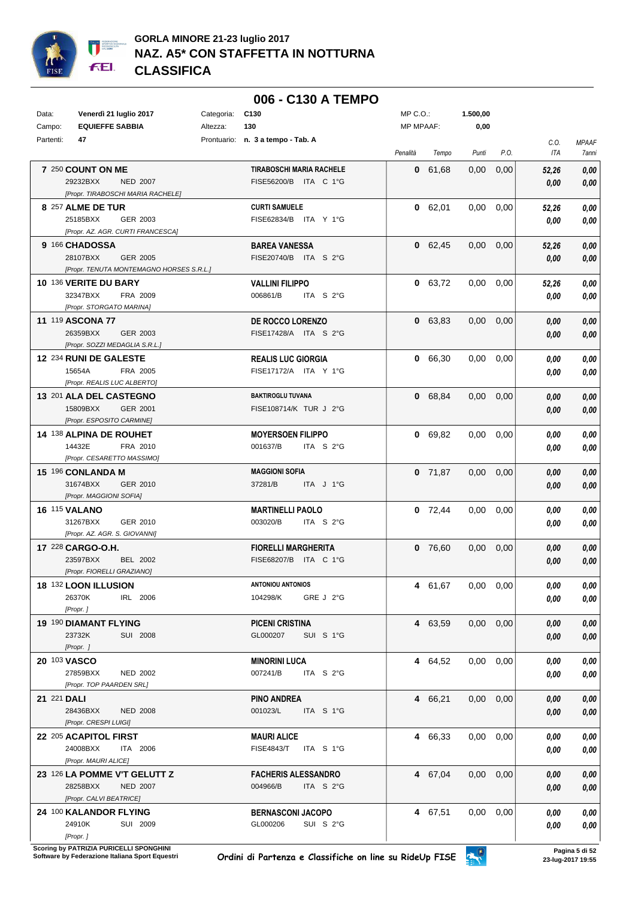

#### **006 - C130 A TEMPO**

| Data:       | Venerdì 21 luglio 2017                      | Categoria:<br>C130                       | MP C.O.:  |           | 1.500,00          |      |       |              |
|-------------|---------------------------------------------|------------------------------------------|-----------|-----------|-------------------|------|-------|--------------|
| Campo:      | <b>EQUIEFFE SABBIA</b>                      | 130<br>Altezza:                          | MP MPAAF: |           | 0,00              |      |       |              |
| Partenti:   | 47                                          | Prontuario: n. 3 a tempo - Tab. A        |           |           |                   |      | C.O.  | <b>MPAAF</b> |
|             |                                             |                                          | Penalità  | Tempo     | Punti             | P.O. | ITA   | 7anni        |
|             | 7 250 COUNT ON ME                           | <b>TIRABOSCHI MARIA RACHELE</b>          |           | 0 61,68   | 0,00              | 0,00 | 52,26 | 0,00         |
|             | 29232BXX<br><b>NED 2007</b>                 | FISE56200/B ITA C 1°G                    |           |           |                   |      | 0,00  | 0,00         |
|             | [Propr. TIRABOSCHI MARIA RACHELE]           |                                          |           |           |                   |      |       |              |
|             | 8 257 ALME DE TUR                           | <b>CURTI SAMUELE</b>                     |           | 0 62,01   | 0,00              | 0,00 | 52,26 | 0,00         |
|             | 25185BXX<br>GER 2003                        | FISE62834/B ITA Y 1°G                    |           |           |                   |      | 0,00  | 0,00         |
|             | [Propr. AZ. AGR. CURTI FRANCESCA]           |                                          |           |           |                   |      |       |              |
|             | 9 166 CHADOSSA                              | <b>BAREA VANESSA</b>                     |           | 0 62,45   | 0,00              | 0,00 | 52,26 | 0,00         |
|             | 28107BXX<br><b>GER 2005</b>                 | FISE20740/B ITA S 2°G                    |           |           |                   |      | 0,00  | 0,00         |
|             | [Propr. TENUTA MONTEMAGNO HORSES S.R.L.]    |                                          |           |           |                   |      |       |              |
|             | 10 136 VERITE DU BARY                       | <b>VALLINI FILIPPO</b>                   |           | 0 63,72   | 0,00              | 0,00 | 52,26 | 0,00         |
|             | 32347BXX<br>FRA 2009                        | 006861/B<br>ITA $S2°G$                   |           |           |                   |      | 0,00  | 0,00         |
|             | [Propr. STORGATO MARINA]                    |                                          |           |           |                   |      |       |              |
|             | <b>11 119 ASCONA 77</b>                     | DE ROCCO LORENZO                         |           | 0 63,83   | 0,00              | 0,00 | 0,00  | 0,00         |
|             | 26359BXX<br>GER 2003                        | FISE17428/A ITA S 2°G                    |           |           |                   |      | 0,00  | 0,00         |
|             | [Propr. SOZZI MEDAGLIA S.R.L.]              |                                          |           |           |                   |      |       |              |
|             | 12 234 RUNI DE GALESTE                      | <b>REALIS LUC GIORGIA</b>                |           | 0 66,30   | $0,00$ $0,00$     |      | 0,00  | 0,00         |
|             | 15654A<br>FRA 2005                          | FISE17172/A ITA Y 1°G                    |           |           |                   |      | 0,00  | 0,00         |
|             | [Propr. REALIS LUC ALBERTO]                 |                                          |           |           |                   |      |       |              |
|             | 13 201 ALA DEL CASTEGNO                     | <b>BAKTIROGLU TUVANA</b>                 |           | 0 68,84   | 0,00              | 0,00 | 0,00  | 0,00         |
|             | 15809BXX<br><b>GER 2001</b>                 | FISE108714/K TUR J 2°G                   |           |           |                   |      | 0,00  | 0,00         |
|             | [Propr. ESPOSITO CARMINE]                   |                                          |           |           |                   |      |       |              |
|             | 14 138 ALPINA DE ROUHET                     | <b>MOYERSOEN FILIPPO</b>                 |           | 0 69,82   | 0.00              | 0,00 | 0,00  | 0,00         |
|             | 14432E<br>FRA 2010                          | 001637/B<br>ITA $S2°G$                   |           |           |                   |      | 0.00  | 0,00         |
|             | [Propr. CESARETTO MASSIMO]                  |                                          |           |           |                   |      |       |              |
|             | 15 196 CONLANDA M                           | <b>MAGGIONI SOFIA</b>                    |           | $0$ 71,87 | $0,00$ $0,00$     |      | 0,00  | 0,00         |
|             | 31674BXX<br>GER 2010                        | 37281/B<br>ITA J 1°G                     |           |           |                   |      | 0,00  | 0,00         |
|             | [Propr. MAGGIONI SOFIA]                     |                                          |           |           |                   |      |       |              |
|             | <b>16 115 VALANO</b>                        | <b>MARTINELLI PAOLO</b>                  |           | $0$ 72,44 | 0,00              | 0,00 | 0,00  | 0,00         |
|             | 31267BXX<br>GER 2010                        | ITA S 2°G<br>003020/B                    |           |           |                   |      | 0,00  | 0,00         |
|             | [Propr. AZ. AGR. S. GIOVANNI]               |                                          |           |           |                   |      |       |              |
|             | 17 228 CARGO-O.H.                           | <b>FIORELLI MARGHERITA</b>               |           | 0 76,60   | 0.00              | 0,00 | 0,00  | 0,00         |
|             | <b>BEL 2002</b><br>23597BXX                 | FISE68207/B ITA C 1°G                    |           |           |                   |      | 0,00  | 0,00         |
|             | [Propr. FIORELLI GRAZIANO]                  |                                          |           |           |                   |      |       |              |
|             | 18 132 LOON ILLUSION                        | <b>ANTONIOU ANTONIOS</b>                 |           | 4 61,67   | $0,00$ $0,00$     |      | 0,00  | 0,00         |
|             | 26370K<br>IRL 2006<br>[Propr.]              | 104298/K<br>GRE J 2°G                    |           |           |                   |      | 0,00  | 0,00         |
|             |                                             |                                          |           |           |                   |      |       |              |
|             | 19 190 DIAMANT FLYING                       | PICENI CRISTINA<br>GL000207<br>SUI S 1°G |           | 4 63,59   | $0,00$ $0,00$     |      | 0,00  | 0,00         |
|             | 23732K<br>SUI 2008<br>[Propr. ]             |                                          |           |           |                   |      | 0,00  | 0,00         |
|             |                                             |                                          |           |           |                   |      |       |              |
|             | 20 103 VASCO<br>27859BXX<br><b>NED 2002</b> | MINORINI LUCA<br>007241/B<br>ITA S 2°G   |           | 4 64,52   | $0,00$ $0,00$     |      | 0,00  | 0,00         |
|             | [Propr. TOP PAARDEN SRL]                    |                                          |           |           |                   |      | 0,00  | 0,00         |
| 21 221 DALI |                                             |                                          |           |           | $0,00$ $0,00$     |      |       |              |
|             | 28436BXX<br><b>NED 2008</b>                 | PINO ANDREA<br>001023/L<br>ITA S 1°G     |           | 4 66,21   |                   |      | 0,00  | 0,00         |
|             | [Propr. CRESPI LUIGI]                       |                                          |           |           |                   |      | 0,00  | 0,00         |
|             | 22 205 ACAPITOL FIRST                       | <b>MAURI ALICE</b>                       |           | 4 66,33   | $0,00$ $0,00$     |      | 0,00  | 0,00         |
|             | 24008BXX<br>ITA 2006                        | FISE4843/T ITA S 1°G                     |           |           |                   |      | 0,00  | 0,00         |
|             | [Propr. MAURI ALICE]                        |                                          |           |           |                   |      |       |              |
|             | 23 126 LA POMME V'T GELUTT Z                | <b>FACHERIS ALESSANDRO</b>               |           | 4 67,04   | $0.00 \quad 0.00$ |      | 0,00  | 0,00         |
|             | 28258BXX<br><b>NED 2007</b>                 | ITA S 2°G<br>004966/B                    |           |           |                   |      | 0,00  | 0,00         |
|             | [Propr. CALVI BEATRICE]                     |                                          |           |           |                   |      |       |              |
|             | 24 100 KALANDOR FLYING                      | <b>BERNASCONI JACOPO</b>                 |           | 4 67,51   | $0.00 \quad 0.00$ |      | 0.00  | 0,00         |
|             | 24910K<br>SUI 2009                          | GL000206<br>SUI S 2°G                    |           |           |                   |      | 0,00  | 0,00         |
|             | [Propr. ]                                   |                                          |           |           |                   |      |       |              |

**.**<br>Scoring by PATRIZIA PURICELLI SPONGHINI<br>Software by Federazione Italiana Sport Equestri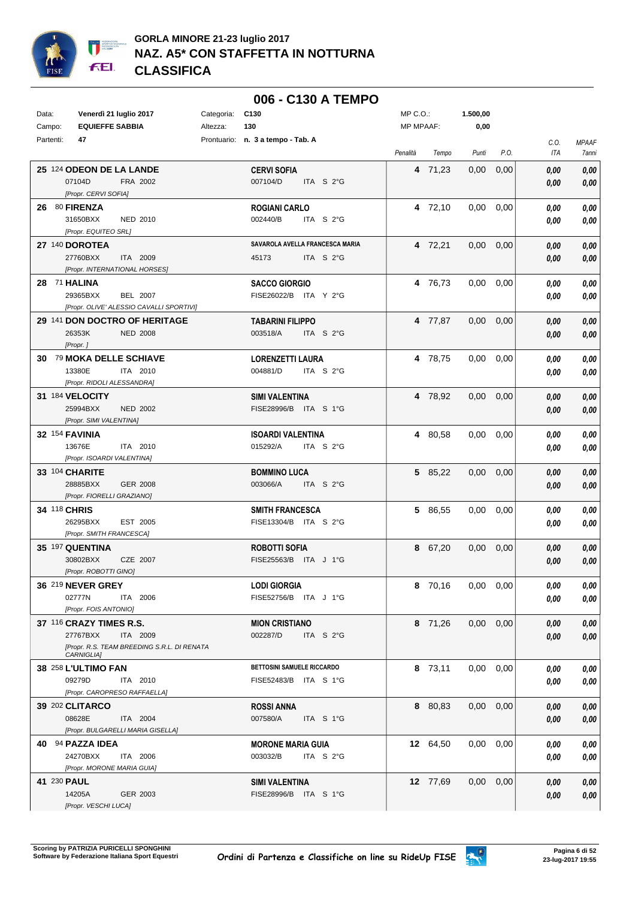

|             |                                                           |            | 006 - C130 A TEMPO                |                  |          |                   |                   |      |              |
|-------------|-----------------------------------------------------------|------------|-----------------------------------|------------------|----------|-------------------|-------------------|------|--------------|
| Data:       | Venerdì 21 luglio 2017                                    | Categoria: | C <sub>130</sub>                  | MP C.O.:         |          | 1.500,00          |                   |      |              |
| Campo:      | <b>EQUIEFFE SABBIA</b>                                    | Altezza:   | 130                               | <b>MP MPAAF:</b> |          | 0,00              |                   |      |              |
| Partenti:   | 47                                                        |            | Prontuario: n. 3 a tempo - Tab. A |                  |          |                   |                   | C.O. | <b>MPAAF</b> |
|             |                                                           |            |                                   | Penalità         | Tempo    | Punti             | P.O.              | ITA  | 7anni        |
|             | 25 124 ODEON DE LA LANDE                                  |            | <b>CERVI SOFIA</b>                |                  | 4 71,23  | 0,00              | 0,00              | 0,00 | 0,00         |
|             | 07104D<br>FRA 2002                                        |            | 007104/D<br>ITA S 2°G             |                  |          |                   |                   |      | 0,00         |
|             | [Propr. CERVI SOFIA]                                      |            |                                   |                  |          |                   |                   | 0,00 |              |
|             | 26 80 FIRENZA                                             |            | <b>ROGIANI CARLO</b>              |                  | 4 72,10  | 0.00              | 0,00              | 0,00 | 0,00         |
|             | 31650BXX<br>NED 2010                                      |            | 002440/B<br>ITA S 2°G             |                  |          |                   |                   | 0,00 | 0,00         |
|             | [Propr. EQUITEO SRL]                                      |            |                                   |                  |          |                   |                   |      |              |
|             | 27 140 DOROTEA                                            |            | SAVAROLA AVELLA FRANCESCA MARIA   |                  | 4 72,21  | $0.00 \quad 0.00$ |                   | 0,00 | 0,00         |
|             | 27760BXX<br>ITA 2009                                      |            | ITA S 2°G<br>45173                |                  |          |                   |                   | 0,00 | 0,00         |
|             | [Propr. INTERNATIONAL HORSES]                             |            |                                   |                  |          |                   |                   |      |              |
|             | 28 71 HALINA                                              |            | <b>SACCO GIORGIO</b>              |                  | 4 76,73  | $0,00$ $0,00$     |                   | 0,00 | 0,00         |
|             | 29365BXX<br>BEL 2007                                      |            | FISE26022/B ITA Y 2°G             |                  |          |                   |                   | 0,00 | 0,00         |
|             | [Propr. OLIVE' ALESSIO CAVALLI SPORTIVI]                  |            |                                   |                  |          |                   |                   |      |              |
|             | 29 141 DON DOCTRO OF HERITAGE                             |            | <b>TABARINI FILIPPO</b>           |                  | 4 77,87  | $0,00$ $0,00$     |                   | 0,00 | 0,00         |
|             | 26353K<br><b>NED 2008</b>                                 |            | 003518/A<br>ITA S 2°G             |                  |          |                   |                   | 0,00 | 0,00         |
|             | [Propr.]                                                  |            |                                   |                  |          |                   |                   |      |              |
|             | 30 79 MOKA DELLE SCHIAVE                                  |            | <b>LORENZETTI LAURA</b>           |                  | 4 78,75  | $0.00 \quad 0.00$ |                   | 0,00 | 0,00         |
|             | 13380E<br>ITA 2010                                        |            | 004881/D<br>ITA S 2°G             |                  |          |                   |                   | 0,00 | 0,00         |
|             | [Propr. RIDOLI ALESSANDRA]                                |            |                                   |                  |          |                   |                   |      |              |
|             | 31 184 VELOCITY                                           |            | <b>SIMI VALENTINA</b>             |                  | 4 78,92  | $0.00\,$          | 0,00              | 0,00 | 0,00         |
|             | 25994BXX<br><b>NED 2002</b>                               |            | FISE28996/B ITA S 1°G             |                  |          |                   |                   | 0,00 | 0,00         |
|             | [Propr. SIMI VALENTINA]                                   |            |                                   |                  |          |                   |                   |      |              |
|             | <b>32 154 FAVINIA</b>                                     |            | <b>ISOARDI VALENTINA</b>          |                  | 4 80,58  | $0,00$ $0,00$     |                   | 0,00 | 0,00         |
|             | 13676E<br>ITA 2010                                        |            | 015292/A<br>ITA S 2°G             |                  |          |                   |                   | 0,00 | 0,00         |
|             | [Propr. ISOARDI VALENTINA]                                |            |                                   |                  |          |                   |                   |      |              |
|             | 33 104 CHARITE                                            |            | <b>BOMMINO LUCA</b>               |                  | 5 85,22  | $0,00$ $0,00$     |                   | 0,00 | 0,00         |
|             | 28885BXX<br>GER 2008                                      |            | 003066/A<br>ITA S 2°G             |                  |          |                   |                   | 0,00 | 0,00         |
|             | [Propr. FIORELLI GRAZIANO]                                |            |                                   |                  |          |                   |                   |      |              |
|             | 34 118 CHRIS                                              |            | <b>SMITH FRANCESCA</b>            |                  | 5 86,55  | $0,00$ $0,00$     |                   | 0,00 | 0,00         |
|             | EST 2005<br>26295BXX                                      |            | FISE13304/B ITA S 2°G             |                  |          |                   |                   | 0,00 | 0,00         |
|             | [Propr. SMITH FRANCESCA]                                  |            |                                   |                  |          |                   |                   |      |              |
|             | 35 197 QUENTINA                                           |            | <b>ROBOTTI SOFIA</b>              |                  | 8 67,20  | $0,00$ $0,00$     |                   | 0,00 | 0,00         |
|             | 30802BXX<br>CZE 2007                                      |            | FISE25563/B ITA J 1°G             |                  |          |                   |                   | 0,00 | 0,00         |
|             | [Propr. ROBOTTI GINO]                                     |            |                                   |                  |          |                   |                   |      |              |
|             | 36 219 NEVER GREY                                         |            | <b>LODI GIORGIA</b>               |                  | 8 70,16  |                   | $0.00 \quad 0.00$ | 0,00 | 0,00         |
|             | 02777N<br>ITA 2006                                        |            | FISE52756/B ITA J 1°G             |                  |          |                   |                   | 0,00 | 0,00         |
|             | [Propr. FOIS ANTONIO]                                     |            |                                   |                  |          |                   |                   |      |              |
|             | 37 116 CRAZY TIMES R.S.                                   |            | <b>MION CRISTIANO</b>             |                  | 8 71.26  |                   | $0.00 \quad 0.00$ | 0,00 | 0,00         |
|             | 27767BXX<br>ITA 2009                                      |            | 002287/D<br>ITA S 2°G             |                  |          |                   |                   | 0,00 | 0,00         |
|             | [Propr. R.S. TEAM BREEDING S.R.L. DI RENATA<br>CARNIGLIA] |            |                                   |                  |          |                   |                   |      |              |
|             | 38 258 L'ULTIMO FAN                                       |            | <b>BETTOSINI SAMUELE RICCARDO</b> |                  | 8 73,11  | $0.00 \quad 0.00$ |                   | 0,00 | 0,00         |
|             | 09279D<br>ITA 2010                                        |            | FISE52483/B ITA S 1°G             |                  |          |                   |                   | 0,00 | 0,00         |
|             | [Propr. CAROPRESO RAFFAELLA]                              |            |                                   |                  |          |                   |                   |      |              |
|             | 39 202 CLITARCO                                           |            | <b>ROSSI ANNA</b>                 |                  | 8 80,83  | $0,00$ $0,00$     |                   | 0,00 | 0,00         |
|             | 08628E<br>ITA 2004                                        |            | 007580/A<br>ITA S 1°G             |                  |          |                   |                   | 0,00 | 0,00         |
|             | [Propr. BULGARELLI MARIA GISELLA]                         |            |                                   |                  |          |                   |                   |      |              |
|             | 40 94 PAZZA IDEA                                          |            | <b>MORONE MARIA GUIA</b>          |                  | 12 64,50 |                   | $0.00 \quad 0.00$ | 0,00 | 0,00         |
|             | 24270BXX<br>ITA 2006                                      |            | 003032/B<br>ITA S 2°G             |                  |          |                   |                   | 0,00 | 0,00         |
|             | [Propr. MORONE MARIA GUIA]                                |            |                                   |                  |          |                   |                   |      |              |
| 41 230 PAUL |                                                           |            | <b>SIMI VALENTINA</b>             |                  | 12 77,69 | $0.00 \quad 0.00$ |                   | 0,00 | 0,00         |
|             | 14205A<br>GER 2003                                        |            | FISE28996/B ITA S 1°G             |                  |          |                   |                   | 0,00 | 0,00         |
|             | [Propr. VESCHI LUCA]                                      |            |                                   |                  |          |                   |                   |      |              |

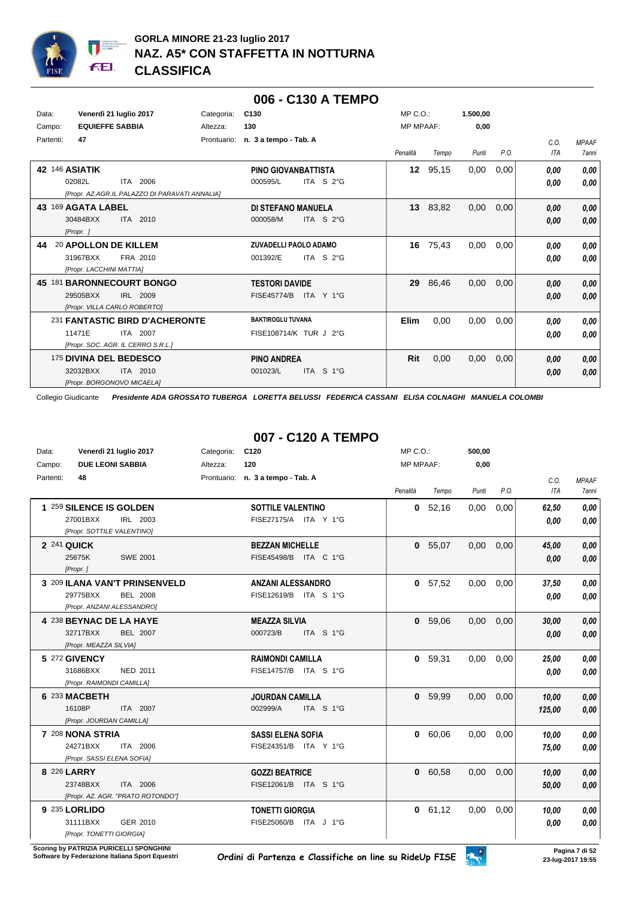

#### **006 - C130 A TEMPO**

| Data:<br>Campo: | Venerdì 21 luglio 2017<br><b>EQUIEFFE SABBIA</b>                                           | Categoria:<br>Altezza: | C <sub>130</sub><br>130                                  | $MP C. O.$ :<br><b>MP MPAAF:</b> |          | 1.500,00<br>0,00 |      |              |                       |
|-----------------|--------------------------------------------------------------------------------------------|------------------------|----------------------------------------------------------|----------------------------------|----------|------------------|------|--------------|-----------------------|
| Partenti:       | 47                                                                                         |                        | Prontuario: n. 3 a tempo - Tab. A                        | Penalità                         | Tempo    | Punti            | P.O. | C.0.<br>ITA  | <b>MPAAF</b><br>7anni |
| 42 146 ASIATIK  | ITA 2006<br>02082L<br>[Propr. AZ.AGR.IL PALAZZO DI PARAVATI ANNALIA]                       |                        | PINO GIOVANBATTISTA<br>ITA S 2°G<br>000595/L             | 12                               | 95,15    | 0.00             | 0,00 | 0.00<br>0.00 | 0,00<br>0.00          |
|                 | 43 169 AGATA LABEL<br>ITA 2010<br>30484BXX<br>[Propr. ]                                    |                        | <b>DI STEFANO MANUELA</b><br>ITA S 2°G<br>000058/M       |                                  | 13 83,82 | 0,00             | 0,00 | 0,00<br>0,00 | 0,00<br>0,00          |
| 44              | 20 APOLLON DE KILLEM<br>31967BXX<br>FRA 2010<br>[Propr. LACCHINI MATTIA]                   |                        | ZUVADELLI PAOLO ADAMO<br>ITA S $2^{\circ}$ G<br>001392/E | 16                               | 75,43    | 0,00             | 0,00 | 0,00<br>0.00 | 0,00<br>0,00          |
|                 | 45 181 BARONNECOURT BONGO<br>29505BXX<br>IRL 2009<br>[Propr. VILLA CARLO ROBERTO]          |                        | <b>TESTORI DAVIDE</b><br><b>FISE45774/B</b><br>ITA Y 1°G | 29                               | 86,46    | 0,00             | 0,00 | 0,00<br>0,00 | 0,00<br>0,00          |
|                 | 231 FANTASTIC BIRD D'ACHERONTE<br>11471E<br>ITA 2007<br>[Propr. SOC. AGR. IL CERRO S.R.L.] |                        | <b>BAKTIROGLU TUVANA</b><br>FISE108714/K TUR J 2°G       | Elim                             | 0,00     | 0,00             | 0,00 | 0,00<br>0,00 | 0,00<br>0,00          |
|                 | 175 DIVINA DEL BEDESCO<br>32032BXX<br>ITA 2010<br>[Propr. BORGONOVO MICAELA]               |                        | <b>PINO ANDREA</b><br>001023/L<br>ITA S 1°G              | Rit                              | 0,00     | 0,00             | 0,00 | 0,00<br>0,00 | 0,00<br>0,00          |

Collegio Giudicante *Presidente ADA GROSSATO TUBERGA LORETTA BELUSSI FEDERICA CASSANI ELISA COLNAGHI MANUELA COLOMBI*

## **007 - C120 A TEMPO**

| Data:<br>Campo: | Venerdì 21 luglio 2017<br><b>DUE LEONI SABBIA</b>                                          | Categoria:<br>Altezza: | C <sub>120</sub><br>120                           | $MP C. O.$ :<br><b>MP MPAAF:</b> |         | 500,00<br>0,00 |      |                    |                                     |
|-----------------|--------------------------------------------------------------------------------------------|------------------------|---------------------------------------------------|----------------------------------|---------|----------------|------|--------------------|-------------------------------------|
| Partenti:       | 48                                                                                         |                        | Prontuario: n. 3 a tempo - Tab. A                 | Penalità                         | Tempo   | Punti          | P.O. | C.O.<br><b>ITA</b> | <b>MPAAF</b><br><i><b>7anni</b></i> |
|                 | 1 259 SILENCE IS GOLDEN<br>27001BXX<br>IRL 2003<br>[Propr. SOTTILE VALENTINO]              |                        | <b>SOTTILE VALENTINO</b><br>FISE27175/A ITA Y 1°G | 0                                | 52,16   | 0,00           | 0,00 | 62,50<br>0.00      | 0,00<br>0,00                        |
|                 | 2 241 QUICK<br><b>SWE 2001</b><br>25675K<br>[Propr.]                                       |                        | <b>BEZZAN MICHELLE</b><br>FISE45498/B ITA C 1°G   |                                  | 0 55,07 | 0,00           | 0,00 | 45,00<br>0.00      | 0,00<br>0,00                        |
|                 | 3 209 ILANA VAN'T PRINSENVELD<br>29775BXX<br><b>BEL 2008</b><br>[Propr. ANZANI ALESSANDRO] |                        | <b>ANZANI ALESSANDRO</b><br>FISE12619/B ITA S 1°G | 0                                | 57,52   | 0,00           | 0,00 | 37,50<br>0.00      | 0.00<br>0.00                        |
|                 | 4 238 BEYNAC DE LA HAYE<br>32717BXX<br><b>BEL 2007</b><br>[Propr. MEAZZA SILVIA]           |                        | <b>MEAZZA SILVIA</b><br>000723/B<br>ITA S 1°G     | 0                                | 59,06   | 0,00           | 0,00 | 30,00<br>0,00      | 0,00<br>0,00                        |
|                 | 5 272 GIVENCY<br>31686BXX<br>NED 2011<br>[Propr. RAIMONDI CAMILLA]                         |                        | <b>RAIMONDI CAMILLA</b><br>FISE14757/B ITA S 1°G  |                                  | 0 59,31 | 0.00           | 0.00 | 25,00<br>0.00      | 0,00<br>0,00                        |
|                 | 6 233 MACBETH<br>16108P<br>ITA 2007<br>[Propr. JOURDAN CAMILLA]                            |                        | <b>JOURDAN CAMILLA</b><br>002999/A<br>ITA S 1°G   | $\mathbf{0}$                     | 59,99   | 0,00           | 0,00 | 10,00<br>125,00    | 0,00<br>0.00                        |
|                 | 7 208 NONA STRIA<br>24271BXX<br>ITA 2006<br>[Propr. SASSI ELENA SOFIA]                     |                        | <b>SASSI ELENA SOFIA</b><br>FISE24351/B ITA Y 1°G |                                  | 0 60,06 | 0,00           | 0,00 | 10,00<br>75,00     | 0,00<br>0.00                        |
|                 | 8 226 LARRY<br>ITA 2006<br>23748BXX<br>[Propr. AZ. AGR. "PRATO ROTONDO"]                   |                        | <b>GOZZI BEATRICE</b><br>FISE12061/B ITA S 1°G    |                                  | 0 60,58 | 0,00           | 0,00 | 10,00<br>50,00     | 0,00<br>0,00                        |
|                 | 9 235 LORLIDO<br>31111BXX<br>GER 2010<br>[Propr. TONETTI GIORGIA]                          |                        | <b>TONETTI GIORGIA</b><br>FISE25060/B ITA J 1°G   |                                  | 0 61,12 | 0,00           | 0,00 | 10,00<br>0.00      | 0,00<br>0,00                        |

**Scoring by PATRIZIA PURICELLI SPONGHINI<br>Software by Federazione Italiana Sport Equestri**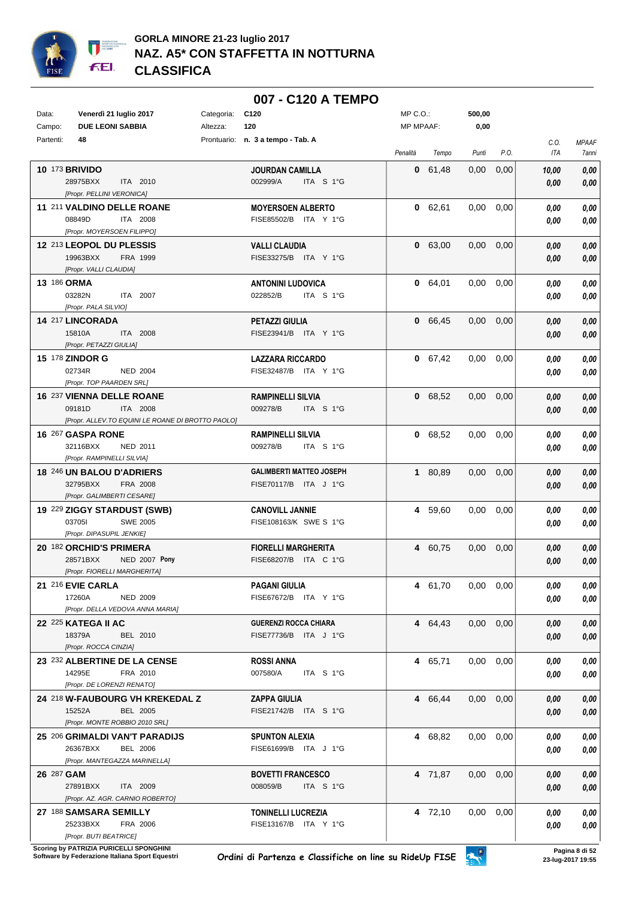

|             |                                                        |            | 007 - C120 A TEMPO                                 |                  |         |                   |      |       |                     |
|-------------|--------------------------------------------------------|------------|----------------------------------------------------|------------------|---------|-------------------|------|-------|---------------------|
| Data:       | Venerdì 21 luglio 2017                                 | Categoria: | C120                                               | $MP C. O.$ :     |         | 500,00            |      |       |                     |
| Campo:      | <b>DUE LEONI SABBIA</b>                                | Altezza:   | 120                                                | <b>MP MPAAF:</b> |         | 0,00              |      |       |                     |
| Partenti:   | 48                                                     |            | Prontuario: n. 3 a tempo - Tab. A                  |                  |         |                   |      | C.O.  | <b>MPAAF</b>        |
|             |                                                        |            |                                                    | Penalità         | Tempo   | Punti             | P.O. | ITA   | <i><b>7anni</b></i> |
|             | <b>10 173 BRIVIDO</b>                                  |            | <b>JOURDAN CAMILLA</b>                             |                  | 0 61,48 | 0,00              | 0,00 | 10,00 | 0,00                |
|             | 28975BXX<br>ITA 2010                                   |            | 002999/A<br>ITA S 1°G                              |                  |         |                   |      | 0,00  | 0,00                |
|             | [Propr. PELLINI VERONICA]                              |            |                                                    |                  |         |                   |      |       |                     |
|             | 11 211 VALDINO DELLE ROANE                             |            | <b>MOYERSOEN ALBERTO</b>                           |                  | 0 62,61 | 0,00              | 0,00 | 0.00  | 0,00                |
|             | 08849D<br>ITA 2008                                     |            | FISE85502/B ITA Y 1°G                              |                  |         |                   |      | 0,00  | 0,00                |
|             | [Propr. MOYERSOEN FILIPPO]                             |            |                                                    |                  |         |                   |      |       |                     |
|             | 12 213 LEOPOL DU PLESSIS<br>19963BXX<br>FRA 1999       |            | <b>VALLI CLAUDIA</b><br>FISE33275/B ITA Y 1°G      |                  | 0 63,00 | 0,00              | 0,00 | 0.00  | 0,00                |
|             | [Propr. VALLI CLAUDIA]                                 |            |                                                    |                  |         |                   |      | 0,00  | 0,00                |
| 13 186 ORMA |                                                        |            | <b>ANTONINI LUDOVICA</b>                           |                  | 0.64,01 | 0,00              | 0,00 | 0.00  | 0,00                |
|             | 03282N<br>ITA 2007                                     |            | 022852/B<br>ITA S 1°G                              |                  |         |                   |      | 0.00  | 0,00                |
|             | [Propr. PALA SILVIO]                                   |            |                                                    |                  |         |                   |      |       |                     |
|             | 14 217 LINCORADA                                       |            | <b>PETAZZI GIULIA</b>                              |                  | 0 66,45 | $0.00\,$          | 0,00 | 0,00  | 0,00                |
|             | 15810A<br>ITA 2008                                     |            | FISE23941/B ITA Y 1°G                              |                  |         |                   |      | 0.00  | 0,00                |
|             | [Propr. PETAZZI GIULIA]                                |            |                                                    |                  |         |                   |      |       |                     |
|             | 15 178 ZINDOR G                                        |            | <b>LAZZARA RICCARDO</b>                            |                  | 0 67,42 | 0,00              | 0,00 | 0,00  | 0,00                |
|             | 02734R<br><b>NED 2004</b>                              |            | FISE32487/B ITA Y 1°G                              |                  |         |                   |      | 0,00  | 0,00                |
|             | [Propr. TOP PAARDEN SRL]                               |            |                                                    |                  |         |                   |      |       |                     |
|             | 16 237 VIENNA DELLE ROANE<br>09181D<br>ITA 2008        |            | <b>RAMPINELLI SILVIA</b><br>009278/B<br>ITA S 1°G  |                  | 0 68.52 | 0,00              | 0,00 | 0,00  | 0,00                |
|             | [Propr. ALLEV.TO EQUINI LE ROANE DI BROTTO PAOLO]      |            |                                                    |                  |         |                   |      | 0.00  | 0,00                |
|             | 16 267 GASPA RONE                                      |            | <b>RAMPINELLI SILVIA</b>                           |                  | 0 68,52 | 0,00              | 0,00 | 0.00  | 0,00                |
|             | 32116BXX<br>NED 2011                                   |            | 009278/B<br>ITA S 1°G                              |                  |         |                   |      | 0.00  | 0,00                |
|             | [Propr. RAMPINELLI SILVIA]                             |            |                                                    |                  |         |                   |      |       |                     |
|             | 18 246 UN BALOU D'ADRIERS                              |            | <b>GALIMBERTI MATTEO JOSEPH</b>                    |                  | 1 80,89 | 0,00              | 0,00 | 0,00  | 0,00                |
|             | 32795BXX<br>FRA 2008                                   |            | FISE70117/B ITA J 1°G                              |                  |         |                   |      | 0.00  | 0,00                |
|             | [Propr. GALIMBERTI CESARE]                             |            |                                                    |                  |         |                   |      |       |                     |
|             | 19 229 ZIGGY STARDUST (SWB)                            |            | <b>CANOVILL JANNIE</b>                             |                  | 4 59,60 | 0,00              | 0,00 | 0.00  | 0,00                |
|             | 037051<br><b>SWE 2005</b><br>[Propr. DIPASUPIL JENKIE] |            | FISE108163/K SWE S 1°G                             |                  |         |                   |      | 0.00  | 0,00                |
|             | 20 182 ORCHID'S PRIMERA                                |            | <b>FIORELLI MARGHERITA</b>                         |                  | 4 60,75 | 0.00              | 0,00 | 0,00  | 0,00                |
|             | 28571BXX<br>NED 2007 Pony                              |            | FISE68207/B ITA C 1°G                              |                  |         |                   |      | 0,00  | 0,00                |
|             | [Propr. FIORELLI MARGHERITA]                           |            |                                                    |                  |         |                   |      |       |                     |
|             | 21 216 EVIE CARLA                                      |            | <b>PAGANI GIULIA</b>                               |                  | 4 61,70 | $0.00 \quad 0.00$ |      | 0.00  | 0,00                |
|             | 17260A<br><b>NED 2009</b>                              |            | FISE67672/B ITA Y 1°G                              |                  |         |                   |      | 0,00  | 0,00                |
|             | [Propr. DELLA VEDOVA ANNA MARIA]                       |            |                                                    |                  |         |                   |      |       |                     |
|             | <b>22 225 KATEGA II AC</b>                             |            | <b>GUERENZI ROCCA CHIARA</b>                       |                  | 4 64,43 | $0.00\,$          | 0,00 | 0.00  | 0,00                |
|             | 18379A<br>BEL 2010                                     |            | FISE77736/B ITA J 1°G                              |                  |         |                   |      | 0.00  | 0,00                |
|             | [Propr. ROCCA CINZIA]                                  |            |                                                    |                  |         |                   |      |       |                     |
|             | 23 232 ALBERTINE DE LA CENSE<br>14295E                 |            | <b>ROSSI ANNA</b><br>007580/A<br>ITA S 1°G         |                  | 4 65,71 | $0.00 \quad 0.00$ |      | 0,00  | 0,00                |
|             | FRA 2010<br>[Propr. DE LORENZI RENATO]                 |            |                                                    |                  |         |                   |      | 0.00  | 0,00                |
|             | 24 218 W-FAUBOURG VH KREKEDAL Z                        |            | <b>ZAPPA GIULIA</b>                                |                  | 4 66,44 | $0,00$ $0,00$     |      | 0,00  | 0,00                |
|             | 15252A<br>BEL 2005                                     |            | FISE21742/B ITA S 1°G                              |                  |         |                   |      | 0.00  | 0,00                |
|             | [Propr. MONTE ROBBIO 2010 SRL]                         |            |                                                    |                  |         |                   |      |       |                     |
|             | 25 206 GRIMALDI VAN'T PARADIJS                         |            | <b>SPUNTON ALEXIA</b>                              |                  | 4 68,82 | $0,00$ $0,00$     |      | 0,00  | 0,00                |
|             | 26367BXX<br><b>BEL 2006</b>                            |            | FISE61699/B ITA J 1°G                              |                  |         |                   |      | 0.00  | 0,00                |
|             | [Propr. MANTEGAZZA MARINELLA]                          |            |                                                    |                  |         |                   |      |       |                     |
| 26 287 GAM  |                                                        |            | <b>BOVETTI FRANCESCO</b>                           |                  | 4 71,87 | $0,00$ $0,00$     |      | 0,00  | 0,00                |
|             | 27891BXX<br>ITA 2009                                   |            | 008059/B<br>ITA S 1°G                              |                  |         |                   |      | 0,00  | 0,00                |
|             | [Propr. AZ. AGR. CARNIO ROBERTO]                       |            |                                                    |                  |         |                   |      |       |                     |
|             | 27 188 SAMSARA SEMILLY<br>25233BXX<br>FRA 2006         |            | <b>TONINELLI LUCREZIA</b><br>FISE13167/B ITA Y 1°G |                  | 4 72,10 | 0,00              | 0,00 | 0.00  | 0,00                |
|             | [Propr. BUTI BEATRICE]                                 |            |                                                    |                  |         |                   |      | 0,00  | 0,00                |

**Scoring by PATRIZIA PURICELLI SPONGHINI<br>Software by Federazione Italiana Sport Equestri**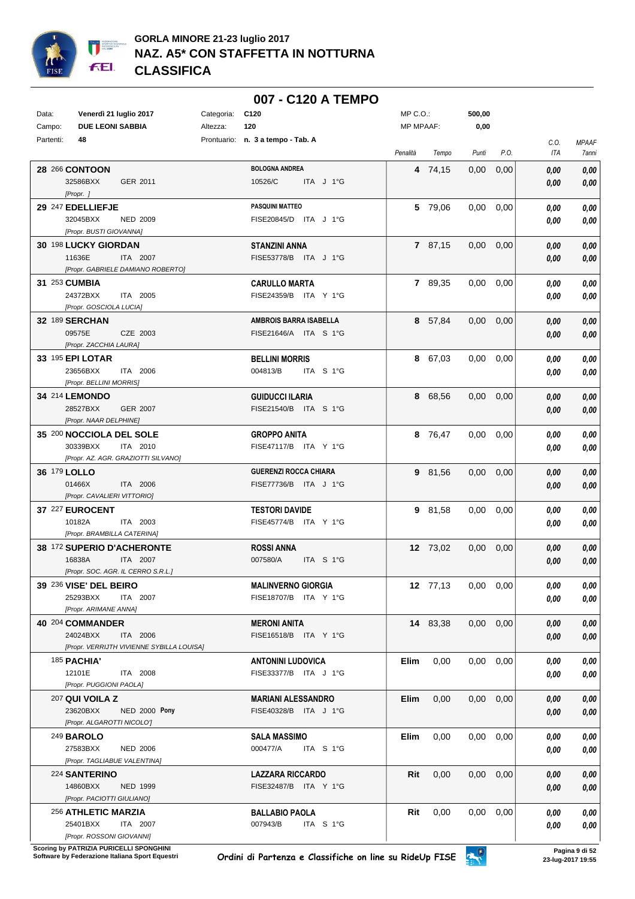

|              |                                                                |            | 007 - C120 A TEMPO                              |                  |          |                   |      |              |              |
|--------------|----------------------------------------------------------------|------------|-------------------------------------------------|------------------|----------|-------------------|------|--------------|--------------|
| Data:        | Venerdì 21 luglio 2017                                         | Categoria: | C <sub>120</sub>                                | $MP C. O.$ :     |          | 500,00            |      |              |              |
| Campo:       | <b>DUE LEONI SABBIA</b>                                        | Altezza:   | 120                                             | <b>MP MPAAF:</b> |          | 0,00              |      |              |              |
| Partenti:    | 48                                                             |            | Prontuario: n. 3 a tempo - Tab. A               |                  |          |                   |      | C.O.         | MPAAF        |
|              |                                                                |            |                                                 | Penalità         | Tempo    | Punti             | P.O. | ITA          | 7anni        |
|              | 28 266 CONTOON                                                 |            | <b>BOLOGNA ANDREA</b>                           |                  | 4 74,15  | 0,00              | 0,00 | 0,00         | 0,00         |
|              | 32586BXX<br>GER 2011                                           |            | 10526/C<br>ITA J 1°G                            |                  |          |                   |      | 0,00         | 0,00         |
|              | [Propr. ]<br>29 247 EDELLIEFJE                                 |            | <b>PASQUINI MATTEO</b>                          |                  | 5 79,06  | 0.00              | 0,00 | 0.00         | 0,00         |
|              | 32045BXX<br><b>NED 2009</b>                                    |            | FISE20845/D ITA J 1°G                           |                  |          |                   |      | 0.00         | 0,00         |
|              | [Propr. BUSTI GIOVANNA]                                        |            |                                                 |                  |          |                   |      |              |              |
|              | 30 198 LUCKY GIORDAN                                           |            | <b>STANZINI ANNA</b>                            |                  | 7 87,15  | 0,00              | 0,00 | 0.00         | 0,00         |
|              | 11636E<br>ITA 2007                                             |            | FISE53778/B ITA J 1°G                           |                  |          |                   |      | 0,00         | 0,00         |
|              | [Propr. GABRIELE DAMIANO ROBERTO]                              |            |                                                 |                  |          |                   |      |              |              |
|              | 31 253 CUMBIA                                                  |            | <b>CARULLO MARTA</b>                            |                  | 7 89,35  | 0.00              | 0,00 | 0.00         | 0,00         |
|              | 24372BXX<br>ITA 2005<br>[Propr. GOSCIOLA LUCIA]                |            | FISE24359/B ITA Y 1°G                           |                  |          |                   |      | 0,00         | 0,00         |
|              | 32 189 SERCHAN                                                 |            | AMBROIS BARRA ISABELLA                          |                  | 8 57,84  | 0,00              | 0,00 | 0.00         | 0,00         |
|              | 09575E<br>CZE 2003                                             |            | FISE21646/A ITA S 1°G                           |                  |          |                   |      | 0,00         | 0,00         |
|              | [Propr. ZACCHIA LAURA]                                         |            |                                                 |                  |          |                   |      |              |              |
|              | 33 195 EPI LOTAR                                               |            | <b>BELLINI MORRIS</b>                           |                  | 8 67,03  | 0,00              | 0,00 | 0.00         | 0,00         |
|              | 23656BXX<br>ITA 2006                                           |            | 004813/B<br>ITA S 1°G                           |                  |          |                   |      | 0.00         | 0,00         |
|              | [Propr. BELLINI MORRIS]                                        |            |                                                 |                  |          |                   |      |              |              |
|              | 34 214 LEMONDO<br>28527BXX<br><b>GER 2007</b>                  |            | <b>GUIDUCCI ILARIA</b><br>FISE21540/B ITA S 1°G |                  | 8 68,56  | 0,00              | 0,00 | 0,00         | 0,00         |
|              | [Propr. NAAR DELPHINE]                                         |            |                                                 |                  |          |                   |      | 0,00         | 0,00         |
|              | 35 200 NOCCIOLA DEL SOLE                                       |            | <b>GROPPO ANITA</b>                             |                  | 8 76,47  | 0,00              | 0,00 | 0,00         | 0,00         |
|              | 30339BXX<br>ITA 2010                                           |            | FISE47117/B ITA Y 1°G                           |                  |          |                   |      | 0.00         | 0,00         |
|              | [Propr. AZ. AGR. GRAZIOTTI SILVANO]                            |            |                                                 |                  |          |                   |      |              |              |
| 36 179 LOLLO |                                                                |            | <b>GUERENZI ROCCA CHIARA</b>                    |                  | 9 81,56  | $0.00\,$          | 0,00 | 0,00         | 0,00         |
|              | 01466X<br>ITA 2006                                             |            | FISE77736/B ITA J 1°G                           |                  |          |                   |      | 0.00         | 0,00         |
|              | [Propr. CAVALIERI VITTORIO]                                    |            |                                                 |                  |          |                   |      |              |              |
|              | 37 227 EUROCENT<br>10182A<br>ITA 2003                          |            | <b>TESTORI DAVIDE</b><br>FISE45774/B ITA Y 1°G  |                  | 9 81,58  | 0,00              | 0,00 | 0.00<br>0.00 | 0,00<br>0,00 |
|              | [Propr. BRAMBILLA CATERINA]                                    |            |                                                 |                  |          |                   |      |              |              |
|              | 38 172 SUPERIO D'ACHERONTE                                     |            | <b>ROSSI ANNA</b>                               |                  | 12 73,02 | 0,00              | 0,00 | 0,00         | 0,00         |
|              | 16838A<br>ITA 2007                                             |            | 007580/A<br>ITA S 1°G                           |                  |          |                   |      | 0.00         | 0,00         |
|              | [Propr. SOC. AGR. IL CERRO S.R.L.]                             |            |                                                 |                  |          |                   |      |              |              |
|              | 39 236 VISE' DEL BEIRO                                         |            | <b>MALINVERNO GIORGIA</b>                       |                  | 12 77,13 | $0.00\,$          | 0,00 | 0.00         | 0,00         |
|              | 25293BXX<br>ITA 2007<br>[Propr. ARIMANE ANNA]                  |            | FISE18707/B ITA Y 1°G                           |                  |          |                   |      | 0.00         | 0,00         |
|              | 40 204 COMMANDER                                               |            | <b>MERONI ANITA</b>                             |                  | 14 83,38 | 0,00              | 0,00 | 0.00         | 0,00         |
|              | 24024BXX<br>ITA 2006                                           |            | FISE16518/B ITA Y 1°G                           |                  |          |                   |      | 0,00         | 0,00         |
|              | [Propr. VERRIJTH VIVIENNE SYBILLA LOUISA]                      |            |                                                 |                  |          |                   |      |              |              |
|              | <b>185 PACHIA'</b>                                             |            | <b>ANTONINI LUDOVICA</b>                        | Elim             | 0,00     | $0.00\,$          | 0,00 | 0.00         | 0,00         |
|              | 12101E<br>ITA 2008                                             |            | FISE33377/B ITA J 1°G                           |                  |          |                   |      | 0,00         | 0,00         |
|              | [Propr. PUGGIONI PAOLA]                                        |            |                                                 |                  |          |                   |      |              |              |
|              | 207 QUI VOILA Z                                                |            | <b>MARIANI ALESSANDRO</b>                       | Elim             | 0,00     | 0,00              | 0,00 | 0,00         | 0,00         |
|              | 23620BXX<br><b>NED 2000 Pony</b><br>[Propr. ALGAROTTI NICOLO'] |            | FISE40328/B ITA J 1°G                           |                  |          |                   |      | 0,00         | 0,00         |
|              | <b>249 BAROLO</b>                                              |            | <b>SALA MASSIMO</b>                             | Elim             | 0,00     | $0.00 \quad 0.00$ |      | 0,00         | 0,00         |
|              | 27583BXX<br><b>NED 2006</b>                                    |            | 000477/A<br>ITA S 1°G                           |                  |          |                   |      | 0.00         | 0,00         |
|              | [Propr. TAGLIABUE VALENTINA]                                   |            |                                                 |                  |          |                   |      |              |              |
|              | 224 SANTERINO                                                  |            | <b>LAZZARA RICCARDO</b>                         | Rit              | 0,00     | 0,00              | 0,00 | 0,00         | 0,00         |
|              | 14860BXX<br><b>NED 1999</b>                                    |            | FISE32487/B ITA Y 1°G                           |                  |          |                   |      | 0,00         | 0,00         |
|              | [Propr. PACIOTTI GIULIANO]                                     |            |                                                 |                  |          |                   |      |              |              |
|              | 256 ATHLETIC MARZIA<br>25401BXX<br>ITA 2007                    |            | <b>BALLABIO PAOLA</b><br>007943/B<br>ITA S 1°G  | Rit              | 0,00     | $0.00\,$          | 0,00 | 0,00         | 0,00         |
|              | [Propr. ROSSONI GIOVANNI]                                      |            |                                                 |                  |          |                   |      | 0,00         | 0,00         |

**Scoring by PATRIZIA PURICELLI SPONGHINI<br>Software by Federazione Italiana Sport Equestri**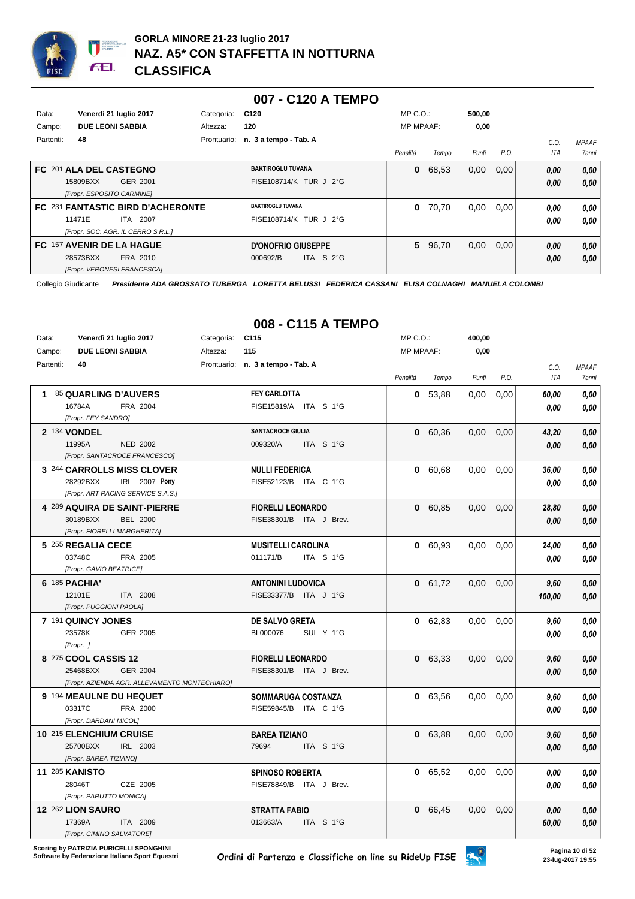

|           |                           |                                    |            | 007 - C120 A TEMPO                |                  |         |        |      |      |              |
|-----------|---------------------------|------------------------------------|------------|-----------------------------------|------------------|---------|--------|------|------|--------------|
| Data:     |                           | Venerdì 21 luglio 2017             | Categoria: | C <sub>120</sub>                  | $MP C. O.$ :     |         | 500,00 |      |      |              |
| Campo:    | <b>DUE LEONI SABBIA</b>   |                                    | Altezza:   | 120                               | <b>MP MPAAF:</b> |         | 0,00   |      |      |              |
| Partenti: | 48                        |                                    |            | Prontuario: n. 3 a tempo - Tab. A |                  |         |        |      | C.0  | <b>MPAAF</b> |
|           |                           |                                    |            |                                   | Penalità         | Tempo   | Punti  | P.O. | ITA  | 7anni        |
|           | FC 201 ALA DEL CASTEGNO   |                                    |            | <b>BAKTIROGLU TUVANA</b>          | $\bf{0}$         | 68,53   | 0,00   | 0,00 | 0,00 | 0,00         |
|           | 15809BXX                  | GER 2001                           |            | FISE108714/K TUR J 2°G            |                  |         |        |      | 0,00 | 0.00         |
|           | [Propr. ESPOSITO CARMINE] |                                    |            |                                   |                  |         |        |      |      |              |
|           |                           | FC 231 FANTASTIC BIRD D'ACHERONTE  |            | <b>BAKTIROGLU TUVANA</b>          | $\bf{0}$         | 70,70   | 0,00   | 0,00 | 0,00 | 0.00         |
|           | 11471E                    | <b>ITA 2007</b>                    |            | FISE108714/K TUR J 2°G            |                  |         |        |      | 0,00 | 0.00         |
|           |                           | [Propr. SOC. AGR. IL CERRO S.R.L.] |            |                                   |                  |         |        |      |      |              |
|           | FC 157 AVENIR DE LA HAGUE |                                    |            | <b>D'ONOFRIO GIUSEPPE</b>         |                  | 5 96,70 | 0,00   | 0,00 | 0,00 | 0,00         |
|           | 28573BXX                  | FRA 2010                           |            | ITA S $2^{\circ}$ G<br>000692/B   |                  |         |        |      | 0,00 | 0,00         |
|           |                           | [Propr. VERONESI FRANCESCA]        |            |                                   |                  |         |        |      |      |              |

|           |                                               |                 | UUO - UTIO A TEMPU                                 |                  |           |        |      |        |              |
|-----------|-----------------------------------------------|-----------------|----------------------------------------------------|------------------|-----------|--------|------|--------|--------------|
| Data:     | Venerdì 21 luglio 2017                        | Categoria: C115 |                                                    | $MP C. O.$ :     |           | 400,00 |      |        |              |
| Campo:    | <b>DUE LEONI SABBIA</b>                       | Altezza:        | 115                                                | <b>MP MPAAF:</b> |           | 0,00   |      |        |              |
| Partenti: | 40                                            |                 | Prontuario: n. 3 a tempo - Tab. A                  |                  |           |        |      | C.O.   | <b>MPAAF</b> |
|           |                                               |                 |                                                    | Penalità         | Tempo     | Punti  | P.O. | ITA    | <b>7anni</b> |
|           | 1 85 QUARLING D'AUVERS                        |                 | <b>FEY CARLOTTA</b>                                |                  | 0, 53, 88 | 0,00   | 0,00 | 60,00  | 0,00         |
|           | 16784A<br>FRA 2004                            |                 | FISE15819/A ITA S 1°G                              |                  |           |        |      | 0.00   | 0.00         |
|           | [Propr. FEY SANDRO]                           |                 |                                                    |                  |           |        |      |        |              |
|           | 2 134 VONDEL                                  |                 | SANTACROCE GIULIA                                  |                  | 0 60,36   | 0,00   | 0,00 | 43,20  | 0,00         |
|           | 11995A<br><b>NED 2002</b>                     |                 | 009320/A<br>ITA S 1°G                              |                  |           |        |      | 0.00   | 0.00         |
|           | [Propr. SANTACROCE FRANCESCO]                 |                 |                                                    |                  |           |        |      |        |              |
|           | 3 244 CARROLLS MISS CLOVER                    |                 | <b>NULLI FEDERICA</b>                              |                  | 0 60,68   | 0,00   | 0,00 | 36,00  | 0,00         |
|           | 28292BXX<br>IRL 2007 Pony                     |                 | FISE52123/B ITA C 1°G                              |                  |           |        |      | 0.00   | 0.00         |
|           | [Propr. ART RACING SERVICE S.A.S.]            |                 |                                                    |                  |           |        |      |        |              |
|           | 4 289 AQUIRA DE SAINT-PIERRE                  |                 | <b>FIORELLI LEONARDO</b>                           |                  | 0 60,85   | 0.00   | 0,00 | 28,80  | 0,00         |
|           | 30189BXX<br><b>BEL 2000</b>                   |                 | FISE38301/B ITA J Brev.                            |                  |           |        |      | 0.00   | 0,00         |
|           | [Propr. FIORELLI MARGHERITA]                  |                 |                                                    |                  |           |        |      |        |              |
|           | 5 255 REGALIA CECE<br>03748C<br>FRA 2005      |                 | <b>MUSITELLI CAROLINA</b><br>011171/B<br>ITA S 1°G |                  | 0 60,93   | 0.00   | 0,00 | 24,00  | 0,00         |
|           | [Propr. GAVIO BEATRICE]                       |                 |                                                    |                  |           |        |      | 0.00   | 0,00         |
|           | 6 185 PACHIA'                                 |                 | <b>ANTONINI LUDOVICA</b>                           |                  | 0 61,72   | 0.00   | 0,00 | 9,60   | 0,00         |
|           | 12101E<br><b>ITA 2008</b>                     |                 | FISE33377/B ITA J 1°G                              |                  |           |        |      | 100,00 | 0,00         |
|           | [Propr. PUGGIONI PAOLA]                       |                 |                                                    |                  |           |        |      |        |              |
|           | 7 191 QUINCY JONES                            |                 | DE SALVO GRETA                                     |                  | 0 62,83   | 0,00   | 0,00 | 9,60   | 0,00         |
|           | 23578K<br>GER 2005                            |                 | SUI Y 1°G<br>BL000076                              |                  |           |        |      | 0.00   | 0.00         |
|           | [Propr.]                                      |                 |                                                    |                  |           |        |      |        |              |
|           | 8 275 COOL CASSIS 12                          |                 | <b>FIORELLI LEONARDO</b>                           |                  | 0, 63.33  | 0.00   | 0.00 | 9,60   | 0,00         |
|           | 25468BXX<br><b>GER 2004</b>                   |                 | FISE38301/B ITA J Brev.                            |                  |           |        |      | 0.00   | 0,00         |
|           | [Propr. AZIENDA AGR. ALLEVAMENTO MONTECHIARO] |                 |                                                    |                  |           |        |      |        |              |
|           | 9 194 MEAULNE DU HEQUET                       |                 | SOMMARUGA COSTANZA                                 |                  | 0 63,56   | 0.00   | 0,00 | 9.60   | 0,00         |
|           | 03317C<br>FRA 2000                            |                 | FISE59845/B ITA C 1°G                              |                  |           |        |      | 0.00   | 0,00         |
|           | [Propr. DARDANI MICOL]                        |                 |                                                    |                  |           |        |      |        |              |
|           | 10 215 ELENCHIUM CRUISE                       |                 | <b>BAREA TIZIANO</b>                               |                  | 0 63,88   | 0,00   | 0,00 | 9,60   | 0,00         |
|           | 25700BXX<br>IRL 2003                          |                 | 79694<br>ITA S 1°G                                 |                  |           |        |      | 0,00   | 0,00         |
|           | [Propr. BAREA TIZIANO]                        |                 |                                                    |                  |           |        |      |        |              |
|           | <b>11 285 KANISTO</b>                         |                 | <b>SPINOSO ROBERTA</b>                             |                  | 0 65,52   | 0,00   | 0,00 | 0.00   | 0,00         |
|           | 28046T<br>CZE 2005                            |                 | FISE78849/B ITA J Brev.                            |                  |           |        |      | 0.00   | 0.00         |
|           | [Propr. PARUTTO MONICA]                       |                 |                                                    |                  |           |        |      |        |              |
|           | 12 262 LION SAURO                             |                 | <b>STRATTA FABIO</b>                               |                  | 0 66,45   | 0,00   | 0,00 | 0.00   | 0,00         |
|           | 17369A<br>ITA 2009                            |                 | 013663/A<br>ITA S 1°G                              |                  |           |        |      | 60,00  | 0,00         |
|           | [Propr. CIMINO SALVATORE]                     |                 |                                                    |                  |           |        |      |        |              |

## **008 - C115 A TEMPO**

**Scoring by PATRIZIA PURICELLI SPONGHINI<br>Software by Federazione Italiana Sport Equestri**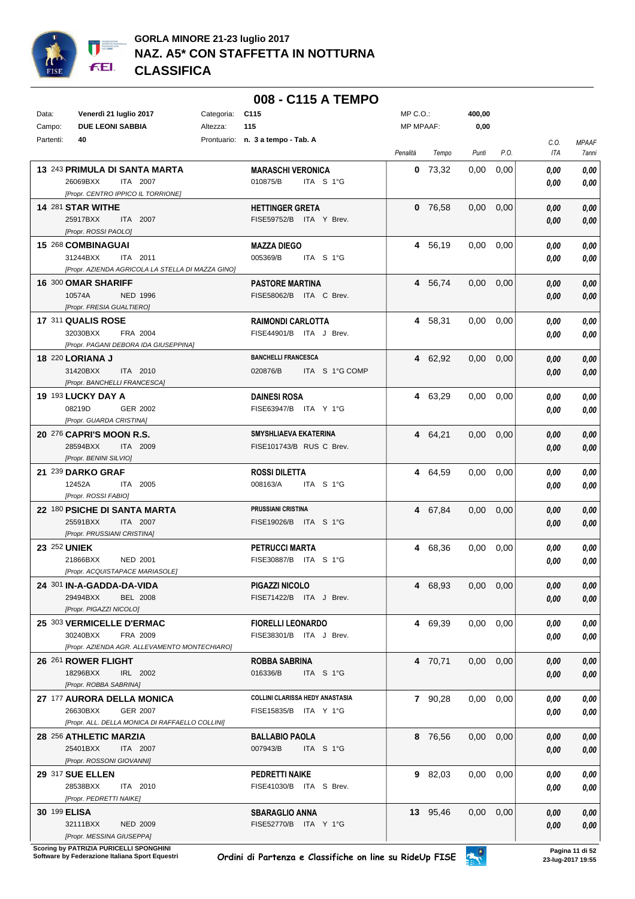

|              |                                                                       |            | 008 - C115 A TEMPO                                 |              |           |                   |      |      |              |
|--------------|-----------------------------------------------------------------------|------------|----------------------------------------------------|--------------|-----------|-------------------|------|------|--------------|
| Data:        | Venerdì 21 luglio 2017                                                | Categoria: | C <sub>115</sub>                                   | $MP C. O.$ : |           | 400,00            |      |      |              |
| Campo:       | <b>DUE LEONI SABBIA</b>                                               | Altezza:   | 115                                                | MP MPAAF:    |           | 0,00              |      |      |              |
| Partenti:    | 40                                                                    |            | Prontuario: n. 3 a tempo - Tab. A                  |              |           |                   |      | C.O. | <b>MPAAF</b> |
|              |                                                                       |            |                                                    | Penalità     | Tempo     | Punti             | P.O. | ITA  | 7anni        |
|              | 13 243 PRIMULA DI SANTA MARTA                                         |            | <b>MARASCHI VERONICA</b>                           |              | $0$ 73,32 | 0.00              | 0,00 | 0.00 | 0.00         |
|              | 26069BXX<br>ITA 2007                                                  |            | 010875/B<br>ITA S 1°G                              |              |           |                   |      | 0.00 | 0.00         |
|              | [Propr. CENTRO IPPICO IL TORRIONE]                                    |            |                                                    |              |           |                   |      |      |              |
|              | 14 281 STAR WITHE                                                     |            | <b>HETTINGER GRETA</b>                             |              | $0$ 76,58 | 0,00              | 0,00 | 0,00 | 0,00         |
|              | 25917BXX<br><b>ITA 2007</b>                                           |            | FISE59752/B ITA Y Brev.                            |              |           |                   |      | 0,00 | 0,00         |
|              | [Propr. ROSSI PAOLO]                                                  |            |                                                    |              |           |                   |      |      |              |
|              | 15 268 COMBINAGUAI<br>31244BXX<br>ITA 2011                            |            | <b>MAZZA DIEGO</b><br>005369/B<br>ITA S 1°G        |              | 4 56,19   | 0.00              | 0,00 | 0.00 | 0,00<br>0,00 |
|              | [Propr. AZIENDA AGRICOLA LA STELLA DI MAZZA GINO]                     |            |                                                    |              |           |                   |      | 0,00 |              |
|              | 16 300 OMAR SHARIFF                                                   |            | <b>PASTORE MARTINA</b>                             |              | 4 56,74   | 0,00              | 0,00 | 0.00 | 0,00         |
|              | 10574A<br><b>NED 1996</b>                                             |            | FISE58062/B ITA C Brev.                            |              |           |                   |      | 0,00 | 0,00         |
|              | [Propr. FRESIA GUALTIERO]                                             |            |                                                    |              |           |                   |      |      |              |
|              | 17 311 QUALIS ROSE                                                    |            | <b>RAIMONDI CARLOTTA</b>                           |              | 4 58,31   | 0.00              | 0.00 | 0.00 | 0,00         |
|              | 32030BXX<br>FRA 2004                                                  |            | FISE44901/B ITA J Brev.                            |              |           |                   |      | 0.00 | 0,00         |
|              | [Propr. PAGANI DEBORA IDA GIUSEPPINA]                                 |            |                                                    |              |           |                   |      |      |              |
|              | 18 220 LORIANA J                                                      |            | <b>BANCHELLI FRANCESCA</b>                         |              | 4 62,92   | $0.00\,$          | 0,00 | 0,00 | 0,00         |
|              | 31420BXX<br>ITA 2010<br>[Propr. BANCHELLI FRANCESCA]                  |            | ITA S 1°G COMP<br>020876/B                         |              |           |                   |      | 0.00 | 0,00         |
|              | 19 193 LUCKY DAY A                                                    |            | <b>DAINESI ROSA</b>                                |              | 4 63,29   | $0.00\,$          | 0,00 | 0,00 | 0,00         |
|              | 08219D<br>GER 2002                                                    |            | FISE63947/B ITA Y 1°G                              |              |           |                   |      | 0.00 | 0,00         |
|              | [Propr. GUARDA CRISTINA]                                              |            |                                                    |              |           |                   |      |      |              |
|              | 20 276 CAPRI'S MOON R.S.                                              |            | <b>SMYSHLIAEVA EKATERINA</b>                       |              | 4 64,21   | $0.00\,$          | 0,00 | 0,00 | 0,00         |
|              | 28594BXX<br><b>ITA 2009</b>                                           |            | FISE101743/B RUS C Brev.                           |              |           |                   |      | 0.00 | 0,00         |
|              | [Propr. BENINI SILVIO]                                                |            |                                                    |              |           |                   |      |      |              |
|              | 21 239 DARKO GRAF                                                     |            | <b>ROSSI DILETTA</b>                               |              | 4 64,59   | $0.00\,$          | 0,00 | 0.00 | 0,00         |
|              | 12452A<br>ITA 2005                                                    |            | 008163/A<br>ITA S 1°G                              |              |           |                   |      | 0.00 | 0,00         |
|              | [Propr. ROSSI FABIO]                                                  |            |                                                    |              |           |                   |      |      |              |
|              | 22 180 PSICHE DI SANTA MARTA<br>25591BXX<br>ITA 2007                  |            | <b>PRUSSIANI CRISTINA</b><br>FISE19026/B ITA S 1°G |              | 4 67,84   | 0,00              | 0,00 | 0.00 | 0,00         |
|              | [Propr. PRUSSIANI CRISTINA]                                           |            |                                                    |              |           |                   |      | 0.00 | 0,00         |
| 23 252 UNIEK |                                                                       |            | <b>PETRUCCI MARTA</b>                              |              | 4 68,36   | 0.00 <sub>1</sub> | 0,00 | 0.00 | 0,00         |
|              | 21866BXX<br><b>NED 2001</b>                                           |            | FISE30887/B ITA S 1°G                              |              |           |                   |      | 0.00 | 0,00         |
|              | [Propr. ACQUISTAPACE MARIASOLE]                                       |            |                                                    |              |           |                   |      |      |              |
|              | 24 301 IN-A-GADDA-DA-VIDA                                             |            | PIGAZZI NICOLO                                     |              | 4 68,93   | 0,00              | 0,00 | 0,00 | 0,00         |
|              | 29494BXX<br><b>BEL 2008</b>                                           |            | FISE71422/B ITA J Brev.                            |              |           |                   |      | 0,00 | 0,00         |
|              | [Propr. PIGAZZI NICOLO]                                               |            |                                                    |              |           |                   |      |      |              |
|              | 25 303 VERMICELLE D'ERMAC                                             |            | <b>FIORELLI LEONARDO</b>                           |              | 4 69,39   | 0,00              | 0,00 | 0.00 | 0,00         |
|              | 30240BXX<br>FRA 2009<br>[Propr. AZIENDA AGR. ALLEVAMENTO MONTECHIARO] |            | FISE38301/B ITA J Brev.                            |              |           |                   |      | 0,00 | 0,00         |
|              | 26 261 ROWER FLIGHT                                                   |            | ROBBA SABRINA                                      |              | 4 70,71   | 0,00              | 0,00 | 0,00 | 0,00         |
|              | 18296BXX<br>IRL 2002                                                  |            | 016336/B<br>ITA S 1°G                              |              |           |                   |      | 0,00 | 0,00         |
|              | [Propr. ROBBA SABRINA]                                                |            |                                                    |              |           |                   |      |      |              |
|              | 27 177 AURORA DELLA MONICA                                            |            | <b>COLLINI CLARISSA HEDY ANASTASIA</b>             |              | 7 90,28   | $0,00$ $0,00$     |      | 0,00 | 0,00         |
|              | 26630BXX<br>GER 2007                                                  |            | FISE15835/B ITA Y 1°G                              |              |           |                   |      | 0,00 | 0,00         |
|              | [Propr. ALL. DELLA MONICA DI RAFFAELLO COLLINI]                       |            |                                                    |              |           |                   |      |      |              |
|              | 28 256 ATHLETIC MARZIA                                                |            | <b>BALLABIO PAOLA</b>                              |              | 8 76,56   | $0,00$ $0,00$     |      | 0,00 | 0,00         |
|              | 25401BXX<br>ITA 2007                                                  |            | 007943/B<br>ITA S 1°G                              |              |           |                   |      | 0,00 | 0,00         |
|              | [Propr. ROSSONI GIOVANNI]                                             |            |                                                    |              |           |                   |      |      |              |
|              | <b>29 317 SUE ELLEN</b><br>ITA 2010                                   |            | <b>PEDRETTI NAIKE</b>                              |              | 9 82,03   | $0,00$ $0,00$     |      | 0,00 | 0,00         |
|              | 28538BXX<br>[Propr. PEDRETTI NAIKE]                                   |            | FISE41030/B ITA S Brev.                            |              |           |                   |      | 0,00 | 0,00         |
| 30 199 ELISA |                                                                       |            | <b>SBARAGLIO ANNA</b>                              |              | 13 95,46  | 0,00              | 0,00 | 0,00 | 0,00         |
|              | 32111BXX<br><b>NED 2009</b>                                           |            | FISE52770/B ITA Y 1°G                              |              |           |                   |      | 0,00 | 0,00         |
|              | [Propr. MESSINA GIUSEPPA]                                             |            |                                                    |              |           |                   |      |      |              |

**Scoring by PATRIZIA PURICELLI SPONGHINI<br>Software by Federazione Italiana Sport Equestri**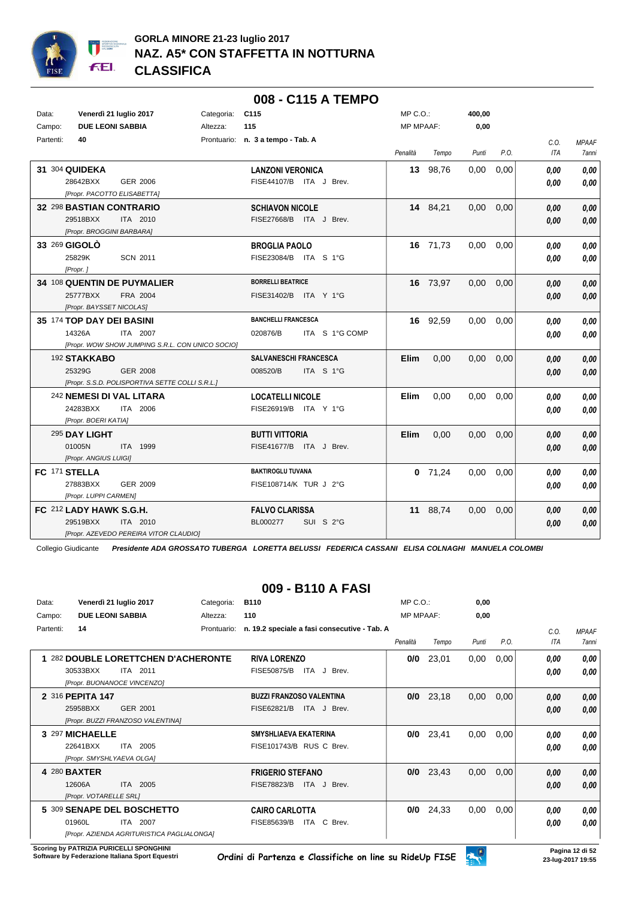

|           |                                                  |            | 008 - C115 A TEMPO                |                  |           |                   |      |      |              |
|-----------|--------------------------------------------------|------------|-----------------------------------|------------------|-----------|-------------------|------|------|--------------|
| Data:     | Venerdì 21 luglio 2017                           | Categoria: | C <sub>115</sub>                  | $MP C. O.$ :     |           | 400,00            |      |      |              |
| Campo:    | <b>DUE LEONI SABBIA</b>                          | Altezza:   | 115                               | <b>MP MPAAF:</b> |           | 0,00              |      |      |              |
| Partenti: | 40                                               |            | Prontuario: n. 3 a tempo - Tab. A |                  |           |                   |      | C.O. | <b>MPAAF</b> |
|           |                                                  |            |                                   | Penalità         | Tempo     | Punti             | P.O. | ITA  | <b>7anni</b> |
|           | 31 304 QUIDEKA                                   |            | <b>LANZONI VERONICA</b>           |                  | 13 98,76  | 0,00              | 0,00 | 0,00 | 0,00         |
|           | 28642BXX<br>GER 2006                             |            | FISE44107/B ITA J Brev.           |                  |           |                   |      | 0.00 | 0,00         |
|           | [Propr. PACOTTO ELISABETTA]                      |            |                                   |                  |           |                   |      |      |              |
|           | 32 298 BASTIAN CONTRARIO                         |            | <b>SCHIAVON NICOLE</b>            |                  | 14 84,21  | $0,00$ $0,00$     |      | 0.00 | 0,00         |
|           | 29518BXX<br>ITA 2010                             |            | FISE27668/B ITA J Brev.           |                  |           |                   |      | 0.00 | 0,00         |
|           | [Propr. BROGGINI BARBARA]                        |            |                                   |                  |           |                   |      |      |              |
|           | 33 269 GIGOLO                                    |            | <b>BROGLIA PAOLO</b>              |                  | 16 71,73  | 0.00              | 0.00 | 0.00 | 0,00         |
|           | 25829K<br><b>SCN 2011</b>                        |            | FISE23084/B ITA S 1°G             |                  |           |                   |      | 0,00 | 0,00         |
|           | [Propr.]                                         |            |                                   |                  |           |                   |      |      |              |
|           | 34 108 QUENTIN DE PUYMALIER                      |            | <b>BORRELLI BEATRICE</b>          |                  | 16 73,97  | 0,00              | 0,00 | 0.00 | 0,00         |
|           | 25777BXX<br>FRA 2004                             |            | FISE31402/B ITA Y 1°G             |                  |           |                   |      | 0.00 | 0,00         |
|           | [Propr. BAYSSET NICOLAS]                         |            |                                   |                  |           |                   |      |      |              |
|           | 35 174 TOP DAY DEI BASINI                        |            | <b>BANCHELLI FRANCESCA</b>        |                  | 16 92,59  | 0.00              | 0,00 | 0.00 | 0,00         |
|           | 14326A<br>ITA 2007                               |            | 020876/B<br>ITA S 1°G COMP        |                  |           |                   |      | 0.00 | 0.00         |
|           | [Propr. WOW SHOW JUMPING S.R.L. CON UNICO SOCIO] |            |                                   |                  |           |                   |      |      |              |
|           | 192 STAKKABO                                     |            | SALVANESCHI FRANCESCA             | Elim             | 0,00      | 0,00              | 0,00 | 0.00 | 0,00         |
|           | 25329G<br><b>GER 2008</b>                        |            | 008520/B<br>ITA S 1°G             |                  |           |                   |      | 0.00 | 0,00         |
|           | [Propr. S.S.D. POLISPORTIVA SETTE COLLI S.R.L.]  |            |                                   |                  |           |                   |      |      |              |
|           | 242 NEMESI DI VAL LITARA                         |            | <b>LOCATELLI NICOLE</b>           | Elim             | 0,00      | 0,00              | 0,00 | 0.00 | 0,00         |
|           | 24283BXX<br>ITA 2006                             |            | FISE26919/B ITA Y 1°G             |                  |           |                   |      | 0.00 | 0.00         |
|           | [Propr. BOERI KATIA]                             |            |                                   |                  |           |                   |      |      |              |
|           | 295 DAY LIGHT                                    |            | <b>BUTTI VITTORIA</b>             | <b>Elim</b>      | 0.00      | 0.00 <sub>1</sub> | 0.00 | 0.00 | 0,00         |
|           | 01005N<br>ITA 1999                               |            | FISE41677/B ITA J Brev.           |                  |           |                   |      | 0.00 | 0,00         |
|           | [Propr. ANGIUS LUIGI]                            |            |                                   |                  |           |                   |      |      |              |
|           | FC 171 STELLA                                    |            | <b>BAKTIROGLU TUVANA</b>          |                  | $0$ 71,24 | 0.00              | 0,00 | 0.00 | 0,00         |
|           | 27883BXX<br>GER 2009                             |            | FISE108714/K TUR J 2°G            |                  |           |                   |      | 0.00 | 0,00         |
|           | [Propr. LUPPI CARMEN]                            |            |                                   |                  |           |                   |      |      |              |
|           | FC 212 LADY HAWK S.G.H.                          |            | <b>FALVO CLARISSA</b>             |                  | 11 88,74  | 0.00              | 0,00 | 0,00 | 0,00         |
|           | 29519BXX<br>ITA 2010                             |            | BL000277<br>SUI S 2°G             |                  |           |                   |      | 0.00 | $0,\!00$     |
|           | [Propr. AZEVEDO PEREIRA VITOR CLAUDIO]           |            |                                   |                  |           |                   |      |      |              |

### **009 - B110 A FASI**

| Data:     | Venerdì 21 luglio 2017                     | Categoria:  | <b>B110</b>                                  | $MP C. O.$ :     |       | 0,00  |      |      |              |
|-----------|--------------------------------------------|-------------|----------------------------------------------|------------------|-------|-------|------|------|--------------|
| Campo:    | <b>DUE LEONI SABBIA</b>                    | Altezza:    | 110                                          | <b>MP MPAAF:</b> |       | 0,00  |      |      |              |
| Partenti: | 14                                         | Prontuario: | n. 19.2 speciale a fasi consecutive - Tab. A |                  |       |       |      | C.O. | <b>MPAAF</b> |
|           |                                            |             |                                              | Penalità         | Tempo | Punti | P.O. | ITA  | 7anni        |
|           | 282 DOUBLE LORETTCHEN D'ACHERONTE          |             | <b>RIVA LORENZO</b>                          | 0/0              | 23,01 | 0,00  | 0,00 | 0.00 | 0.00         |
|           | 2011<br>30533BXX<br>ITA                    |             | FISE50875/B<br>ITA.<br>J Brev.               |                  |       |       |      | 0.00 | 0.00         |
|           | [Propr. BUONANOCE VINCENZO]                |             |                                              |                  |       |       |      |      |              |
|           | 2 316 PEPITA 147                           |             | <b>BUZZI FRANZOSO VALENTINA</b>              | 0/0              | 23,18 | 0,00  | 0,00 | 0,00 | 0,00         |
|           | 25958BXX<br>GER 2001                       |             | FISE62821/B<br>ITA J Brev.                   |                  |       |       |      | 0,00 | 0,00         |
|           | <b>IPropr. BUZZI FRANZOSO VALENTINAI</b>   |             |                                              |                  |       |       |      |      |              |
|           | 3 297 MICHAELLE                            |             | <b>SMYSHLIAEVA EKATERINA</b>                 | 0/0              | 23,41 | 0,00  | 0,00 | 0.00 | 0,00         |
|           | 22641BXX<br>2005<br>ITA                    |             | FISE101743/B RUS C Brev.                     |                  |       |       |      | 0.00 | 0.00         |
|           | [Propr. SMYSHLYAEVA OLGA]                  |             |                                              |                  |       |       |      |      |              |
|           | 4 280 BAXTER                               |             | <b>FRIGERIO STEFANO</b>                      | 0/0              | 23,43 | 0,00  | 0,00 | 0,00 | 0,00         |
|           | 2005<br>12606A<br><b>ITA</b>               |             | <b>FISE78823/B</b><br>ITA.<br>J Brev.        |                  |       |       |      | 0,00 | 0,00         |
|           | [Propr. VOTARELLE SRL]                     |             |                                              |                  |       |       |      |      |              |
|           | 5 309 SENAPE DEL BOSCHETTO                 |             | <b>CAIRO CARLOTTA</b>                        | 0/0              | 24,33 | 0,00  | 0,00 | 0.00 | 0.00         |
|           | 01960L<br>2007<br>ITA.                     |             | C Brev.<br>FISE85639/B<br>ITA                |                  |       |       |      | 0.00 | 0.00         |
|           | [Propr. AZIENDA AGRITURISTICA PAGLIALONGA] |             |                                              |                  |       |       |      |      |              |

**Scoring by PATRIZIA PURICELLI SPONGHINI<br>Software by Federazione Italiana Sport Equestri**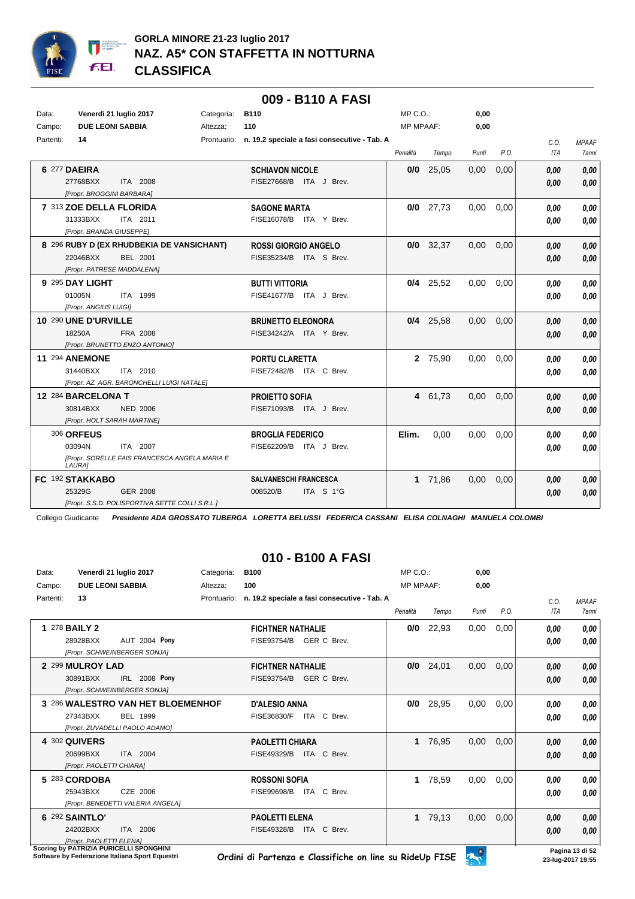

|           |                                                                                                           |            | 009 - B110 A FASI                                        |                  |             |       |      |                    |                                     |
|-----------|-----------------------------------------------------------------------------------------------------------|------------|----------------------------------------------------------|------------------|-------------|-------|------|--------------------|-------------------------------------|
| Data:     | Venerdì 21 luglio 2017                                                                                    | Categoria: | <b>B110</b>                                              | $MP C. O.$ :     |             | 0.00  |      |                    |                                     |
| Campo:    | <b>DUE LEONI SABBIA</b>                                                                                   | Altezza:   | 110                                                      | <b>MP MPAAF:</b> |             | 0,00  |      |                    |                                     |
| Partenti: | 14                                                                                                        |            | Prontuario: n. 19.2 speciale a fasi consecutive - Tab. A | Penalità         | Tempo       | Punti | P.O. | C.O.<br><b>ITA</b> | <b>MPAAF</b><br><i><b>7anni</b></i> |
|           | 6 277 DAEIRA<br>27768BXX<br>ITA 2008<br>[Propr. BROGGINI BARBARA]                                         |            | <b>SCHIAVON NICOLE</b><br>FISE27668/B ITA J Brev.        | 0/0              | 25,05       | 0,00  | 0,00 | 0.00<br>0.00       | 0,00<br>0,00                        |
|           | 7 313 ZOE DELLA FLORIDA<br>31333BXX<br>ITA 2011<br>[Propr. BRANDA GIUSEPPE]                               |            | <b>SAGONE MARTA</b><br>FISE16078/B ITA Y Brev.           |                  | $0/0$ 27,73 | 0.00  | 0.00 | 0.00<br>0.00       | 0.00<br>0.00                        |
|           | 8 296 RUBY D (EX RHUDBEKIA DE VANSICHANT)<br>22046BXX<br><b>BEL 2001</b><br>[Propr. PATRESE MADDALENA]    |            | <b>ROSSI GIORGIO ANGELO</b><br>FISE35234/B ITA S Brev.   |                  | $0/0$ 32,37 | 0,00  | 0.00 | 0.00<br>0,00       | 0,00<br>0,00                        |
|           | 9 295 DAY LIGHT<br>01005N<br>ITA 1999<br>[Propr. ANGIUS LUIGI]                                            |            | <b>BUTTI VITTORIA</b><br>FISE41677/B ITA J Brev.         |                  | $0/4$ 25,52 | 0,00  | 0,00 | 0.00<br>0.00       | 0.00<br>0,00                        |
|           | 10 290 UNE D'URVILLE<br>18250A<br>FRA 2008<br>[Propr. BRUNETTO ENZO ANTONIO]                              |            | <b>BRUNETTO ELEONORA</b><br>FISE34242/A ITA Y Brev.      |                  | $0/4$ 25,58 | 0.00  | 0.00 | 0,00<br>0,00       | 0,00<br>0,00                        |
|           | <b>11 294 ANEMONE</b><br>31440BXX<br>ITA 2010<br>[Propr. AZ. AGR. BARONCHELLI LUIGI NATALE]               |            | PORTU CLARETTA<br>FISE72482/B ITA C Brev.                |                  | 2 75,90     | 0,00  | 0,00 | 0.00<br>0.00       | 0.00<br>0,00                        |
|           | 12 284 BARCELONA T<br>30814BXX<br><b>NED 2006</b><br>[Propr. HOLT SARAH MARTINE]                          |            | <b>PROJETTO SOFIA</b><br>FISE71093/B ITA J Brev.         | 4                | 61,73       | 0.00  | 0.00 | 0,00<br>0.00       | 0,00<br>0,00                        |
|           | <b>306 ORFEUS</b><br>03094N<br>ITA 2007<br><b>IPropr. SORELLE FAIS FRANCESCA ANGELA MARIA E</b><br>LAURA] |            | <b>BROGLIA FEDERICO</b><br>FISE62209/B<br>ITA J Brev.    | Elim.            | 0.00        | 0,00  | 0.00 | 0.00<br>0.00       | 0,00<br>0,00                        |
|           | FC 192 STAKKABO<br>25329G<br>GER 2008<br>[Propr. S.S.D. POLISPORTIVA SETTE COLLI S.R.L.]                  |            | <b>SALVANESCHI FRANCESCA</b><br>008520/B<br>ITA S 1°G    | 1                | 71,86       | 0,00  | 0,00 | 0,00<br>0.00       | 0.00<br>0,00                        |

## **010 - B100 A FASI**

| Data:     |                          | Venerdì 21 luglio 2017                  | Categoria:  | <b>B100</b>                                  | $MP C. O.$ :     |       | 0,00  |      |      |              |
|-----------|--------------------------|-----------------------------------------|-------------|----------------------------------------------|------------------|-------|-------|------|------|--------------|
| Campo:    | <b>DUE LEONI SABBIA</b>  |                                         | Altezza:    | 100                                          | <b>MP MPAAF:</b> |       | 0.00  |      |      |              |
| Partenti: | 13                       |                                         | Prontuario: | n. 19.2 speciale a fasi consecutive - Tab. A |                  |       |       |      | C.O. | <b>MPAAF</b> |
|           |                          |                                         |             |                                              | Penalità         | Tempo | Punti | P.O. | ITA  | <b>7anni</b> |
|           | 1 278 <b>BAILY 2</b>     |                                         |             | <b>FICHTNER NATHALIE</b>                     | 0/0              | 22,93 | 0,00  | 0,00 | 0.00 | 0,00         |
|           | 28928BXX                 | <b>AUT 2004 Pony</b>                    |             | FISE93754/B<br>GER C Brev.                   |                  |       |       |      | 0.00 | 0.00         |
|           |                          | [Propr. SCHWEINBERGER SONJA]            |             |                                              |                  |       |       |      |      |              |
|           | 2 299 MULROY LAD         |                                         |             | <b>FICHTNER NATHALIE</b>                     | 0/0              | 24,01 | 0,00  | 0,00 | 0,00 | 0,00         |
|           | 30891BXX                 | IRL 2008 Pony                           |             | FISE93754/B<br>GER C Brev.                   |                  |       |       |      | 0,00 | 0,00         |
|           |                          | [Propr. SCHWEINBERGER SONJA]            |             |                                              |                  |       |       |      |      |              |
|           |                          | 3 286 WALESTRO VAN HET BLOEMENHOF       |             | <b>D'ALESIO ANNA</b>                         | 0/0              | 28,95 | 0,00  | 0,00 | 0,00 | 0,00         |
|           | 27343BXX                 | <b>BEL 1999</b>                         |             | FISE36830/F<br>ITA C Brev.                   |                  |       |       |      | 0,00 | 0,00         |
|           |                          | [Propr. ZUVADELLI PAOLO ADAMO]          |             |                                              |                  |       |       |      |      |              |
|           | 4 302 QUIVERS            |                                         |             | <b>PAOLETTI CHIARA</b>                       | 1                | 76,95 | 0,00  | 0,00 | 0,00 | 0,00         |
|           | 20699BXX                 | ITA 2004                                |             | FISE49329/B<br>ITA C Brev.                   |                  |       |       |      | 0,00 | 0,00         |
|           | [Propr. PAOLETTI CHIARA] |                                         |             |                                              |                  |       |       |      |      |              |
|           | 5 283 CORDOBA            |                                         |             | <b>ROSSONI SOFIA</b>                         | 1.               | 78,59 | 0,00  | 0,00 | 0.00 | 0,00         |
|           | 25943BXX                 | CZE 2006                                |             | <b>FISE99698/B</b><br>ITA C Brev.            |                  |       |       |      | 0,00 | 0,00         |
|           |                          | [Propr. BENEDETTI VALERIA ANGELA]       |             |                                              |                  |       |       |      |      |              |
|           | 6 292 SAINTLO'           |                                         |             | <b>PAOLETTI ELENA</b>                        | $\mathbf 1$      | 79,13 | 0,00  | 0,00 | 0,00 | 0,00         |
|           | 24202BXX                 | ITA 2006                                |             | FISE49328/B<br>ITA C Brev.                   |                  |       |       |      | 0,00 | 0,00         |
|           | [Propr. PAOLETTI ELENA]  | Scoring by PATRIZIA PHRICELLI SPONGHINI |             |                                              |                  |       |       |      |      |              |

**Scoring by PATRIZIA PURICELLI SPONGHIMI**<br>Software by Federazione Italiana Sport Equestri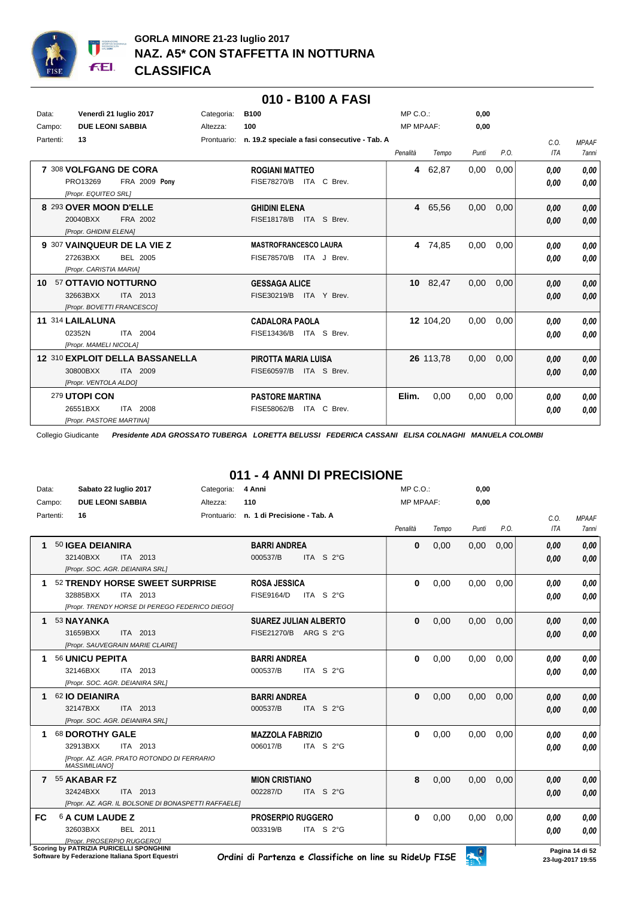

|                 |                                  |             | 010 - B100 A FASI                            |                  |           |       |      |            |              |
|-----------------|----------------------------------|-------------|----------------------------------------------|------------------|-----------|-------|------|------------|--------------|
| Data:           | Venerdì 21 luglio 2017           | Categoria:  | <b>B100</b>                                  | $MP C. O.$ :     |           | 0,00  |      |            |              |
| Campo:          | <b>DUE LEONI SABBIA</b>          | Altezza:    | 100                                          | <b>MP MPAAF:</b> |           | 0,00  |      |            |              |
| Partenti:       | 13                               | Prontuario: | n. 19.2 speciale a fasi consecutive - Tab. A |                  |           |       |      | C.O.       | <b>MPAAF</b> |
|                 |                                  |             |                                              | Penalità         | Tempo     | Punti | P.O. | <b>ITA</b> | <b>7anni</b> |
|                 | 7 308 VOLFGANG DE CORA           |             | <b>ROGIANI MATTEO</b>                        |                  | 4 62,87   | 0,00  | 0,00 | 0.00       | 0.00         |
|                 | PRO13269<br><b>FRA 2009 Pony</b> |             | <b>FISE78270/B</b><br>ITA C Brev.            |                  |           |       |      | 0,00       | 0.00         |
|                 | [Propr. EQUITEO SRL]             |             |                                              |                  |           |       |      |            |              |
|                 | 8 293 OVER MOON D'ELLE           |             | <b>GHIDINI ELENA</b>                         |                  | 4 65,56   | 0,00  | 0,00 | 0,00       | 0,00         |
|                 | 20040BXX<br>FRA 2002             |             | ITA S Brev.<br><b>FISE18178/B</b>            |                  |           |       |      | 0.00       | 0,00         |
|                 | [Propr. GHIDINI ELENA]           |             |                                              |                  |           |       |      |            |              |
|                 | 9 307 VAINQUEUR DE LA VIE Z      |             | <b>MASTROFRANCESCO LAURA</b>                 |                  | 4 74.85   | 0.00  | 0.00 | 0,00       | 0.00         |
|                 | 27263BXX<br><b>BEL 2005</b>      |             | <b>FISE78570/B</b><br>ITA J Brev.            |                  |           |       |      | 0,00       | 0.00         |
|                 | [Propr. CARISTIA MARIA]          |             |                                              |                  |           |       |      |            |              |
| 10 <sup>1</sup> | 57 OTTAVIO NOTTURNO              |             | <b>GESSAGA ALICE</b>                         |                  | 10 82,47  | 0,00  | 0,00 | 0,00       | 0.00         |
|                 | 32663BXX<br>ITA 2013             |             | FISE30219/B<br>ITA Y Brev.                   |                  |           |       |      | 0,00       | 0,00         |
|                 | [Propr. BOVETTI FRANCESCO]       |             |                                              |                  |           |       |      |            |              |
|                 | 11 314 LAILALUNA                 |             | <b>CADALORA PAOLA</b>                        |                  | 12 104,20 | 0,00  | 0,00 | 0,00       | 0,00         |
|                 | 02352N<br>ITA 2004               |             | ITA S Brev.<br>FISE13436/B                   |                  |           |       |      | 0,00       | 0,00         |
|                 | [Propr. MAMELI NICOLA]           |             |                                              |                  |           |       |      |            |              |
|                 | 12 310 EXPLOIT DELLA BASSANELLA  |             | <b>PIROTTA MARIA LUISA</b>                   |                  | 26 113,78 | 0,00  | 0,00 | 0,00       | 0,00         |
|                 | 30800BXX<br>ITA 2009             |             | FISE60597/B<br>ITA S Brev.                   |                  |           |       |      | 0,00       | 0,00         |
|                 | [Propr. VENTOLA ALDO]            |             |                                              |                  |           |       |      |            |              |
|                 | 279 UTOPI CON                    |             | <b>PASTORE MARTINA</b>                       | Elim.            | 0,00      | 0,00  | 0,00 | 0,00       | 0,00         |
|                 | 26551BXX<br><b>ITA 2008</b>      |             | FISE58062/B<br>ITA C Brev.                   |                  |           |       |      | 0,00       | 0.00         |
|                 | [Propr. PASTORE MARTINA]         |             |                                              |                  |           |       |      |            |              |

## **011 - 4 ANNI DI PRECISIONE**

| Data: | Sabato 22 luglio 2017<br>Categoria:                                | 4 Anni                         | $MP C. O.$ :     |       | 0,00  |      |      |                           |
|-------|--------------------------------------------------------------------|--------------------------------|------------------|-------|-------|------|------|---------------------------|
|       | <b>DUE LEONI SABBIA</b><br>Campo:<br>Altezza:                      | 110                            | <b>MP MPAAF:</b> |       | 0,00  |      |      |                           |
|       | Partenti:<br>16<br>Prontuario:                                     | n. 1 di Precisione - Tab. A    |                  |       |       |      | C.O. | <b>MPAAF</b>              |
|       |                                                                    |                                | Penalità         | Tempo | Punti | P.O. | ITA  | 7anni                     |
|       | 50 IGEA DEIANIRA                                                   | <b>BARRI ANDREA</b>            | $\bf{0}$         | 0.00  | 0,00  | 0.00 | 0.00 | 0,00                      |
|       | 32140BXX<br>ITA 2013                                               | 000537/B<br>ITA S 2°G          |                  |       |       |      | 0.00 | 0.00                      |
|       | [Propr. SOC. AGR. DEIANIRA SRL]                                    |                                |                  |       |       |      |      |                           |
|       | 52 TRENDY HORSE SWEET SURPRISE                                     | <b>ROSA JESSICA</b>            | 0                | 0,00  | 0,00  | 0,00 | 0,00 | 0.00                      |
|       | 32885BXX<br>ITA 2013                                               | <b>FISE9164/D</b><br>ITA S 2°G |                  |       |       |      | 0,00 | 0,00                      |
|       | [Propr. TRENDY HORSE DI PEREGO FEDERICO DIEGO]                     |                                |                  |       |       |      |      |                           |
|       | 53 NAYANKA                                                         | <b>SUAREZ JULIAN ALBERTO</b>   | $\bf{0}$         | 0.00  | 0,00  | 0.00 | 0.00 | 0,00                      |
|       | 31659BXX<br>ITA 2013                                               | FISE21270/B ARG S 2°G          |                  |       |       |      | 0,00 | 0.00                      |
|       | [Propr. SAUVEGRAIN MARIE CLAIRE]                                   |                                |                  |       |       |      |      |                           |
|       | 56 UNICU PEPITA                                                    | <b>BARRI ANDREA</b>            | 0                | 0,00  | 0,00  | 0,00 | 0,00 | 0,00                      |
|       | 32146BXX<br>ITA 2013                                               | 000537/B<br>ITA S 2°G          |                  |       |       |      | 0,00 | 0,00                      |
|       | [Propr. SOC. AGR. DEIANIRA SRL]                                    |                                |                  |       |       |      |      |                           |
|       | 62 IO DEIANIRA                                                     | <b>BARRI ANDREA</b>            | $\bf{0}$         | 0,00  | 0,00  | 0,00 | 0.00 | 0,00                      |
|       | 32147BXX<br>ITA 2013                                               | 000537/B<br>ITA S 2°G          |                  |       |       |      | 0,00 | 0,00                      |
|       | [Propr. SOC. AGR. DEIANIRA SRL]                                    |                                |                  |       |       |      |      |                           |
|       | 68 DOROTHY GALE                                                    | <b>MAZZOLA FABRIZIO</b>        | 0                | 0,00  | 0.00  | 0.00 | 0,00 | 0,00                      |
|       | 32913BXX<br>ITA 2013                                               | 006017/B<br>ITA S 2°G          |                  |       |       |      | 0.00 | 0,00                      |
|       | [Propr. AZ. AGR. PRATO ROTONDO DI FERRARIO<br><b>MASSIMILIANO1</b> |                                |                  |       |       |      |      |                           |
|       | 55 AKABAR FZ                                                       | <b>MION CRISTIANO</b>          | 8                | 0.00  | 0.00  | 0.00 | 0.00 | 0,00                      |
|       | 32424BXX<br>ITA 2013                                               | 002287/D<br>ITA S 2°G          |                  |       |       |      | 0.00 | 0,00                      |
|       | [Propr. AZ. AGR. IL BOLSONE DI BONASPETTI RAFFAELE]                |                                |                  |       |       |      |      |                           |
| FC.   | 6 A CUM LAUDE Z                                                    | <b>PROSERPIO RUGGERO</b>       | 0                | 0,00  | 0,00  | 0,00 | 0,00 | 0,00                      |
|       | 32603BXX<br>BEL 2011                                               | 003319/B<br>ITA S 2°G          |                  |       |       |      | 0,00 | 0,00                      |
|       | [Propr. PROSERPIO RUGGERO]                                         |                                |                  |       |       |      |      |                           |
|       | Scoring by PATRIZIA PURICELLI SPONGHINI                            |                                |                  |       |       |      |      | <b>Deaths and All Pro</b> |

**Scoring by PATRICELLI PURICELLI SPONGHINI**<br>Software by Federazione Italiana Sport Equestri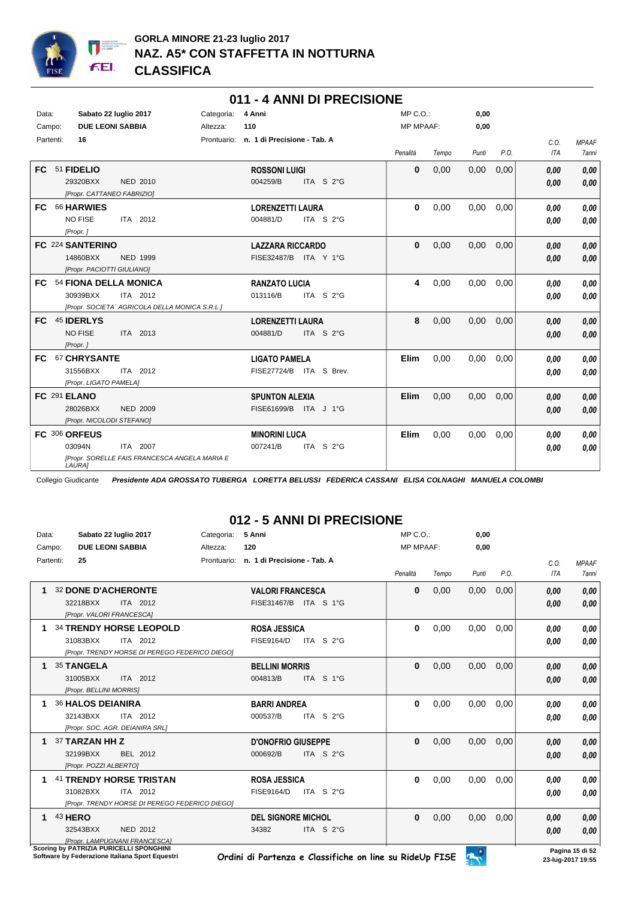

| Data: |               |                            | Sabato 22 luglio 2017                          | Categoria: | 4 Anni                                  |                         | $MP C. O.$ :     |       | 0,00  |      |            |              |
|-------|---------------|----------------------------|------------------------------------------------|------------|-----------------------------------------|-------------------------|------------------|-------|-------|------|------------|--------------|
|       | Campo:        | <b>DUE LEONI SABBIA</b>    |                                                | Altezza:   | 110                                     |                         | <b>MP MPAAF:</b> |       | 0,00  |      |            |              |
|       | Partenti:     | 16                         |                                                |            | Prontuario: n. 1 di Precisione - Tab. A |                         |                  |       |       |      | C.O.       | <b>MPAAF</b> |
|       |               |                            |                                                |            |                                         |                         | Penalità         | Tempo | Punti | P.O. | <b>ITA</b> | <b>7anni</b> |
|       |               |                            |                                                |            |                                         |                         |                  |       |       |      |            |              |
| FC.   | 51 FIDELIO    |                            |                                                |            | <b>ROSSONI LUIGI</b>                    |                         | $\mathbf{0}$     | 0,00  | 0,00  | 0,00 | 0,00       | 0,00         |
|       |               | 29320BXX                   | NED 2010                                       |            | 004259/B                                | ITA S 2°G               |                  |       |       |      | 0,00       | 0,00         |
|       |               |                            | [Propr. CATTANEO FABRIZIO]                     |            |                                         |                         |                  |       |       |      |            |              |
| FC.   |               | <b>66 HARWIES</b>          |                                                |            | <b>LORENZETTI LAURA</b>                 |                         | $\mathbf{0}$     | 0,00  | 0.00  | 0,00 | 0.00       | 0,00         |
|       |               | <b>NO FISE</b>             | ITA 2012                                       |            | 004881/D                                | ITA S 2°G               |                  |       |       |      | 0,00       | 0,00         |
|       | [Propr.]      |                            |                                                |            |                                         |                         |                  |       |       |      |            |              |
|       |               | FC 224 SANTERINO           |                                                |            | <b>LAZZARA RICCARDO</b>                 |                         | $\mathbf{0}$     | 0,00  | 0,00  | 0,00 | 0,00       | 0,00         |
|       |               | 14860BXX                   | <b>NED 1999</b>                                |            | FISE32487/B ITA Y 1°G                   |                         |                  |       |       |      | 0.00       | 0,00         |
|       |               | [Propr. PACIOTTI GIULIANO] |                                                |            |                                         |                         |                  |       |       |      |            |              |
| FC.   |               |                            | 54 FIONA DELLA MONICA                          |            | <b>RANZATO LUCIA</b>                    |                         | 4                | 0,00  | 0.00  | 0.00 | 0,00       | 0,00         |
|       |               | 30939BXX                   | ITA 2012                                       |            | 013116/B                                | ITA S 2°G               |                  |       |       |      | 0.00       | 0.00         |
|       |               |                            | [Propr. SOCIETA' AGRICOLA DELLA MONICA S.R.L.] |            |                                         |                         |                  |       |       |      |            |              |
| FC.   | 45 IDERLYS    |                            |                                                |            | <b>LORENZETTI LAURA</b>                 |                         | 8                | 0,00  | 0,00  | 0,00 | 0,00       | 0.00         |
|       |               | <b>NO FISE</b>             | ITA 2013                                       |            | 004881/D                                | ITA S 2°G               |                  |       |       |      | 0.00       | 0,00         |
|       | [Propr.]      |                            |                                                |            |                                         |                         |                  |       |       |      |            |              |
| FC.   |               | <b>67 CHRYSANTE</b>        |                                                |            | <b>LIGATO PAMELA</b>                    |                         | Elim             | 0,00  | 0,00  | 0,00 | 0,00       | 0.00         |
|       |               | 31556BXX                   | ITA 2012                                       |            |                                         | FISE27724/B ITA S Brev. |                  |       |       |      | 0.00       | 0.00         |
|       |               | [Propr. LIGATO PAMELA]     |                                                |            |                                         |                         |                  |       |       |      |            |              |
|       | FC 291 ELANO  |                            |                                                |            | <b>SPUNTON ALEXIA</b>                   |                         | Elim             | 0,00  | 0,00  | 0,00 | 0.00       | 0,00         |
|       |               | 28026BXX                   | <b>NED 2009</b>                                |            | FISE61699/B                             | ITA J 1°G               |                  |       |       |      | 0,00       | 0,00         |
|       |               |                            | [Propr. NICOLODI STEFANO]                      |            |                                         |                         |                  |       |       |      |            |              |
|       | FC 306 ORFEUS |                            |                                                |            | <b>MINORINI LUCA</b>                    |                         | Elim             | 0,00  | 0,00  | 0,00 | 0,00       | 0,00         |
|       | 03094N        |                            | ITA 2007                                       |            | 007241/B                                | ITA S 2°G               |                  |       |       |      |            |              |
|       |               |                            | [Propr. SORELLE FAIS FRANCESCA ANGELA MARIA E  |            |                                         |                         |                  |       |       |      | 0,00       | 0,00         |
|       | LAURA]        |                            |                                                |            |                                         |                         |                  |       |       |      |            |              |

**011 - 4 ANNI DI PRECISIONE**

Collegio Giudicante *Presidente ADA GROSSATO TUBERGA LORETTA BELUSSI FEDERICA CASSANI ELISA COLNAGHI MANUELA COLOMBI*

## **012 - 5 ANNI DI PRECISIONE**

| Data:     | Sabato 22 luglio 2017                                                                                    | 5 Anni<br>Categoria:                                            | $MP C. O.$ :     | 0,00           |      |                    |                              |
|-----------|----------------------------------------------------------------------------------------------------------|-----------------------------------------------------------------|------------------|----------------|------|--------------------|------------------------------|
| Campo:    | <b>DUE LEONI SABBIA</b>                                                                                  | 120<br>Altezza:                                                 | <b>MP MPAAF:</b> | 0,00           |      |                    |                              |
| Partenti: | 25                                                                                                       | n. 1 di Precisione - Tab. A<br>Prontuario:                      | Penalità         | Tempo<br>Punti | P.O. | C.O.<br><b>ITA</b> | <b>MPAAF</b><br><b>7anni</b> |
|           | <b>32 DONE D'ACHERONTE</b><br>32218BXX<br>ITA 2012<br>[Propr. VALORI FRANCESCA]                          | <b>VALORI FRANCESCA</b><br>FISE31467/B ITA S 1°G                | $\bf{0}$         | 0,00<br>0,00   | 0,00 | 0,00<br>0,00       | 0,00<br>0.00                 |
|           | <b>34 TRENDY HORSE LEOPOLD</b><br>ITA 2012<br>31083BXX<br>[Propr. TRENDY HORSE DI PEREGO FEDERICO DIEGO] | <b>ROSA JESSICA</b><br>ITA S $2^{\circ}$ G<br><b>FISE9164/D</b> | 0                | 0,00<br>0,00   | 0,00 | 0.00<br>0,00       | 0,00<br>0,00                 |
|           | 35 TANGELA<br>31005BXX<br>ITA 2012<br>[Propr. BELLINI MORRIS]                                            | <b>BELLINI MORRIS</b><br>004813/B<br>ITA S 1°G                  | $\bf{0}$         | 0,00<br>0,00   | 0.00 | 0,00<br>0,00       | 0,00<br>0,00                 |
| 1         | <b>36 HALOS DEIANIRA</b><br>32143BXX<br>ITA 2012<br>[Propr. SOC. AGR. DEIANIRA SRL]                      | <b>BARRI ANDREA</b><br>000537/B<br>ITA S 2°G                    | $\bf{0}$         | 0,00<br>0,00   | 0,00 | 0,00<br>0,00       | 0,00<br>0.00                 |
|           | 37 TARZAN HH Z<br>32199BXX<br>BEL 2012<br>[Propr. POZZI ALBERTO]                                         | <b>D'ONOFRIO GIUSEPPE</b><br>ITA S 2°G<br>000692/B              | $\bf{0}$         | 0,00<br>0,00   | 0,00 | 0,00<br>0,00       | 0,00<br>0,00                 |
| 1         | 41 TRENDY HORSE TRISTAN<br>31082BXX<br>ITA 2012<br>[Propr. TRENDY HORSE DI PEREGO FEDERICO DIEGO]        | <b>ROSA JESSICA</b><br><b>FISE9164/D</b><br>ITA S 2°G           | 0                | 0.00<br>0,00   | 0.00 | 0,00<br>0,00       | 0,00<br>0.00                 |
| 1         | <b>43 HERO</b><br>NED 2012<br>32543BXX<br>[Propr. LAMPUGNANI FRANCESCA]                                  | <b>DEL SIGNORE MICHOL</b><br>34382<br>ITA S 2°G                 | $\bf{0}$         | 0,00<br>0,00   | 0,00 | 0.00<br>0,00       | 0.00<br>0.00                 |
|           | Scoring by PATRIZIA PURICELLI SPONGHINI                                                                  |                                                                 |                  | $\widehat{A}$  |      |                    | Pagina 15 di 52              |

**Schware by Federazione Italiana Sport Equestri**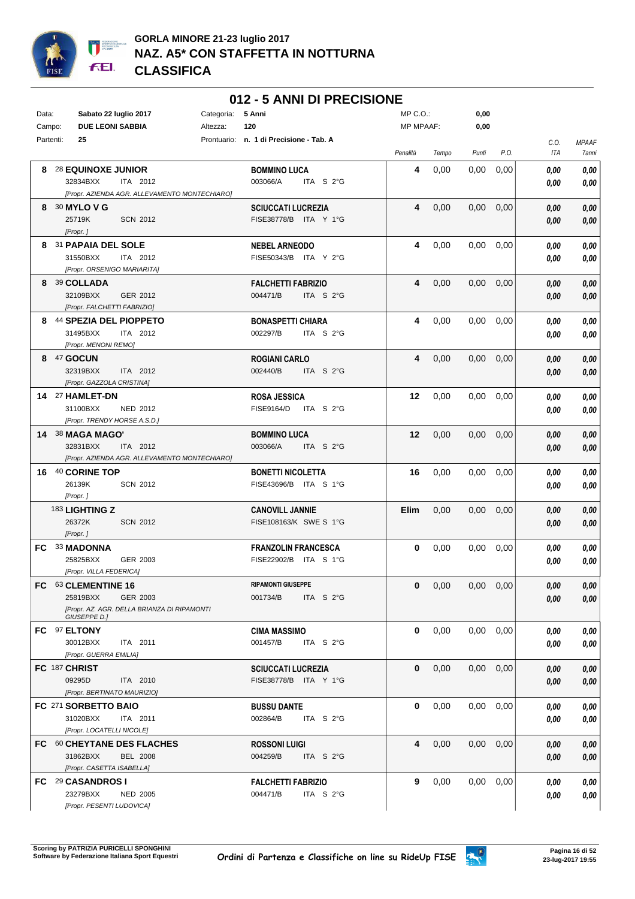

### **012 - 5 ANNI DI PRECISIONE**

| Data: | Sabato 22 luglio 2017<br>Categoria:                                                                        | 5 Anni                                                | MP C.O.:         |       | 0,00  |               |                    |                       |
|-------|------------------------------------------------------------------------------------------------------------|-------------------------------------------------------|------------------|-------|-------|---------------|--------------------|-----------------------|
|       | <b>DUE LEONI SABBIA</b><br>Campo:<br>Altezza:                                                              | 120                                                   | <b>MP MPAAF:</b> |       | 0,00  |               |                    |                       |
|       | 25<br>Partenti:                                                                                            | Prontuario: n. 1 di Precisione - Tab. A               | Penalità         | Tempo | Punti | P.O.          | C.O.<br><b>ITA</b> | <b>MPAAF</b><br>7anni |
| 8     | <b>28 EQUINOXE JUNIOR</b><br>32834BXX<br>ITA 2012<br>[Propr. AZIENDA AGR. ALLEVAMENTO MONTECHIARO]         | <b>BOMMINO LUCA</b><br>003066/A<br>ITA $S2G$          | 4                | 0,00  | 0,00  | 0,00          | 0,00<br>0,00       | 0,00<br>0,00          |
|       | 8 30 MYLO V G<br>25719K<br><b>SCN 2012</b><br>[Propr. ]                                                    | <b>SCIUCCATI LUCREZIA</b><br>FISE38778/B ITA Y 1°G    | 4                | 0,00  | 0,00  | 0,00          | 0,00<br>0,00       | 0,00<br>0,00          |
|       | 8 31 PAPAIA DEL SOLE<br>31550BXX<br>ITA 2012<br>[Propr. ORSENIGO MARIARITA]                                | <b>NEBEL ARNEODO</b><br>FISE50343/B ITA Y 2°G         | 4                | 0,00  | 0,00  | 0,00          | 0,00<br>0,00       | 0,00<br>0,00          |
|       | 8 39 COLLADA<br>32109BXX<br>GER 2012<br>[Propr. FALCHETTI FABRIZIO]                                        | <b>FALCHETTI FABRIZIO</b><br>004471/B<br>ITA S 2°G    | 4                | 0,00  | 0,00  | 0,00          | 0,00<br>0,00       | 0,00<br>0,00          |
|       | 8 44 SPEZIA DEL PIOPPETO<br>31495BXX<br>ITA 2012<br>[Propr. MENONI REMO]                                   | <b>BONASPETTI CHIARA</b><br>002297/B<br>ITA S 2°G     | 4                | 0,00  | 0,00  | 0,00          | 0,00<br>0,00       | 0,00<br>0,00          |
|       | 8 47 GOCUN<br>32319BXX<br>ITA 2012<br>[Propr. GAZZOLA CRISTINA]                                            | <b>ROGIANI CARLO</b><br>002440/B<br>ITA S 2°G         | 4                | 0,00  | 0,00  | 0,00          | 0,00<br>0,00       | 0,00<br>0,00          |
|       | 14 <sup>27</sup> HAMLET-DN<br>31100BXX<br>NED 2012<br>[Propr. TRENDY HORSE A.S.D.]                         | <b>ROSA JESSICA</b><br><b>FISE9164/D</b><br>ITA S 2°G | 12               | 0,00  | 0,00  | 0,00          | 0,00<br>0,00       | 0,00<br>0,00          |
|       | 14 38 MAGA MAGO'<br>ITA 2012<br>32831BXX<br>[Propr. AZIENDA AGR. ALLEVAMENTO MONTECHIARO]                  | <b>BOMMINO LUCA</b><br>003066/A<br>ITA S 2°G          | 12               | 0,00  | 0,00  | 0,00          | 0,00<br>0,00       | 0,00<br>0,00          |
|       | 16 40 CORINE TOP<br>26139K<br><b>SCN 2012</b><br>[Propr.]                                                  | <b>BONETTI NICOLETTA</b><br>FISE43696/B ITA S 1°G     | 16               | 0,00  | 0,00  | 0,00          | 0,00<br>0,00       | 0,00<br>0,00          |
|       | 183 LIGHTING Z<br>26372K<br><b>SCN 2012</b><br>[Propr.]                                                    | <b>CANOVILL JANNIE</b><br>FISE108163/K SWE S 1°G      | Elim             | 0,00  | 0,00  | 0,00          | 0,00<br>0,00       | 0,00<br>0,00          |
|       | FC 33 MADONNA<br>25825BXX<br>GER 2003<br>[Propr. VILLA FEDERICA]                                           | <b>FRANZOLIN FRANCESCA</b><br>FISE22902/B ITA S 1°G   | $\mathbf{0}$     | 0,00  | 0,00  | 0,00          | 0,00<br>0,00       | 0,00<br>0,00          |
|       | FC 63 CLEMENTINE 16<br>25819BXX<br>GER 2003<br>[Propr. AZ. AGR. DELLA BRIANZA DI RIPAMONTI<br>GIUSEPPE D.] | <b>RIPAMONTI GIUSEPPE</b><br>001734/B<br>ITA $S2°G$   | $\mathbf{0}$     | 0,00  |       | $0,00$ $0,00$ | 0,00<br>0,00       | $\it 0,00$<br>0,00    |
|       | FC 97 ELTONY<br>30012BXX<br>ITA 2011<br>[Propr. GUERRA EMILIA]                                             | <b>CIMA MASSIMO</b><br>001457/B<br>ITA S 2°G          | 0                | 0,00  | 0,00  | 0,00          | 0,00<br>0,00       | 0,00<br>0,00          |
|       | FC 187 CHRIST<br>09295D<br>ITA 2010<br>[Propr. BERTINATO MAURIZIO]                                         | <b>SCIUCCATI LUCREZIA</b><br>FISE38778/B ITA Y 1°G    | $\mathbf 0$      | 0,00  | 0,00  | 0,00          | 0,00<br>0,00       | 0,00<br>0,00          |
|       | FC 271 SORBETTO BAIO<br>31020BXX<br>ITA 2011<br>[Propr. LOCATELLI NICOLE]                                  | <b>BUSSU DANTE</b><br>002864/B<br>ITA $S2G$           | 0                | 0,00  | 0,00  | 0,00          | 0,00<br>0,00       | 0,00<br>0,00          |
|       | FC 60 CHEYTANE DES FLACHES<br>31862BXX<br><b>BEL 2008</b><br>[Propr. CASETTA ISABELLA]                     | <b>ROSSONI LUIGI</b><br>004259/B<br>ITA S 2°G         | 4                | 0,00  | 0,00  | 0,00          | 0,00<br>0,00       | 0,00<br>0,00          |
|       | FC 29 CASANDROS I<br>23279BXX<br><b>NED 2005</b><br>[Propr. PESENTI LUDOVICA]                              | <b>FALCHETTI FABRIZIO</b><br>004471/B<br>ITA $S2G$    | 9                | 0,00  | 0,00  | 0,00          | 0,00<br>0,00       | 0,00<br>0,00          |

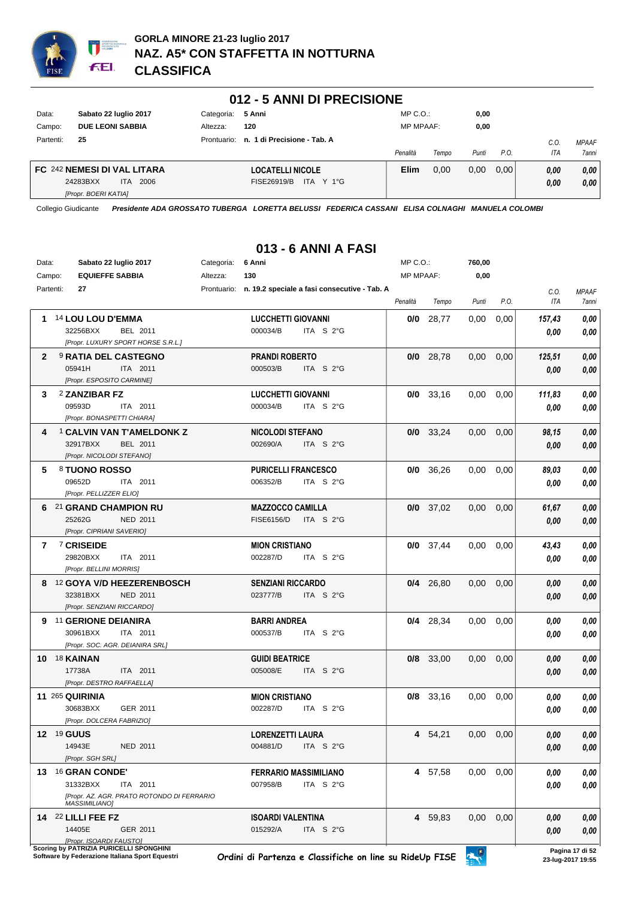

#### **012 - 5 ANNI DI PRECISIONE**

| Data:     | Sabato 22 luglio 2017       | Categoria: 5 Anni |                                         | $MP C. O.$ :     |       | 0,00  |      |            |              |
|-----------|-----------------------------|-------------------|-----------------------------------------|------------------|-------|-------|------|------------|--------------|
| Campo:    | <b>DUE LEONI SABBIA</b>     | Altezza:          | 120                                     | <b>MP MPAAF:</b> |       | 0,00  |      |            |              |
| Partenti: | 25                          |                   | Prontuario: n. 1 di Precisione - Tab. A |                  |       |       |      | C.O        | <b>MPAAF</b> |
|           |                             |                   |                                         | Penalità         | Tempo | Punti | P.O. | <b>ITA</b> | 7anni        |
|           | FC 242 NEMESI DI VAL LITARA |                   | <b>LOCATELLI NICOLE</b>                 | <b>Elim</b>      | 0.00  | 0.00  | 0.00 | 0.00       | 0.00         |
|           | 24283BXX<br>2006<br>ITA.    |                   | ITA Y 1°G<br>FISE26919/B                |                  |       |       |      | 0.00       | 0.00         |
|           | [Propr. BOERI KATIA]        |                   |                                         |                  |       |       |      |            |              |

Collegio Giudicante *Presidente ADA GROSSATO TUBERGA LORETTA BELUSSI FEDERICA CASSANI ELISA COLNAGHI MANUELA COLOMBI*

## **013 - 6 ANNI A FASI**

| Data:     | Sabato 22 luglio 2017                      | Categoria: | 6 Anni                                                   | MP C.O.:         |             | 760,00 |      |        |                 |
|-----------|--------------------------------------------|------------|----------------------------------------------------------|------------------|-------------|--------|------|--------|-----------------|
| Campo:    | <b>EQUIEFFE SABBIA</b>                     | Altezza:   | 130                                                      | <b>MP MPAAF:</b> |             | 0,00   |      |        |                 |
| Partenti: | 27                                         |            | Prontuario: n. 19.2 speciale a fasi consecutive - Tab. A |                  |             |        |      | C.O.   | <b>MPAAF</b>    |
|           |                                            |            |                                                          | Penalità         | Tempo       | Punti  | P.O. | ITA    | 7anni           |
| 1.        | 14 LOU LOU D'EMMA                          |            | <b>LUCCHETTI GIOVANNI</b>                                | 0/0              | 28,77       | 0,00   | 0,00 | 157,43 | 0,00            |
|           | 32256BXX<br>BEL 2011                       |            | 000034/B<br>ITA S 2°G                                    |                  |             |        |      | 0,00   | 0,00            |
|           | [Propr. LUXURY SPORT HORSE S.R.L.]         |            |                                                          |                  |             |        |      |        |                 |
| 2         | <b>9 RATIA DEL CASTEGNO</b>                |            | <b>PRANDI ROBERTO</b>                                    |                  | $0/0$ 28,78 | 0,00   | 0,00 | 125,51 | $0,\!00$        |
|           | 05941H<br>ITA 2011                         |            | 000503/B<br>ITA S 2°G                                    |                  |             |        |      | 0.00   | 0,00            |
|           | [Propr. ESPOSITO CARMINE]                  |            |                                                          |                  |             |        |      |        |                 |
| 3         | 2 ZANZIBAR FZ                              |            | <b>LUCCHETTI GIOVANNI</b>                                |                  | $0/0$ 33,16 | 0,00   | 0,00 | 111,83 | $0,\!00$        |
|           | 09593D<br>ITA 2011                         |            | 000034/B<br>ITA S 2°G                                    |                  |             |        |      | 0.00   | 0,00            |
|           | [Propr. BONASPETTI CHIARA]                 |            |                                                          |                  |             |        |      |        |                 |
| 4         | <b>1 CALVIN VAN T'AMELDONK Z</b>           |            | <b>NICOLODI STEFANO</b>                                  |                  | $0/0$ 33,24 | 0,00   | 0,00 | 98,15  | 0,00            |
|           | 32917BXX<br>BEL 2011                       |            | 002690/A<br>ITA $S2G$                                    |                  |             |        |      | 0.00   | 0,00            |
|           | [Propr. NICOLODI STEFANO]                  |            |                                                          |                  |             |        |      |        |                 |
| 5         | 8 TUONO ROSSO                              |            | <b>PURICELLI FRANCESCO</b>                               |                  | $0/0$ 36,26 | 0,00   | 0,00 | 89,03  | 0,00            |
|           | 09652D<br>ITA 2011                         |            | 006352/B<br>ITA $S2°G$                                   |                  |             |        |      | 0.00   | 0,00            |
|           | [Propr. PELLIZZER ELIO]                    |            |                                                          |                  |             |        |      |        |                 |
|           | 6 21 GRAND CHAMPION RU                     |            | <b>MAZZOCCO CAMILLA</b>                                  |                  | $0/0$ 37,02 | 0,00   | 0,00 | 61,67  | 0,00            |
|           | 25262G<br><b>NED 2011</b>                  |            | ITA S 2°G<br><b>FISE6156/D</b>                           |                  |             |        |      | 0,00   | 0,00            |
|           | [Propr. CIPRIANI SAVERIO]                  |            |                                                          |                  |             |        |      |        |                 |
| 7         | 7 CRISEIDE                                 |            | <b>MION CRISTIANO</b>                                    |                  | $0/0$ 37,44 | 0,00   | 0,00 | 43,43  | 0,00            |
|           | 29820BXX<br>ITA 2011                       |            | 002287/D<br>ITA S 2°G                                    |                  |             |        |      | 0.00   | 0,00            |
|           | [Propr. BELLINI MORRIS]                    |            |                                                          |                  |             |        |      |        |                 |
|           | 8 12 GOYA V/D HEEZERENBOSCH                |            | <b>SENZIANI RICCARDO</b>                                 |                  | $0/4$ 26,80 | 0,00   | 0,00 | 0.00   | 0,00            |
|           | 32381BXX<br><b>NED 2011</b>                |            | 023777/B<br>ITA S 2°G                                    |                  |             |        |      | 0.00   | 0,00            |
|           | [Propr. SENZIANI RICCARDO]                 |            |                                                          |                  |             |        |      |        |                 |
|           | 9 11 GERIONE DEIANIRA                      |            | <b>BARRI ANDREA</b>                                      |                  | $0/4$ 28,34 | 0,00   | 0,00 | 0.00   | 0,00            |
|           | 30961BXX<br>ITA 2011                       |            | 000537/B<br>ITA S 2°G                                    |                  |             |        |      | 0.00   | 0,00            |
|           | [Propr. SOC. AGR. DEIANIRA SRL]            |            |                                                          |                  |             |        |      |        |                 |
|           | 10 18 KAINAN                               |            | <b>GUIDI BEATRICE</b>                                    |                  | $0/8$ 33,00 | 0,00   | 0,00 | 0.00   | 0,00            |
|           | 17738A<br>ITA 2011                         |            | 005008/E<br>ITA S 2°G                                    |                  |             |        |      | 0,00   | 0,00            |
|           | [Propr. DESTRO RAFFAELLA]                  |            |                                                          |                  |             |        |      |        |                 |
|           | <b>11 265 QUIRINIA</b>                     |            | <b>MION CRISTIANO</b>                                    |                  | $0/8$ 33,16 | 0,00   | 0,00 | 0.00   | 0,00            |
|           | 30683BXX<br>GER 2011                       |            | 002287/D<br>ITA S 2°G                                    |                  |             |        |      | 0,00   | 0,00            |
|           | [Propr. DOLCERA FABRIZIO]                  |            |                                                          |                  |             |        |      |        |                 |
|           | <b>12 19 GUUS</b>                          |            | <b>LORENZETTI LAURA</b>                                  |                  | 4 54,21     | 0,00   | 0.00 | 0.00   | 0.00            |
|           | 14943E<br>NED 2011                         |            | 004881/D<br>ITA $S2°G$                                   |                  |             |        |      | 0,00   | 0,00            |
|           | [Propr. SGH SRL]                           |            |                                                          |                  |             |        |      |        |                 |
|           | 13 16 GRAN CONDE'                          |            | <b>FERRARIO MASSIMILIANO</b>                             |                  | 4 57,58     | 0,00   | 0.00 | 0.00   | 0,00            |
|           | 31332BXX<br>ITA 2011                       |            | 007958/B<br>ITA S 2°G                                    |                  |             |        |      | 0.00   | 0,00            |
|           | [Propr. AZ. AGR. PRATO ROTONDO DI FERRARIO |            |                                                          |                  |             |        |      |        |                 |
|           | <b>MASSIMILIANO1</b>                       |            |                                                          |                  |             |        |      |        |                 |
|           | 14 22 LILLI FEE FZ                         |            | <b>ISOARDI VALENTINA</b>                                 |                  | 4 59,83     | 0,00   | 0,00 | 0,00   | 0,00            |
|           | 14405E<br>GER 2011                         |            | 015292/A<br>ITA S 2°G                                    |                  |             |        |      | 0,00   | 0,00            |
|           | [Propr. ISOARDI FAUSTO]                    |            |                                                          |                  |             |        |      |        |                 |
|           | Scoring by PATRIZIA PURICELLI SPONGHINI    |            |                                                          |                  |             |        |      |        | Pagina 17 di 52 |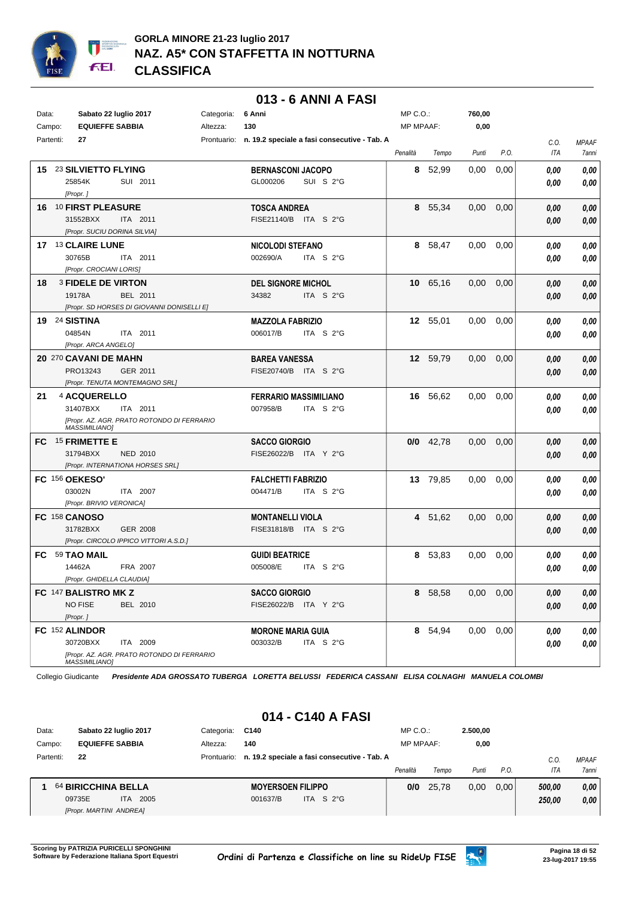

#### **013 - 6 ANNI A FASI**

| Data: | Campo:    | Sabato 22 luglio 2017<br><b>EQUIEFFE SABBIA</b>                   |                                                           | Categoria:<br>Altezza: | 6 Anni<br>130                                    |                                                          | $MP C. O.$ :<br><b>MP MPAAF:</b> |             | 760,00<br>0,00 |      |              |                       |
|-------|-----------|-------------------------------------------------------------------|-----------------------------------------------------------|------------------------|--------------------------------------------------|----------------------------------------------------------|----------------------------------|-------------|----------------|------|--------------|-----------------------|
|       | Partenti: | 27                                                                |                                                           |                        |                                                  | Prontuario: n. 19.2 speciale a fasi consecutive - Tab. A | Penalità                         | Tempo       | Punti          | P.O. | C.O.<br>ITA  | <b>MPAAF</b><br>7anni |
|       |           | 15 23 SILVIETTO FLYING<br>25854K<br>[Propr.]                      | SUI 2011                                                  |                        | <b>BERNASCONI JACOPO</b><br>GL000206             | SUI S 2°G                                                | 8                                | 52,99       | 0,00           | 0,00 | 0.00<br>0.00 | 0,00<br>0,00          |
|       |           | 16 10 FIRST PLEASURE<br>31552BXX<br>[Propr. SUCIU DORINA SILVIA]  | ITA 2011                                                  |                        | <b>TOSCA ANDREA</b><br>FISE21140/B ITA S 2°G     |                                                          |                                  | 8 55,34     | 0,00           | 0,00 | 0,00<br>0.00 | 0,00<br>0,00          |
|       |           | 17 <sup>13</sup> CLAIRE LUNE<br>30765B<br>[Propr. CROCIANI LORIS] | ITA 2011                                                  |                        | <b>NICOLODI STEFANO</b><br>002690/A              | ITA S 2°G                                                | 8                                | 58,47       | 0,00           | 0,00 | 0.00<br>0.00 | 0,00<br>0,00          |
| 18    |           | <b>3 FIDELE DE VIRTON</b><br>19178A                               | BEL 2011<br>[Propr. SD HORSES DI GIOVANNI DONISELLI E]    |                        | <b>DEL SIGNORE MICHOL</b><br>34382               | ITA S 2°G                                                |                                  | 10 65,16    | 0,00           | 0,00 | 0,00<br>0,00 | 0,00<br>0,00          |
|       |           | 19 24 SISTINA<br>04854N<br>[Propr. ARCA ANGELO]                   | ITA 2011                                                  |                        | <b>MAZZOLA FABRIZIO</b><br>006017/B              | ITA S 2°G                                                |                                  | 12 55,01    | 0,00           | 0,00 | 0.00<br>0.00 | 0,00<br>0.00          |
|       |           | 20 270 CAVANI DE MAHN<br>PRO13243                                 | GER 2011<br>[Propr. TENUTA MONTEMAGNO SRL]                |                        | <b>BAREA VANESSA</b><br>FISE20740/B ITA S 2°G    |                                                          |                                  | 12 59,79    | 0,00           | 0,00 | 0,00<br>0,00 | 0,00<br>0,00          |
| 21    |           | 4 ACQUERELLO<br>31407BXX<br><b>MASSIMILIANO]</b>                  | ITA 2011<br>[Propr. AZ. AGR. PRATO ROTONDO DI FERRARIO    |                        | <b>FERRARIO MASSIMILIANO</b><br>007958/B         | ITA S 2°G                                                |                                  | 16 56,62    | 0,00           | 0,00 | 0.00<br>0.00 | 0,00<br>0,00          |
|       |           | FC 15 FRIMETTE E<br>31794BXX                                      | <b>NED 2010</b><br>[Propr. INTERNATIONA HORSES SRL]       |                        | <b>SACCO GIORGIO</b><br>FISE26022/B ITA Y 2°G    |                                                          |                                  | $0/0$ 42,78 | 0,00           | 0,00 | 0,00<br>0.00 | 0,00<br>0,00          |
|       |           | FC 156 OEKESO'<br>03002N<br>[Propr. BRIVIO VERONICA]              | ITA 2007                                                  |                        | <b>FALCHETTI FABRIZIO</b><br>004471/B            | ITA S 2°G                                                |                                  | 13 79,85    | 0,00           | 0,00 | 0.00<br>0.00 | 0,00<br>0.00          |
|       |           | FC 158 CANOSO<br>31782BXX                                         | <b>GER 2008</b><br>[Propr. CIRCOLO IPPICO VITTORI A.S.D.] |                        | <b>MONTANELLI VIOLA</b><br>FISE31818/B ITA S 2°G |                                                          |                                  | 4 51,62     | 0,00           | 0,00 | 0.00<br>0,00 | 0,00<br>0,00          |
| FC.   |           | 59 TAO MAIL<br>14462A<br>[Propr. GHIDELLA CLAUDIA]                | FRA 2007                                                  |                        | <b>GUIDI BEATRICE</b><br>005008/E                | ITA S 2°G                                                | 8                                | 53.83       | 0,00           | 0,00 | 0.00<br>0.00 | 0,00<br>0,00          |
|       |           | FC 147 BALISTRO MK Z<br><b>NO FISE</b><br>[Propr.]                | BEL 2010                                                  |                        | <b>SACCO GIORGIO</b><br>FISE26022/B ITA Y 2°G    |                                                          |                                  | 8 58,58     | $0,00$ $0,00$  |      | 0,00<br>0,00 | 0,00<br>0,00          |
|       |           | FC 152 ALINDOR<br>30720BXX<br><b>MASSIMILIANO]</b>                | ITA 2009<br>[Propr. AZ. AGR. PRATO ROTONDO DI FERRARIO    |                        | <b>MORONE MARIA GUIA</b><br>003032/B             | ITA $S$ 2°G                                              |                                  | 8 54,94     | $0,00$ $0,00$  |      | 0,00<br>0,00 | 0,00<br>0,00          |

Collegio Giudicante *Presidente ADA GROSSATO TUBERGA LORETTA BELUSSI FEDERICA CASSANI ELISA COLNAGHI MANUELA COLOMBI*

#### **014 - C140 A FASI**

| Data:     | Sabato 22 luglio 2017   |      | Categoria:  | C140                     |                                              | $MP C. O.$ :     |       | 2.500.00 |       |        |              |
|-----------|-------------------------|------|-------------|--------------------------|----------------------------------------------|------------------|-------|----------|-------|--------|--------------|
| Campo:    | <b>EQUIEFFE SABBIA</b>  |      | Altezza:    | 140                      |                                              | <b>MP MPAAF:</b> |       | 0,00     |       |        |              |
| Partenti: | 22                      |      | Prontuario: |                          | n. 19.2 speciale a fasi consecutive - Tab. A |                  |       |          |       | C.C    | <b>MPAAF</b> |
|           |                         |      |             |                          |                                              | Penalità         | Tempo | Punti    | P.O.  | ITA    | 7anni        |
|           | 64 BIRICCHINA BELLA     |      |             | <b>MOYERSOEN FILIPPO</b> |                                              | 0/0              | 25.78 | 0.00     | 0.001 | 500.00 | 0.00         |
|           | 09735E<br>ITA.          | 2005 |             | 001637/B                 | ITA S $2^{\circ}$ G                          |                  |       |          |       | 250.00 | 0,00         |
|           | [Propr. MARTINI ANDREA] |      |             |                          |                                              |                  |       |          |       |        |              |

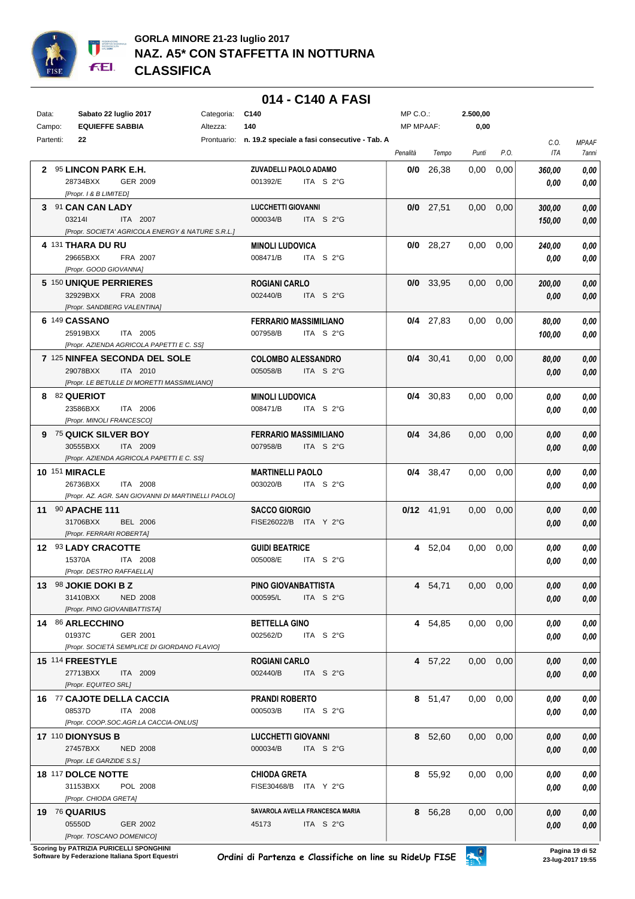

#### **014 - C140 A FASI**

| Data:     | Sabato 22 luglio 2017                              | Categoria: | C140                                                     | MP C.O.:         |              | 2.500,00          |      |        |              |
|-----------|----------------------------------------------------|------------|----------------------------------------------------------|------------------|--------------|-------------------|------|--------|--------------|
| Campo:    | <b>EQUIEFFE SABBIA</b>                             | Altezza:   | 140                                                      | <b>MP MPAAF:</b> |              | 0,00              |      |        |              |
| Partenti: | 22                                                 |            | Prontuario: n. 19.2 speciale a fasi consecutive - Tab. A |                  |              |                   |      | C.O.   | <b>MPAAF</b> |
|           |                                                    |            |                                                          | Penalità         | Tempo        | Punti             | P.O. | ITA    | 7anni        |
|           | 2 95 LINCON PARK E.H.                              |            | ZUVADELLI PAOLO ADAMO                                    | 0/0              | 26,38        | 0,00              | 0,00 | 360,00 | 0,00         |
|           | 28734BXX<br>GER 2009                               |            | 001392/E<br>ITA S 2°G                                    |                  |              |                   |      | 0.00   | 0,00         |
|           | [Propr. 1 & B LIMITED]                             |            |                                                          |                  |              |                   |      |        |              |
|           | 3 91 CAN CAN LADY                                  |            | <b>LUCCHETTI GIOVANNI</b>                                |                  | $0/0$ 27,51  | $0.00\,$          | 0,00 | 300,00 | 0,00         |
|           | 032141<br>ITA 2007                                 |            | 000034/B<br>ITA S $2^{\circ}$ G                          |                  |              |                   |      | 150,00 | 0,00         |
|           | [Propr. SOCIETA' AGRICOLA ENERGY & NATURE S.R.L.]  |            |                                                          |                  |              |                   |      |        |              |
|           | 4 131 THARA DU RU                                  |            | <b>MINOLI LUDOVICA</b>                                   |                  | $0/0$ 28,27  | $0.00\,$          | 0,00 | 240,00 | $\it 0,00$   |
|           | 29665BXX<br>FRA 2007                               |            | 008471/B<br>ITA S 2°G                                    |                  |              |                   |      | 0.00   | 0,00         |
|           | [Propr. GOOD GIOVANNA]                             |            |                                                          |                  |              |                   |      |        |              |
|           | 5 150 UNIQUE PERRIERES                             |            | ROGIANI CARLO                                            |                  | $0/0$ 33,95  | $0,00$ $0,00$     |      | 200,00 | 0,00         |
|           | 32929BXX<br>FRA 2008                               |            | 002440/B<br>ITA S 2°G                                    |                  |              |                   |      | 0.00   | 0,00         |
|           | [Propr. SANDBERG VALENTINA]                        |            |                                                          |                  |              |                   |      |        |              |
|           | 6 149 CASSANO                                      |            | <b>FERRARIO MASSIMILIANO</b>                             |                  | $0/4$ 27,83  | $0,00$ $0,00$     |      | 80,00  | 0,00         |
|           | 25919BXX<br>ITA 2005                               |            | 007958/B<br>ITA S 2°G                                    |                  |              |                   |      | 100,00 | 0,00         |
|           | [Propr. AZIENDA AGRICOLA PAPETTI E C. SS]          |            |                                                          |                  |              |                   |      |        |              |
|           | 7 125 NINFEA SECONDA DEL SOLE                      |            | <b>COLOMBO ALESSANDRO</b>                                |                  | $0/4$ 30,41  | 0.00              | 0,00 | 80,00  | 0,00         |
|           | 29078BXX<br>ITA 2010                               |            | 005058/B<br>ITA S 2°G                                    |                  |              |                   |      | 0.00   | 0,00         |
|           | [Propr. LE BETULLE DI MORETTI MASSIMILIANO]        |            |                                                          |                  |              |                   |      |        |              |
|           | 8 82 QUERIOT                                       |            | <b>MINOLI LUDOVICA</b>                                   |                  | $0/4$ 30,83  | $0.00 \quad 0.00$ |      | 0.00   | 0,00         |
|           | 23586BXX<br>ITA 2006                               |            | 008471/B<br>ITA S 2°G                                    |                  |              |                   |      | 0.00   | 0,00         |
|           | [Propr. MINOLI FRANCESCO]                          |            |                                                          |                  |              |                   |      |        |              |
|           | 9 75 QUICK SILVER BOY                              |            | <b>FERRARIO MASSIMILIANO</b>                             |                  | $0/4$ 34,86  | $0,00$ $0,00$     |      | 0,00   | 0,00         |
|           | 30555BXX<br>ITA 2009                               |            | 007958/B<br>ITA S 2°G                                    |                  |              |                   |      | 0.00   | 0,00         |
|           | [Propr. AZIENDA AGRICOLA PAPETTI E C. SS]          |            |                                                          |                  |              |                   |      |        |              |
|           | <b>10 151 MIRACLE</b>                              |            | <b>MARTINELLI PAOLO</b>                                  |                  | 0/4 38,47    | $0.00 \quad 0.00$ |      | 0,00   | 0,00         |
|           | 26736BXX<br>ITA 2008                               |            | 003020/B<br>ITA S 2°G                                    |                  |              |                   |      | 0.00   | 0,00         |
|           | [Propr. AZ. AGR. SAN GIOVANNI DI MARTINELLI PAOLO] |            |                                                          |                  |              |                   |      |        |              |
|           | 11 90 APACHE 111                                   |            | <b>SACCO GIORGIO</b>                                     |                  | $0/12$ 41,91 | $0.00 \quad 0.00$ |      | 0,00   | 0,00         |
|           | 31706BXX<br><b>BEL 2006</b>                        |            | FISE26022/B ITA Y 2°G                                    |                  |              |                   |      | 0,00   | 0,00         |
|           | [Propr. FERRARI ROBERTA]                           |            |                                                          |                  |              |                   |      |        |              |
|           | 12 93 LADY CRACOTTE                                |            | <b>GUIDI BEATRICE</b>                                    |                  | 4 52,04      | 0.00              | 0,00 | 0.00   | 0,00         |
|           | 15370A<br>ITA 2008                                 |            | 005008/E<br>ITA S 2°G                                    |                  |              |                   |      | 0.00   | 0,00         |
|           | [Propr. DESTRO RAFFAELLA]                          |            |                                                          |                  |              |                   |      |        |              |
|           | 13 98 JOKIE DOKI B Z                               |            | PINO GIOVANBATTISTA                                      |                  | 4 54,71      | $0,00$ $0,00$     |      | 0,00   | 0,00         |
|           | 31410BXX<br><b>NED 2008</b>                        |            | 000595/L<br>ITA S $2^{\circ}$ G                          |                  |              |                   |      | 0,00   | 0,00         |
|           | [Propr. PINO GIOVANBATTISTA]                       |            |                                                          |                  |              |                   |      |        |              |
|           | 14 86 ARLECCHINO                                   |            | <b>BETTELLA GINO</b>                                     |                  | 4 54,85      | $0,00$ $0,00$     |      | 0.00   | 0,00         |
|           | 01937C<br>GER 2001                                 |            | 002562/D<br>ITA S 2°G                                    |                  |              |                   |      | 0,00   | 0,00         |
|           | [Propr. SOCIETÀ SEMPLICE DI GIORDANO FLAVIO]       |            |                                                          |                  |              |                   |      |        |              |
|           | 15 114 FREESTYLE                                   |            | ROGIANI CARLO                                            |                  | 4 57,22      | $0,00$ $0,00$     |      | 0,00   | 0,00         |
|           | 27713BXX<br>ITA 2009                               |            | 002440/B<br>ITA S 2°G                                    |                  |              |                   |      | 0,00   | 0,00         |
|           | [Propr. EQUITEO SRL]                               |            |                                                          |                  |              |                   |      |        |              |
|           | 16 77 CAJOTE DELLA CACCIA                          |            | <b>PRANDI ROBERTO</b>                                    |                  | 8 51,47      | $0,00$ $0,00$     |      | 0.00   | 0,00         |
|           | 08537D<br>ITA 2008                                 |            | 000503/B<br>ITA S 2°G                                    |                  |              |                   |      | 0,00   | 0,00         |
|           | [Propr. COOP.SOC.AGR.LA CACCIA-ONLUS]              |            |                                                          |                  |              |                   |      |        |              |
|           | <b>17 110 DIONYSUS B</b>                           |            | <b>LUCCHETTI GIOVANNI</b>                                |                  | 8 52,60      | $0,00$ $0,00$     |      | 0,00   | 0,00         |
|           | 27457BXX<br>NED 2008                               |            | 000034/B<br>ITA S 2°G                                    |                  |              |                   |      | 0,00   | 0,00         |
|           | [Propr. LE GARZIDE S.S.]                           |            |                                                          |                  |              |                   |      |        |              |
|           | 18 117 DOLCE NOTTE                                 |            | <b>CHIODA GRETA</b>                                      |                  | 8 55,92      | $0.00 \quad 0.00$ |      | 0,00   | 0,00         |
|           | 31153BXX<br>POL 2008                               |            | FISE30468/B ITA Y 2°G                                    |                  |              |                   |      | 0,00   | 0,00         |
|           | [Propr. CHIODA GRETA]                              |            |                                                          |                  |              |                   |      |        |              |
|           | 19 76 QUARIUS                                      |            | SAVAROLA AVELLA FRANCESCA MARIA                          |                  | 8 56,28      | $0,00$ $0,00$     |      | 0,00   | 0,00         |
|           | 05550D<br>GER 2002                                 |            | 45173<br>ITA S 2°G                                       |                  |              |                   |      | 0,00   | 0,00         |
|           | [Propr. TOSCANO DOMENICO]                          |            |                                                          |                  |              |                   |      |        |              |

**Scoring by PATRIZIA PURICELLI SPONGHINI<br>Software by Federazione Italiana Sport Equestri**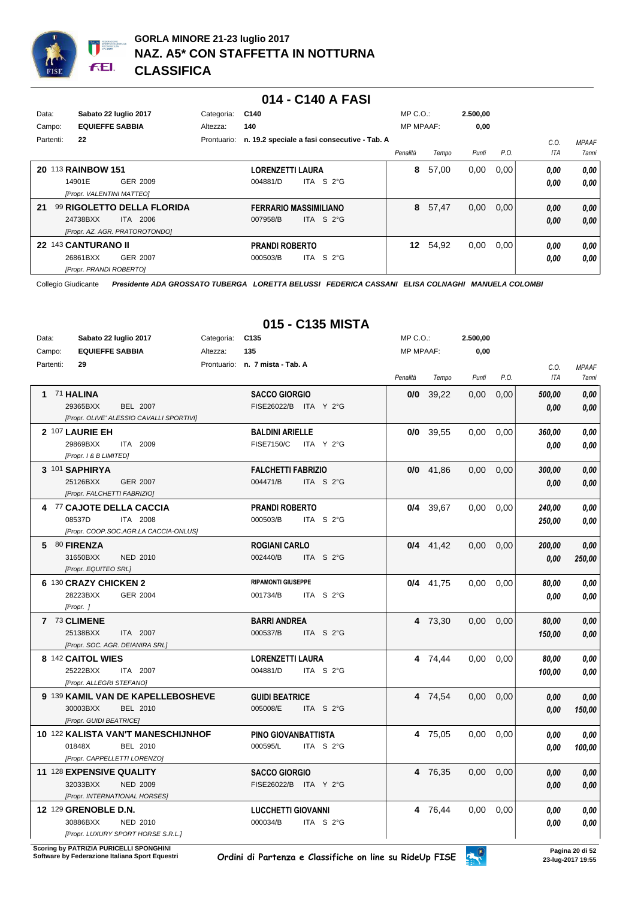

#### **014 - C140 A FASI**

| Data:<br>Campo: | Sabato 22 luglio 2017<br><b>EQUIEFFE SABBIA</b> | Categoria:<br>Altezza: | C140<br>140             |                                              | $MP C. O.$ :<br><b>MP MPAAF:</b> |       | 2.500,00<br>0,00 |      |      |              |
|-----------------|-------------------------------------------------|------------------------|-------------------------|----------------------------------------------|----------------------------------|-------|------------------|------|------|--------------|
| Partenti:       | 22                                              | Prontuario:            |                         | n. 19.2 speciale a fasi consecutive - Tab. A |                                  |       |                  |      | C.0  | <b>MPAAF</b> |
|                 |                                                 |                        |                         |                                              | Penalità                         | Tempo | Punti            | P.O. | ITA  | 7anni        |
|                 | 20 113 RAINBOW 151                              |                        | <b>LORENZETTI LAURA</b> |                                              | 8                                | 57,00 | 0,00             | 0,00 | 0,00 | 0,00         |
|                 | 14901E<br>GER 2009                              |                        | 004881/D                | S 2°G<br>ITA I                               |                                  |       |                  |      | 0,00 | 0,00         |
|                 | [Propr. VALENTINI MATTEO]                       |                        |                         |                                              |                                  |       |                  |      |      |              |
| 21              | 99 RIGOLETTO DELLA FLORIDA                      |                        |                         | <b>FERRARIO MASSIMILIANO</b>                 | 8                                | 57,47 | 0,00             | 0,00 | 0,00 | 0,00         |
|                 | 24738BXX<br>ITA 2006                            |                        | 007958/B                | ITA S $2^{\circ}$ G                          |                                  |       |                  |      | 0,00 | 0,00         |
|                 | [Propr. AZ. AGR. PRATOROTONDO]                  |                        |                         |                                              |                                  |       |                  |      |      |              |
|                 | 22 143 CANTURANO II                             |                        | <b>PRANDI ROBERTO</b>   |                                              | 12                               | 54,92 | 0,00             | 0,00 | 0,00 | 0,00         |
|                 | 26861BXX<br>GER 2007                            |                        | 000503/B                | ITA S $2^{\circ}$ G                          |                                  |       |                  |      | 0,00 | 0,00         |
|                 | [Propr. PRANDI ROBERTO]                         |                        |                         |                                              |                                  |       |                  |      |      |              |

Collegio Giudicante *Presidente ADA GROSSATO TUBERGA LORETTA BELUSSI FEDERICA CASSANI ELISA COLNAGHI MANUELA COLOMBI*

| Data:<br>Campo: |                                                | Sabato 22 luglio 2017<br><b>EQUIEFFE SABBIA</b> |                                                                                | Categoria: C135<br>Altezza: | 135                                           |                     | $MP C. O.$ :<br><b>MP MPAAF:</b> |             | 2.500,00<br>0,00 |      |                    |                       |
|-----------------|------------------------------------------------|-------------------------------------------------|--------------------------------------------------------------------------------|-----------------------------|-----------------------------------------------|---------------------|----------------------------------|-------------|------------------|------|--------------------|-----------------------|
|                 | Partenti:<br>29                                |                                                 |                                                                                |                             | Prontuario: n. 7 mista - Tab. A               |                     | Penalità                         | Tempo       | Punti            | P.O. | C.O.<br><b>ITA</b> | <b>MPAAF</b><br>7anni |
|                 | 1 71 HALINA<br>29365BXX                        |                                                 | <b>BEL 2007</b><br>[Propr. OLIVE' ALESSIO CAVALLI SPORTIVI]                    |                             | <b>SACCO GIORGIO</b><br>FISE26022/B ITA Y 2°G |                     |                                  | $0/0$ 39,22 | 0,00             | 0,00 | 500,00<br>0.00     | 0,00<br>0.00          |
|                 | 2 107 LAURIE EH<br>29869BXX                    | [Propr. 1 & B LIMITED]                          | ITA 2009                                                                       |                             | <b>BALDINI ARIELLE</b><br><b>FISE7150/C</b>   | ITA Y 2°G           |                                  | $0/0$ 39,55 | 0,00             | 0,00 | 360,00<br>0,00     | 0,00<br>0.00          |
|                 | 3 101 SAPHIRYA<br>25126BXX                     |                                                 | <b>GER 2007</b><br>[Propr. FALCHETTI FABRIZIO]                                 |                             | <b>FALCHETTI FABRIZIO</b><br>004471/B         | ITA S 2°G           |                                  | $0/0$ 41.86 | 0.00             | 0,00 | 300,00<br>0.00     | 0,00<br>0.00          |
|                 | 08537D                                         |                                                 | 4 77 CAJOTE DELLA CACCIA<br>ITA 2008<br>[Propr. COOP.SOC.AGR.LA CACCIA-ONLUS]  |                             | <b>PRANDI ROBERTO</b><br>000503/B             | ITA S 2°G           |                                  | $0/4$ 39,67 | 0,00             | 0,00 | 240,00<br>250,00   | 0,00<br>0,00          |
|                 | 5 80 FIRENZA<br>31650BXX                       | [Propr. EQUITEO SRL]                            | NED 2010                                                                       |                             | <b>ROGIANI CARLO</b><br>002440/B              | ITA S 2°G           |                                  | $0/4$ 41,42 | 0.00             | 0,00 | 200,00<br>0,00     | 0.00<br>250,00        |
|                 | 6 130 CRAZY CHICKEN 2<br>28223BXX<br>[Propr. ] |                                                 | <b>GER 2004</b>                                                                |                             | <b>RIPAMONTI GIUSEPPE</b><br>001734/B         | ITA S 2°G           |                                  | $0/4$ 41,75 | 0,00             | 0,00 | 80,00<br>0,00      | 0,00<br>0,00          |
|                 | 7 73 CLIMENE<br>25138BXX                       |                                                 | ITA 2007<br>[Propr. SOC. AGR. DEIANIRA SRL]                                    |                             | <b>BARRI ANDREA</b><br>000537/B               | ITA S 2°G           |                                  | 4 73,30     | 0,00             | 0,00 | 80,00<br>150,00    | 0,00<br>0,00          |
|                 | 8 142 CAITOL WIES<br>25222BXX                  | [Propr. ALLEGRI STEFANO]                        | ITA 2007                                                                       |                             | <b>LORENZETTI LAURA</b><br>004881/D           | ITA S 2°G           |                                  | 4 74,44     | 0.00             | 0,00 | 80,00<br>100,00    | 0,00<br>0,00          |
|                 | 30003BXX                                       | [Propr. GUIDI BEATRICE]                         | 9 139 KAMIL VAN DE KAPELLEBOSHEVE<br>BEL 2010                                  |                             | <b>GUIDI BEATRICE</b><br>005008/E             | ITA S $2^{\circ}$ G |                                  | 4 74,54     | 0,00             | 0,00 | 0,00<br>0,00       | 0,00<br>150,00        |
|                 | 01848X                                         |                                                 | 10 122 KALISTA VAN'T MANESCHIJNHOF<br>BEL 2010<br>[Propr. CAPPELLETTI LORENZO] |                             | PINO GIOVANBATTISTA<br>000595/L               | ITA S 2°G           |                                  | 4 75,05     | 0.00             | 0,00 | 0.00<br>0.00       | 0,00<br>100,00        |
|                 | 11 128 EXPENSIVE QUALITY<br>32033BXX           |                                                 | <b>NED 2009</b><br>[Propr. INTERNATIONAL HORSES]                               |                             | <b>SACCO GIORGIO</b><br>FISE26022/B ITA Y 2°G |                     |                                  | 4 76,35     | 0,00             | 0,00 | 0,00<br>0,00       | 0,00<br>0,00          |
|                 | 12 129 GRENOBLE D.N.<br>30886BXX               |                                                 | NED 2010<br>[Propr. LUXURY SPORT HORSE S.R.L.]                                 |                             | <b>LUCCHETTI GIOVANNI</b><br>000034/B         | ITA S 2°G           |                                  | 4 76,44     | 0,00             | 0,00 | 0,00<br>0.00       | 0,00<br>0,00          |

## **015 - C135 MISTA**

**Scoring by PATRIZIA PURICELLI SPONGHINI<br>Software by Federazione Italiana Sport Equestri**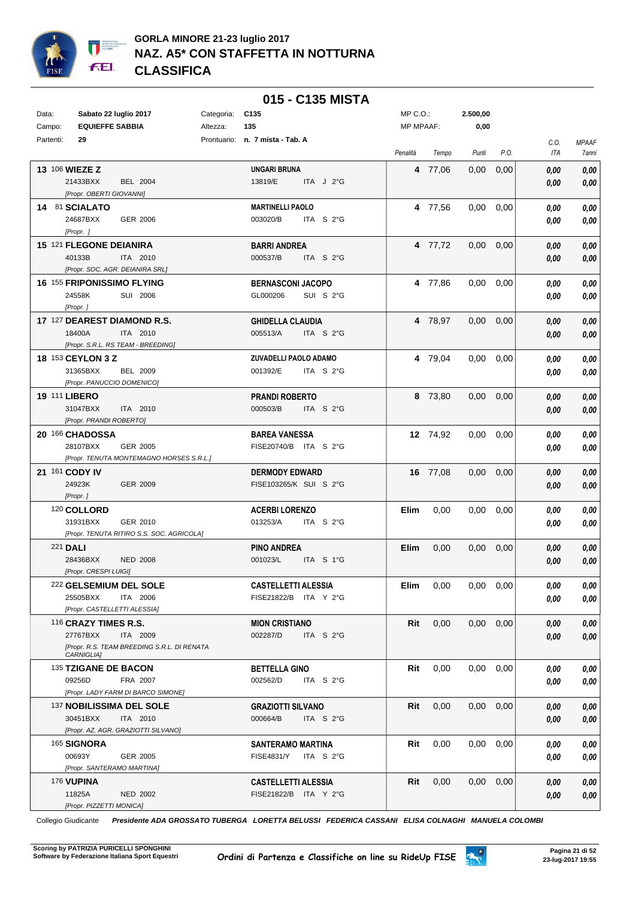

|           |                                                       |            | 015 - C135 MISTA                                  |                  |          |          |      |              |              |
|-----------|-------------------------------------------------------|------------|---------------------------------------------------|------------------|----------|----------|------|--------------|--------------|
| Data:     | Sabato 22 luglio 2017                                 | Categoria: | C <sub>135</sub>                                  | $MP C. O.$ :     |          | 2.500,00 |      |              |              |
| Campo:    | <b>EQUIEFFE SABBIA</b>                                | Altezza:   | 135                                               | <b>MP MPAAF:</b> |          | 0,00     |      |              |              |
| Partenti: | 29                                                    |            | Prontuario: n. 7 mista - Tab. A                   |                  |          |          |      | C.O.         | <b>MPAAF</b> |
|           |                                                       |            |                                                   | Penalità         | Tempo    | Punti    | P.O. | ITA          | 7anni        |
|           | 13 106 WIEZE Z                                        |            | <b>UNGARI BRUNA</b>                               |                  | 4 77,06  | 0,00     | 0,00 | 0,00         | 0,00         |
|           | 21433BXX<br><b>BEL 2004</b>                           |            | 13819/E<br>ITA $J$ 2°G                            |                  |          |          |      | 0,00         | 0,00         |
|           | [Propr. OBERTI GIOVANNI]                              |            |                                                   |                  |          |          |      |              |              |
|           | 14 81 SCIALATO                                        |            | <b>MARTINELLI PAOLO</b>                           |                  | 4 77,56  | 0,00     | 0,00 | 0,00         | 0,00         |
|           | 24687BXX<br>GER 2006                                  |            | 003020/B<br>ITA $S2G$                             |                  |          |          |      | 0,00         | 0,00         |
|           | [Propr.]                                              |            |                                                   |                  |          |          |      |              |              |
|           | 15 121 FLEGONE DEIANIRA                               |            | <b>BARRI ANDREA</b>                               |                  | 4 77,72  | 0,00     | 0,00 | 0.00         | 0,00         |
|           | 40133B<br>ITA 2010<br>[Propr. SOC. AGR. DEIANIRA SRL] |            | 000537/B<br>ITA S 2°G                             |                  |          |          |      | 0,00         | 0,00         |
|           | 16 155 FRIPONISSIMO FLYING                            |            | <b>BERNASCONI JACOPO</b>                          |                  | 4 77,86  | 0,00     | 0,00 | 0,00         | 0,00         |
|           | 24558K<br>SUI 2006                                    |            | GL000206<br>SUI S 2°G                             |                  |          |          |      | 0,00         | 0,00         |
|           | [Propr.]                                              |            |                                                   |                  |          |          |      |              |              |
|           | 17 127 DEAREST DIAMOND R.S.                           |            | <b>GHIDELLA CLAUDIA</b>                           |                  | 4 78,97  | 0,00     | 0,00 | 0,00         | 0,00         |
|           | 18400A<br>ITA 2010                                    |            | 005513/A<br>ITA $S$ 2°G                           |                  |          |          |      | 0,00         | 0,00         |
|           | [Propr. S.R.L. RS TEAM - BREEDING]                    |            |                                                   |                  |          |          |      |              |              |
|           | 18 153 CEYLON 3 Z                                     |            | ZUVADELLI PAOLO ADAMO                             |                  | 4 79.04  | 0,00     | 0,00 | 0,00         | 0,00         |
|           | 31365BXX<br><b>BEL 2009</b>                           |            | 001392/E<br>ITA S 2°G                             |                  |          |          |      | 0,00         | 0,00         |
|           | [Propr. PANUCCIO DOMENICO]                            |            |                                                   |                  |          |          |      |              |              |
|           | 19 111 LIBERO                                         |            | <b>PRANDI ROBERTO</b>                             |                  | 8 73,80  | 0,00     | 0,00 | 0,00         | 0,00         |
|           | 31047BXX<br>ITA 2010                                  |            | 000503/B<br>ITA S 2°G                             |                  |          |          |      | 0,00         | 0,00         |
|           | [Propr. PRANDI ROBERTO]                               |            |                                                   |                  |          |          |      |              |              |
|           | 20 166 CHADOSSA<br>28107BXX<br>GER 2005               |            | <b>BAREA VANESSA</b><br>FISE20740/B ITA S 2°G     |                  | 12 74,92 | 0,00     | 0,00 | 0,00         | 0,00         |
|           | [Propr. TENUTA MONTEMAGNO HORSES S.R.L.]              |            |                                                   |                  |          |          |      | 0,00         | 0,00         |
|           | 21 161 CODY IV                                        |            | <b>DERMODY EDWARD</b>                             |                  | 16 77,08 | 0,00     | 0,00 | 0,00         | 0,00         |
|           | 24923K<br>GER 2009                                    |            | FISE103265/K SUI S 2°G                            |                  |          |          |      | 0,00         | 0,00         |
|           | [Propr.]                                              |            |                                                   |                  |          |          |      |              |              |
|           | 120 COLLORD                                           |            | <b>ACERBI LORENZO</b>                             | Elim             | 0,00     | 0,00     | 0,00 | 0.00         | 0,00         |
|           | 31931BXX<br>GER 2010                                  |            | 013253/A<br>ITA $S2G$                             |                  |          |          |      | 0,00         | 0,00         |
|           | [Propr. TENUTA RITIRO S.S. SOC. AGRICOLA]             |            |                                                   |                  |          |          |      |              |              |
|           | <b>221 DALI</b>                                       |            | <b>PINO ANDREA</b>                                | <b>Elim</b>      | 0,00     | 0,00     | 0,00 | 0,00         | 0,00         |
|           | 28436BXX<br><b>NED 2008</b>                           |            | 001023/L<br>ITA S 1°G                             |                  |          |          |      | 0,00         | 0,00         |
|           | [Propr. CRESPI LUIGI]                                 |            |                                                   |                  |          |          |      |              |              |
|           | 222 GELSEMIUM DEL SOLE                                |            | <b>CASTELLETTI ALESSIA</b>                        | Elim             | 0,00     | 0.00     | 0,00 | 0.00         | 0,00         |
|           | 25505BXX<br>ITA 2006<br>[Propr. CASTELLETTI ALESSIA]  |            | FISE21822/B ITA Y 2°G                             |                  |          |          |      | 0,00         | 0,00         |
|           | 116 CRAZY TIMES R.S.                                  |            | <b>MION CRISTIANO</b>                             | Rit              | 0,00     | 0,00     | 0,00 |              |              |
|           | 27767BXX<br>ITA 2009                                  |            | 002287/D<br>ITA S 2°G                             |                  |          |          |      | 0.00<br>0,00 | 0,00<br>0.00 |
|           | [Propr. R.S. TEAM BREEDING S.R.L. DI RENATA           |            |                                                   |                  |          |          |      |              |              |
|           | CARNIGLIA]                                            |            |                                                   |                  |          |          |      |              |              |
|           | 135 TZIGANE DE BACON                                  |            | <b>BETTELLA GINO</b>                              | Rit              | 0,00     | 0,00     | 0,00 | 0,00         | 0,00         |
|           | 09256D<br>FRA 2007                                    |            | ITA S 2°G<br>002562/D                             |                  |          |          |      | 0,00         | 0,00         |
|           | [Propr. LADY FARM DI BARCO SIMONE]                    |            |                                                   |                  |          |          |      |              |              |
|           | 137 NOBILISSIMA DEL SOLE<br>30451BXX<br>ITA 2010      |            | <b>GRAZIOTTI SILVANO</b><br>000664/B<br>ITA S 2°G | Rit              | 0,00     | 0,00     | 0,00 | 0,00         | 0,00         |
|           | [Propr. AZ. AGR. GRAZIOTTI SILVANO]                   |            |                                                   |                  |          |          |      | 0,00         | 0,00         |
|           | 165 SIGNORA                                           |            | <b>SANTERAMO MARTINA</b>                          | Rit              | 0,00     | $0.00\,$ | 0,00 | 0,00         | 0,00         |
|           | 00693Y<br>GER 2005                                    |            | <b>FISE4831/Y</b><br>ITA $S$ 2°G                  |                  |          |          |      | 0,00         | 0,00         |
|           | [Propr. SANTERAMO MARTINA]                            |            |                                                   |                  |          |          |      |              |              |
|           | <b>176 VUPINA</b>                                     |            | <b>CASTELLETTI ALESSIA</b>                        | Rit              | 0,00     | 0,00     | 0,00 | 0,00         | 0,00         |
|           | 11825A<br><b>NED 2002</b>                             |            | FISE21822/B ITA Y 2°G                             |                  |          |          |      | 0,00         | 0,00         |
|           | [Propr. PIZZETTI MONICA]                              |            |                                                   |                  |          |          |      |              |              |

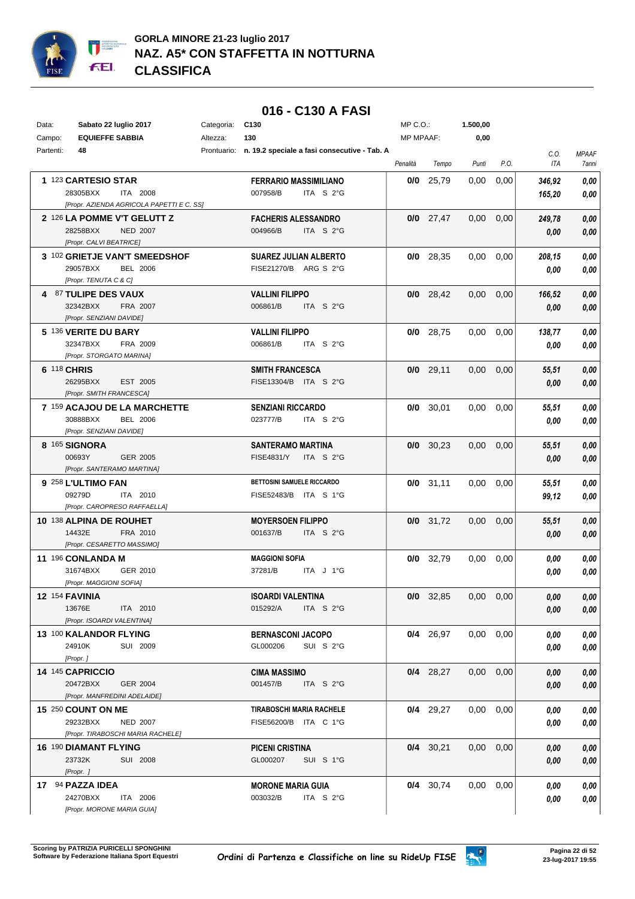

## **016 - C130 A FASI**

| Data:     | Sabato 22 luglio 2017                                   | Categoria: | C <sub>130</sub>                                           | MP C.O.:  |             | 1.500,00      |      |                    |                                     |
|-----------|---------------------------------------------------------|------------|------------------------------------------------------------|-----------|-------------|---------------|------|--------------------|-------------------------------------|
| Campo:    | <b>EQUIEFFE SABBIA</b>                                  | Altezza:   | 130                                                        | MP MPAAF: |             | 0,00          |      |                    |                                     |
| Partenti: | 48                                                      |            | Prontuario: n. 19.2 speciale a fasi consecutive - Tab. A   | Penalità  | Tempo       | Punti         | P.O. | C.O.<br><b>ITA</b> | <b>MPAAF</b><br><i><b>7anni</b></i> |
|           | 1 123 CARTESIO STAR                                     |            | <b>FERRARIO MASSIMILIANO</b>                               |           | $0/0$ 25.79 | 0,00          | 0,00 | 346,92             | 0,00                                |
|           | 28305BXX<br>ITA 2008                                    |            | 007958/B<br>ITA S 2°G                                      |           |             |               |      | 165,20             | 0,00                                |
|           | [Propr. AZIENDA AGRICOLA PAPETTI E C. SS]               |            |                                                            |           |             |               |      |                    |                                     |
|           | 2 126 LA POMME V'T GELUTT Z                             |            | <b>FACHERIS ALESSANDRO</b>                                 |           | $0/0$ 27,47 | 0,00          | 0,00 | 249,78             | 0,00                                |
|           | 28258BXX<br><b>NED 2007</b>                             |            | 004966/B<br>ITA S 2°G                                      |           |             |               |      | 0,00               | 0,00                                |
|           | [Propr. CALVI BEATRICE]                                 |            |                                                            |           |             |               |      |                    |                                     |
|           | 3 102 GRIETJE VAN'T SMEEDSHOF                           |            | <b>SUAREZ JULIAN ALBERTO</b>                               |           | $0/0$ 28,35 | 0,00          | 0,00 | 208,15             | 0,00                                |
|           | 29057BXX<br><b>BEL 2006</b>                             |            | FISE21270/B ARG S 2°G                                      |           |             |               |      | 0,00               | 0,00                                |
|           | [Propr. TENUTA C & C]                                   |            |                                                            |           |             |               |      |                    |                                     |
|           | 4 87 TULIPE DES VAUX                                    |            | <b>VALLINI FILIPPO</b>                                     |           | $0/0$ 28,42 | 0,00          | 0,00 | 166,52             | 0,00                                |
|           | 32342BXX<br>FRA 2007                                    |            | 006861/B<br>ITA S 2°G                                      |           |             |               |      | 0,00               | 0,00                                |
|           | [Propr. SENZIANI DAVIDE]                                |            |                                                            |           |             |               |      |                    |                                     |
|           | 5 136 VERITE DU BARY                                    |            | <b>VALLINI FILIPPO</b>                                     |           | $0/0$ 28,75 | 0,00          | 0,00 | 138,77             | 0,00                                |
|           | 32347BXX<br>FRA 2009                                    |            | 006861/B<br>ITA S 2°G                                      |           |             |               |      | 0,00               | 0,00                                |
|           | [Propr. STORGATO MARINA]                                |            |                                                            |           |             |               |      |                    |                                     |
|           | 6 118 CHRIS                                             |            | <b>SMITH FRANCESCA</b>                                     |           | $0/0$ 29,11 | 0,00          | 0,00 | 55,51              | 0,00                                |
|           | 26295BXX<br>EST 2005                                    |            | FISE13304/B ITA S 2°G                                      |           |             |               |      | 0,00               | 0,00                                |
|           | [Propr. SMITH FRANCESCA]                                |            |                                                            |           |             |               |      |                    |                                     |
|           | 7 159 ACAJOU DE LA MARCHETTE                            |            | <b>SENZIANI RICCARDO</b>                                   |           | $0/0$ 30,01 | 0,00          | 0,00 | 55,51              | 0,00                                |
|           | 30888BXX<br><b>BEL 2006</b><br>[Propr. SENZIANI DAVIDE] |            | 023777/B<br>ITA $S2G$                                      |           |             |               |      | 0.00               | 0,00                                |
|           | 8 165 SIGNORA                                           |            |                                                            |           | $0/0$ 30,23 |               |      |                    |                                     |
|           | 00693Y<br><b>GER 2005</b>                               |            | <b>SANTERAMO MARTINA</b><br>ITA S 2°G<br><b>FISE4831/Y</b> |           |             | 0,00          | 0,00 | 55,51              | 0,00                                |
|           | [Propr. SANTERAMO MARTINA]                              |            |                                                            |           |             |               |      | 0.00               | 0,00                                |
|           | 9 258 L'ULTIMO FAN                                      |            | <b>BETTOSINI SAMUELE RICCARDO</b>                          |           | $0/0$ 31,11 | 0,00          | 0,00 | 55,51              | 0,00                                |
|           | 09279D<br>ITA 2010                                      |            | FISE52483/B ITA S 1°G                                      |           |             |               |      | 99,12              | 0,00                                |
|           | [Propr. CAROPRESO RAFFAELLA]                            |            |                                                            |           |             |               |      |                    |                                     |
|           | 10 138 ALPINA DE ROUHET                                 |            | <b>MOYERSOEN FILIPPO</b>                                   |           | $0/0$ 31,72 | 0,00          | 0,00 | 55,51              | 0,00                                |
|           | 14432E<br>FRA 2010                                      |            | 001637/B<br>ITA S 2°G                                      |           |             |               |      | 0,00               | 0,00                                |
|           | [Propr. CESARETTO MASSIMO]                              |            |                                                            |           |             |               |      |                    |                                     |
|           | 11 196 CONLANDA M                                       |            | <b>MAGGIONI SOFIA</b>                                      |           | $0/0$ 32.79 | 0,00          | 0,00 | 0,00               | 0,00                                |
|           | 31674BXX<br>GER 2010                                    |            | 37281/B<br>ITA J 1°G                                       |           |             |               |      | 0.00               | 0,00                                |
|           | [Propr. MAGGIONI SOFIA]                                 |            |                                                            |           |             |               |      |                    |                                     |
|           | 12 154 FAVINIA                                          |            | ISOARDI VALENTINA                                          | 0/0       | 32,85       | 0,00          | 0,00 | 0,00               | 0,00                                |
|           | 13676E<br>ITA 2010                                      |            | 015292/A<br>ITA S 2°G                                      |           |             |               |      | 0,00               | 0,00                                |
|           | [Propr. ISOARDI VALENTINA]                              |            |                                                            |           |             |               |      |                    |                                     |
|           | 13 100 KALANDOR FLYING                                  |            | <b>BERNASCONI JACOPO</b>                                   |           | $0/4$ 26,97 | $0,00$ $0,00$ |      | 0,00               | 0,00                                |
|           | 24910K<br>SUI 2009                                      |            | GL000206<br>SUI S 2°G                                      |           |             |               |      | 0,00               | 0,00                                |
|           | [Propr.]                                                |            |                                                            |           |             |               |      |                    |                                     |
|           | 14 145 CAPRICCIO                                        |            | CIMA MASSIMO                                               |           | $0/4$ 28,27 | $0,00$ $0,00$ |      | 0,00               | 0,00                                |
|           | 20472BXX<br>GER 2004                                    |            | 001457/B<br>ITA $S$ 2°G                                    |           |             |               |      | 0,00               | 0,00                                |
|           | [Propr. MANFREDINI ADELAIDE]                            |            |                                                            |           |             |               |      |                    |                                     |
|           | 15 250 COUNT ON ME                                      |            | <b>TIRABOSCHI MARIA RACHELE</b>                            |           | $0/4$ 29,27 | 0,00          | 0,00 | 0.00               | 0,00                                |
|           | 29232BXX<br>NED 2007                                    |            | FISE56200/B ITA C 1°G                                      |           |             |               |      | 0,00               | 0,00                                |
|           | [Propr. TIRABOSCHI MARIA RACHELE]                       |            |                                                            |           |             |               |      |                    |                                     |
|           | <b>16 190 DIAMANT FLYING</b>                            |            | <b>PICENI CRISTINA</b>                                     |           | $0/4$ 30,21 | $0,00$ $0,00$ |      | 0,00               | 0,00                                |
|           | 23732K<br>SUI 2008                                      |            | GL000207<br>SUI S 1°G                                      |           |             |               |      | 0,00               | 0,00                                |
|           | [Propr. ]                                               |            |                                                            |           |             |               |      |                    |                                     |
|           | 17 94 PAZZA IDEA<br>24270BXX<br>ITA 2006                |            | <b>MORONE MARIA GUIA</b><br>ITA S 2°G<br>003032/B          |           | $0/4$ 30,74 | $0,00$ $0,00$ |      | 0.00               | 0,00                                |
|           | [Propr. MORONE MARIA GUIA]                              |            |                                                            |           |             |               |      | 0,00               | 0,00                                |
|           |                                                         |            |                                                            |           |             |               |      |                    |                                     |

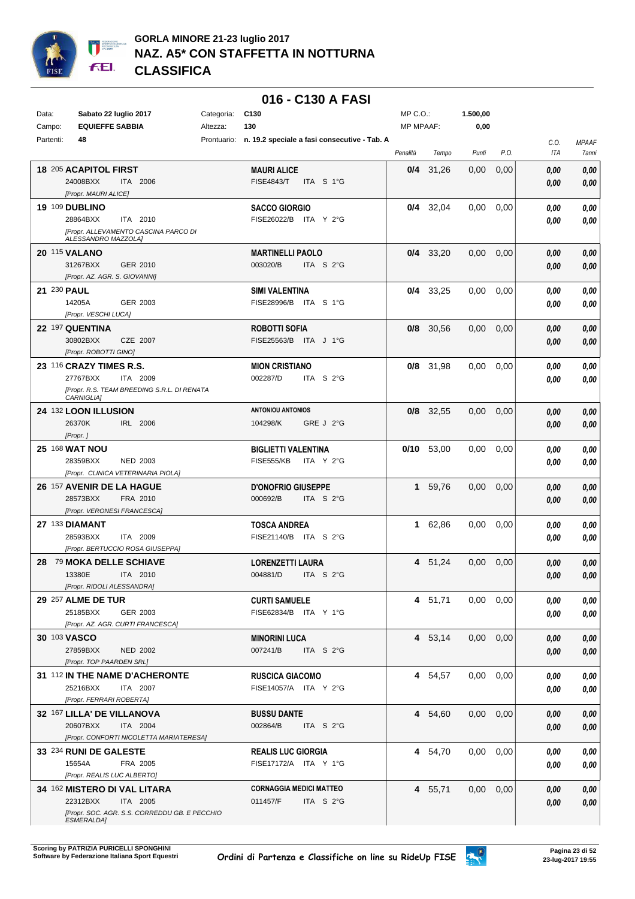

|             |                                               |            | 016 - C130 A FASI                                        |                  |              |          |      |      |              |
|-------------|-----------------------------------------------|------------|----------------------------------------------------------|------------------|--------------|----------|------|------|--------------|
| Data:       | Sabato 22 luglio 2017                         | Categoria: | C130                                                     | $MP C. O.$ :     |              | 1.500,00 |      |      |              |
| Campo:      | <b>EQUIEFFE SABBIA</b>                        | Altezza:   | 130                                                      | <b>MP MPAAF:</b> |              | 0,00     |      |      |              |
| Partenti:   | 48                                            |            | Prontuario: n. 19.2 speciale a fasi consecutive - Tab. A |                  |              |          |      | C.O. | <b>MPAAF</b> |
|             |                                               |            |                                                          | Penalità         | Tempo        | Punti    | P.O. | ITA  | <b>7anni</b> |
|             |                                               |            |                                                          |                  |              |          |      |      |              |
|             | 18 205 ACAPITOL FIRST                         |            | <b>MAURI ALICE</b>                                       | 0/4              | 31,26        | 0,00     | 0,00 | 0,00 | 0,00         |
|             | 24008BXX<br>ITA 2006<br>[Propr. MAURI ALICE]  |            | <b>FISE4843/T</b><br>ITA S 1°G                           |                  |              |          |      | 0,00 | 0,00         |
|             |                                               |            |                                                          |                  |              |          |      |      |              |
|             | 19 109 DUBLINO<br>28864BXX<br>ITA 2010        |            | <b>SACCO GIORGIO</b><br>FISE26022/B ITA Y 2°G            |                  | $0/4$ 32,04  | 0,00     | 0,00 | 0.00 | 0,00         |
|             | [Propr. ALLEVAMENTO CASCINA PARCO DI          |            |                                                          |                  |              |          |      | 0.00 | 0,00         |
|             | ALESSANDRO MAZZOLA]                           |            |                                                          |                  |              |          |      |      |              |
|             | <b>20 115 VALANO</b>                          |            | <b>MARTINELLI PAOLO</b>                                  |                  | $0/4$ 33,20  | 0,00     | 0,00 | 0,00 | 0,00         |
|             | 31267BXX<br>GER 2010                          |            | ITA S 2°G<br>003020/B                                    |                  |              |          |      | 0,00 | 0,00         |
|             | [Propr. AZ. AGR. S. GIOVANNI]                 |            |                                                          |                  |              |          |      |      |              |
| 21 230 PAUL |                                               |            | SIMI VALENTINA                                           |                  | $0/4$ 33,25  | 0,00     | 0.00 | 0.00 | 0,00         |
|             | 14205A<br>GER 2003                            |            | FISE28996/B<br>ITA S 1°G                                 |                  |              |          |      | 0.00 | 0,00         |
|             | [Propr. VESCHI LUCA]                          |            |                                                          |                  |              |          |      |      |              |
|             | 22 197 QUENTINA                               |            | <b>ROBOTTI SOFIA</b>                                     | 0/8              | 30,56        | 0,00     | 0,00 | 0,00 | 0,00         |
|             | 30802BXX<br>CZE 2007                          |            | FISE25563/B<br>ITA J 1°G                                 |                  |              |          |      | 0,00 | 0,00         |
|             | [Propr. ROBOTTI GINO]                         |            |                                                          |                  |              |          |      |      |              |
|             | 23 116 CRAZY TIMES R.S.                       |            | <b>MION CRISTIANO</b>                                    | 0/8              | 31.98        | 0,00     | 0,00 | 0.00 | $0,\!00$     |
|             | 27767BXX<br>ITA 2009                          |            | 002287/D<br>ITA S 2°G                                    |                  |              |          |      | 0.00 | 0,00         |
|             | [Propr. R.S. TEAM BREEDING S.R.L. DI RENATA   |            |                                                          |                  |              |          |      |      |              |
|             | CARNIGLIA]                                    |            |                                                          |                  |              |          |      |      |              |
|             | 24 132 LOON ILLUSION                          |            | <b>ANTONIOU ANTONIOS</b>                                 | 0/8              | 32,55        | 0,00     | 0,00 | 0.00 | 0,00         |
|             | 26370K<br>IRL 2006                            |            | GRE J 2°G<br>104298/K                                    |                  |              |          |      | 0.00 | 0,00         |
|             | [Propr. ]                                     |            |                                                          |                  |              |          |      |      |              |
|             | <b>25 168 WAT NOU</b>                         |            | <b>BIGLIETTI VALENTINA</b>                               |                  | $0/10$ 53,00 | 0.00     | 0,00 | 0.00 | 0,00         |
|             | 28359BXX<br><b>NED 2003</b>                   |            | <b>FISE555/KB</b><br>ITA Y 2°G                           |                  |              |          |      | 0.00 | 0,00         |
|             | [Propr. CLINICA VETERINARIA PIOLA]            |            |                                                          |                  |              |          |      |      |              |
|             | 26 157 AVENIR DE LA HAGUE<br>28573BXX         |            | <b>D'ONOFRIO GIUSEPPE</b><br>000692/B                    | 1                | 59,76        | 0,00     | 0,00 | 0,00 | 0,00         |
|             | FRA 2010<br>[Propr. VERONESI FRANCESCA]       |            | ITA $S2°G$                                               |                  |              |          |      | 0,00 | 0,00         |
|             | <b>27 133 DIAMANT</b>                         |            |                                                          |                  |              |          |      |      |              |
|             | 28593BXX<br>ITA 2009                          |            | TOSCA ANDREA<br>FISE21140/B<br>ITA S 2°G                 | 1                | 62,86        | 0,00     | 0,00 | 0.00 | 0,00         |
|             | [Propr. BERTUCCIO ROSA GIUSEPPA]              |            |                                                          |                  |              |          |      | 0,00 | 0,00         |
| 28          | 79 MOKA DELLE SCHIAVE                         |            | <b>LORENZETTI LAURA</b>                                  |                  | 4 51,24      | 0,00     | 0,00 |      |              |
|             | 13380E<br>ITA 2010                            |            | ITA S 2°G<br>004881/D                                    |                  |              |          |      | 0.00 | 0,00         |
|             | [Propr. RIDOLI ALESSANDRA]                    |            |                                                          |                  |              |          |      | 0,00 | 0,00         |
|             | 29 257 ALME DE TUR                            |            | <b>CURTI SAMUELE</b>                                     |                  | 4 51,71      | 0,00     | 0,00 | 0.00 | 0,00         |
|             | 25185BXX<br>GER 2003                          |            | FISE62834/B ITA Y 1°G                                    |                  |              |          |      | 0,00 | 0,00         |
|             | [Propr. AZ. AGR. CURTI FRANCESCA]             |            |                                                          |                  |              |          |      |      |              |
|             | 30 103 VASCO                                  |            | <b>MINORINI LUCA</b>                                     |                  | 4 53,14      | $0.00\,$ | 0,00 | 0,00 | 0,00         |
|             | 27859BXX<br><b>NED 2002</b>                   |            | 007241/B<br>ITA S 2°G                                    |                  |              |          |      | 0,00 | 0,00         |
|             | [Propr. TOP PAARDEN SRL]                      |            |                                                          |                  |              |          |      |      |              |
|             | 31 112 IN THE NAME D'ACHERONTE                |            | <b>RUSCICA GIACOMO</b>                                   |                  | 4 54,57      | 0,00     | 0,00 | 0,00 | 0,00         |
|             | 25216BXX<br>ITA 2007                          |            | FISE14057/A ITA Y 2°G                                    |                  |              |          |      | 0.00 | 0,00         |
|             | [Propr. FERRARI ROBERTA]                      |            |                                                          |                  |              |          |      |      |              |
|             | 32 167 LILLA' DE VILLANOVA                    |            | <b>BUSSU DANTE</b>                                       |                  | 4 54,60      | 0,00     | 0,00 | 0,00 | 0,00         |
|             | 20607BXX<br>ITA 2004                          |            | 002864/B<br>ITA S 2°G                                    |                  |              |          |      | 0,00 | 0,00         |
|             | [Propr. CONFORTI NICOLETTA MARIATERESA]       |            |                                                          |                  |              |          |      |      |              |
|             | 33 234 RUNI DE GALESTE                        |            | <b>REALIS LUC GIORGIA</b>                                |                  | 4 54,70      | 0,00     | 0,00 | 0,00 | 0,00         |
|             | 15654A<br>FRA 2005                            |            | FISE17172/A ITA Y 1°G                                    |                  |              |          |      | 0.00 | 0,00         |
|             | [Propr. REALIS LUC ALBERTO]                   |            |                                                          |                  |              |          |      |      |              |
|             | 34 162 MISTERO DI VAL LITARA                  |            | <b>CORNAGGIA MEDICI MATTEO</b>                           |                  | 4 55,71      | 0,00     | 0,00 | 0,00 | 0,00         |
|             | 22312BXX<br>ITA 2005                          |            | 011457/F<br>ITA S 2°G                                    |                  |              |          |      | 0,00 | 0,00         |
|             | [Propr. SOC. AGR. S.S. CORREDDU GB. E PECCHIO |            |                                                          |                  |              |          |      |      |              |
|             | <b>ESMERALDA]</b>                             |            |                                                          |                  |              |          |      |      |              |

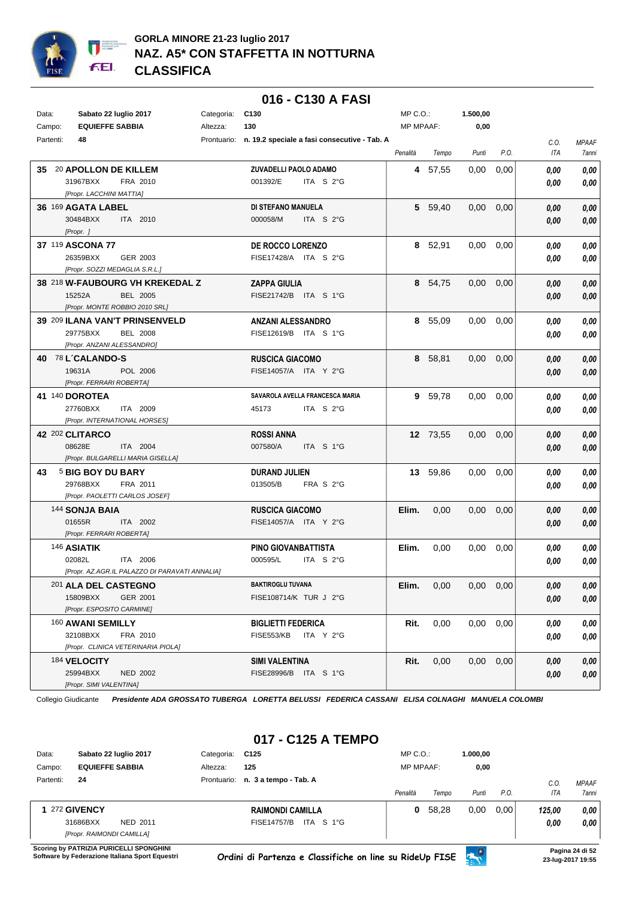

|           |                                       |                                                |            |                                         | 016 - C130 A FASI                                        |                  |          |                   |      |             |                       |
|-----------|---------------------------------------|------------------------------------------------|------------|-----------------------------------------|----------------------------------------------------------|------------------|----------|-------------------|------|-------------|-----------------------|
| Data:     | Sabato 22 luglio 2017                 |                                                | Categoria: | C <sub>130</sub>                        |                                                          | $MP C. O.$ :     |          | 1.500,00          |      |             |                       |
| Campo:    | <b>EQUIEFFE SABBIA</b>                |                                                | Altezza:   | 130                                     |                                                          | <b>MP MPAAF:</b> |          | 0,00              |      |             |                       |
| Partenti: | 48                                    |                                                |            |                                         | Prontuario: n. 19.2 speciale a fasi consecutive - Tab. A | Penalità         | Tempo    | Punti             | P.O. | C.O.<br>ITA | <b>MPAAF</b><br>7anni |
|           | 35 20 APOLLON DE KILLEM               |                                                |            | ZUVADELLI PAOLO ADAMO                   |                                                          |                  | 4 57,55  | 0,00              | 0,00 | 0.00        | 0,00                  |
|           | 31967BXX                              | FRA 2010                                       |            | 001392/E                                | ITA S 2°G                                                |                  |          |                   |      | 0,00        | 0,00                  |
|           | [Propr. LACCHINI MATTIA]              |                                                |            |                                         |                                                          |                  |          |                   |      |             |                       |
|           | 36 169 AGATA LABEL                    |                                                |            | DI STEFANO MANUELA                      |                                                          |                  | 5 59,40  | 0,00              | 0,00 | 0,00        | 0,00                  |
|           | 30484BXX                              | ITA 2010                                       |            | 000058/M                                | ITA S 2°G                                                |                  |          |                   |      | 0,00        | 0,00                  |
|           | [Propr. ]                             |                                                |            |                                         |                                                          |                  |          |                   |      |             |                       |
|           | 37 119 ASCONA 77                      |                                                |            | DE ROCCO LORENZO                        |                                                          |                  | 8 52,91  | 0,00              | 0,00 | 0,00        | 0,00                  |
|           | 26359BXX                              | GER 2003                                       |            | FISE17428/A ITA S 2°G                   |                                                          |                  |          |                   |      | 0,00        | 0,00                  |
|           | [Propr. SOZZI MEDAGLIA S.R.L.]        |                                                |            |                                         |                                                          |                  |          |                   |      |             |                       |
|           |                                       | 38 218 W-FAUBOURG VH KREKEDAL Z                |            | <b>ZAPPA GIULIA</b>                     |                                                          |                  | 8 54,75  | 0,00              | 0,00 | 0,00        | 0,00                  |
|           | 15252A                                | <b>BEL 2005</b>                                |            | FISE21742/B ITA S 1°G                   |                                                          |                  |          |                   |      | 0,00        | 0,00                  |
|           |                                       | [Propr. MONTE ROBBIO 2010 SRL]                 |            |                                         |                                                          |                  |          |                   |      |             |                       |
|           |                                       | 39 209 ILANA VAN'T PRINSENVELD                 |            | <b>ANZANI ALESSANDRO</b>                |                                                          |                  | 8 55,09  | 0,00              | 0,00 | 0,00        | 0,00                  |
|           | 29775BXX                              | <b>BEL 2008</b>                                |            | FISE12619/B ITA S 1°G                   |                                                          |                  |          |                   |      | 0,00        | 0,00                  |
|           | [Propr. ANZANI ALESSANDRO]            |                                                |            |                                         |                                                          |                  |          |                   |      |             |                       |
|           | 40 78 L'CALANDO-S                     |                                                |            | <b>RUSCICA GIACOMO</b>                  |                                                          |                  | 8 58,81  | 0,00              | 0,00 | 0,00        | 0,00                  |
|           | 19631A                                | POL 2006                                       |            | FISE14057/A ITA Y 2°G                   |                                                          |                  |          |                   |      | 0,00        | 0,00                  |
|           | [Propr. FERRARI ROBERTA]              |                                                |            |                                         |                                                          |                  |          |                   |      |             |                       |
|           | <b>41 140 DOROTEA</b>                 |                                                |            |                                         | SAVAROLA AVELLA FRANCESCA MARIA                          |                  | 9 59,78  | 0,00              | 0,00 | 0,00        | 0,00                  |
|           | 27760BXX                              | ITA 2009                                       |            | 45173                                   | ITA S 2°G                                                |                  |          |                   |      | 0,00        | 0,00                  |
|           |                                       | [Propr. INTERNATIONAL HORSES]                  |            |                                         |                                                          |                  |          |                   |      |             |                       |
|           | 42 202 CLITARCO                       |                                                |            | <b>ROSSI ANNA</b>                       |                                                          |                  | 12 73,55 | 0,00              | 0,00 | 0,00        | 0,00                  |
|           | 08628E                                | ITA 2004                                       |            | 007580/A                                | ITA S 1°G                                                |                  |          |                   |      | 0,00        | 0,00                  |
|           |                                       | [Propr. BULGARELLI MARIA GISELLA]              |            |                                         |                                                          |                  |          |                   |      |             |                       |
| 43        | 5 BIG BOY DU BARY                     |                                                |            | <b>DURAND JULIEN</b>                    |                                                          |                  | 13 59,86 | 0,00              | 0,00 | 0,00        | 0,00                  |
|           | 29768BXX                              | FRA 2011                                       |            | 013505/B                                | FRA S 2°G                                                |                  |          |                   |      | 0,00        | 0,00                  |
|           |                                       | [Propr. PAOLETTI CARLOS JOSEF]                 |            |                                         |                                                          |                  |          |                   |      |             |                       |
|           | 144 SONJA BAIA                        |                                                |            | <b>RUSCICA GIACOMO</b>                  |                                                          | Elim.            | 0,00     | 0,00              | 0,00 | 0,00        | 0,00                  |
|           | 01655R                                | ITA 2002                                       |            | FISE14057/A ITA Y 2°G                   |                                                          |                  |          |                   |      | 0,00        | 0,00                  |
|           | [Propr. FERRARI ROBERTA]              |                                                |            |                                         |                                                          |                  |          |                   |      |             |                       |
|           | 146 ASIATIK                           |                                                |            | PINO GIOVANBATTISTA                     |                                                          | Elim.            | 0,00     | 0,00              | 0.00 | 0,00        | 0,00                  |
|           | 02082L                                | ITA 2006                                       |            | 000595/L                                | ITA S 2°G                                                |                  |          |                   |      | 0,00        | 0,00                  |
|           |                                       | [Propr. AZ.AGR.IL PALAZZO DI PARAVATI ANNALIA] |            | <b>BAKTIROGLU TUVANA</b>                |                                                          |                  |          |                   |      |             |                       |
|           | 201 ALA DEL CASTEGNO                  |                                                |            |                                         |                                                          | Elim.            | 0,00     | $0.00 \quad 0.00$ |      | 0,00        | 0,00                  |
|           | 15809BXX<br>[Propr. ESPOSITO CARMINE] | GER 2001                                       |            | FISE108714/K TUR J 2°G                  |                                                          |                  |          |                   |      | 0,00        | 0,00                  |
|           |                                       |                                                |            |                                         |                                                          |                  |          | $0.00 \quad 0.00$ |      |             |                       |
|           | 160 AWANI SEMILLY<br>32108BXX         | FRA 2010                                       |            | <b>BIGLIETTI FEDERICA</b><br>FISE553/KB | ITA Y 2°G                                                | Rit.             | 0,00     |                   |      | 0,00        | 0,00                  |
|           |                                       | [Propr. CLINICA VETERINARIA PIOLA]             |            |                                         |                                                          |                  |          |                   |      | 0,00        | 0,00                  |
|           | 184 VELOCITY                          |                                                |            | <b>SIMI VALENTINA</b>                   |                                                          |                  |          | $0.00 \quad 0.00$ |      |             |                       |
|           | 25994BXX                              | <b>NED 2002</b>                                |            | FISE28996/B ITA S 1°G                   |                                                          | Rit.             | 0,00     |                   |      | 0,00        | 0,00                  |
|           | [Propr. SIMI VALENTINA]               |                                                |            |                                         |                                                          |                  |          |                   |      | 0,00        | 0,00                  |

## **017 - C125 A TEMPO**

| Data:     | Sabato 22 luglio 2017     | Categoria:  | C <sub>125</sub>                | $MP C. O.$ :     |       | 1.000.00 |      |         |              |
|-----------|---------------------------|-------------|---------------------------------|------------------|-------|----------|------|---------|--------------|
| Campo:    | <b>EQUIEFFE SABBIA</b>    | Altezza:    | 125                             | <b>MP MPAAF:</b> |       | 0,00     |      |         |              |
| Partenti: | 24                        | Prontuario: | n. 3 a tempo - Tab. A           |                  |       |          |      | $C_{0}$ | <b>MPAAF</b> |
|           |                           |             |                                 | Penalità         | Tempo | Punti    | P.O. | ITA     | <b>7anni</b> |
|           | 272 GIVENCY               |             | <b>RAIMONDI CAMILLA</b>         | 0                | 58.28 | 0,00     | 0.00 | 125.00  | 0,00         |
|           | 31686BXX<br>NED 2011      |             | ITA S 1°G<br><b>FISE14757/B</b> |                  |       |          |      | 0,00    | 0,00         |
|           | [Propr. RAIMONDI CAMILLA] |             |                                 |                  |       |          |      |         |              |

**Scoring by PATRIZIA PURICELLI SPONGHINI**<br>Software by Federazione Italiana Sport Equestri

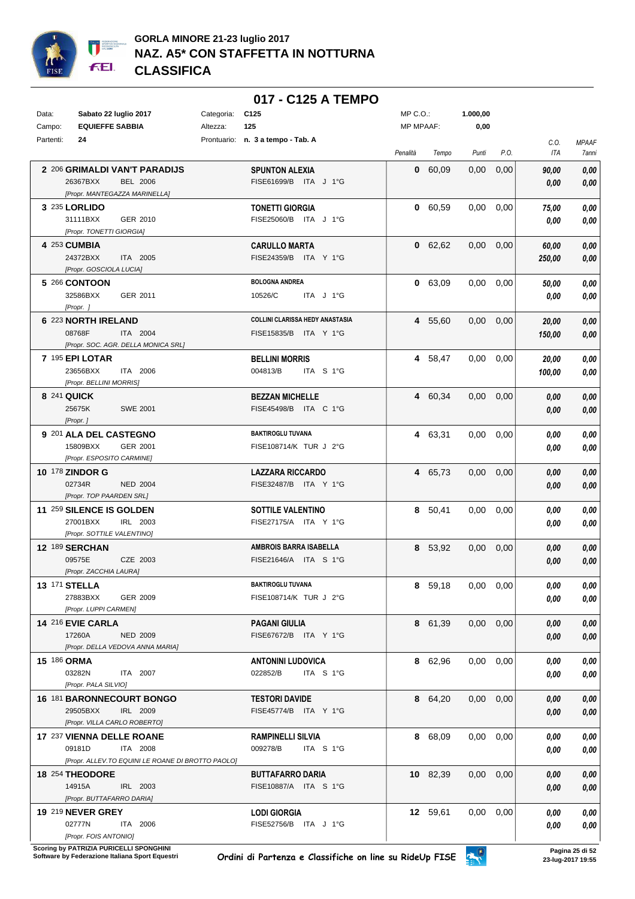

#### **017 - C125 A TEMPO**

| Data:     | Sabato 22 luglio 2017                             | Categoria: | C <sub>125</sub>                       | $MP C. O.$ :     |          | 1.000,00          |      |             |                       |
|-----------|---------------------------------------------------|------------|----------------------------------------|------------------|----------|-------------------|------|-------------|-----------------------|
| Campo:    | <b>EQUIEFFE SABBIA</b>                            | Altezza:   | 125                                    | <b>MP MPAAF:</b> |          | 0,00              |      |             |                       |
| Partenti: | 24                                                |            | Prontuario: n. 3 a tempo - Tab. A      | Penalità         | Tempo    | Punti             | P.O. | C.O.<br>ITA | <b>MPAAF</b><br>7anni |
|           | 2 206 GRIMALDI VAN'T PARADIJS                     |            | <b>SPUNTON ALEXIA</b>                  |                  | 0 60.09  | 0,00              | 0,00 | 90,00       | 0,00                  |
|           | 26367BXX<br><b>BEL 2006</b>                       |            | FISE61699/B ITA J 1°G                  |                  |          |                   |      | 0,00        | 0,00                  |
|           | [Propr. MANTEGAZZA MARINELLA]                     |            |                                        |                  |          |                   |      |             |                       |
|           | 3 235 LORLIDO                                     |            | <b>TONETTI GIORGIA</b>                 |                  | 0 60,59  | 0,00              | 0,00 | 75,00       | 0,00                  |
|           | 31111BXX<br>GER 2010                              |            | FISE25060/B ITA J 1°G                  |                  |          |                   |      | 0,00        | 0,00                  |
|           | [Propr. TONETTI GIORGIA]                          |            |                                        |                  |          |                   |      |             |                       |
|           | 4 253 CUMBIA                                      |            | <b>CARULLO MARTA</b>                   |                  | 0 62,62  | 0,00              | 0,00 | 60,00       | 0,00                  |
|           | 24372BXX<br>ITA 2005                              |            | FISE24359/B ITA Y 1°G                  |                  |          |                   |      | 250,00      | 0,00                  |
|           | [Propr. GOSCIOLA LUCIA]                           |            |                                        |                  |          |                   |      |             |                       |
|           | 5 266 CONTOON                                     |            | <b>BOLOGNA ANDREA</b>                  |                  | 0 63,09  | 0,00              | 0,00 | 50,00       | 0,00                  |
|           | 32586BXX<br>GER 2011                              |            | 10526/C<br>ITA J 1°G                   |                  |          |                   |      | 0,00        | 0,00                  |
|           | [Propr. ]                                         |            |                                        |                  |          |                   |      |             |                       |
|           | 6 223 NORTH IRELAND                               |            | <b>COLLINI CLARISSA HEDY ANASTASIA</b> |                  | 4 55,60  | 0,00              | 0,00 | 20,00       | 0,00                  |
|           | 08768F<br>ITA 2004                                |            | FISE15835/B ITA Y 1°G                  |                  |          |                   |      | 150,00      | 0,00                  |
|           | [Propr. SOC. AGR. DELLA MONICA SRL]               |            |                                        |                  |          |                   |      |             |                       |
|           | 7 195 EPI LOTAR                                   |            | <b>BELLINI MORRIS</b>                  |                  | 4 58,47  | 0,00              | 0,00 | 20,00       | 0,00                  |
|           | 23656BXX<br>ITA 2006                              |            | 004813/B<br>ITA S 1°G                  |                  |          |                   |      | 100,00      | 0,00                  |
|           | [Propr. BELLINI MORRIS]                           |            |                                        |                  |          |                   |      |             |                       |
|           | 8 241 QUICK                                       |            | <b>BEZZAN MICHELLE</b>                 |                  | 4 60,34  | 0,00              | 0,00 | 0,00        | 0,00                  |
|           | 25675K<br><b>SWE 2001</b>                         |            | FISE45498/B ITA C 1°G                  |                  |          |                   |      | 0,00        | 0,00                  |
|           | [Propr.]                                          |            |                                        |                  |          |                   |      |             |                       |
|           | 9 201 ALA DEL CASTEGNO                            |            | <b>BAKTIROGLU TUVANA</b>               |                  | 4 63,31  | 0,00              | 0,00 | 0,00        | 0,00                  |
|           | 15809BXX<br>GER 2001                              |            | FISE108714/K TUR J 2°G                 |                  |          |                   |      | 0,00        | 0,00                  |
|           | [Propr. ESPOSITO CARMINE]                         |            |                                        |                  |          |                   |      |             |                       |
|           | <b>10 178 ZINDOR G</b>                            |            | <b>LAZZARA RICCARDO</b>                |                  | 4 65,73  | 0,00              | 0,00 | 0,00        | 0,00                  |
|           | 02734R<br><b>NED 2004</b>                         |            | FISE32487/B ITA Y 1°G                  |                  |          |                   |      | 0,00        | 0,00                  |
|           | [Propr. TOP PAARDEN SRL]                          |            |                                        |                  |          |                   |      |             |                       |
|           | <b>11 259 SILENCE IS GOLDEN</b>                   |            | <b>SOTTILE VALENTINO</b>               |                  | 8 50,41  | 0.00              | 0,00 | 0,00        | 0,00                  |
|           | 27001BXX<br>IRL 2003                              |            | FISE27175/A ITA Y 1°G                  |                  |          |                   |      | 0,00        | 0,00                  |
|           | [Propr. SOTTILE VALENTINO]                        |            |                                        |                  |          |                   |      |             |                       |
|           | <b>12 189 SERCHAN</b>                             |            | <b>AMBROIS BARRA ISABELLA</b>          |                  | 8 53,92  | 0,00              | 0,00 | 0,00        | 0,00                  |
|           | 09575E<br>CZE 2003<br>[Propr. ZACCHIA LAURA]      |            | FISE21646/A ITA S 1°G                  |                  |          |                   |      | 0,00        | 0,00                  |
|           |                                                   |            | <b>BAKTIROGLU TUVANA</b>               |                  |          |                   |      |             |                       |
|           | 13 171 STELLA<br>27883BXX<br>GER 2009             |            |                                        |                  | 8 59,18  | $0,00$ $0,00$     |      | 0,00        | 0,00                  |
|           | [Propr. LUPPI CARMEN]                             |            | FISE108714/K TUR J 2°G                 |                  |          |                   |      | 0,00        | 0,00                  |
|           | 14 216 EVIE CARLA                                 |            | <b>PAGANI GIULIA</b>                   |                  | 8 61,39  | $0,00$ $0,00$     |      | 0,00        | 0,00                  |
|           | 17260A<br><b>NED 2009</b>                         |            | FISE67672/B ITA Y 1°G                  |                  |          |                   |      | 0,00        | 0,00                  |
|           | [Propr. DELLA VEDOVA ANNA MARIA]                  |            |                                        |                  |          |                   |      |             |                       |
|           | <b>15 186 ORMA</b>                                |            | <b>ANTONINI LUDOVICA</b>               |                  | 8 62,96  | $0.00 \quad 0.00$ |      | 0,00        | 0,00                  |
|           | 03282N<br>ITA 2007                                |            | 022852/B<br>ITA S 1°G                  |                  |          |                   |      | 0,00        | 0,00                  |
|           | [Propr. PALA SILVIO]                              |            |                                        |                  |          |                   |      |             |                       |
|           | 16 181 BARONNECOURT BONGO                         |            | <b>TESTORI DAVIDE</b>                  |                  | 8 64,20  | $0,00$ $0,00$     |      | 0,00        | 0,00                  |
|           | 29505BXX<br>IRL 2009                              |            | FISE45774/B ITA Y 1°G                  |                  |          |                   |      | 0,00        | 0,00                  |
|           | [Propr. VILLA CARLO ROBERTO]                      |            |                                        |                  |          |                   |      |             |                       |
|           | 17 237 VIENNA DELLE ROANE                         |            | <b>RAMPINELLI SILVIA</b>               |                  | 8 68,09  | $0,00$ $0,00$     |      | 0,00        | 0,00                  |
|           | 09181D<br>ITA 2008                                |            | 009278/B<br>ITA S 1°G                  |                  |          |                   |      | 0,00        | 0,00                  |
|           | [Propr. ALLEV.TO EQUINI LE ROANE DI BROTTO PAOLO] |            |                                        |                  |          |                   |      |             |                       |
|           | 18 254 THEODORE                                   |            | <b>BUTTAFARRO DARIA</b>                |                  | 10 82,39 | $0,00$ $0,00$     |      | 0,00        | 0,00                  |
|           | 14915A<br>IRL 2003                                |            | FISE10887/A ITA S 1°G                  |                  |          |                   |      | 0,00        | 0,00                  |
|           | [Propr. BUTTAFARRO DARIA]                         |            |                                        |                  |          |                   |      |             |                       |
|           | <b>19 219 NEVER GREY</b>                          |            | <b>LODI GIORGIA</b>                    |                  | 12 59,61 | $0,00$ $0,00$     |      | 0,00        | 0,00                  |
|           | 02777N<br>ITA 2006                                |            | FISE52756/B ITA J 1°G                  |                  |          |                   |      | 0,00        | 0,00                  |
|           | [Propr. FOIS ANTONIO]                             |            |                                        |                  |          |                   |      |             |                       |

**.**<br>Scoring by PATRIZIA PURICELLI SPONGHINI<br>Software by Federazione Italiana Sport Equestri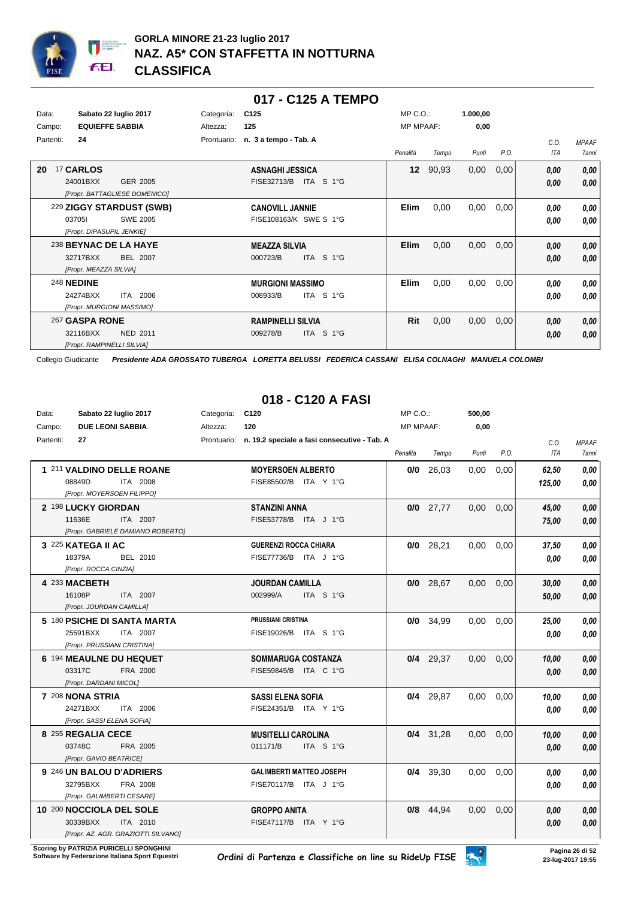

|           |                               |             | 017 - C125 A TEMPO       |                  |       |          |      |      |              |
|-----------|-------------------------------|-------------|--------------------------|------------------|-------|----------|------|------|--------------|
| Data:     | Sabato 22 luglio 2017         | Categoria:  | C <sub>125</sub>         | $MP C. O.$ :     |       | 1.000,00 |      |      |              |
| Campo:    | <b>EQUIEFFE SABBIA</b>        | Altezza:    | 125                      | <b>MP MPAAF:</b> |       | 0,00     |      |      |              |
| Partenti: | 24                            | Prontuario: | n. 3 a tempo - Tab. A    |                  |       |          |      | C.O. | <b>MPAAF</b> |
|           |                               |             |                          | Penalità         | Tempo | Punti    | P.O. | ITA  | <b>7anni</b> |
| 20        | 17 CARLOS                     |             | <b>ASNAGHI JESSICA</b>   | 12 <sup>2</sup>  | 90,93 | 0,00     | 0,00 | 0,00 | 0,00         |
|           | 24001BXX<br>GER 2005          |             | FISE32713/B<br>ITA S 1°G |                  |       |          |      | 0.00 | 0,00         |
|           | [Propr. BATTAGLIESE DOMENICO] |             |                          |                  |       |          |      |      |              |
|           | 229 ZIGGY STARDUST (SWB)      |             | <b>CANOVILL JANNIE</b>   | Elim             | 0,00  | 0,00     | 0,00 | 0,00 | 0,00         |
|           | 037051<br><b>SWE 2005</b>     |             | FISE108163/K SWE S 1°G   |                  |       |          |      | 0.00 | 0,00         |
|           | [Propr. DIPASUPIL JENKIE]     |             |                          |                  |       |          |      |      |              |
|           | 238 BEYNAC DE LA HAYE         |             | <b>MEAZZA SILVIA</b>     | <b>Elim</b>      | 0,00  | 0,00     | 0,00 | 0,00 | 0,00         |
|           | 32717BXX<br><b>BEL 2007</b>   |             | ITA S 1°G<br>000723/B    |                  |       |          |      | 0,00 | 0,00         |
|           | [Propr. MEAZZA SILVIA]        |             |                          |                  |       |          |      |      |              |
|           | <b>248 NEDINE</b>             |             | <b>MURGIONI MASSIMO</b>  | <b>Elim</b>      | 0,00  | 0,00     | 0,00 | 0,00 | 0,00         |
|           | ITA 2006<br>24274BXX          |             | ITA S 1°G<br>008933/B    |                  |       |          |      | 0.00 | 0.00         |
|           | [Propr. MURGIONI MASSIMO]     |             |                          |                  |       |          |      |      |              |
|           | 267 GASPA RONE                |             | <b>RAMPINELLI SILVIA</b> | Rit              | 0,00  | 0,00     | 0,00 | 0,00 | 0,00         |
|           | 32116BXX<br><b>NED 2011</b>   |             | ITA S 1°G<br>009278/B    |                  |       |          |      | 0.00 | 0,00         |
|           | [Propr. RAMPINELLI SILVIA]    |             |                          |                  |       |          |      |      |              |

#### **018 - C120 A FASI**

| Data:     | Sabato 22 luglio 2017                                                                   | Categoria: | C <sub>120</sub>                                         | $MP C. O.$ :     |             | 500,00 |      |                 |                              |
|-----------|-----------------------------------------------------------------------------------------|------------|----------------------------------------------------------|------------------|-------------|--------|------|-----------------|------------------------------|
| Campo:    | <b>DUE LEONI SABBIA</b>                                                                 | Altezza:   | 120                                                      | <b>MP MPAAF:</b> |             | 0,00   |      |                 |                              |
| Partenti: | 27                                                                                      |            | Prontuario: n. 19.2 speciale a fasi consecutive - Tab. A | Penalità         | Tempo       | Punti  | P.O. | C.O.<br>ITA     | <b>MPAAF</b><br><b>7anni</b> |
|           | 1 211 VALDINO DELLE ROANE<br>08849D<br>ITA 2008<br>[Propr. MOYERSOEN FILIPPO]           |            | <b>MOYERSOEN ALBERTO</b><br>FISE85502/B ITA Y 1°G        |                  | $0/0$ 26,03 | 0.00   | 0.00 | 62,50<br>125,00 | 0.00<br>0,00                 |
|           | 2 198 LUCKY GIORDAN<br>11636E<br>ITA 2007<br>[Propr. GABRIELE DAMIANO ROBERTO]          |            | <b>STANZINI ANNA</b><br>FISE53778/B ITA J 1°G            |                  | $0/0$ 27,77 | 0,00   | 0,00 | 45,00<br>75,00  | 0,00<br>0.00                 |
|           | 3 225 KATEGA II AC<br>18379A<br>BEL 2010<br>[Propr. ROCCA CINZIA]                       |            | <b>GUERENZI ROCCA CHIARA</b><br>FISE77736/B ITA J 1°G    |                  | $0/0$ 28,21 | 0,00   | 0,00 | 37,50<br>0.00   | 0,00<br>0.00                 |
|           | 4 233 MACBETH<br>16108P<br>ITA 2007<br>[Propr. JOURDAN CAMILLA]                         |            | <b>JOURDAN CAMILLA</b><br>002999/A<br>ITA S 1°G          |                  | $0/0$ 28.67 | 0.00   | 0.00 | 30,00<br>50,00  | 0,00<br>0.00                 |
|           | 5 180 PSICHE DI SANTA MARTA<br>25591BXX<br>ITA 2007<br>[Propr. PRUSSIANI CRISTINA]      |            | PRUSSIANI CRISTINA<br>FISE19026/B ITA S 1°G              |                  | $0/0$ 34,99 | 0,00   | 0,00 | 25,00<br>0,00   | 0.00<br>0.00                 |
|           | 6 194 MEAULNE DU HEQUET<br>03317C<br>FRA 2000<br>[Propr. DARDANI MICOL]                 |            | <b>SOMMARUGA COSTANZA</b><br>FISE59845/B ITA C 1°G       |                  | $0/4$ 29,37 | 0,00   | 0,00 | 10,00<br>0.00   | 0,00<br>0.00                 |
|           | 7 208 NONA STRIA<br>24271BXX<br>ITA 2006<br>[Propr. SASSI ELENA SOFIA]                  |            | <b>SASSI ELENA SOFIA</b><br>FISE24351/B ITA Y 1°G        |                  | $0/4$ 29,87 | 0.00   | 0,00 | 10,00<br>0.00   | 0.00<br>0.00                 |
|           | 8 255 REGALIA CECE<br>03748C<br>FRA 2005<br>[Propr. GAVIO BEATRICE]                     |            | <b>MUSITELLI CAROLINA</b><br>011171/B<br>ITA S 1°G       |                  | $0/4$ 31,28 | 0,00   | 0,00 | 10,00<br>0.00   | 0.00<br>0,00                 |
|           | 9 246 UN BALOU D'ADRIERS<br>32795BXX<br>FRA 2008<br>[Propr. GALIMBERTI CESARE]          |            | <b>GALIMBERTI MATTEO JOSEPH</b><br>FISE70117/B ITA J 1°G |                  | $0/4$ 39,30 | 0,00   | 0,00 | 0.00<br>0.00    | 0.00<br>0.00                 |
|           | 10 200 NOCCIOLA DEL SOLE<br>30339BXX<br>ITA 2010<br>[Propr. AZ. AGR. GRAZIOTTI SILVANO] |            | <b>GROPPO ANITA</b><br>FISE47117/B ITA Y 1°G             | 0/8              | 44,94       | 0,00   | 0,00 | 0,00<br>0,00    | 0,00<br>0,00                 |

**Scoring by PATRIZIA PURICELLI SPONGHINI<br>Software by Federazione Italiana Sport Equestri**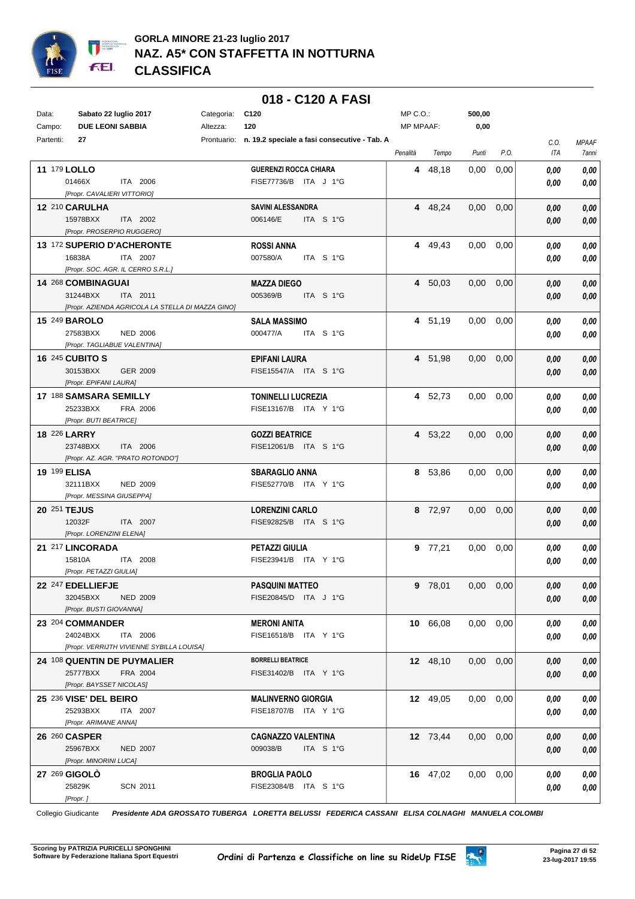

#### **018 - C120 A FASI**

| Data:               | Sabato 22 luglio 2017                                                     | Categoria: | C <sub>120</sub>                                         | MP C.O.:  |                   | 500,00            |      |                |       |
|---------------------|---------------------------------------------------------------------------|------------|----------------------------------------------------------|-----------|-------------------|-------------------|------|----------------|-------|
| Campo:              | <b>DUE LEONI SABBIA</b>                                                   | Altezza:   | 120                                                      | MP MPAAF: |                   | 0,00              |      |                |       |
| Partenti:           | 27                                                                        |            | Prontuario: n. 19.2 speciale a fasi consecutive - Tab. A |           |                   |                   |      | C.O.           | MPAAF |
|                     |                                                                           |            |                                                          | Penalità  | Tempo             | Punti             | P.O. | ITA            | 7anni |
| 11 179 LOLLO        |                                                                           |            | <b>GUERENZI ROCCA CHIARA</b>                             |           | 4 48,18           | 0.00              | 0,00 | 0.00           | 0,00  |
|                     | 01466X<br>ITA 2006                                                        |            | FISE77736/B ITA J 1°G                                    |           |                   |                   |      | 0.00           | 0,00  |
|                     | [Propr. CAVALIERI VITTORIO]                                               |            |                                                          |           |                   |                   |      |                |       |
|                     | 12 210 CARULHA                                                            |            | <b>SAVINI ALESSANDRA</b>                                 |           | 4 48,24           | 0,00              | 0,00 | 0,00           | 0,00  |
|                     | 15978BXX<br>ITA 2002                                                      |            | 006146/E<br>ITA S 1°G                                    |           |                   |                   |      | 0,00           | 0,00  |
|                     | [Propr. PROSERPIO RUGGERO]                                                |            |                                                          |           |                   |                   |      |                |       |
|                     | 13 172 SUPERIO D'ACHERONTE                                                |            | <b>ROSSI ANNA</b>                                        |           | 4 49,43           | 0.00              | 0,00 | 0,00           | 0,00  |
|                     | 16838A<br>ITA 2007                                                        |            | 007580/A<br>ITA S 1°G                                    |           |                   |                   |      | 0,00           | 0,00  |
|                     | [Propr. SOC. AGR. IL CERRO S.R.L.]                                        |            |                                                          |           |                   |                   |      |                |       |
|                     | 14 268 COMBINAGUAI                                                        |            | <b>MAZZA DIEGO</b>                                       |           | 4 50,03           | 0,00              | 0,00 | 0,00           | 0,00  |
|                     | 31244BXX<br>ITA 2011<br>[Propr. AZIENDA AGRICOLA LA STELLA DI MAZZA GINO] |            | 005369/B<br>ITA S 1°G                                    |           |                   |                   |      | 0,00           | 0,00  |
|                     | <b>15 249 BAROLO</b>                                                      |            | <b>SALA MASSIMO</b>                                      |           |                   |                   |      |                |       |
|                     | 27583BXX<br><b>NED 2006</b>                                               |            | 000477/A<br>ITA S 1°G                                    |           | 4 51,19           | 0,00              | 0,00 | 0,00           | 0,00  |
|                     | [Propr. TAGLIABUE VALENTINA]                                              |            |                                                          |           |                   |                   |      | 0.00           | 0,00  |
|                     | <b>16 245 CUBITO S</b>                                                    |            | <b>EPIFANI LAURA</b>                                     |           | 4 51,98           | $0.00\,$          | 0,00 | 0,00           | 0,00  |
|                     | 30153BXX<br>GER 2009                                                      |            | FISE15547/A ITA S 1°G                                    |           |                   |                   |      | 0,00           | 0,00  |
|                     | [Propr. EPIFANI LAURA]                                                    |            |                                                          |           |                   |                   |      |                |       |
|                     | 17 188 SAMSARA SEMILLY                                                    |            | <b>TONINELLI LUCREZIA</b>                                |           | 4 52,73           | 0.00              | 0,00 | 0,00           | 0,00  |
|                     | 25233BXX<br>FRA 2006                                                      |            | FISE13167/B ITA Y 1°G                                    |           |                   |                   |      | 0,00           | 0,00  |
|                     | [Propr. BUTI BEATRICE]                                                    |            |                                                          |           |                   |                   |      |                |       |
| <b>18 226 LARRY</b> |                                                                           |            | <b>GOZZI BEATRICE</b>                                    |           | 4 53,22           | 0.00              | 0,00 | 0,00           | 0,00  |
|                     | 23748BXX<br>ITA 2006                                                      |            | FISE12061/B ITA S 1°G                                    |           |                   |                   |      | 0,00           | 0,00  |
|                     | [Propr. AZ. AGR. "PRATO ROTONDO"]                                         |            |                                                          |           |                   |                   |      |                |       |
| 19 199 ELISA        |                                                                           |            | <b>SBARAGLIO ANNA</b>                                    |           | 8 53,86           | $0.00\,$          | 0,00 | 0,00           | 0,00  |
|                     | 32111BXX<br><b>NED 2009</b>                                               |            | FISE52770/B ITA Y 1°G                                    |           |                   |                   |      | 0,00           | 0,00  |
|                     | [Propr. MESSINA GIUSEPPA]                                                 |            |                                                          |           |                   |                   |      |                |       |
| 20 251 TEJUS        |                                                                           |            | <b>LORENZINI CARLO</b>                                   |           | 8 72,97           | 0,00              | 0,00 | 0,00           | 0,00  |
|                     | 12032F<br>ITA 2007<br>[Propr. LORENZINI ELENA]                            |            | FISE92825/B ITA S 1°G                                    |           |                   |                   |      | 0,00           | 0,00  |
|                     | 21 217 LINCORADA                                                          |            |                                                          |           | 9 77,21           | $0.00 \quad 0.00$ |      |                |       |
|                     | 15810A<br>ITA 2008                                                        |            | <b>PETAZZI GIULIA</b><br>FISE23941/B ITA Y 1°G           |           |                   |                   |      | 0,00           | 0,00  |
|                     | [Propr. PETAZZI GIULIA]                                                   |            |                                                          |           |                   |                   |      | 0.00           | 0,00  |
|                     | 22 247 EDELLIEFJE                                                         |            | <b>PASQUINI MATTEO</b>                                   |           | 9 78,01 0,00 0,00 |                   |      | $\pmb{0,\!00}$ | 0,00  |
|                     | <b>NED 2009</b><br>32045BXX                                               |            | FISE20845/D ITA J 1°G                                    |           |                   |                   |      | 0,00           | 0,00  |
|                     | [Propr. BUSTI GIOVANNA]                                                   |            |                                                          |           |                   |                   |      |                |       |
|                     | 23 204 COMMANDER                                                          |            | <b>MERONI ANITA</b>                                      |           | 10 66,08          | $0,00$ $0,00$     |      | 0,00           | 0,00  |
|                     | 24024BXX<br>ITA 2006                                                      |            | FISE16518/B ITA Y 1°G                                    |           |                   |                   |      | 0,00           | 0,00  |
|                     | [Propr. VERRIJTH VIVIENNE SYBILLA LOUISA]                                 |            |                                                          |           |                   |                   |      |                |       |
|                     | 24 108 QUENTIN DE PUYMALIER                                               |            | <b>BORRELLI BEATRICE</b>                                 |           | 12 48,10          | $0,00$ $0,00$     |      | 0,00           | 0,00  |
|                     | 25777BXX<br>FRA 2004                                                      |            | FISE31402/B ITA Y 1°G                                    |           |                   |                   |      | 0,00           | 0,00  |
|                     | [Propr. BAYSSET NICOLAS]                                                  |            |                                                          |           |                   |                   |      |                |       |
|                     | 25 236 VISE' DEL BEIRO                                                    |            | <b>MALINVERNO GIORGIA</b>                                |           | 12 49,05          | $0.00 \quad 0.00$ |      | 0,00           | 0,00  |
|                     | 25293BXX<br>ITA 2007                                                      |            | FISE18707/B ITA Y 1°G                                    |           |                   |                   |      | 0,00           | 0,00  |
|                     | [Propr. ARIMANE ANNA]                                                     |            |                                                          |           |                   |                   |      |                |       |
|                     | 26 260 CASPER<br>25967BXX<br><b>NED 2007</b>                              |            | <b>CAGNAZZO VALENTINA</b><br>009038/B<br>ITA S 1°G       |           | 12 73,44          | $0,00$ $0,00$     |      | 0,00           | 0,00  |
|                     | [Propr. MINORINI LUCA]                                                    |            |                                                          |           |                   |                   |      | 0,00           | 0,00  |
|                     | 27 269 GIGOLO                                                             |            | <b>BROGLIA PAOLO</b>                                     |           | 16 47,02          | 0,00              | 0,00 | 0,00           | 0,00  |
|                     | 25829K<br><b>SCN 2011</b>                                                 |            | FISE23084/B ITA S 1°G                                    |           |                   |                   |      | 0,00           | 0,00  |
|                     | [Propr.]                                                                  |            |                                                          |           |                   |                   |      |                |       |

Collegio Giudicante *Presidente ADA GROSSATO TUBERGA LORETTA BELUSSI FEDERICA CASSANI ELISA COLNAGHI MANUELA COLOMBI*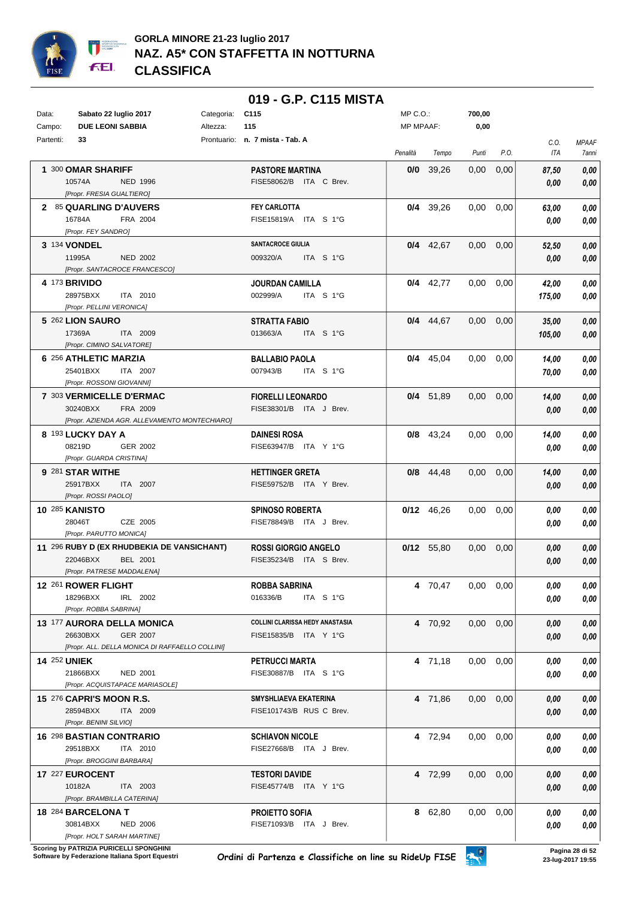

|           |                       |                                                           |            | 019 - G.P. C115 MISTA                             |                  |              |                   |                   |               |                       |
|-----------|-----------------------|-----------------------------------------------------------|------------|---------------------------------------------------|------------------|--------------|-------------------|-------------------|---------------|-----------------------|
| Data:     |                       | Sabato 22 luglio 2017                                     | Categoria: | C <sub>115</sub>                                  | $MP C. O.$ :     |              | 700,00            |                   |               |                       |
| Campo:    |                       | <b>DUE LEONI SABBIA</b>                                   | Altezza:   | 115                                               | <b>MP MPAAF:</b> |              | 0,00              |                   |               |                       |
| Partenti: |                       | 33                                                        |            | Prontuario: n. 7 mista - Tab. A                   | Penalità         | Tempo        | Punti             | P.O.              | C.O.<br>ITA   | <b>MPAAF</b><br>7anni |
|           |                       | 1 300 OMAR SHARIFF                                        |            | <b>PASTORE MARTINA</b>                            |                  | $0/0$ 39,26  | 0,00              | 0,00              | 87.50         | 0,00                  |
|           | 10574A                | NED 1996                                                  |            | FISE58062/B ITA C Brev.                           |                  |              |                   |                   | 0.00          | 0,00                  |
|           |                       | [Propr. FRESIA GUALTIERO]                                 |            |                                                   |                  |              |                   |                   |               |                       |
|           | 16784A                | 2 85 QUARLING D'AUVERS<br>FRA 2004                        |            | <b>FEY CARLOTTA</b><br>FISE15819/A ITA S 1°G      |                  | $0/4$ 39,26  | 0.00              | 0,00              | 63,00<br>0.00 | 0,00<br>0,00          |
|           |                       | [Propr. FEY SANDRO]                                       |            |                                                   |                  |              |                   |                   |               |                       |
|           | 3 134 VONDEL          |                                                           |            | <b>SANTACROCE GIULIA</b>                          |                  | $0/4$ 42,67  | $0,00$ $0,00$     |                   | 52,50         | 0,00                  |
|           | 11995A                | <b>NED 2002</b>                                           |            | 009320/A<br>ITA S 1°G                             |                  |              |                   |                   | 0,00          | 0,00                  |
|           |                       | [Propr. SANTACROCE FRANCESCO]                             |            |                                                   |                  |              |                   |                   |               |                       |
|           | 4 173 BRIVIDO         | 28975BXX<br>ITA 2010                                      |            | <b>JOURDAN CAMILLA</b><br>002999/A<br>ITA S 1°G   |                  | $0/4$ 42,77  | 0.00              | 0,00              | 42,00         | 0,00<br>0,00          |
|           |                       | [Propr. PELLINI VERONICA]                                 |            |                                                   |                  |              |                   |                   | 175,00        |                       |
|           |                       | 5 262 LION SAURO                                          |            | <b>STRATTA FABIO</b>                              |                  | $0/4$ 44,67  | $0.00 \quad 0.00$ |                   | 35,00         | 0,00                  |
|           | 17369A                | ITA 2009                                                  |            | 013663/A<br>ITA S 1°G                             |                  |              |                   |                   | 105,00        | 0,00                  |
|           |                       | [Propr. CIMINO SALVATORE]                                 |            |                                                   |                  |              |                   |                   |               |                       |
|           |                       | 6 256 ATHLETIC MARZIA<br>25401BXX<br>ITA 2007             |            | <b>BALLABIO PAOLA</b><br>007943/B<br>ITA S 1°G    |                  | $0/4$ 45,04  | $0,00$ $0,00$     |                   | 14,00         | 0,00<br>0,00          |
|           |                       | [Propr. ROSSONI GIOVANNI]                                 |            |                                                   |                  |              |                   |                   | 70,00         |                       |
|           |                       | 7 303 VERMICELLE D'ERMAC                                  |            | <b>FIORELLI LEONARDO</b>                          |                  | $0/4$ 51,89  | $0,00$ $0,00$     |                   | 14,00         | 0,00                  |
|           |                       | 30240BXX<br>FRA 2009                                      |            | FISE38301/B ITA J Brev.                           |                  |              |                   |                   | 0,00          | 0,00                  |
|           |                       | [Propr. AZIENDA AGR. ALLEVAMENTO MONTECHIARO]             |            |                                                   |                  |              |                   |                   |               |                       |
|           | 08219D                | 8 193 LUCKY DAY A<br>GER 2002                             |            | <b>DAINESI ROSA</b><br>FISE63947/B ITA Y 1°G      |                  | $0/8$ 43,24  | $0,00$ $0,00$     |                   | 14,00<br>0.00 | 0,00<br>0,00          |
|           |                       | [Propr. GUARDA CRISTINA]                                  |            |                                                   |                  |              |                   |                   |               |                       |
|           |                       | 9 281 STAR WITHE                                          |            | <b>HETTINGER GRETA</b>                            |                  | $0/8$ 44,48  | $0,00$ $0,00$     |                   | 14,00         | 0,00                  |
|           |                       | 25917BXX<br>ITA 2007                                      |            | FISE59752/B ITA Y Brev.                           |                  |              |                   |                   | 0.00          | 0,00                  |
|           | <b>10 285 KANISTO</b> | [Propr. ROSSI PAOLO]                                      |            |                                                   |                  |              |                   |                   |               |                       |
|           | 28046T                | CZE 2005                                                  |            | <b>SPINOSO ROBERTA</b><br>FISE78849/B ITA J Brev. |                  | $0/12$ 46,26 | 0.00              | 0,00              | 0.00<br>0.00  | 0,00<br>0,00          |
|           |                       | [Propr. PARUTTO MONICA]                                   |            |                                                   |                  |              |                   |                   |               |                       |
|           |                       | 11 296 RUBY D (EX RHUDBEKIA DE VANSICHANT)                |            | <b>ROSSI GIORGIO ANGELO</b>                       |                  | 0/12 55,80   | 0.00              | 0,00              | 0.00          | 0,00                  |
|           |                       | 22046BXX<br><b>BEL 2001</b>                               |            | FISE35234/B ITA S Brev.                           |                  |              |                   |                   | 0.00          | 0,00                  |
|           |                       | [Propr. PATRESE MADDALENA]<br>12 261 ROWER FLIGHT         |            | <b>ROBBA SABRINA</b>                              |                  | 4 70,47      | $0.00 \quad 0.00$ |                   | 0.00          | 0,00                  |
|           |                       | 18296BXX<br>IRL 2002                                      |            | 016336/B<br>ITA S 1°G                             |                  |              |                   |                   | 0,00          | 0,00                  |
|           |                       | [Propr. ROBBA SABRINA]                                    |            |                                                   |                  |              |                   |                   |               |                       |
|           |                       | 13 177 AURORA DELLA MONICA                                |            | COLLINI CLARISSA HEDY ANASTASIA                   |                  | 4 70,92      |                   | $0.00 \quad 0.00$ | 0.00          | 0,00                  |
|           |                       | 26630BXX<br>GER 2007                                      |            | FISE15835/B ITA Y 1°G                             |                  |              |                   |                   | 0,00          | 0,00                  |
|           | <b>14 252 UNIEK</b>   | [Propr. ALL. DELLA MONICA DI RAFFAELLO COLLINI]           |            | PETRUCCI MARTA                                    |                  | 4 71,18      | $0,00$ $0,00$     |                   | 0.00          | 0,00                  |
|           |                       | 21866BXX<br><b>NED 2001</b>                               |            | FISE30887/B ITA S 1°G                             |                  |              |                   |                   | 0.00          | 0,00                  |
|           |                       | [Propr. ACQUISTAPACE MARIASOLE]                           |            |                                                   |                  |              |                   |                   |               |                       |
|           |                       | 15 276 CAPRI'S MOON R.S.                                  |            | SMYSHLIAEVA EKATERINA                             |                  | 4 71,86      | $0.00 \quad 0.00$ |                   | 0,00          | 0,00                  |
|           |                       | 28594BXX<br>ITA 2009                                      |            | FISE101743/B RUS C Brev.                          |                  |              |                   |                   | 0.00          | 0,00                  |
|           |                       | [Propr. BENINI SILVIO]<br><b>16 298 BASTIAN CONTRARIO</b> |            | <b>SCHIAVON NICOLE</b>                            |                  | 4 72,94      | $0,00$ $0,00$     |                   | 0.00          | 0,00                  |
|           |                       | 29518BXX<br>ITA 2010                                      |            | FISE27668/B ITA J Brev.                           |                  |              |                   |                   | 0.00          | 0,00                  |
|           |                       | [Propr. BROGGINI BARBARA]                                 |            |                                                   |                  |              |                   |                   |               |                       |
|           |                       | 17 227 EUROCENT                                           |            | <b>TESTORI DAVIDE</b>                             |                  | 4 72,99      | $0.00 \quad 0.00$ |                   | 0,00          | 0,00                  |
|           | 10182A                | ITA 2003                                                  |            | FISE45774/B ITA Y 1°G                             |                  |              |                   |                   | 0.00          | 0,00                  |
|           |                       | [Propr. BRAMBILLA CATERINA]<br>18 284 BARCELONA T         |            | <b>PROIETTO SOFIA</b>                             |                  | 8 62,80      | $0,00$ $0,00$     |                   |               | 0,00                  |
|           |                       | 30814BXX<br><b>NED 2006</b>                               |            | FISE71093/B ITA J Brev.                           |                  |              |                   |                   | 0,00<br>0,00  | 0,00                  |
|           |                       | [Propr. HOLT SARAH MARTINE]                               |            |                                                   |                  |              |                   |                   |               |                       |

**.**<br>Scoring by PATRIZIA PURICELLI SPONGHINI<br>Software by Federazione Italiana Sport Equestri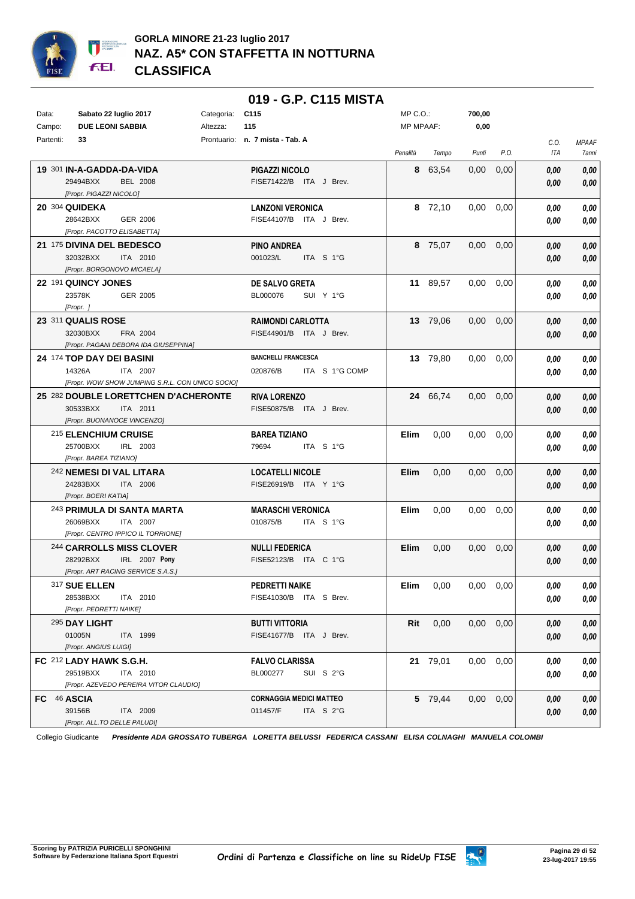

|                                                     | 019 - G.P. C115 MISTA           |                     |                  |                                      |
|-----------------------------------------------------|---------------------------------|---------------------|------------------|--------------------------------------|
| Sabato 22 luglio 2017<br>Data:<br>Categoria:        | C115                            | $MP C. O.$ :        | 700,00           |                                      |
| <b>DUE LEONI SABBIA</b><br>Campo:<br>Altezza:       | 115                             | MP MPAAF:           | 0,00             |                                      |
| Partenti:<br>33                                     | Prontuario: n. 7 mista - Tab. A | Penalità<br>Tempo   | Punti<br>P.O.    | <b>MPAAF</b><br>C.O.<br>ITA<br>7anni |
| 19 301 IN-A-GADDA-DA-VIDA                           | PIGAZZI NICOLO                  | 8 63,54             | 0,00<br>0,00     | 0,00<br>0,00                         |
| 29494BXX<br><b>BEL 2008</b>                         | FISE71422/B ITA J Brev.         |                     |                  | 0,00<br>0,00                         |
| [Propr. PIGAZZI NICOLO]                             |                                 |                     |                  |                                      |
| 20 304 QUIDEKA                                      | <b>LANZONI VERONICA</b>         | 8 72,10             | 0,00<br>0,00     | 0,00<br>0,00                         |
| 28642BXX<br>GER 2006                                | FISE44107/B ITA J Brev.         |                     |                  | 0,00<br>0,00                         |
| [Propr. PACOTTO ELISABETTA]                         |                                 |                     |                  |                                      |
| 21 175 DIVINA DEL BEDESCO                           | <b>PINO ANDREA</b>              | 8 75,07             | 0,00<br>0,00     | 0.00<br>0,00                         |
| 32032BXX<br>ITA 2010                                | 001023/L<br>ITA S 1°G           |                     |                  | 0,00<br>0,00                         |
| [Propr. BORGONOVO MICAELA]                          |                                 |                     |                  |                                      |
| 22 191 QUINCY JONES                                 | DE SALVO GRETA                  | 11 89,57            | 0,00<br>0,00     | 0,00<br>0,00                         |
| 23578K<br>GER 2005                                  | BL000076<br>SUI Y 1°G           |                     |                  | 0,00<br>0,00                         |
| [Propr. ]                                           |                                 |                     |                  |                                      |
| 23 311 QUALIS ROSE                                  | <b>RAIMONDI CARLOTTA</b>        | 13 79,06            | 0,00<br>0,00     | 0,00<br>0,00                         |
| 32030BXX<br>FRA 2004                                | FISE44901/B ITA J Brev.         |                     |                  | 0,00<br>0,00                         |
| [Propr. PAGANI DEBORA IDA GIUSEPPINA]               |                                 |                     |                  |                                      |
| 24 174 TOP DAY DEI BASINI                           | <b>BANCHELLI FRANCESCA</b>      | 13 79.80            | 0,00<br>0,00     | 0,00<br>0,00                         |
| 14326A<br>ITA 2007                                  | 020876/B<br>ITA S 1°G COMP      |                     |                  | 0,00<br>0.00                         |
| [Propr. WOW SHOW JUMPING S.R.L. CON UNICO SOCIO]    |                                 |                     |                  |                                      |
| 25 282 DOUBLE LORETTCHEN D'ACHERONTE                | <b>RIVA LORENZO</b>             | 24 66,74            | 0,00<br>0,00     | $0,\!00$<br>0,00                     |
| 30533BXX<br>ITA 2011<br>[Propr. BUONANOCE VINCENZO] | FISE50875/B ITA J Brev.         |                     |                  | 0,00<br>0,00                         |
| 215 ELENCHIUM CRUISE                                | <b>BAREA TIZIANO</b>            | Elim<br>0,00        | 0,00<br>0,00     |                                      |
| 25700BXX<br>IRL 2003                                | 79694<br>ITA S 1°G              |                     |                  | 0,00<br>0,00                         |
| [Propr. BAREA TIZIANO]                              |                                 |                     |                  | 0,00<br>0,00                         |
| 242 NEMESI DI VAL LITARA                            | <b>LOCATELLI NICOLE</b>         | Elim<br>0,00        | 0,00<br>0,00     | 0,00<br>0,00                         |
| 24283BXX<br>ITA 2006                                | FISE26919/B ITA Y 1°G           |                     |                  | 0,00<br>0,00                         |
| [Propr. BOERI KATIA]                                |                                 |                     |                  |                                      |
| <sup>243</sup> PRIMULA DI SANTA MARTA               | <b>MARASCHI VERONICA</b>        | <b>Elim</b><br>0,00 | 0,00<br>0,00     | 0,00<br>0,00                         |
| 26069BXX<br>ITA 2007                                | 010875/B<br>ITA S 1°G           |                     |                  | 0,00<br>0,00                         |
| [Propr. CENTRO IPPICO IL TORRIONE]                  |                                 |                     |                  |                                      |
| 244 CARROLLS MISS CLOVER                            | <b>NULLI FEDERICA</b>           | Elim<br>0,00        | 0,00<br>0,00     | 0,00<br>0,00                         |
| 28292BXX<br>IRL 2007 Pony                           | FISE52123/B ITA C 1°G           |                     |                  | 0.00<br>0,00                         |
| [Propr. ART RACING SERVICE S.A.S.]                  |                                 |                     |                  |                                      |
| 317 SUE ELLEN                                       | <b>PEDRETTI NAIKE</b>           | Elim<br>0,00        | 0.00<br>0,00     | 0,00<br>0,00                         |
| 28538BXX<br>ITA 2010                                | FISE41030/B ITA S Brev.         |                     |                  | 0,00<br>0,00                         |
| [Propr. PEDRETTI NAIKE]                             |                                 |                     |                  |                                      |
| 295 DAY LIGHT                                       | <b>BUTTI VITTORIA</b>           | Rit<br>0,00         | 0.00<br>0,00     | 0,00<br>0,00                         |
| 01005N<br><b>ITA 1999</b>                           | FISE41677/B ITA J Brev.         |                     |                  | 0,00<br>0,00                         |
| [Propr. ANGIUS LUIGI]                               |                                 |                     |                  |                                      |
| FC 212 LADY HAWK S.G.H.                             | <b>FALVO CLARISSA</b>           | 21 79,01            | $0.00\,$<br>0,00 | 0,00<br>0,00                         |
| 29519BXX<br>ITA 2010                                | BL000277<br>SUI S 2°G           |                     |                  | 0,00<br>0,00                         |
| [Propr. AZEVEDO PEREIRA VITOR CLAUDIO]              |                                 |                     |                  |                                      |
| FC 46 ASCIA                                         | <b>CORNAGGIA MEDICI MATTEO</b>  | 5 79,44             | $0,00$ $0,00$    | 0,00<br>0,00                         |
| 39156B<br>ITA 2009<br>[Propr. ALL.TO DELLE PALUDI]  | 011457/F<br>ITA $S2°G$          |                     |                  | 0,00<br>0,00                         |

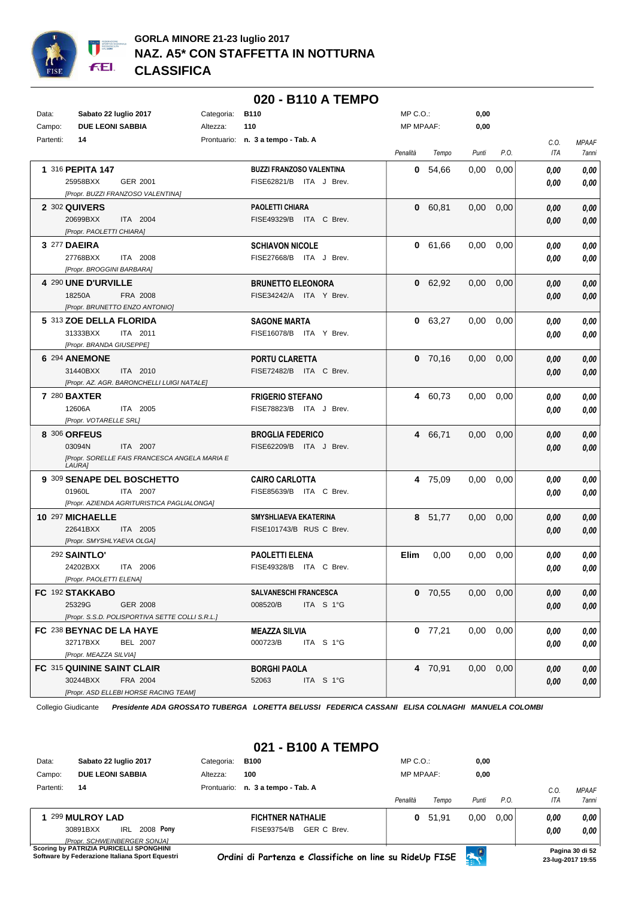

|           |                                                                     |            | 020 - B110 A TEMPO                |                  |           |                   |      |      |              |
|-----------|---------------------------------------------------------------------|------------|-----------------------------------|------------------|-----------|-------------------|------|------|--------------|
| Data:     | Sabato 22 luglio 2017                                               | Categoria: | <b>B110</b>                       | $MP C. O.$ :     |           | 0,00              |      |      |              |
| Campo:    | <b>DUE LEONI SABBIA</b>                                             | Altezza:   | 110                               | <b>MP MPAAF:</b> |           | 0,00              |      |      |              |
| Partenti: | 14                                                                  |            | Prontuario: n. 3 a tempo - Tab. A |                  |           |                   |      | C.0. | <b>MPAAF</b> |
|           |                                                                     |            |                                   | Penalità         | Tempo     | Punti             | P.O. | ITA  | 7anni        |
|           |                                                                     |            | <b>BUZZI FRANZOSO VALENTINA</b>   |                  |           |                   |      |      |              |
|           | 1 316 PEPITA 147                                                    |            |                                   |                  | 0, 54, 66 | 0,00              | 0,00 | 0.00 | 0,00         |
|           | 25958BXX<br>GER 2001                                                |            | FISE62821/B ITA J Brev.           |                  |           |                   |      | 0.00 | 0,00         |
|           | [Propr. BUZZI FRANZOSO VALENTINA]                                   |            |                                   |                  |           |                   |      |      |              |
|           | 2 302 QUIVERS                                                       |            | PAOLETTI CHIARA                   |                  | 0 60.81   | $0.00 \quad 0.00$ |      | 0.00 | 0,00         |
|           | 20699BXX<br>ITA 2004                                                |            | FISE49329/B ITA C Brev.           |                  |           |                   |      | 0.00 | 0,00         |
|           | [Propr. PAOLETTI CHIARA]                                            |            |                                   |                  |           |                   |      |      |              |
|           | 3 277 DAEIRA                                                        |            | <b>SCHIAVON NICOLE</b>            |                  | 0 61,66   | 0.00              | 0,00 | 0.00 | 0,00         |
|           | 27768BXX<br>ITA 2008                                                |            | FISE27668/B ITA J Brev.           |                  |           |                   |      | 0.00 | 0,00         |
|           | [Propr. BROGGINI BARBARA]                                           |            |                                   |                  |           |                   |      |      |              |
|           | 4 290 UNE D'URVILLE                                                 |            | <b>BRUNETTO ELEONORA</b>          |                  | 0 62,92   | 0.00              | 0,00 | 0.00 | 0,00         |
|           | 18250A<br>FRA 2008                                                  |            | FISE34242/A ITA Y Brev.           |                  |           |                   |      | 0.00 | 0,00         |
|           | [Propr. BRUNETTO ENZO ANTONIO]                                      |            |                                   |                  |           |                   |      |      |              |
|           | 5 313 ZOE DELLA FLORIDA                                             |            | <b>SAGONE MARTA</b>               |                  | 0 63,27   | 0,00              | 0,00 | 0.00 | 0,00         |
|           | 31333BXX<br>ITA 2011                                                |            | FISE16078/B ITA Y Brev.           |                  |           |                   |      | 0,00 | 0,00         |
|           | [Propr. BRANDA GIUSEPPE]                                            |            |                                   |                  |           |                   |      |      |              |
|           | 6 294 ANEMONE                                                       |            | PORTU CLARETTA                    |                  | $0$ 70,16 | 0.00              | 0,00 | 0.00 | 0,00         |
|           | 31440BXX<br>ITA 2010                                                |            | FISE72482/B ITA C Brev.           |                  |           |                   |      | 0,00 | 0,00         |
|           | [Propr. AZ. AGR. BARONCHELLI LUIGI NATALE]                          |            |                                   |                  |           |                   |      |      |              |
|           | <b>7 280 BAXTER</b>                                                 |            | <b>FRIGERIO STEFANO</b>           |                  | 4 60,73   | $0.00\,$          | 0,00 | 0.00 | 0,00         |
|           | 12606A<br>ITA 2005                                                  |            | FISE78823/B ITA J Brev.           |                  |           |                   |      | 0.00 | 0,00         |
|           | [Propr. VOTARELLE SRL]                                              |            |                                   |                  |           |                   |      |      |              |
|           | 8 306 ORFEUS                                                        |            | <b>BROGLIA FEDERICO</b>           |                  | 4 66,71   | 0,00              | 0,00 | 0.00 | 0,00         |
|           | 03094N<br>ITA 2007<br>[Propr. SORELLE FAIS FRANCESCA ANGELA MARIA E |            | FISE62209/B ITA J Brev.           |                  |           |                   |      | 0.00 | 0,00         |
|           | LAURA]                                                              |            |                                   |                  |           |                   |      |      |              |
|           | 9 309 SENAPE DEL BOSCHETTO                                          |            | <b>CAIRO CARLOTTA</b>             |                  | 4 75,09   | 0.00              | 0,00 | 0.00 | 0,00         |
|           | 01960L<br>ITA 2007                                                  |            | FISE85639/B ITA C Brev.           |                  |           |                   |      | 0.00 | 0,00         |
|           | [Propr. AZIENDA AGRITURISTICA PAGLIALONGA]                          |            |                                   |                  |           |                   |      |      |              |
|           | 10 297 MICHAELLE                                                    |            | <b>SMYSHLIAEVA EKATERINA</b>      |                  | 8 51,77   | 0,00              | 0,00 | 0.00 | 0,00         |
|           | 22641BXX<br>ITA 2005                                                |            | FISE101743/B RUS C Brev.          |                  |           |                   |      | 0,00 | 0,00         |
|           | [Propr. SMYSHLYAEVA OLGA]                                           |            |                                   |                  |           |                   |      |      |              |
|           | <b>292 SAINTLO'</b>                                                 |            | <b>PAOLETTI ELENA</b>             | Elim             | 0,00      | 0.00              | 0,00 | 0,00 | 0,00         |
|           | 24202BXX<br>ITA 2006                                                |            | FISE49328/B ITA C Brev.           |                  |           |                   |      | 0.00 | 0.00         |
|           | [Propr. PAOLETTI ELENA]                                             |            |                                   |                  |           |                   |      |      |              |
|           | FC 192 STAKKABO                                                     |            | <b>SALVANESCHI FRANCESCA</b>      |                  | $0$ 70,55 | $0,00$ $0,00$     |      | 0,00 | 0,00         |
|           | 25329G<br><b>GER 2008</b>                                           |            | 008520/B<br>ITA S 1°G             |                  |           |                   |      | 0,00 | 0,00         |
|           | [Propr. S.S.D. POLISPORTIVA SETTE COLLI S.R.L.]                     |            |                                   |                  |           |                   |      |      |              |
|           | FC 238 BEYNAC DE LA HAYE                                            |            | <b>MEAZZA SILVIA</b>              |                  | $0$ 77,21 | $0.00 \quad 0.00$ |      | 0.00 | 0,00         |
|           | 32717BXX<br>BEL 2007                                                |            | 000723/B<br>ITA S 1°G             |                  |           |                   |      | 0.00 | 0,00         |
|           | [Propr. MEAZZA SILVIA]                                              |            |                                   |                  |           |                   |      |      |              |
|           | FC 315 QUININE SAINT CLAIR                                          |            | <b>BORGHI PAOLA</b>               |                  | 4 70,91   | $0,00$ $0,00$     |      | 0,00 | 0,00         |
|           | 30244BXX<br>FRA 2004                                                |            | ITA S 1°G<br>52063                |                  |           |                   |      | 0,00 | 0,00         |
|           | [Propr. ASD ELLEBI HORSE RACING TEAM]                               |            |                                   |                  |           |                   |      |      |              |

### **021 - B100 A TEMPO**

| Data:     | Sabato 22 luglio 2017                                                          | Categoria: | <b>B100</b>                       | $MP C. O.$ :     |       | 0,00       |      |      |              |
|-----------|--------------------------------------------------------------------------------|------------|-----------------------------------|------------------|-------|------------|------|------|--------------|
| Campo:    | <b>DUE LEONI SABBIA</b>                                                        | Altezza:   | 100                               | <b>MP MPAAF:</b> |       | 0,00       |      |      |              |
| Partenti: | 14                                                                             |            | Prontuario: n. 3 a tempo - Tab. A |                  |       |            |      | C.O  | <b>MPAAF</b> |
|           |                                                                                |            |                                   | Penalità         | Tempo | Punti      | P.O. | ITA  | 7anni        |
| 1.        | 299 MULROY LAD                                                                 |            | <b>FICHTNER NATHALIE</b>          | 0                | 51.91 | 0.00       | 0.00 | 0.00 | 0.00         |
|           | 2008 Pony<br>30891BXX<br><b>IRL</b>                                            |            | GER C Brev.<br>FISE93754/B        |                  |       |            |      | 0.00 | 0.00         |
|           | <b>IPropr. SCHWEINBERGER SONJAI</b><br>Scoring by PATRIZIA PHRICELLI SPONGHINI |            |                                   |                  |       | <b>CEN</b> |      |      | --------     |

**Schware by Federazione Italiana Sport Equestri**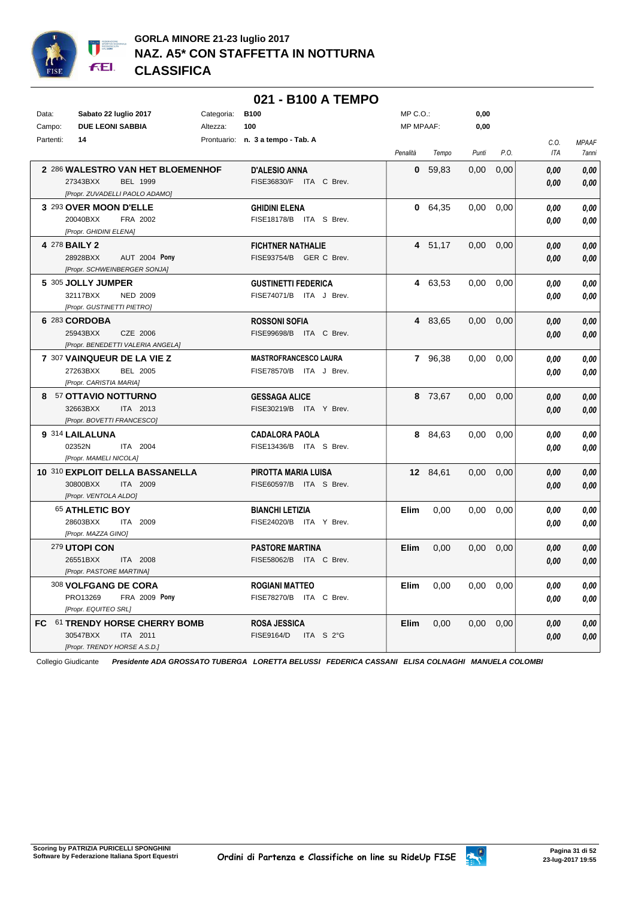

|                                                                                             |            | 021 - B100 A TEMPO                                      |                  |           |                   |      |                    |                       |
|---------------------------------------------------------------------------------------------|------------|---------------------------------------------------------|------------------|-----------|-------------------|------|--------------------|-----------------------|
| Data:<br>Sabato 22 luglio 2017                                                              | Categoria: | <b>B100</b>                                             | MP C.O.:         |           | 0,00              |      |                    |                       |
| Campo:<br><b>DUE LEONI SABBIA</b>                                                           | Altezza:   | 100                                                     | <b>MP MPAAF:</b> |           | 0,00              |      |                    |                       |
| Partenti:<br>14                                                                             |            | Prontuario: n. 3 a tempo - Tab. A                       | Penalità         | Tempo     | Punti             | P.O. | C.O.<br><b>ITA</b> | <b>MPAAF</b><br>7anni |
| 2 286 WALESTRO VAN HET BLOEMENHOF<br>27343BXX<br>BEL 1999<br>[Propr. ZUVADELLI PAOLO ADAMO] |            | <b>D'ALESIO ANNA</b><br>FISE36830/F ITA C Brev.         |                  | 0, 59, 83 | 0,00              | 0,00 | 0.00<br>0,00       | 0.00<br>0,00          |
| 3 293 OVER MOON D'ELLE<br>20040BXX<br>FRA 2002<br>[Propr. GHIDINI ELENA]                    |            | <b>GHIDINI ELENA</b><br>FISE18178/B ITA S Brev.         |                  | 0 64,35   | $0.00\,$          | 0,00 | 0.00<br>0.00       | 0,00<br>0,00          |
| 4 278 <b>BAILY 2</b><br>28928BXX<br>AUT 2004 Pony<br>[Propr. SCHWEINBERGER SONJA]           |            | <b>FICHTNER NATHALIE</b><br>FISE93754/B GER C Brev.     |                  | 4 51,17   | 0,00              | 0,00 | 0.00<br>0,00       | 0,00<br>0,00          |
| 5 305 JOLLY JUMPER<br>32117BXX<br><b>NED 2009</b><br>[Propr. GUSTINETTI PIETRO]             |            | <b>GUSTINETTI FEDERICA</b><br>FISE74071/B ITA J Brev.   |                  | 4 63,53   | 0.00              | 0,00 | 0.00<br>0.00       | 0,00<br>0,00          |
| 6 283 CORDOBA<br>25943BXX<br>CZE 2006<br>[Propr. BENEDETTI VALERIA ANGELA]                  |            | <b>ROSSONI SOFIA</b><br>FISE99698/B ITA C Brev.         |                  | 4 83,65   | $0,00$ $0,00$     |      | 0,00<br>0,00       | 0,00<br>0,00          |
| 7 307 VAINQUEUR DE LA VIE Z<br>27263BXX<br>BEL 2005<br>[Propr. CARISTIA MARIA]              |            | <b>MASTROFRANCESCO LAURA</b><br>FISE78570/B ITA J Brev. |                  | 7 96,38   | $0.00 \quad 0.00$ |      | 0.00<br>0.00       | 0,00<br>0,00          |
| 8 57 OTTAVIO NOTTURNO<br>32663BXX<br>ITA 2013<br>[Propr. BOVETTI FRANCESCO]                 |            | <b>GESSAGA ALICE</b><br>FISE30219/B ITA Y Brev.         |                  | 8 73,67   | $0.00 \quad 0.00$ |      | 0,00<br>0.00       | 0,00<br>0,00          |
| 9 314 LAILALUNA<br>02352N<br>ITA 2004<br>[Propr. MAMELI NICOLA]                             |            | <b>CADALORA PAOLA</b><br>FISE13436/B ITA S Brev.        |                  | 8 84,63   | $0.00\,$          | 0,00 | 0.00<br>0.00       | 0,00<br>0,00          |
| 10 310 EXPLOIT DELLA BASSANELLA<br>30800BXX<br>ITA 2009<br>[Propr. VENTOLA ALDO]            |            | PIROTTA MARIA LUISA<br>FISE60597/B ITA S Brev.          |                  | 12 84,61  | $0.00 \quad 0.00$ |      | 0.00<br>0.00       | 0,00<br>0,00          |
| 65 ATHLETIC BOY<br>28603BXX<br>ITA 2009<br>[Propr. MAZZA GINO]                              |            | <b>BIANCHI LETIZIA</b><br>FISE24020/B ITA Y Brev.       | Elim             | 0,00      | $0.00\,$          | 0,00 | 0.00<br>0,00       | 0,00<br>0,00          |
| 279 UTOPI CON<br>26551BXX<br><b>ITA 2008</b><br>[Propr. PASTORE MARTINA]                    |            | <b>PASTORE MARTINA</b><br>FISE58062/B ITA C Brev.       | <b>Elim</b>      | 0,00      | $0,00$ $0,00$     |      | 0.00<br>0,00       | 0,00<br>0,00          |
| <b>308 VOLFGANG DE CORA</b><br>PRO13269<br>FRA 2009 Pony<br>[Propr. EQUITEO SRL]            |            | <b>ROGIANI MATTEO</b><br>FISE78270/B ITA C Brev.        | Elim             | 0,00      | $0.00 \quad 0.00$ |      | 0.00<br>0,00       | 0,00<br>0,00          |
| FC 61 TRENDY HORSE CHERRY BOMB<br>30547BXX<br>ITA 2011<br>[Propr. TRENDY HORSE A.S.D.]      |            | <b>ROSA JESSICA</b><br>FISE9164/D ITA S 2°G             | <b>Elim</b>      | 0,00      | $0,00$ $0,00$     |      | 0.00<br>0,00       | 0,00<br>0,00          |

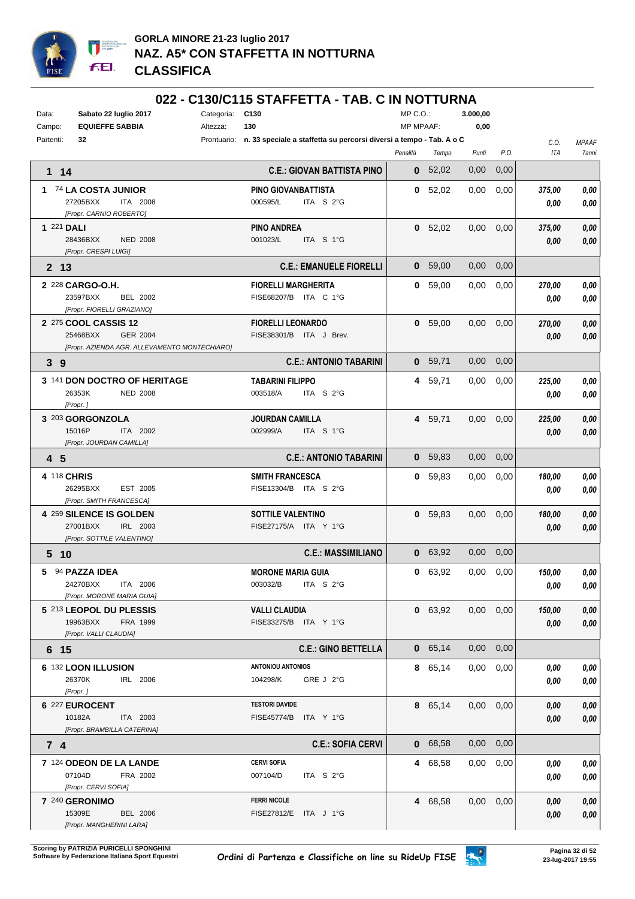

#### **022 - C130/C115 STAFFETTA - TAB. C IN NOTTURNA**

| Data:<br>Campo: | Sabato 22 luglio 2017<br><b>EQUIEFFE SABBIA</b>                                               | Categoria:<br>Altezza: | C <sub>130</sub><br>130                                                         | MP C.O.:<br><b>MP MPAAF:</b> |           | 3.000,00<br>0,00  |      |                    |                       |
|-----------------|-----------------------------------------------------------------------------------------------|------------------------|---------------------------------------------------------------------------------|------------------------------|-----------|-------------------|------|--------------------|-----------------------|
| Partenti:       | 32                                                                                            |                        | Prontuario: n. 33 speciale a staffetta su percorsi diversi a tempo - Tab. A o C | Penalità                     | Tempo     | Punti             | P.O. | C.O.<br><b>ITA</b> | <b>MPAAF</b><br>7anni |
| 1 14            |                                                                                               |                        | <b>C.E.: GIOVAN BATTISTA PINO</b>                                               |                              | 0 52,02   | 0,00              | 0,00 |                    |                       |
|                 | 1 74 LA COSTA JUNIOR<br>27205BXX<br>ITA 2008<br>[Propr. CARNIO ROBERTO]                       |                        | PINO GIOVANBATTISTA<br>ITA S 2°G<br>000595/L                                    |                              | 0, 52,02  | 0,00              | 0,00 | 375,00<br>0,00     | 0.00<br>0,00          |
| 1 221 DALI      | 28436BXX<br><b>NED 2008</b><br>[Propr. CRESPI LUIGI]                                          |                        | <b>PINO ANDREA</b><br>001023/L<br>ITA S 1°G                                     |                              | 0 52,02   | $0,00$ $0,00$     |      | 375,00<br>0,00     | 0,00<br>0,00          |
| 2 13            |                                                                                               |                        | <b>C.E.: EMANUELE FIORELLI</b>                                                  |                              | 0, 59,00  | 0,00              | 0,00 |                    |                       |
|                 | 2 228 CARGO-O.H.<br>23597BXX<br>BEL 2002<br>[Propr. FIORELLI GRAZIANO]                        |                        | <b>FIORELLI MARGHERITA</b><br>FISE68207/B ITA C 1°G                             |                              | 0 59,00   | 0,00              | 0,00 | 270,00<br>0,00     | 0.00<br>0,00          |
|                 | 2 275 COOL CASSIS 12<br>25468BXX<br>GER 2004<br>[Propr. AZIENDA AGR. ALLEVAMENTO MONTECHIARO] |                        | <b>FIORELLI LEONARDO</b><br>FISE38301/B ITA J Brev.                             |                              | 0, 59,00  | $0.00 \quad 0.00$ |      | 270,00<br>0.00     | 0,00<br>0,00          |
| 3 <sub>9</sub>  |                                                                                               |                        | <b>C.E.: ANTONIO TABARINI</b>                                                   |                              | 0 59,71   | $0,00$ $0,00$     |      |                    |                       |
|                 | 3 141 DON DOCTRO OF HERITAGE<br>26353K<br><b>NED 2008</b><br>[Propr.]                         |                        | <b>TABARINI FILIPPO</b><br>003518/A<br>ITA S 2°G                                |                              | 4 59,71   | $0.00\,$          | 0,00 | 225,00<br>0.00     | 0.00<br>0,00          |
|                 | 3 203 GORGONZOLA<br>15016P<br>ITA 2002<br>[Propr. JOURDAN CAMILLA]                            |                        | <b>JOURDAN CAMILLA</b><br>002999/A<br>ITA S 1°G                                 |                              | 4 59,71   | $0,00$ $0,00$     |      | 225,00<br>0.00     | 0,00<br>0,00          |
| 4 5             |                                                                                               |                        | <b>C.E.: ANTONIO TABARINI</b>                                                   |                              | 0 59,83   | $0,00$ $0,00$     |      |                    |                       |
| 4 118 CHRIS     | 26295BXX<br>EST 2005<br>[Propr. SMITH FRANCESCA]                                              |                        | <b>SMITH FRANCESCA</b><br>FISE13304/B ITA S 2°G                                 |                              | 0, 59, 83 | $0.00\,$          | 0,00 | 180,00<br>0.00     | 0.00<br>0,00          |
|                 | 4 259 SILENCE IS GOLDEN<br>27001BXX<br>IRL 2003<br>[Propr. SOTTILE VALENTINO]                 |                        | <b>SOTTILE VALENTINO</b><br>FISE27175/A ITA Y 1°G                               |                              | 0, 59, 83 | $0,00$ $0,00$     |      | 180,00<br>0,00     | 0,00<br>0,00          |
| 5 <sub>10</sub> |                                                                                               |                        | <b>C.E.: MASSIMILIANO</b>                                                       |                              | 0 63,92   | $0,00$ $0,00$     |      |                    |                       |
|                 | 5 94 PAZZA IDEA<br>24270BXX<br>ITA 2006<br>[Propr. MORONE MARIA GUIA]                         |                        | <b>MORONE MARIA GUIA</b><br>003032/B ITA S 2°G                                  |                              | 0 63,92   | 0,00              | 0,00 | 150,00<br>0,00     | 0,00<br>0,00          |
|                 | 5 213 LEOPOL DU PLESSIS<br>19963BXX<br>FRA 1999<br>[Propr. VALLI CLAUDIA]                     |                        | <b>VALLI CLAUDIA</b><br>FISE33275/B ITA Y 1°G                                   |                              | 0 63,92   | $0,00$ $0,00$     |      | 150,00<br>0.00     | 0,00<br>0,00          |
| 6 15            |                                                                                               |                        | <b>C.E.: GINO BETTELLA</b>                                                      |                              | 0 65,14   | $0,00$ $0,00$     |      |                    |                       |
|                 | 6 132 LOON ILLUSION<br>26370K<br>IRL 2006<br>[Propr.]                                         |                        | <b>ANTONIOU ANTONIOS</b><br>104298/K<br>GRE J 2°G                               |                              | 8 65,14   | $0,00$ $0,00$     |      | 0,00<br>0.00       | 0,00<br>0,00          |
|                 | 6 227 EUROCENT<br>10182A<br>ITA 2003<br>[Propr. BRAMBILLA CATERINA]                           |                        | <b>TESTORI DAVIDE</b><br>FISE45774/B ITA Y 1°G                                  |                              | 8 65,14   | $0,00$ $0,00$     |      | 0,00<br>0.00       | 0,00<br>0,00          |
| 74              |                                                                                               |                        | <b>C.E.: SOFIA CERVI</b>                                                        |                              | 0 68,58   | $0,00$ $0,00$     |      |                    |                       |
|                 | 7 124 ODEON DE LA LANDE<br>07104D<br>FRA 2002<br>[Propr. CERVI SOFIA]                         |                        | <b>CERVI SOFIA</b><br>007104/D<br>ITA S 2°G                                     |                              | 4 68,58   | $0,00$ $0,00$     |      | 0,00<br>0.00       | 0,00<br>0,00          |
|                 | 7 240 GERONIMO<br>15309E<br><b>BEL 2006</b><br>[Propr. MANGHERINI LARA]                       |                        | <b>FERRI NICOLE</b><br>FISE27812/E ITA J 1°G                                    |                              | 4 68,58   | $0,00$ $0,00$     |      | 0,00<br>0,00       | 0,00<br>0,00          |

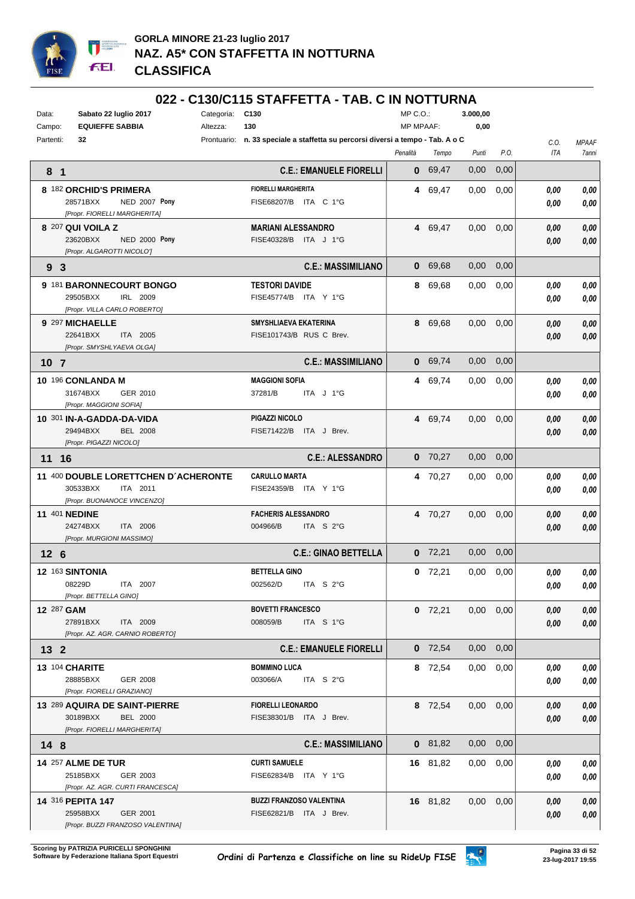

#### **022 - C130/C115 STAFFETTA - TAB. C IN NOTTURNA**

| Sabato 22 luglio 2017<br>Data:<br><b>EQUIEFFE SABBIA</b><br>Campo:                  | Categoria: C130<br>130<br>Altezza:                                              | $MP C. O.$ :<br><b>MP MPAAF:</b> |           | 3.000.00<br>0,00 |      |              |              |
|-------------------------------------------------------------------------------------|---------------------------------------------------------------------------------|----------------------------------|-----------|------------------|------|--------------|--------------|
| Partenti:<br>32                                                                     | Prontuario: n. 33 speciale a staffetta su percorsi diversi a tempo - Tab. A o C |                                  |           |                  |      | C.O.         | <b>MPAAF</b> |
|                                                                                     |                                                                                 | Penalità                         | Tempo     | Punti            | P.O. | ITA          | 7anni        |
| 8 <sub>1</sub>                                                                      | <b>C.E.: EMANUELE FIORELLI</b>                                                  |                                  | 0 69,47   | 0,00             | 0,00 |              |              |
| 8 182 ORCHID'S PRIMERA<br>28571BXX<br><b>NED 2007 Pony</b>                          | <b>FIORELLI MARGHERITA</b><br>FISE68207/B ITA C 1°G                             |                                  | 4 69,47   | 0,00             | 0,00 | 0.00<br>0.00 | 0.00<br>0,00 |
| [Propr. FIORELLI MARGHERITA]                                                        |                                                                                 |                                  |           |                  |      |              |              |
| 8 207 QUI VOILA Z<br>23620BXX<br><b>NED 2000 Pony</b><br>[Propr. ALGAROTTI NICOLO'] | <b>MARIANI ALESSANDRO</b><br>FISE40328/B ITA J 1°G                              |                                  | 4 69,47   | 0,00             | 0,00 | 0,00<br>0,00 | 0,00<br>0,00 |
| 9 <sub>3</sub>                                                                      | <b>C.E.: MASSIMILIANO</b>                                                       |                                  | 0 69,68   | 0,00             | 0,00 |              |              |
| 9 181 BARONNECOURT BONGO                                                            | <b>TESTORI DAVIDE</b>                                                           |                                  | 8 69,68   | 0,00             | 0,00 | 0.00         | 0,00         |
| 29505BXX<br>IRL 2009<br>[Propr. VILLA CARLO ROBERTO]                                | FISE45774/B ITA Y 1°G                                                           |                                  |           |                  |      | 0.00         | 0,00         |
| 9 297 MICHAELLE                                                                     | SMYSHLIAEVA EKATERINA                                                           |                                  | 8 69,68   | $0.00\,$         | 0,00 | 0,00         | 0,00         |
| 22641BXX<br>ITA 2005<br>[Propr. SMYSHLYAEVA OLGA]                                   | FISE101743/B RUS C Brev.                                                        |                                  |           |                  |      | 0,00         | 0,00         |
| 10 <sub>7</sub>                                                                     | <b>C.E.: MASSIMILIANO</b>                                                       |                                  | 0 69,74   | 0,00             | 0,00 |              |              |
| 10 196 CONLANDA M                                                                   | <b>MAGGIONI SOFIA</b>                                                           |                                  | 4 69,74   | 0,00             | 0,00 | 0,00         | 0,00         |
| 31674BXX<br>GER 2010<br>[Propr. MAGGIONI SOFIA]                                     | 37281/B<br>ITA J 1°G                                                            |                                  |           |                  |      | 0.00         | 0,00         |
| 10 301 IN-A-GADDA-DA-VIDA                                                           | PIGAZZI NICOLO                                                                  |                                  | 4 69,74   | 0,00             | 0,00 | 0.00         | 0,00         |
| 29494BXX<br><b>BEL 2008</b><br>[Propr. PIGAZZI NICOLO]                              | FISE71422/B ITA J Brev.                                                         |                                  |           |                  |      | 0,00         | 0,00         |
| 11 16                                                                               | <b>C.E.: ALESSANDRO</b>                                                         |                                  | $0$ 70,27 | 0,00             | 0,00 |              |              |
| 11 400 DOUBLE LORETTCHEN D'ACHERONTE                                                | <b>CARULLO MARTA</b>                                                            |                                  | 4 70,27   | 0,00             | 0,00 | 0,00         | 0,00         |
| 30533BXX<br>ITA 2011<br>[Propr. BUONANOCE VINCENZO]                                 | FISE24359/B ITA Y 1°G                                                           |                                  |           |                  |      | 0.00         | 0,00         |
| <b>11 401 NEDINE</b>                                                                | <b>FACHERIS ALESSANDRO</b>                                                      |                                  | 4 70,27   | 0,00             | 0,00 | 0,00         | 0,00         |
| 24274BXX<br>ITA 2006<br>[Propr. MURGIONI MASSIMO]                                   | 004966/B<br>ITA S 2°G                                                           |                                  |           |                  |      | 0,00         | 0,00         |
| 12 <sub>6</sub>                                                                     | <b>C.E.: GINAO BETTELLA</b>                                                     |                                  | $0$ 72,21 | 0,00             | 0,00 |              |              |
| 12 163 SINTONIA                                                                     | <b>BETTELLA GINO</b>                                                            |                                  | $0$ 72,21 | 0,00             | 0,00 | 0.00         | 0,00         |
| 08229D<br>ITA 2007                                                                  | 002562/D<br>ITA S 2°G                                                           |                                  |           |                  |      | 0,00         | 0,00         |
| [Propr. BETTELLA GINO]                                                              |                                                                                 |                                  |           |                  |      |              |              |
| 12 287 GAM<br>27891BXX<br>ITA 2009                                                  | <b>BOVETTI FRANCESCO</b><br>008059/B<br>ITA S 1°G                               |                                  | $0$ 72,21 | $0,00$ $0,00$    |      | 0,00         | 0,00         |
| [Propr. AZ. AGR. CARNIO ROBERTO]                                                    |                                                                                 |                                  |           |                  |      | 0,00         | 0,00         |
| $132$                                                                               | <b>C.E.: EMANUELE FIORELLI</b>                                                  |                                  | $0$ 72,54 | 0,00             | 0,00 |              |              |
| 13 104 CHARITE                                                                      | <b>BOMMINO LUCA</b>                                                             |                                  | 8 72,54   | 0,00             | 0,00 | 0,00         | 0,00         |
| 28885BXX<br>GER 2008                                                                | 003066/A<br>ITA $S$ 2°G                                                         |                                  |           |                  |      | 0.00         | 0,00         |
| [Propr. FIORELLI GRAZIANO]                                                          |                                                                                 |                                  |           |                  |      |              |              |
| 13 289 AQUIRA DE SAINT-PIERRE<br>30189BXX<br><b>BEL 2000</b>                        | <b>FIORELLI LEONARDO</b><br>FISE38301/B ITA J Brev.                             |                                  | 8 72,54   | 0,00             | 0,00 | 0,00<br>0,00 | 0,00<br>0,00 |
| [Propr. FIORELLI MARGHERITA]                                                        |                                                                                 |                                  |           |                  |      |              |              |
| 14 <sub>8</sub>                                                                     | <b>C.E.: MASSIMILIANO</b>                                                       |                                  | $0$ 81,82 | $0,00$ $0,00$    |      |              |              |
| <b>14 257 ALME DE TUR</b>                                                           | <b>CURTI SAMUELE</b>                                                            |                                  | 16 81,82  | $0.00\,$         | 0,00 | 0,00         | 0,00         |
| 25185BXX<br>GER 2003<br>[Propr. AZ. AGR. CURTI FRANCESCA]                           | FISE62834/B ITA Y 1°G                                                           |                                  |           |                  |      | 0.00         | 0,00         |
| 14 316 PEPITA 147                                                                   | <b>BUZZI FRANZOSO VALENTINA</b>                                                 |                                  | 16 81,82  | $0,00$ $0,00$    |      | 0,00         | 0,00         |
| 25958BXX<br>GER 2001                                                                | FISE62821/B ITA J Brev.                                                         |                                  |           |                  |      | 0.00         | 0,00         |
| [Propr. BUZZI FRANZOSO VALENTINA]                                                   |                                                                                 |                                  |           |                  |      |              |              |

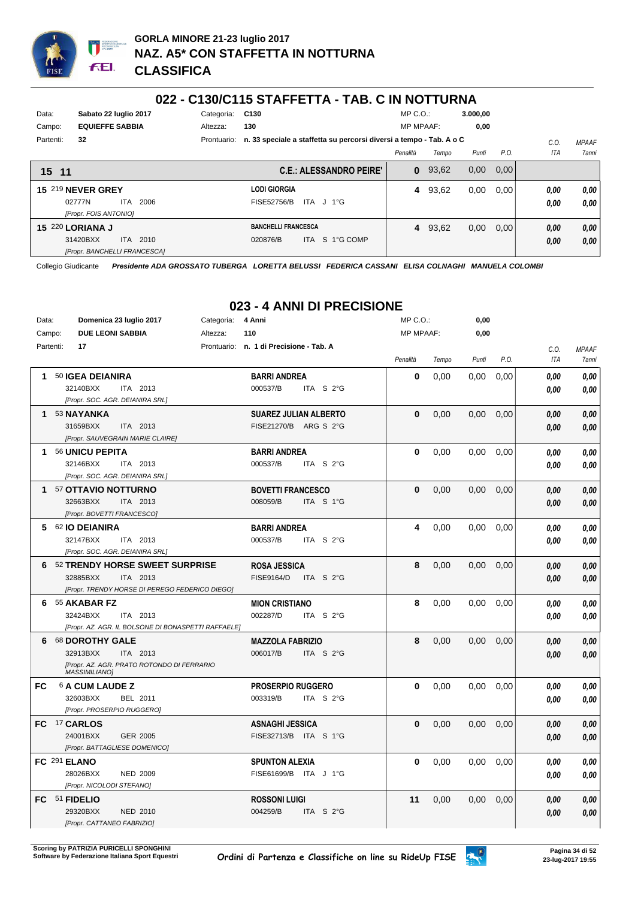

#### **022 - C130/C115 STAFFETTA - TAB. C IN NOTTURNA**

| Data:     | Sabato 22 Iuglio 2017  | Categoria: C130   |     |
|-----------|------------------------|-------------------|-----|
| Campo:    | <b>EQUIEFFE SABBIA</b> | Altezza:          | 130 |
| Partenti: | 32                     | Prontuario: n. 33 |     |

**BANCHELLI FRANCESCA**

MP C.O.: **3.000,00**

**4** 93,62 0,00 0,00 *0,00*

*0,00*

*0,00*

*0,00*

| Campo:    | <b>EQUIEFFE SABBIA</b>             |      |      | Altezza: | 130                                |                                                                                 | <b>MP MPAAF:</b> |           | 0.00  |       |              |              |
|-----------|------------------------------------|------|------|----------|------------------------------------|---------------------------------------------------------------------------------|------------------|-----------|-------|-------|--------------|--------------|
| Partenti: | 32                                 |      |      |          |                                    | Prontuario: n. 33 speciale a staffetta su percorsi diversi a tempo - Tab. A o C |                  |           |       |       | C.O.         | <b>MPAAF</b> |
|           |                                    |      |      |          |                                    |                                                                                 | Penalità         | Tempo     | Punti | P.O.  | ITA          | 7ann         |
| 15 11     |                                    |      |      |          |                                    | <b>C.E.: ALESSANDRO PEIRE'</b>                                                  |                  | $0$ 93,62 | 0,00  | 0,00  |              |              |
|           | <b>15 219 NEVER GREY</b><br>02777N | ITA. | 2006 |          | <b>LODI GIORGIA</b><br>FISE52756/B | ITA J 1°G                                                                       |                  | 4 93.62   | 0.00  | 0.001 | 0.00<br>0,00 | 0.00<br>0.00 |

*[Propr. FOIS ANTONIO]* **15** 220 **LORIANA J** ITA 2010 *[Propr. BANCHELLI FRANCESCA]* 31420BXX ITA 2010 020876/B ITA S 1°G COMP <mark>0,00 0,00</mark>

Collegio Giudicante *Presidente ADA GROSSATO TUBERGA LORETTA BELUSSI FEDERICA CASSANI ELISA COLNAGHI MANUELA COLOMBI*

| Data:<br>Campo: | Domenica 23 luglio 2017<br><b>DUE LEONI SABBIA</b> |                                                     | Categoria:<br>Altezza: | 4 Anni<br>110                           |           | $MP C. O.$ :<br><b>MP MPAAF:</b> |       | 0,00<br>0,00 |      |             |                              |
|-----------------|----------------------------------------------------|-----------------------------------------------------|------------------------|-----------------------------------------|-----------|----------------------------------|-------|--------------|------|-------------|------------------------------|
|                 | 17                                                 |                                                     |                        |                                         |           |                                  |       |              |      |             |                              |
| Partenti:       |                                                    |                                                     |                        | Prontuario: n. 1 di Precisione - Tab. A |           | Penalità                         | Tempo | Punti        | P.O. | C.O.<br>ITA | <b>MPAAF</b><br><b>7anni</b> |
|                 |                                                    |                                                     |                        |                                         |           |                                  |       |              |      |             |                              |
|                 | 1 50 IGEA DEIANIRA                                 |                                                     |                        | <b>BARRI ANDREA</b>                     |           | $\bf{0}$                         | 0,00  | 0,00         | 0,00 | 0.00        | 0.00                         |
|                 | 32140BXX                                           | ITA 2013                                            |                        | 000537/B                                | ITA S 2°G |                                  |       |              |      | 0.00        | 0,00                         |
|                 | [Propr. SOC. AGR. DEIANIRA SRL]                    |                                                     |                        |                                         |           |                                  |       |              |      |             |                              |
|                 | 1 53 NAYANKA                                       |                                                     |                        | <b>SUAREZ JULIAN ALBERTO</b>            |           | $\bf{0}$                         | 0.00  | 0.00         | 0,00 | 0,00        | 0.00                         |
|                 | 31659BXX                                           | ITA 2013                                            |                        | FISE21270/B ARG S 2°G                   |           |                                  |       |              |      | 0.00        | 0.00                         |
|                 | [Propr. SAUVEGRAIN MARIE CLAIRE]                   |                                                     |                        |                                         |           |                                  |       |              |      |             |                              |
|                 | 1 56 UNICU PEPITA                                  |                                                     |                        | <b>BARRI ANDREA</b>                     |           | 0                                | 0,00  | 0,00         | 0,00 | 0.00        | 0.00                         |
|                 | 32146BXX                                           | ITA 2013                                            |                        | 000537/B                                | ITA S 2°G |                                  |       |              |      | 0.00        | 0.00                         |
|                 | [Propr. SOC. AGR. DEIANIRA SRL]                    |                                                     |                        |                                         |           |                                  |       |              |      |             |                              |
|                 | 1 57 OTTAVIO NOTTURNO                              |                                                     |                        | <b>BOVETTI FRANCESCO</b>                |           | 0                                | 0.00  | 0,00         | 0,00 | 0,00        | 0.00                         |
|                 | 32663BXX                                           | ITA 2013                                            |                        | 008059/B                                | ITA S 1°G |                                  |       |              |      | 0.00        | 0,00                         |
|                 | [Propr. BOVETTI FRANCESCO]                         |                                                     |                        |                                         |           |                                  |       |              |      |             |                              |
|                 | 5 62 IO DEIANIRA                                   |                                                     |                        | <b>BARRI ANDREA</b>                     |           | 4                                | 0,00  | 0,00         | 0,00 | 0.00        | 0.00                         |
|                 | 32147BXX                                           | ITA 2013                                            |                        | 000537/B                                | ITA S 2°G |                                  |       |              |      | 0.00        | 0.00                         |
|                 | [Propr. SOC. AGR. DEIANIRA SRL]                    |                                                     |                        |                                         |           |                                  |       |              |      |             |                              |
|                 | 6 52 TRENDY HORSE SWEET SURPRISE                   |                                                     |                        | <b>ROSA JESSICA</b>                     |           | 8                                | 0,00  | 0,00         | 0,00 | 0,00        | 0,00                         |
|                 | 32885BXX                                           | ITA 2013                                            |                        | <b>FISE9164/D</b>                       | ITA S 2°G |                                  |       |              |      | 0,00        | 0.00                         |
|                 |                                                    | [Propr. TRENDY HORSE DI PEREGO FEDERICO DIEGO]      |                        |                                         |           |                                  |       |              |      |             |                              |
|                 | 6 55 AKABAR FZ                                     |                                                     |                        | <b>MION CRISTIANO</b>                   |           | 8                                | 0.00  | 0,00         | 0,00 | 0.00        | 0.00                         |
|                 | 32424BXX                                           | ITA 2013                                            |                        | 002287/D                                | ITA S 2°G |                                  |       |              |      | 0.00        | 0.00                         |
|                 |                                                    | [Propr. AZ. AGR. IL BOLSONE DI BONASPETTI RAFFAELE] |                        |                                         |           |                                  |       |              |      |             |                              |
|                 | 6 68 DOROTHY GALE                                  |                                                     |                        | <b>MAZZOLA FABRIZIO</b>                 |           | 8                                | 0.00  | 0.00         | 0,00 | 0,00        | 0.00                         |
|                 | 32913BXX                                           | ITA 2013                                            |                        | 006017/B                                | ITA S 2°G |                                  |       |              |      | 0.00        | 0,00                         |
|                 | <b>MASSIMILIANO]</b>                               | [Propr. AZ. AGR. PRATO ROTONDO DI FERRARIO          |                        |                                         |           |                                  |       |              |      |             |                              |
| FC.             | <b>6 A CUM LAUDE Z</b>                             |                                                     |                        | <b>PROSERPIO RUGGERO</b>                |           | $\bf{0}$                         | 0,00  | 0,00         | 0,00 | 0.00        | 0,00                         |
|                 | 32603BXX                                           | BEL 2011                                            |                        | 003319/B                                | ITA $S2G$ |                                  |       |              |      | 0.00        | 0.00                         |
|                 | [Propr. PROSERPIO RUGGERO]                         |                                                     |                        |                                         |           |                                  |       |              |      |             |                              |
|                 | FC 17 CARLOS                                       |                                                     |                        | <b>ASNAGHI JESSICA</b>                  |           | 0                                | 0,00  | 0,00         | 0,00 | 0,00        | 0,00                         |
|                 | 24001BXX                                           | GER 2005                                            |                        | FISE32713/B ITA S 1°G                   |           |                                  |       |              |      | 0.00        | 0.00                         |
|                 | [Propr. BATTAGLIESE DOMENICO]                      |                                                     |                        |                                         |           |                                  |       |              |      |             |                              |
|                 | FC 291 ELANO                                       |                                                     |                        | <b>SPUNTON ALEXIA</b>                   |           | 0                                | 0,00  | 0,00         | 0,00 | 0,00        | 0,00                         |
|                 | 28026BXX                                           | <b>NED 2009</b>                                     |                        | FISE61699/B ITA J 1°G                   |           |                                  |       |              |      | 0.00        | 0.00                         |
|                 | [Propr. NICOLODI STEFANO]                          |                                                     |                        |                                         |           |                                  |       |              |      |             |                              |
|                 | FC 51 FIDELIO                                      |                                                     |                        | <b>ROSSONI LUIGI</b>                    |           | 11                               | 0,00  | 0,00         | 0,00 | 0.00        | 0,00                         |
|                 | 29320BXX                                           | <b>NED 2010</b>                                     |                        | 004259/B                                | ITA S 2°G |                                  |       |              |      | 0.00        | 0.00                         |
|                 | [Propr. CATTANEO FABRIZIO]                         |                                                     |                        |                                         |           |                                  |       |              |      |             |                              |

### **023 - 4 ANNI DI PRECISIONE**

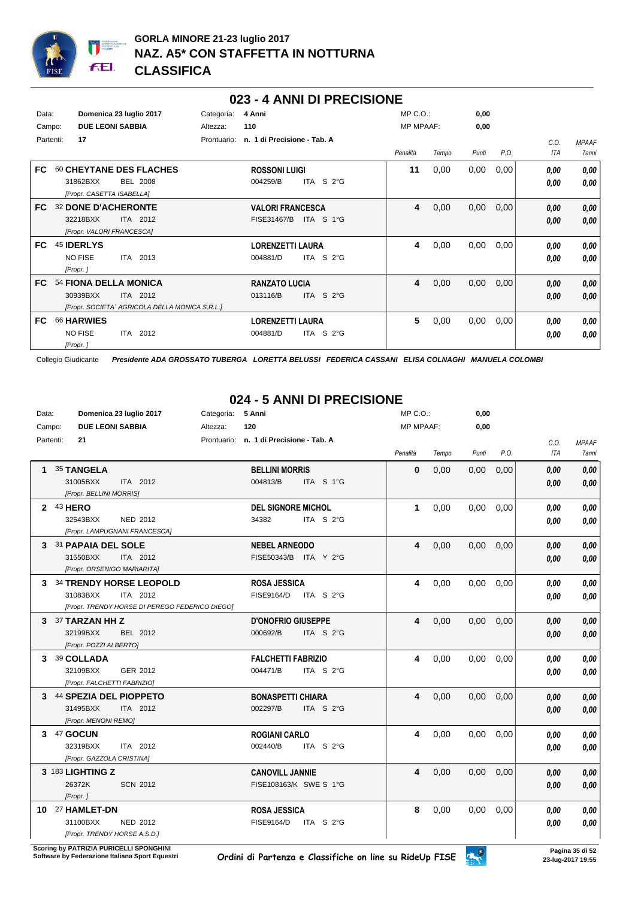

#### **023 - 4 ANNI DI PRECISIONE**

| Data:<br>Campo: | <b>DUE LEONI SABBIA</b>                                             | Domenica 23 luglio 2017                                    | Categoria:<br>Altezza: | 4 Anni<br>110                          |                          | MP C.O.:<br><b>MP MPAAF:</b> |       | 0,00<br>0,00 |      |              |                       |
|-----------------|---------------------------------------------------------------------|------------------------------------------------------------|------------------------|----------------------------------------|--------------------------|------------------------------|-------|--------------|------|--------------|-----------------------|
| Partenti:       | 17                                                                  |                                                            | Prontuario:            | n. 1 di Precisione - Tab. A            |                          | Penalità                     | Tempo | Punti        | P.O. | C.0.<br>ITA  | <b>MPAAF</b><br>7anni |
| FC.             | 31862BXX<br>[Propr. CASETTA ISABELLA]                               | 60 CHEYTANE DES FLACHES<br><b>BEL 2008</b>                 |                        | <b>ROSSONI LUIGI</b><br>004259/B       | ITA $S2°G$               | 11                           | 0,00  | 0,00         | 0,00 | 0.00<br>0,00 | 0,00<br>0,00          |
| FC.             | <b>32 DONE D'ACHERONTE</b><br>32218BXX<br>[Propr. VALORI FRANCESCA] | ITA 2012                                                   |                        | <b>VALORI FRANCESCA</b><br>FISE31467/B | ITA S 1°G                | 4                            | 0,00  | 0,00         | 0,00 | 0,00<br>0,00 | 0,00<br>0,00          |
| FC.             | 45 IDERLYS<br><b>NO FISE</b><br>[Propr.]                            | ITA 2013                                                   |                        | <b>LORENZETTI LAURA</b><br>004881/D    | S <sub>2</sub> °G<br>ITA | 4                            | 0,00  | 0,00         | 0,00 | 0.00<br>0.00 | 0,00<br>0.00          |
| FC.             | 54 FIONA DELLA MONICA<br>30939BXX                                   | ITA 2012<br>[Propr. SOCIETA' AGRICOLA DELLA MONICA S.R.L.] |                        | <b>RANZATO LUCIA</b><br>013116/B       | ITA S $2^{\circ}$ G      | 4                            | 0,00  | 0,00         | 0,00 | 0,00<br>0,00 | 0,00<br>0,00          |
| FC.             | 66 HARWIES<br><b>NO FISE</b><br>[Propr.]                            | ITA 2012                                                   |                        | <b>LORENZETTI LAURA</b><br>004881/D    | ITA S $2^{\circ}$ G      | 5                            | 0,00  | 0,00         | 0,00 | 0.00<br>0,00 | 0,00<br>0,00          |

Collegio Giudicante *Presidente ADA GROSSATO TUBERGA LORETTA BELUSSI FEDERICA CASSANI ELISA COLNAGHI MANUELA COLOMBI*

### **024 - 5 ANNI DI PRECISIONE**

| Data:     | Domenica 23 luglio 2017                        | Categoria:<br>5 Anni                     | MP C. O.         |       | 0,00  |      |            |              |
|-----------|------------------------------------------------|------------------------------------------|------------------|-------|-------|------|------------|--------------|
| Campo:    | <b>DUE LEONI SABBIA</b>                        | 120<br>Altezza:                          | <b>MP MPAAF:</b> |       | 0,00  |      |            |              |
| Partenti: | 21                                             | Prontuario: n. 1 di Precisione - Tab. A  |                  |       |       |      | C.O.       | <b>MPAAF</b> |
|           |                                                |                                          | Penalità         | Tempo | Punti | P.O. | <b>ITA</b> | 7anni        |
|           | <b>35 TANGELA</b>                              | <b>BELLINI MORRIS</b>                    | $\bf{0}$         | 0.00  | 0,00  | 0,00 | 0.00       | 0.00         |
|           | 31005BXX<br>ITA 2012                           | 004813/B<br>ITA S 1°G                    |                  |       |       |      | 0.00       | 0.00         |
|           | [Propr. BELLINI MORRIS]                        |                                          |                  |       |       |      |            |              |
| 2 43 HERO |                                                | <b>DEL SIGNORE MICHOL</b>                | $\mathbf{1}$     | 0,00  | 0,00  | 0,00 | 0.00       | 0,00         |
|           | 32543BXX<br><b>NED 2012</b>                    | 34382<br>ITA S 2°G                       |                  |       |       |      | 0.00       | 0,00         |
|           | [Propr. LAMPUGNANI FRANCESCA]                  |                                          |                  |       |       |      |            |              |
|           | 3 31 PAPAIA DEL SOLE                           | <b>NEBEL ARNEODO</b>                     | 4                | 0,00  | 0,00  | 0,00 | 0.00       | 0.00         |
|           | 31550BXX<br>ITA 2012                           | FISE50343/B ITA Y 2°G                    |                  |       |       |      | 0.00       | 0.00         |
|           | [Propr. ORSENIGO MARIARITA]                    |                                          |                  |       |       |      |            |              |
| 3         | 34 TRENDY HORSE LEOPOLD                        | <b>ROSA JESSICA</b>                      | 4                | 0,00  | 0,00  | 0,00 | 0.00       | 0,00         |
|           | 31083BXX<br>ITA 2012                           | <b>FISE9164/D</b><br>ITA S $2^{\circ}$ G |                  |       |       |      | 0,00       | 0.00         |
|           | [Propr. TRENDY HORSE DI PEREGO FEDERICO DIEGO] |                                          |                  |       |       |      |            |              |
|           | 3 37 TARZAN HH Z                               | <b>D'ONOFRIO GIUSEPPE</b>                | 4                | 0,00  | 0,00  | 0,00 | 0.00       | 0,00         |
|           | 32199BXX<br>BEL 2012                           | ITA S 2°G<br>000692/B                    |                  |       |       |      | 0.00       | 0,00         |
|           | [Propr. POZZI ALBERTO]                         |                                          |                  |       |       |      |            |              |
| 3         | 39 COLLADA                                     | <b>FALCHETTI FABRIZIO</b>                | 4                | 0.00  | 0.00  | 0.00 | 0.00       | 0.00         |
|           | 32109BXX<br>GER 2012                           | 004471/B<br>ITA S 2°G                    |                  |       |       |      | 0.00       | 0.00         |
|           | [Propr. FALCHETTI FABRIZIO]                    |                                          |                  |       |       |      |            |              |
| 3         | 44 SPEZIA DEL PIOPPETO                         | <b>BONASPETTI CHIARA</b>                 | 4                | 0,00  | 0,00  | 0,00 | 0.00       | 0,00         |
|           | 31495BXX<br>ITA 2012                           | 002297/B<br>ITA S 2°G                    |                  |       |       |      | 0.00       | 0.00         |
|           | [Propr. MENONI REMO]                           |                                          |                  |       |       |      |            |              |
| 3         | 47 GOCUN                                       | <b>ROGIANI CARLO</b>                     | 4                | 0,00  | 0,00  | 0,00 | 0.00       | 0,00         |
|           | 32319BXX<br>ITA 2012                           | 002440/B<br>ITA S 2°G                    |                  |       |       |      | 0,00       | 0,00         |
|           | [Propr. GAZZOLA CRISTINA]                      |                                          |                  |       |       |      |            |              |
|           | 3 183 LIGHTING Z                               | <b>CANOVILL JANNIE</b>                   | 4                | 0,00  | 0.00  | 0,00 | 0.00       | 0.00         |
|           | 26372K<br><b>SCN 2012</b>                      | FISE108163/K SWE S 1°G                   |                  |       |       |      | 0.00       | 0.00         |
|           | [Propr.]                                       |                                          |                  |       |       |      |            |              |
|           | 10 27 HAMLET-DN                                | <b>ROSA JESSICA</b>                      | 8                | 0,00  | 0,00  | 0,00 | 0.00       | 0.00         |
|           | 31100BXX<br>NED 2012                           | FISE9164/D<br>ITA S 2°G                  |                  |       |       |      | 0.00       | 0,00         |
|           | [Propr. TRENDY HORSE A.S.D.]                   |                                          |                  |       |       |      |            |              |

**Scoring by PATRIZIA PURICELLI SPONGHINI<br>Software by Federazione Italiana Sport Equestri**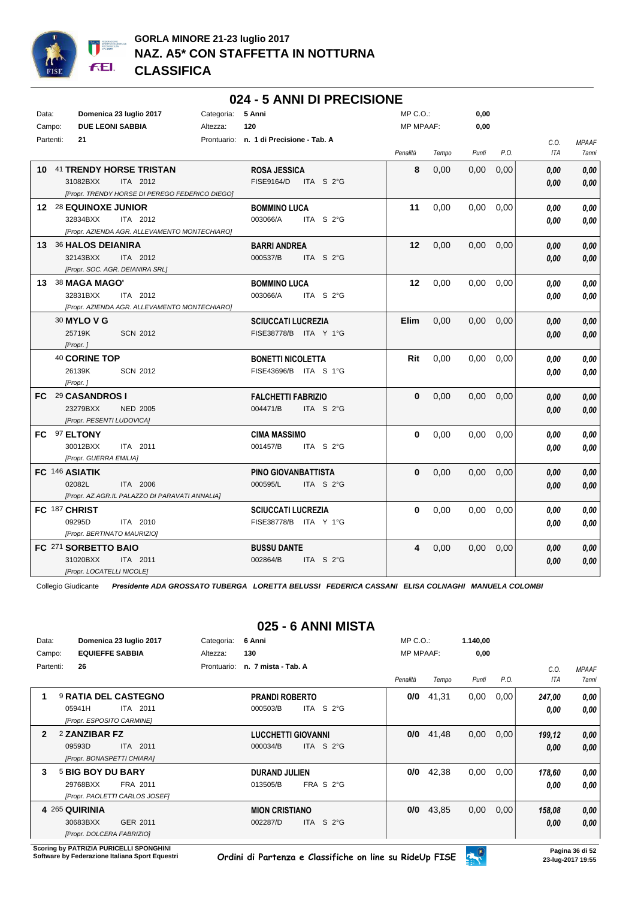

#### Data: **Domenica 23 luglio 2017** Categoria: 5 Anni Prontuario: **n. 1 di Precisione - Tab. A** Campo: **DUE LEONI SABBIA** Partenti: **21** Altezza: **120** MP C.O.: MP MPAAF: **0,00 0,00** *Penalità Tempo Punti P.O. C.O. ITA MPAAF 7anni* **10** 41 **TRENDY HORSE TRISTAN** ITA 2012 **ROSA JESSICA** *[Propr. TRENDY HORSE DI PEREGO FEDERICO DIEGO]* 31082BXX ITA 2012 FISE9164/D ITA S 2°G <mark>0,00 0,00</mark> **8** 0,00 0,00 0,00 *0,00 0,00 0,00* **12** 28 **EQUINOXE JUNIOR** ITA 2012 **BOMMINO LUCA** *[Propr. AZIENDA AGR. ALLEVAMENTO MONTECHIARO]* ITA S 2°G **11** 0,00 0,00 0,00 *0,00 0,00 0,00* 32834BXX 003066/A *0,00* **13** 36 **HALOS DEIANIRA** ITA 2012 **BARRI ANDREA** *[Propr. SOC. AGR. DEIANIRA SRL]* ITA S 2°G **12** 0,00 0,00 0,00 *0,00 0,00 0,00* 32143BXX 000537/B *0,00* **13** 38 **MAGA MAGO'** ITA 2012 **BOMMINO LUCA** *[Propr. AZIENDA AGR. ALLEVAMENTO MONTECHIARO]* ITA S 2°G **12** 0,00 0,00 0,00 *0,00 0,00 0,00* 32831BXX 003066/A *0,00* 30 **MYLO V G** SCN 2012 **SCIUCCATI LUCREZIA** *[Propr. ]* ITA Y 1°G 25719K FISE38778/B *0,00* **Elim** 0,00 0,00 0,00 *0,00 0,00 0,00* 40 **CORINE TOP** SCN 2012 **BONETTI NICOLETTA** *[Propr. ]* ITA S 1°G 26139K FISE43696/B *0,00* **Rit** 0,00 0,00 0,00 *0,00 0,00 0,00* **FC** 29 **CASANDROS I** NED 2005 **FALCHETTI FABRIZIO** *[Propr. PESENTI LUDOVICA]* ITA S 2°G **0** 0,00 0,00 0,00 *0,00 0,00 0,00* 23279BXX 004471/B *0,00* **FC** 97 **ELTONY** ITA 2011 **CIMA MASSIMO** *[Propr. GUERRA EMILIA]* ITA S 2°G **0** 0,00 0,00 0,00 *0,00 0,00 0,00* 30012BXX 001457/B *0,00* **FC** 146 **ASIATIK** ITA 2006 **PINO GIOVANBATTISTA** *[Propr. AZ.AGR.IL PALAZZO DI PARAVATI ANNALIA]* ITA S 2°G **0** 0,00 0,00 0,00 *0,00 0,00 0,00* 02082L 000595/L *0,00* **FC** 187 **CHRIST** ITA 2010 **SCIUCCATI LUCREZIA** *[Propr. BERTINATO MAURIZIO]* ITA Y 1°G 09295D FISE38778/B *0,00* **0** 0,00 0,00 0,00 *0,00 0,00 0,00* **FC** 271 **SORBETTO BAIO** ITA 2011 **BUSSU DANTE** *[Propr. LOCATELLI NICOLE]* ITA S 2°G **4** 0,00 0,00 0,00 *0,00 0,00 0,00* 31020BXX ITA 2011 002864/B ITA S 2°G <mark> 0,00 0,00</mark>

**024 - 5 ANNI DI PRECISIONE**

Collegio Giudicante *Presidente ADA GROSSATO TUBERGA LORETTA BELUSSI FEDERICA CASSANI ELISA COLNAGHI MANUELA COLOMBI*

## **025 - 6 ANNI MISTA**

| Data:        | Domenica 23 luglio 2017        | Categoria:<br>6 Anni                        | $MP C. O.$ :     |       | 1.140,00 |      |            |              |
|--------------|--------------------------------|---------------------------------------------|------------------|-------|----------|------|------------|--------------|
| Campo:       | <b>EQUIEFFE SABBIA</b>         | 130<br>Altezza:                             | <b>MP MPAAF:</b> |       | 0,00     |      |            |              |
| Partenti:    | 26                             | n. 7 mista - Tab. A<br>Prontuario:          |                  |       |          |      | C.0.       | <b>MPAAF</b> |
|              |                                |                                             | Penalità         | Tempo | Punti    | P.O. | <b>ITA</b> | 7anni        |
| 1            | <b>9 RATIA DEL CASTEGNO</b>    | <b>PRANDI ROBERTO</b>                       | 0/0              | 41,31 | 0,00     | 0,00 | 247,00     | 0,00         |
|              | 05941H<br>ITA 2011             | ITA S $2^{\circ}$ G<br>000503/B             |                  |       |          |      | 0.00       | 0.00         |
|              | [Propr. ESPOSITO CARMINE]      |                                             |                  |       |          |      |            |              |
| $\mathbf{2}$ | 2 ZANZIBAR FZ                  | <b>LUCCHETTI GIOVANNI</b>                   | 0/0              | 41,48 | 0,00     | 0,00 | 199,12     | 0,00         |
|              | 09593D<br>ITA 2011             | ITA S $2^{\circ}$ G<br>000034/B             |                  |       |          |      | 0,00       | 0.00         |
|              | [Propr. BONASPETTI CHIARA]     |                                             |                  |       |          |      |            |              |
| 3            | 5 BIG BOY DU BARY              | <b>DURAND JULIEN</b>                        | 0/0              | 42,38 | 0,00     | 0,00 | 178,60     | 0,00         |
|              | 29768BXX<br>FRA 2011           | FRA S 2°G<br>013505/B                       |                  |       |          |      | 0.00       | 0.00         |
|              | [Propr. PAOLETTI CARLOS JOSEF] |                                             |                  |       |          |      |            |              |
|              | 4 265 QUIRINIA                 | <b>MION CRISTIANO</b>                       | 0/0              | 43,85 | 0,00     | 0,00 | 158,08     | 0,00         |
|              | 30683BXX<br>GER 2011           | <b>ITA</b><br>S <sub>2</sub> °G<br>002287/D |                  |       |          |      | 0.00       | 0,00         |
|              | [Propr. DOLCERA FABRIZIO]      |                                             |                  |       |          |      |            |              |

**Scoring by PATRIZIA PURICELLI SPONGHINI**<br>Software by Federazione Italiana Sport Equestri

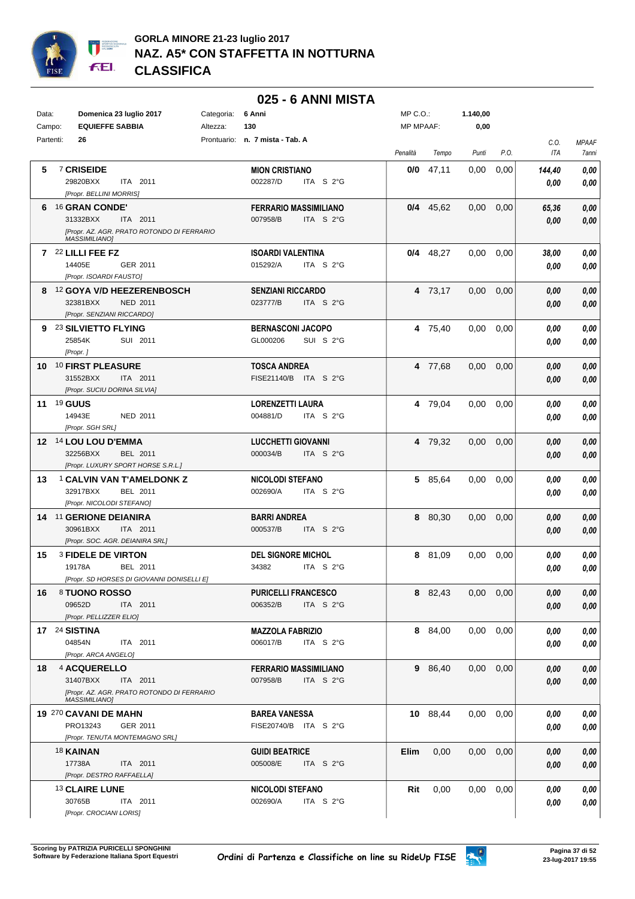

|           |                                                                    |            | 025 - 6 ANNI MISTA                                |                  |             |                   |      |            |              |
|-----------|--------------------------------------------------------------------|------------|---------------------------------------------------|------------------|-------------|-------------------|------|------------|--------------|
| Data:     | Domenica 23 luglio 2017                                            | Categoria: | 6 Anni                                            | $MP C. O.$ :     |             | 1.140,00          |      |            |              |
| Campo:    | <b>EQUIEFFE SABBIA</b>                                             | Altezza:   | 130                                               | <b>MP MPAAF:</b> |             | 0,00              |      |            |              |
| Partenti: | 26                                                                 |            | Prontuario: n. 7 mista - Tab. A                   |                  |             |                   |      | C.O.       | <b>MPAAF</b> |
|           |                                                                    |            |                                                   | Penalità         | Tempo       | Punti             | P.O. | <b>ITA</b> | <b>7anni</b> |
| 5.        | 7 CRISEIDE                                                         |            | <b>MION CRISTIANO</b>                             | 0/0              | 47,11       | 0,00              | 0,00 | 144,40     | 0,00         |
|           | 29820BXX<br>ITA 2011                                               |            | 002287/D<br>ITA S 2°G                             |                  |             |                   |      | 0,00       | 0,00         |
|           | [Propr. BELLINI MORRIS]                                            |            |                                                   |                  |             |                   |      |            |              |
| 6         | <sup>16</sup> GRAN CONDE'                                          |            | <b>FERRARIO MASSIMILIANO</b>                      |                  | $0/4$ 45,62 | 0,00              | 0,00 | 65,36      | 0,00         |
|           | 31332BXX<br>ITA 2011                                               |            | 007958/B<br>ITA S 2°G                             |                  |             |                   |      | 0.00       | 0,00         |
|           | [Propr. AZ. AGR. PRATO ROTONDO DI FERRARIO                         |            |                                                   |                  |             |                   |      |            |              |
|           | <b>MASSIMILIANO1</b><br>7 22 LILLI FEE FZ                          |            |                                                   |                  |             |                   |      |            |              |
|           | 14405E<br>GER 2011                                                 |            | <b>ISOARDI VALENTINA</b><br>ITA S 2°G<br>015292/A |                  | $0/4$ 48,27 | 0.00              | 0,00 | 38,00      | 0,00         |
|           | [Propr. ISOARDI FAUSTO]                                            |            |                                                   |                  |             |                   |      | 0,00       | 0,00         |
|           | 8 12 GOYA V/D HEEZERENBOSCH                                        |            | <b>SENZIANI RICCARDO</b>                          |                  | 4 73,17     | 0,00              | 0,00 | 0.00       | 0,00         |
|           | 32381BXX<br><b>NED 2011</b>                                        |            | 023777/B<br>ITA S 2°G                             |                  |             |                   |      | 0,00       | 0,00         |
|           | [Propr. SENZIANI RICCARDO]                                         |            |                                                   |                  |             |                   |      |            |              |
|           | 9 23 SILVIETTO FLYING                                              |            | <b>BERNASCONI JACOPO</b>                          |                  | 4 75,40     | 0,00              | 0,00 | 0.00       | 0,00         |
|           | 25854K<br>SUI 2011                                                 |            | GL000206<br>SUI S 2°G                             |                  |             |                   |      | 0.00       | 0,00         |
|           | [Propr.]                                                           |            |                                                   |                  |             |                   |      |            |              |
|           | 10 <sup>10</sup> FIRST PLEASURE                                    |            | <b>TOSCA ANDREA</b>                               |                  | 4 77.68     | 0,00              | 0,00 | 0.00       | 0,00         |
|           | 31552BXX<br><b>ITA 2011</b>                                        |            | FISE21140/B ITA S 2°G                             |                  |             |                   |      | 0.00       | 0,00         |
|           | [Propr. SUCIU DORINA SILVIA]                                       |            |                                                   |                  |             |                   |      |            |              |
|           | <b>11 19 GUUS</b>                                                  |            | <b>LORENZETTI LAURA</b>                           |                  | 4 79,04     | 0,00              | 0,00 | 0.00       | 0,00         |
|           | 14943E<br>NED 2011                                                 |            | 004881/D<br>ITA S 2°G                             |                  |             |                   |      | 0,00       | 0,00         |
|           | [Propr. SGH SRL]                                                   |            |                                                   |                  |             |                   |      |            |              |
|           | 12 14 LOU LOU D'EMMA                                               |            | <b>LUCCHETTI GIOVANNI</b>                         |                  | 4 79,32     | 0,00              | 0,00 | 0.00       | 0,00         |
|           | 32256BXX<br>BEL 2011                                               |            | 000034/B<br>ITA S 2°G                             |                  |             |                   |      | 0,00       | 0,00         |
|           | [Propr. LUXURY SPORT HORSE S.R.L.]                                 |            |                                                   |                  |             |                   |      |            |              |
| 13        | <sup>1</sup> CALVIN VAN T'AMELDONK Z                               |            | <b>NICOLODI STEFANO</b>                           |                  | 5 85,64     | 0,00              | 0,00 | 0.00       | 0,00         |
|           | 32917BXX<br>BEL 2011                                               |            | 002690/A<br>ITA S 2°G                             |                  |             |                   |      | 0,00       | 0,00         |
|           | [Propr. NICOLODI STEFANO]                                          |            |                                                   |                  |             |                   |      |            |              |
|           | 14 11 GERIONE DEIANIRA<br>30961BXX<br>ITA 2011                     |            | <b>BARRI ANDREA</b><br>000537/B<br>ITA S 2°G      | 8                | 80,30       | 0,00              | 0,00 | 0,00       | 0,00         |
|           | [Propr. SOC. AGR. DEIANIRA SRL]                                    |            |                                                   |                  |             |                   |      | 0,00       | 0,00         |
| 15        | <b>3 FIDELE DE VIRTON</b>                                          |            | <b>DEL SIGNORE MICHOL</b>                         | 8                | 81,09       | 0,00              | 0,00 | 0.00       | 0,00         |
|           | 19178A<br>BEL 2011                                                 |            | 34382<br>ITA S 2°G                                |                  |             |                   |      | 0.00       | 0,00         |
|           | [Propr. SD HORSES DI GIOVANNI DONISELLI E]                         |            |                                                   |                  |             |                   |      |            |              |
| 16        | 8 TUONO ROSSO                                                      |            | <b>PURICELLI FRANCESCO</b>                        |                  | 8 82,43     | 0,00              | 0,00 | 0,00       | 0,00         |
|           | 09652D<br>ITA 2011                                                 |            | 006352/B<br>ITA $S$ 2°G                           |                  |             |                   |      | 0,00       | 0,00         |
|           | [Propr. PELLIZZER ELIO]                                            |            |                                                   |                  |             |                   |      |            |              |
|           | <b>17 24 SISTINA</b>                                               |            | <b>MAZZOLA FABRIZIO</b>                           |                  | 8 84,00     | 0.00              | 0,00 | 0,00       | 0,00         |
|           | 04854N<br>ITA 2011                                                 |            | ITA S 2°G<br>006017/B                             |                  |             |                   |      | 0,00       | 0,00         |
|           | [Propr. ARCA ANGELO]                                               |            |                                                   |                  |             |                   |      |            |              |
| 18        | 4 ACQUERELLO                                                       |            | <b>FERRARIO MASSIMILIANO</b>                      |                  | 9 86,40     | 0,00              | 0,00 | 0,00       | 0,00         |
|           | 31407BXX<br>ITA 2011                                               |            | ITA S 2°G<br>007958/B                             |                  |             |                   |      | 0,00       | 0,00         |
|           | [Propr. AZ. AGR. PRATO ROTONDO DI FERRARIO<br><b>MASSIMILIANO]</b> |            |                                                   |                  |             |                   |      |            |              |
|           | 19 270 CAVANI DE MAHN                                              |            | <b>BAREA VANESSA</b>                              |                  | 10 88,44    | $0.00 \quad 0.00$ |      | 0.00       | 0,00         |
|           | PRO13243<br>GER 2011                                               |            | FISE20740/B ITA S 2°G                             |                  |             |                   |      | 0,00       | 0,00         |
|           | [Propr. TENUTA MONTEMAGNO SRL]                                     |            |                                                   |                  |             |                   |      |            |              |
|           | 18 KAINAN                                                          |            | <b>GUIDI BEATRICE</b>                             | Elim             | 0,00        | 0,00              | 0,00 | 0,00       | 0,00         |
|           | 17738A<br>ITA 2011                                                 |            | 005008/E<br>ITA S 2°G                             |                  |             |                   |      | 0,00       | 0,00         |
|           | [Propr. DESTRO RAFFAELLA]                                          |            |                                                   |                  |             |                   |      |            |              |
|           | 13 CLAIRE LUNE                                                     |            | <b>NICOLODI STEFANO</b>                           | Rit              | 0,00        | 0.00              | 0,00 | 0.00       | 0,00         |
|           | 30765B<br>ITA 2011                                                 |            | ITA S 2°G<br>002690/A                             |                  |             |                   |      | 0,00       | 0,00         |
|           | [Propr. CROCIANI LORIS]                                            |            |                                                   |                  |             |                   |      |            |              |

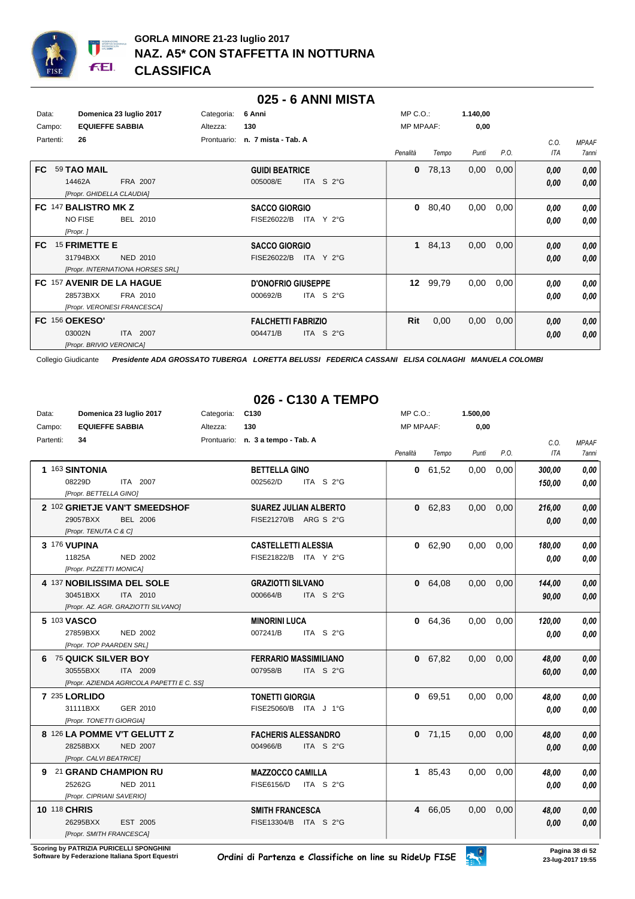

#### **025 - 6 ANNI MISTA**

| Data:          | Domenica 23 luglio 2017          | Categoria:  | 6 Anni                          | $MP C. O.$ :     |       | 1.140,00 |      |            |              |
|----------------|----------------------------------|-------------|---------------------------------|------------------|-------|----------|------|------------|--------------|
| Campo:         | <b>EQUIEFFE SABBIA</b>           | Altezza:    | 130                             | <b>MP MPAAF:</b> |       | 0,00     |      |            |              |
| Partenti:      | 26                               | Prontuario: | n. 7 mista - Tab. A             |                  |       |          |      | C.0.       | <b>MPAAF</b> |
|                |                                  |             |                                 | Penalità         | Tempo | Punti    | P.O. | <b>ITA</b> | <b>7anni</b> |
| FC.            | 59 TAO MAIL                      |             | <b>GUIDI BEATRICE</b>           | $\bf{0}$         | 78,13 | 0,00     | 0,00 | 0,00       | 0,00         |
|                | 14462A<br>FRA 2007               |             | ITA S 2°G<br>005008/E           |                  |       |          |      | 0,00       | 0,00         |
|                | [Propr. GHIDELLA CLAUDIA]        |             |                                 |                  |       |          |      |            |              |
|                | FC 147 BALISTRO MK Z             |             | <b>SACCO GIORGIO</b>            | $\mathbf{0}$     | 80,40 | 0,00     | 0,00 | 0,00       | 0,00         |
|                | <b>NO FISE</b><br>BEL 2010       |             | FISE26022/B<br>ITA Y 2°G        |                  |       |          |      | 0,00       | 0,00         |
|                | [Propr.]                         |             |                                 |                  |       |          |      |            |              |
| FC.            | 15 FRIMETTE E                    |             | <b>SACCO GIORGIO</b>            | $\mathbf 1$      | 84,13 | 0,00     | 0,00 | 0,00       | 0,00         |
|                | 31794BXX<br>NED 2010             |             | FISE26022/B<br>ITA Y 2°G        |                  |       |          |      | 0,00       | 0.00         |
|                | [Propr. INTERNATIONA HORSES SRL] |             |                                 |                  |       |          |      |            |              |
|                | FC 157 AVENIR DE LA HAGUE        |             | <b>D'ONOFRIO GIUSEPPE</b>       | 12 <sup>12</sup> | 99,79 | 0,00     | 0,00 | 0,00       | 0,00         |
|                | 28573BXX<br>FRA 2010             |             | 000692/B<br>ITA S $2^{\circ}$ G |                  |       |          |      | 0,00       | 0,00         |
|                | [Propr. VERONESI FRANCESCA]      |             |                                 |                  |       |          |      |            |              |
| FC 156 OEKESO' |                                  |             | <b>FALCHETTI FABRIZIO</b>       | Rit              | 0,00  | 0,00     | 0,00 | 0,00       | 0,00         |
|                | 03002N<br>ITA 2007               |             | 004471/B<br>ITA $S2°G$          |                  |       |          |      | 0,00       | 0,00         |
|                | [Propr. BRIVIO VERONICA]         |             |                                 |                  |       |          |      |            |              |

Collegio Giudicante *Presidente ADA GROSSATO TUBERGA LORETTA BELUSSI FEDERICA CASSANI ELISA COLNAGHI MANUELA COLOMBI*

## **026 - C130 A TEMPO**

| Data:        | Domenica 23 luglio 2017                   | C <sub>130</sub><br>Categoria:                  | MP C. O.         |           | 1.500,00 |      |            |              |
|--------------|-------------------------------------------|-------------------------------------------------|------------------|-----------|----------|------|------------|--------------|
| Campo:       | <b>EQUIEFFE SABBIA</b>                    | 130<br>Altezza:                                 | <b>MP MPAAF:</b> |           | 0,00     |      |            |              |
| Partenti:    | 34                                        | Prontuario: n. 3 a tempo - Tab. A               |                  |           |          |      | C.O.       | <b>MPAAF</b> |
|              |                                           |                                                 | Penalità         | Tempo     | Punti    | P.O. | <b>ITA</b> | 7anni        |
|              | 1 163 SINTONIA                            | <b>BETTELLA GINO</b>                            |                  | 0 61,52   | 0,00     | 0,00 | 300,00     | 0,00         |
|              | 08229D<br>ITA 2007                        | 002562/D<br>ITA S 2°G                           |                  |           |          |      | 150,00     | 0,00         |
|              | [Propr. BETTELLA GINO]                    |                                                 |                  |           |          |      |            |              |
|              | 2 102 GRIETJE VAN'T SMEEDSHOF             | <b>SUAREZ JULIAN ALBERTO</b>                    |                  | 0 62,83   | 0,00     | 0.00 | 216,00     | 0,00         |
|              | 29057BXX<br><b>BEL 2006</b>               | FISE21270/B ARG S 2°G                           |                  |           |          |      | 0,00       | 0,00         |
|              | [Propr. TENUTA C & C]                     |                                                 |                  |           |          |      |            |              |
|              | 3 176 VUPINA                              | <b>CASTELLETTI ALESSIA</b>                      |                  | 0 62,90   | 0.00     | 0.00 | 180,00     | 0.00         |
|              | 11825A<br><b>NED 2002</b>                 | FISE21822/B ITA Y 2°G                           |                  |           |          |      | 0.00       | 0.00         |
|              | [Propr. PIZZETTI MONICA]                  |                                                 |                  |           |          |      |            |              |
|              | 4 137 NOBILISSIMA DEL SOLE                | <b>GRAZIOTTI SILVANO</b>                        |                  | 0 64,08   | 0,00     | 0,00 | 144,00     | 0,00         |
|              | 30451BXX<br>ITA 2010                      | 000664/B<br>ITA S $2^{\circ}$ G                 |                  |           |          |      | 90,00      | 0,00         |
|              | [Propr. AZ. AGR. GRAZIOTTI SILVANO]       |                                                 |                  |           |          |      |            |              |
|              | 5 103 VASCO                               | <b>MINORINI LUCA</b>                            |                  | 0 64,36   | 0,00     | 0,00 | 120,00     | 0,00         |
|              | 27859BXX<br><b>NED 2002</b>               | 007241/B<br>ITA S 2°G                           |                  |           |          |      | 0.00       | 0,00         |
|              | [Propr. TOP PAARDEN SRL]                  |                                                 |                  |           |          |      |            |              |
|              | 6 75 QUICK SILVER BOY                     | <b>FERRARIO MASSIMILIANO</b>                    |                  | 0 67,82   | 0,00     | 0,00 | 48.00      | 0,00         |
|              | 30555BXX<br>ITA 2009                      | 007958/B<br>ITA S $2^{\circ}$ G                 |                  |           |          |      | 60.00      | 0.00         |
|              | [Propr. AZIENDA AGRICOLA PAPETTI E C. SS] |                                                 |                  |           |          |      |            |              |
|              | 7 235 LORLIDO                             | <b>TONETTI GIORGIA</b>                          |                  | 0 69,51   | 0,00     | 0,00 | 48,00      | 0,00         |
|              | 31111BXX<br>GER 2010                      | FISE25060/B ITA J 1°G                           |                  |           |          |      | 0.00       | 0,00         |
|              | [Propr. TONETTI GIORGIA]                  |                                                 |                  |           |          |      |            |              |
|              | 8 126 LA POMME V'T GELUTT Z               | <b>FACHERIS ALESSANDRO</b>                      |                  | $0$ 71,15 | 0,00     | 0,00 | 48,00      | 0,00         |
|              | 28258BXX<br><b>NED 2007</b>               | 004966/B<br>ITA S 2°G                           |                  |           |          |      | 0,00       | 0,00         |
|              | [Propr. CALVI BEATRICE]                   |                                                 |                  |           |          |      |            |              |
| 9            | 21 GRAND CHAMPION RU                      | <b>MAZZOCCO CAMILLA</b>                         |                  | 1 85,43   | 0,00     | 0,00 | 48,00      | 0.00         |
|              | 25262G<br><b>NED 2011</b>                 | <b>FISE6156/D</b><br>ITA S $2^{\circ}$ G        |                  |           |          |      | 0,00       | 0.00         |
|              | [Propr. CIPRIANI SAVERIO]                 |                                                 |                  |           |          |      |            |              |
| 10 118 CHRIS | 26295BXX<br>EST 2005                      | <b>SMITH FRANCESCA</b><br>FISE13304/B ITA S 2°G |                  | 4 66,05   | 0,00     | 0,00 | 48,00      | 0,00         |
|              | [Propr. SMITH FRANCESCA]                  |                                                 |                  |           |          |      | 0.00       | 0,00         |
|              |                                           |                                                 |                  |           |          |      |            |              |

**Scoring by PATRIZIA PURICELLI SPONGHINI<br>Software by Federazione Italiana Sport Equestri** 

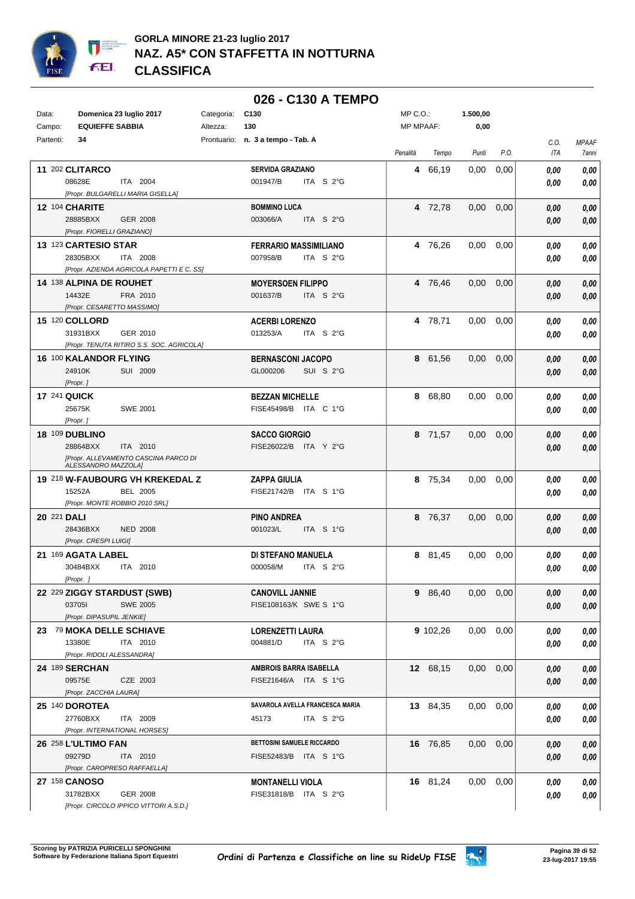

#### **026 - C130 A TEMPO** Data: **Domenica 23 luglio 2017** Categoria: C130 Prontuario: **n. 3 a tempo - Tab. A** Campo: **EQUIEFFE SABBIA** Partenti: **34** Altezza: **130** MP C.O.: MP MPAAF: **1.500,00 0,00** *Penalità Tempo Punti P.O. C.O. ITA MPAAF 7anni* **11** 202 **CLITARCO** ITA 2004 **SERVIDA GRAZIANO** *[Propr. BULGARELLI MARIA GISELLA]* ITA S 2°G **4** 66,19 0,00 0,00 *0,00 0,00 0,00* 08628E 001947/B *0,00* **12** 104 **CHARITE** GER 2008 **BOMMINO LUCA** *[Propr. FIORELLI GRAZIANO]* ITA S 2°G **4** 72,78 0,00 0,00 *0,00 0,00 0,00* 28885BXX GER 2008 003066/A ITA S 2°G <mark>0,00 0,00</mark> **13** 123 **CARTESIO STAR** ITA 2008 **FERRARIO MASSIMILIANO** *[Propr. AZIENDA AGRICOLA PAPETTI E C. SS]* ITA S 2°G **4** 76,26 0,00 0,00 *0,00 0,00 0,00* 28305BXX 007958/B *0,00* **14** 138 **ALPINA DE ROUHET** FRA 2010 **MOYERSOEN FILIPPO** *[Propr. CESARETTO MASSIMO]* ITA S 2°G **4** 76,46 0,00 0,00 *0,00 0,00 0,00* 14432E FRA 2010 001637/B ITA S 2°G <mark> 0,00 0,00</mark> **15** 120 **COLLORD** GER 2010 **ACERBI LORENZO** *[Propr. TENUTA RITIRO S.S. SOC. AGRICOLA]* ITA S 2°G **4** 78,71 0,00 0,00 *0,00 0,00 0,00* 31931BXX GER\_2010 013253/A ITA S\_2°G <mark> 0,00 0,00</mark> **16** 100 **KALANDOR FLYING** SUI 2009 **BERNASCONI JACOPO** *[Propr. ]* SUI S 2°G **8** 61,56 0,00 0,00 *0,00 0,00 0,00* 24910K SUI 2009 GL000206 SUI S 2°G <mark>0 ,00 0,00</mark> **17** 241 **QUICK** SWE 2001 **BEZZAN MICHELLE** *[Propr. ]* ITA C 1°G 25675K FISE45498/B *0,00* **8** 68,80 0,00 0,00 *0,00 0,00 0,00* **18** 109 **DUBLINO** ITA 2010 **SACCO GIORGIO** *[Propr. ALLEVAMENTO CASCINA PARCO DI ALESSANDRO MAZZOLA]* ITA Y 2°G 28864BXX FISE26022/B *0,00* **8** 71,57 0,00 0,00 *0,00 0,00 0,00* **19** 218 **W-FAUBOURG VH KREKEDAL Z** BEL 2005 **ZAPPA GIULIA** *[Propr. MONTE ROBBIO 2010 SRL]* ITA S 1°G 15252A FISE21742/B *0,00* **8** 75,34 0,00 0,00 *0,00 0,00 0,00* **20** 221 **DALI** NED 2008 **PINO ANDREA** *[Propr. CRESPI LUIGI]* ITA S 1°G **8** 76,37 0,00 0,00 *0,00 0,00 0,00* 28436BXX 001023/L *0,00* **21** 169 **AGATA LABEL** ITA 2010 **DI STEFANO MANUELA** *[Propr. ]* ITA S 2°G **8** 81,45 0,00 0,00 *0,00 0,00 0,00* 30484BXX ITA 2010 000058/M ITA S 2°G <mark> 0,00 0,00</mark> **22** 229 **ZIGGY STARDUST (SWB)** SWE 2005 **CANOVILL JANNIE** *[Propr. DIPASUPIL JENKIE]* SWE S 1°G 03705I FISE108163/K *0,00* **9** 86,40 0,00 0,00 *0,00 0,00 0,00* **23** 79 **MOKA DELLE SCHIAVE** ITA 2010 **LORENZETTI LAURA** *[Propr. RIDOLI ALESSANDRA]* ITA S 2°G **9** 102,26 0,00 0,00 *0,00 0,00 0,00* 13380E 004881/D *0,00* **24** 189 **SERCHAN** CZE 2003 **AMBROIS BARRA ISABELLA** *[Propr. ZACCHIA LAURA]* ITA S 1°G 09575E FISE21646/A *0,00* **12** 68,15 0,00 0,00 *0,00 0,00 0,00* **25** 140 **DOROTEA** ITA 2009 **SAVAROLA AVELLA FRANCESCA MARIA** *[Propr. INTERNATIONAL HORSES]* ITA S 2°G **13** 84,35 0,00 0,00 *0,00 0,00 0,00* 27760BXX 45173 *0,00* **26** 258 **L'ULTIMO FAN** ITA 2010 **BETTOSINI SAMUELE RICCARDO** *[Propr. CAROPRESO RAFFAELLA]* 09279D ITA 2010 FISE52483/B ITA S 1°G <mark>0,00 0,00</mark> **16** 76,85 0,00 0,00 *0,00 0,00 0,00* **27** 158 **CANOSO** GER 2008 **MONTANELLI VIOLA** *[Propr. CIRCOLO IPPICO VITTORI A.S.D.]* ITA S 2°G 31782BXX FISE31818/B *0,00* **16** 81,24 0,00 0,00 *0,00 0,00 0,00*

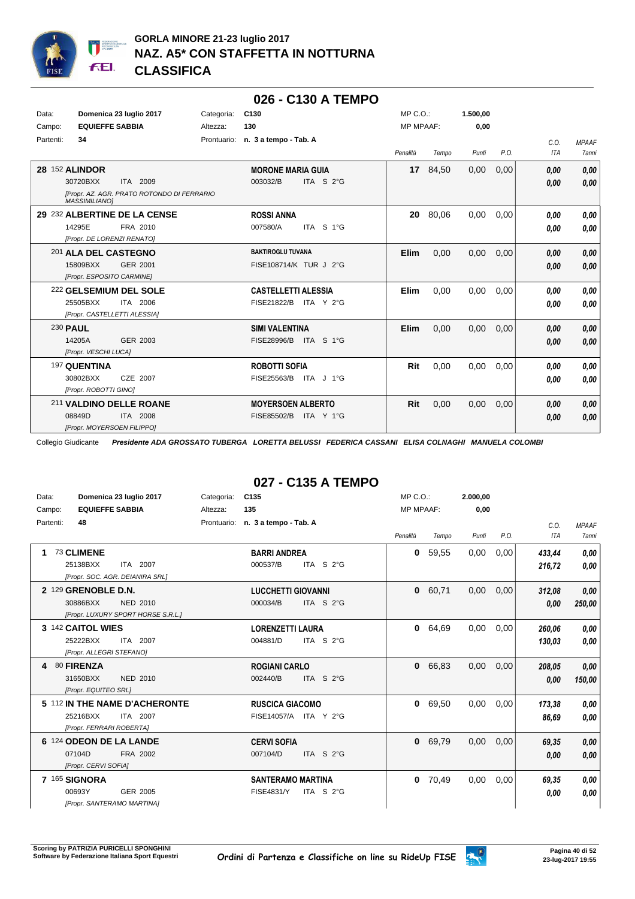

|           |                                                                                                          |            | 026 - C130 A TEMPO                                     |                  |          |          |      |              |                              |
|-----------|----------------------------------------------------------------------------------------------------------|------------|--------------------------------------------------------|------------------|----------|----------|------|--------------|------------------------------|
| Data:     | Domenica 23 luglio 2017                                                                                  | Categoria: | C <sub>130</sub>                                       | MP C.O.:         |          | 1.500,00 |      |              |                              |
| Campo:    | <b>EQUIEFFE SABBIA</b>                                                                                   | Altezza:   | 130                                                    | <b>MP MPAAF:</b> |          | 0,00     |      |              |                              |
| Partenti: | 34                                                                                                       |            | Prontuario: n. 3 a tempo - Tab. A                      | Penalità         | Tempo    | Punti    | P.O. | C.O.<br>ITA  | <b>MPAAF</b><br><b>7anni</b> |
|           | 28 152 ALINDOR<br>30720BXX<br>ITA 2009<br>[Propr. AZ. AGR. PRATO ROTONDO DI FERRARIO                     |            | <b>MORONE MARIA GUIA</b><br>ITA S 2°G<br>003032/B      |                  | 17 84,50 | 0,00     | 0,00 | 0.00<br>0.00 | 0,00<br>0,00                 |
|           | <b>MASSIMILIANOI</b><br>29 232 ALBERTINE DE LA CENSE<br>14295E<br>FRA 2010<br>[Propr. DE LORENZI RENATO] |            | <b>ROSSI ANNA</b><br>007580/A<br>ITA S 1°G             | 20               | 80,06    | 0,00     | 0,00 | 0.00<br>0.00 | 0,00<br>0,00                 |
|           | 201 ALA DEL CASTEGNO<br>15809BXX<br>GER 2001<br>[Propr. ESPOSITO CARMINE]                                |            | <b>BAKTIROGLU TUVANA</b><br>FISE108714/K TUR J 2°G     | <b>Elim</b>      | 0.00     | 0,00     | 0,00 | 0,00<br>0,00 | 0,00<br>0,00                 |
|           | 222 GELSEMIUM DEL SOLE<br>25505BXX<br>ITA 2006<br>[Propr. CASTELLETTI ALESSIA]                           |            | <b>CASTELLETTI ALESSIA</b><br>FISE21822/B<br>ITA Y 2°G | <b>Elim</b>      | 0,00     | 0,00     | 0,00 | 0.00<br>0.00 | 0.00<br>0,00                 |
|           | 230 PAUL<br>14205A<br>GER 2003<br>[Propr. VESCHI LUCA]                                                   |            | <b>SIMI VALENTINA</b><br>FISE28996/B<br>ITA S 1°G      | <b>Elim</b>      | 0,00     | 0,00     | 0,00 | 0.00<br>0.00 | 0,00<br>0,00                 |
|           | 197 QUENTINA<br>CZE 2007<br>30802BXX<br>[Propr. ROBOTTI GINO]                                            |            | <b>ROBOTTI SOFIA</b><br>FISE25563/B ITA J 1°G          | Rit              | 0,00     | 0,00     | 0,00 | 0.00<br>0,00 | 0,00<br>0,00                 |
|           | 211 VALDINO DELLE ROANE<br>08849D<br>ITA 2008<br>[Propr. MOYERSOEN FILIPPO]                              |            | <b>MOYERSOEN ALBERTO</b><br>FISE85502/B<br>ITA Y 1°G   | Rit              | 0,00     | 0,00     | 0,00 | 0,00<br>0.00 | 0,00<br>0,00                 |

## **027 - C135 A TEMPO**

| Data:     | Domenica 23 luglio 2017            | Categoria:  | C <sub>135</sub>                  | MP C. O.         |       | 2.000,00 |      |        |              |
|-----------|------------------------------------|-------------|-----------------------------------|------------------|-------|----------|------|--------|--------------|
| Campo:    | <b>EQUIEFFE SABBIA</b>             | Altezza:    | 135                               | <b>MP MPAAF:</b> |       | 0,00     |      |        |              |
| Partenti: | 48                                 | Prontuario: | n. 3 a tempo - Tab. A             |                  |       |          |      | C.0.   | <b>MPAAF</b> |
|           |                                    |             |                                   | Penalità         | Tempo | Punti    | P.O. | ITA    | 7anni        |
| 1         | 73 CLIMENE                         |             | <b>BARRI ANDREA</b>               | 0                | 59,55 | 0,00     | 0,00 | 433,44 | 0,00         |
|           | ITA 2007<br>25138BXX               |             | ITA S 2°G<br>000537/B             |                  |       |          |      | 216,72 | 0,00         |
|           | [Propr. SOC. AGR. DEIANIRA SRL]    |             |                                   |                  |       |          |      |        |              |
|           | 2 129 GRENOBLE D.N.                |             | <b>LUCCHETTI GIOVANNI</b>         | 0                | 60,71 | 0,00     | 0,00 | 312,08 | 0,00         |
|           | 30886BXX<br>NED 2010               |             | 000034/B<br>ITA S 2°G             |                  |       |          |      | 0,00   | 250,00       |
|           | [Propr. LUXURY SPORT HORSE S.R.L.] |             |                                   |                  |       |          |      |        |              |
|           | 3 142 CAITOL WIES                  |             | <b>LORENZETTI LAURA</b>           | 0                | 64,69 | 0,00     | 0,00 | 260.06 | 0,00         |
|           | 25222BXX<br>ITA 2007               |             | 004881/D<br>ITA S $2^{\circ}$ G   |                  |       |          |      | 130,03 | 0,00         |
|           | [Propr. ALLEGRI STEFANO]           |             |                                   |                  |       |          |      |        |              |
| 4         | 80 FIRENZA                         |             | <b>ROGIANI CARLO</b>              | 0                | 66,83 | 0,00     | 0,00 | 208,05 | 0,00         |
|           | 31650BXX<br>NED 2010               |             | ITA S 2°G<br>002440/B             |                  |       |          |      | 0,00   | 150,00       |
|           | [Propr. EQUITEO SRL]               |             |                                   |                  |       |          |      |        |              |
|           | 5 112 IN THE NAME D'ACHERONTE      |             | <b>RUSCICA GIACOMO</b>            | 0                | 69,50 | 0,00     | 0,00 | 173,38 | 0,00         |
|           | 25216BXX<br>ITA 2007               |             | FISE14057/A ITA Y 2°G             |                  |       |          |      | 86,69  | 0,00         |
|           | [Propr. FERRARI ROBERTA]           |             |                                   |                  |       |          |      |        |              |
|           | 6 124 ODEON DE LA LANDE            |             | <b>CERVI SOFIA</b>                | 0                | 69,79 | 0,00     | 0,00 | 69,35  | 0,00         |
|           | 07104D<br>FRA 2002                 |             | ITA S 2°G<br>007104/D             |                  |       |          |      | 0,00   | 0,00         |
|           | [Propr. CERVI SOFIA]               |             |                                   |                  |       |          |      |        |              |
|           | 7 165 SIGNORA                      |             | <b>SANTERAMO MARTINA</b>          | 0                | 70,49 | 0,00     | 0,00 | 69,35  | 0,00         |
|           | 00693Y<br>GER 2005                 |             | FISE4831/Y<br>ITA S $2^{\circ}$ G |                  |       |          |      | 0.00   | 0,00         |
|           | [Propr. SANTERAMO MARTINA]         |             |                                   |                  |       |          |      |        |              |

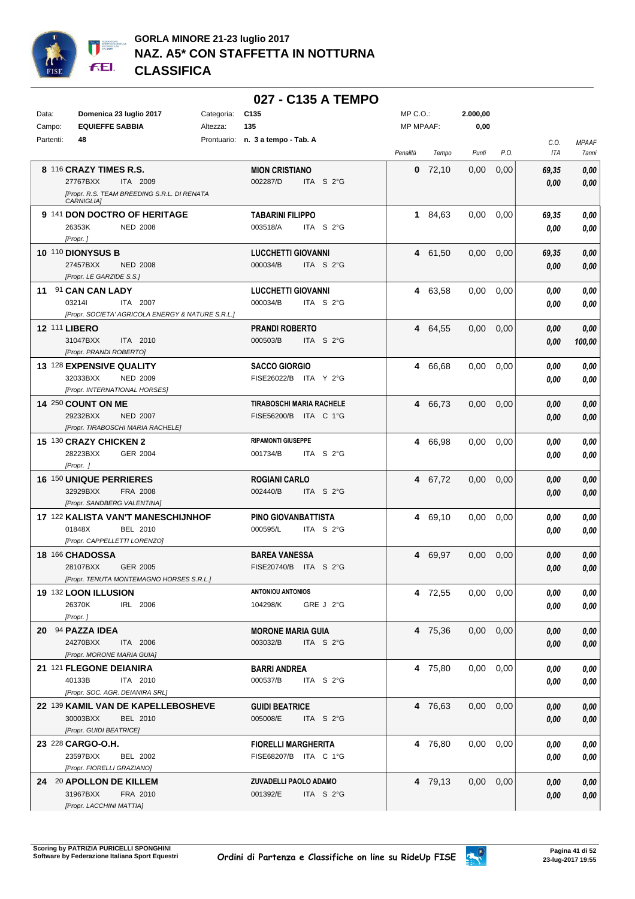

## **GORLA MINORE 21-23 luglio 2017 NAZ. A5\* CON STAFFETTA IN NOTTURNA CLASSIFICA**

|           |                                                                       |            | 027 - C135 A TEMPO                               |                  |           |          |      |       |                |
|-----------|-----------------------------------------------------------------------|------------|--------------------------------------------------|------------------|-----------|----------|------|-------|----------------|
| Data:     | Domenica 23 luglio 2017                                               | Categoria: | C <sub>135</sub>                                 | $MP C. O.$ :     |           | 2.000,00 |      |       |                |
| Campo:    | <b>EQUIEFFE SABBIA</b>                                                | Altezza:   | 135                                              | <b>MP MPAAF:</b> |           | 0,00     |      |       |                |
| Partenti: | 48                                                                    |            | Prontuario: n. 3 a tempo - Tab. A                |                  |           |          |      | C.O.  | <b>MPAAF</b>   |
|           |                                                                       |            |                                                  | Penalità         | Tempo     | Punti    | P.O. | ITA   | 7anni          |
|           | 8 116 CRAZY TIMES R.S.                                                |            | <b>MION CRISTIANO</b>                            |                  | $0$ 72,10 | 0,00     | 0,00 | 69,35 | $\pmb{0,\!00}$ |
|           | 27767BXX<br>ITA 2009                                                  |            | ITA $S$ 2°G<br>002287/D                          |                  |           |          |      | 0,00  | 0,00           |
|           | [Propr. R.S. TEAM BREEDING S.R.L. DI RENATA                           |            |                                                  |                  |           |          |      |       |                |
|           | CARNIGLIA]                                                            |            |                                                  |                  |           |          |      |       |                |
|           | 9 141 DON DOCTRO OF HERITAGE                                          |            | <b>TABARINI FILIPPO</b>                          |                  | 1 84,63   | 0,00     | 0,00 | 69,35 | 0,00           |
|           | 26353K<br><b>NED 2008</b>                                             |            | 003518/A<br>ITA S 2°G                            |                  |           |          |      | 0.00  | 0,00           |
|           | [Propr.]                                                              |            |                                                  |                  |           |          |      |       |                |
|           | <b>10 110 DIONYSUS B</b>                                              |            | <b>LUCCHETTI GIOVANNI</b>                        | 4                | 61,50     | 0,00     | 0,00 | 69,35 | 0,00           |
|           | 27457BXX<br><b>NED 2008</b>                                           |            | ITA S $2^{\circ}$ G<br>000034/B                  |                  |           |          |      | 0,00  | 0,00           |
|           | [Propr. LE GARZIDE S.S.]                                              |            |                                                  |                  |           |          |      |       |                |
|           | 11 91 CAN CAN LADY                                                    |            | <b>LUCCHETTI GIOVANNI</b>                        | 4                | 63,58     | 0,00     | 0,00 | 0.00  | 0,00           |
|           | 032141<br>ITA 2007                                                    |            | 000034/B<br>ITA $S2G$                            |                  |           |          |      | 0.00  | 0,00           |
|           | [Propr. SOCIETA' AGRICOLA ENERGY & NATURE S.R.L.]                     |            |                                                  |                  |           |          |      |       |                |
|           | <b>12 111 LIBERO</b>                                                  |            | <b>PRANDI ROBERTO</b>                            | 4                | 64.55     | 0,00     | 0,00 | 0.00  | 0,00           |
|           | 31047BXX<br>ITA 2010<br>[Propr. PRANDI ROBERTO]                       |            | 000503/B<br>ITA S 2°G                            |                  |           |          |      | 0.00  | 100,00         |
|           | 13 128 EXPENSIVE QUALITY                                              |            |                                                  |                  |           |          |      |       |                |
|           | 32033BXX<br><b>NED 2009</b>                                           |            | <b>SACCO GIORGIO</b><br>FISE26022/B<br>ITA Y 2°G | 4                | 66.68     | 0,00     | 0,00 | 0.00  | 0,00           |
|           | [Propr. INTERNATIONAL HORSES]                                         |            |                                                  |                  |           |          |      | 0.00  | 0,00           |
|           | <b>14 250 COUNT ON ME</b>                                             |            | TIRABOSCHI MARIA RACHELE                         | 4                | 66.73     | 0,00     | 0,00 | 0,00  | 0,00           |
|           | 29232BXX<br><b>NED 2007</b>                                           |            | FISE56200/B<br>ITA C 1°G                         |                  |           |          |      | 0,00  | 0,00           |
|           | [Propr. TIRABOSCHI MARIA RACHELE]                                     |            |                                                  |                  |           |          |      |       |                |
|           | 15 130 CRAZY CHICKEN 2                                                |            | <b>RIPAMONTI GIUSEPPE</b>                        | 4                | 66,98     | 0.00     | 0,00 | 0.00  | 0,00           |
|           | 28223BXX<br><b>GER 2004</b>                                           |            | 001734/B<br>ITA S $2^{\circ}$ G                  |                  |           |          |      | 0,00  | 0,00           |
|           | [Propr. ]                                                             |            |                                                  |                  |           |          |      |       |                |
|           | <b>16 150 UNIQUE PERRIERES</b>                                        |            | ROGIANI CARLO                                    | 4                | 67,72     | 0,00     | 0,00 | 0,00  | 0,00           |
|           | 32929BXX<br><b>FRA 2008</b>                                           |            | 002440/B<br>ITA S 2°G                            |                  |           |          |      | 0,00  | 0,00           |
|           | [Propr. SANDBERG VALENTINA]                                           |            |                                                  |                  |           |          |      |       |                |
|           | 17 122 KALISTA VAN'T MANESCHIJNHOF                                    |            | PINO GIOVANBATTISTA                              | 4                | 69,10     | 0,00     | 0,00 | 0.00  | 0,00           |
|           | 01848X<br>BEL 2010                                                    |            | 000595/L<br>ITA S 2°G                            |                  |           |          |      | 0.00  | 0,00           |
|           | [Propr. CAPPELLETTI LORENZO]                                          |            |                                                  |                  |           |          |      |       |                |
|           | 18 166 CHADOSSA                                                       |            | <b>BAREA VANESSA</b>                             | 4                | 69,97     | 0,00     | 0,00 | 0.00  | 0,00           |
|           | 28107BXX<br>GER 2005                                                  |            | FISE20740/B ITA S 2°G                            |                  |           |          |      | 0.00  | 0.00           |
|           | [Propr. TENUTA MONTEMAGNO HORSES S.R.L.]                              |            |                                                  |                  |           |          |      |       |                |
|           | 19 132 LOON ILLUSION                                                  |            | <b>ANTONIOU ANTONIOS</b>                         |                  | 4 72,55   | 0,00     | 0,00 | 0,00  | 0,00           |
|           | 26370K<br>IRL 2006                                                    |            | 104298/K<br>GRE J 2°G                            |                  |           |          |      | 0,00  | 0,00           |
|           | [Propr.]                                                              |            |                                                  |                  |           |          |      |       |                |
|           | 20 94 PAZZA IDEA                                                      |            | <b>MORONE MARIA GUIA</b>                         |                  | 4 75,36   | 0,00     | 0,00 | 0,00  | 0,00           |
|           | 24270BXX<br>ITA 2006                                                  |            | 003032/B<br>ITA S 2°G                            |                  |           |          |      | 0,00  | 0,00           |
|           | [Propr. MORONE MARIA GUIA]                                            |            |                                                  |                  |           |          |      |       |                |
|           | 21 121 FLEGONE DEIANIRA                                               |            | <b>BARRI ANDREA</b>                              |                  | 4 75,80   | 0,00     | 0,00 | 0.00  | 0,00           |
|           | 40133B<br>ITA 2010                                                    |            | 000537/B<br>ITA S 2°G                            |                  |           |          |      | 0,00  | 0,00           |
|           | [Propr. SOC. AGR. DEIANIRA SRL]<br>22 139 KAMIL VAN DE KAPELLEBOSHEVE |            |                                                  |                  | 4 76,63   | 0,00     |      |       |                |
|           | 30003BXX<br>BEL 2010                                                  |            | <b>GUIDI BEATRICE</b><br>005008/E<br>ITA S 2°G   |                  |           |          | 0,00 | 0,00  | 0,00           |
|           | [Propr. GUIDI BEATRICE]                                               |            |                                                  |                  |           |          |      | 0,00  | 0,00           |
|           | 23 228 CARGO-O.H.                                                     |            | <b>FIORELLI MARGHERITA</b>                       |                  | 4 76,80   | 0,00     | 0,00 | 0.00  | 0,00           |
|           | 23597BXX<br>BEL 2002                                                  |            | FISE68207/B ITA C 1°G                            |                  |           |          |      | 0.00  | 0,00           |
|           | [Propr. FIORELLI GRAZIANO]                                            |            |                                                  |                  |           |          |      |       |                |
|           | 24 20 APOLLON DE KILLEM                                               |            | ZUVADELLI PAOLO ADAMO                            |                  | 4 79,13   | 0,00     | 0,00 | 0,00  | 0,00           |
|           | 31967BXX<br>FRA 2010                                                  |            | ITA S 2°G<br>001392/E                            |                  |           |          |      | 0,00  | 0,00           |
|           | [Propr. LACCHINI MATTIA]                                              |            |                                                  |                  |           |          |      |       |                |

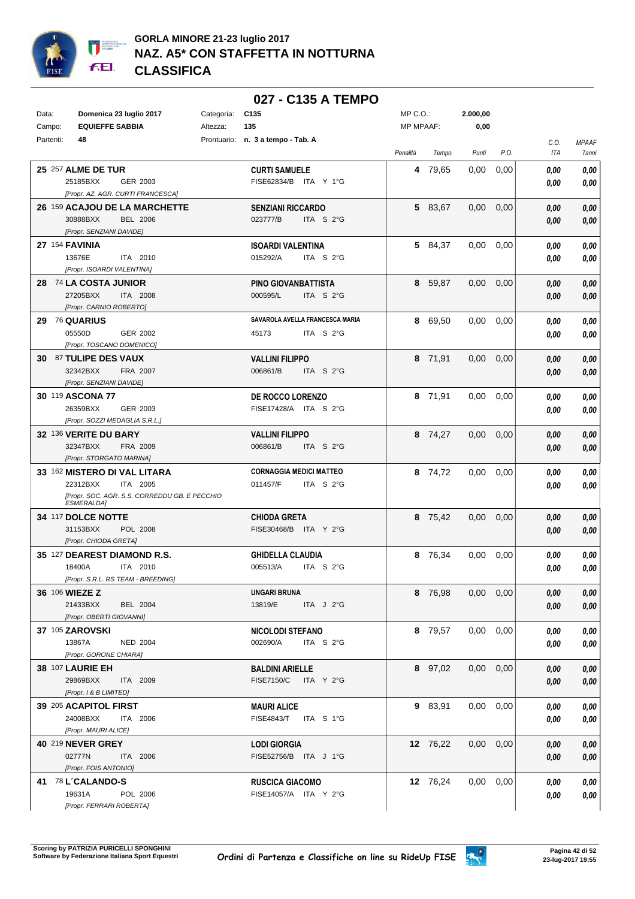

|           |                                                                    |            | 027 - C135 A TEMPO                |                  |          |          |               |                    |                       |
|-----------|--------------------------------------------------------------------|------------|-----------------------------------|------------------|----------|----------|---------------|--------------------|-----------------------|
| Data:     | Domenica 23 luglio 2017                                            | Categoria: | C <sub>135</sub>                  | MP C.O.:         |          | 2.000,00 |               |                    |                       |
| Campo:    | <b>EQUIEFFE SABBIA</b>                                             | Altezza:   | 135                               | <b>MP MPAAF:</b> |          | 0,00     |               |                    |                       |
| Partenti: | 48                                                                 |            | Prontuario: n. 3 a tempo - Tab. A | Penalità         | Tempo    | Punti    | P.O.          | C.O.<br><b>ITA</b> | <b>MPAAF</b><br>7anni |
|           | <b>25 257 ALME DE TUR</b>                                          |            | <b>CURTI SAMUELE</b>              | 4                | 79,65    | 0,00     | 0,00          | 0,00               | 0,00                  |
|           | 25185BXX<br>GER 2003                                               |            | FISE62834/B ITA Y 1°G             |                  |          |          |               | 0,00               | 0,00                  |
|           | [Propr. AZ. AGR. CURTI FRANCESCA]                                  |            |                                   |                  |          |          |               |                    |                       |
|           | 26 159 ACAJOU DE LA MARCHETTE                                      |            | <b>SENZIANI RICCARDO</b>          |                  | 5 83,67  | 0,00     | 0,00          | 0,00               | 0,00                  |
|           | 30888BXX<br><b>BEL 2006</b>                                        |            | 023777/B<br>ITA S 2°G             |                  |          |          |               | 0,00               | 0,00                  |
|           | [Propr. SENZIANI DAVIDE]                                           |            |                                   |                  |          |          |               |                    |                       |
|           | 27 154 FAVINIA                                                     |            | <b>ISOARDI VALENTINA</b>          |                  | 5 84,37  | 0,00     | 0,00          | 0,00               | 0,00                  |
|           | 13676E<br>ITA 2010<br>[Propr. ISOARDI VALENTINA]                   |            | 015292/A<br>ITA S 2°G             |                  |          |          |               | 0,00               | 0,00                  |
|           | 28 74 LA COSTA JUNIOR                                              |            | PINO GIOVANBATTISTA               | 8                | 59,87    | 0,00     | 0,00          | 0,00               | 0,00                  |
|           | 27205BXX<br>ITA 2008                                               |            | 000595/L<br>ITA S $2^{\circ}$ G   |                  |          |          |               | 0,00               | 0,00                  |
|           | [Propr. CARNIO ROBERTO]                                            |            |                                   |                  |          |          |               |                    |                       |
| 29        | <b>76 QUARIUS</b>                                                  |            | SAVAROLA AVELLA FRANCESCA MARIA   |                  | 8 69,50  | 0,00     | 0,00          | 0.00               | 0,00                  |
|           | 05550D<br>GER 2002                                                 |            | ITA S 2°G<br>45173                |                  |          |          |               | 0.00               | 0,00                  |
|           | [Propr. TOSCANO DOMENICO]                                          |            |                                   |                  |          |          |               |                    |                       |
|           | 30 87 TULIPE DES VAUX                                              |            | <b>VALLINI FILIPPO</b>            |                  | 8 71,91  | 0,00     | 0,00          | 0,00               | 0,00                  |
|           | 32342BXX<br>FRA 2007<br>[Propr. SENZIANI DAVIDE]                   |            | ITA S 2°G<br>006861/B             |                  |          |          |               | 0,00               | 0,00                  |
|           | 30 119 ASCONA 77                                                   |            | DE ROCCO LORENZO                  |                  | 8 71,91  | 0,00     | 0,00          | 0,00               | 0,00                  |
|           | 26359BXX<br>GER 2003                                               |            | FISE17428/A ITA S 2°G             |                  |          |          |               | 0,00               | 0,00                  |
|           | [Propr. SOZZI MEDAGLIA S.R.L.]                                     |            |                                   |                  |          |          |               |                    |                       |
|           | 32 136 VERITE DU BARY                                              |            | <b>VALLINI FILIPPO</b>            |                  | 8 74,27  | 0,00     | 0,00          | 0,00               | 0,00                  |
|           | 32347BXX<br>FRA 2009                                               |            | 006861/B<br>ITA S 2°G             |                  |          |          |               | 0,00               | 0,00                  |
|           | [Propr. STORGATO MARINA]                                           |            |                                   |                  |          |          |               |                    |                       |
|           | 33 162 MISTERO DI VAL LITARA                                       |            | <b>CORNAGGIA MEDICI MATTEO</b>    |                  | 8 74,72  | 0,00     | 0,00          | 0,00               | 0,00                  |
|           | 22312BXX<br>ITA 2005                                               |            | 011457/F<br>ITA S 2°G             |                  |          |          |               | 0.00               | 0.00                  |
|           | [Propr. SOC. AGR. S.S. CORREDDU GB. E PECCHIO<br><b>ESMERALDA1</b> |            |                                   |                  |          |          |               |                    |                       |
|           | 34 117 DOLCE NOTTE                                                 |            | <b>CHIODA GRETA</b>               |                  | 8 75,42  | 0,00     | 0,00          | 0,00               | 0,00                  |
|           | 31153BXX<br>POL 2008                                               |            | ITA Y 2°G<br>FISE30468/B          |                  |          |          |               | 0,00               | 0,00                  |
|           | [Propr. CHIODA GRETA]                                              |            |                                   |                  |          |          |               |                    |                       |
|           | 35 127 DEAREST DIAMOND R.S.                                        |            | <b>GHIDELLA CLAUDIA</b>           |                  | 8 76.34  | 0,00     | 0,00          | 0.00               | 0,00                  |
|           | 18400A<br>ITA 2010<br>[Propr. S.R.L. RS TEAM - BREEDING]           |            | 005513/A<br>ITA S 2°G             |                  |          |          |               | 0,00               | 0,00                  |
|           | 36 106 WIEZE Z                                                     |            | UNGARI BRUNA                      |                  | 8 76,98  |          | $0,00$ $0,00$ | 0,00               | 0,00                  |
|           | 21433BXX<br><b>BEL 2004</b>                                        |            | 13819/E<br>ITA $J$ 2°G            |                  |          |          |               | 0,00               | 0,00                  |
|           | [Propr. OBERTI GIOVANNI]                                           |            |                                   |                  |          |          |               |                    |                       |
|           | 37 105 ZAROVSKI                                                    |            | <b>NICOLODI STEFANO</b>           |                  | 8 79,57  |          | $0,00$ $0,00$ | 0,00               | 0,00                  |
|           | <b>NED 2004</b><br>13867A                                          |            | 002690/A<br>ITA S 2°G             |                  |          |          |               | 0,00               | 0,00                  |
|           | [Propr. GORONE CHIARA]                                             |            |                                   |                  |          |          |               |                    |                       |
|           | <b>38 107 LAURIE EH</b>                                            |            | <b>BALDINI ARIELLE</b>            |                  | 8 97,02  |          | $0,00$ $0,00$ | 0,00               | 0,00                  |
|           | 29869BXX<br>ITA 2009<br>[Propr. 1 & B LIMITED]                     |            | <b>FISE7150/C</b><br>ITA Y 2°G    |                  |          |          |               | 0,00               | 0,00                  |
|           | 39 205 ACAPITOL FIRST                                              |            | <b>MAURI ALICE</b>                |                  | 9 83,91  |          | $0,00$ $0,00$ | 0.00               | 0,00                  |
|           | 24008BXX<br>ITA 2006                                               |            | FISE4843/T ITA S 1°G              |                  |          |          |               | 0,00               | 0,00                  |
|           | [Propr. MAURI ALICE]                                               |            |                                   |                  |          |          |               |                    |                       |
|           | <b>40 219 NEVER GREY</b>                                           |            | <b>LODI GIORGIA</b>               |                  | 12 76,22 |          | $0,00$ $0,00$ | 0,00               | 0,00                  |
|           | 02777N<br><b>ITA 2006</b>                                          |            | FISE52756/B ITA J 1°G             |                  |          |          |               | 0,00               | 0,00                  |
|           | [Propr. FOIS ANTONIO]                                              |            |                                   |                  |          |          |               |                    |                       |
|           | 41 78 L'CALANDO-S                                                  |            | <b>RUSCICA GIACOMO</b>            |                  | 12 76,24 |          | $0,00$ $0,00$ | 0,00               | 0,00                  |
|           | 19631A<br>POL 2006                                                 |            | FISE14057/A ITA Y 2°G             |                  |          |          |               | 0,00               | 0,00                  |
|           | [Propr. FERRARI ROBERTA]                                           |            |                                   |                  |          |          |               |                    |                       |

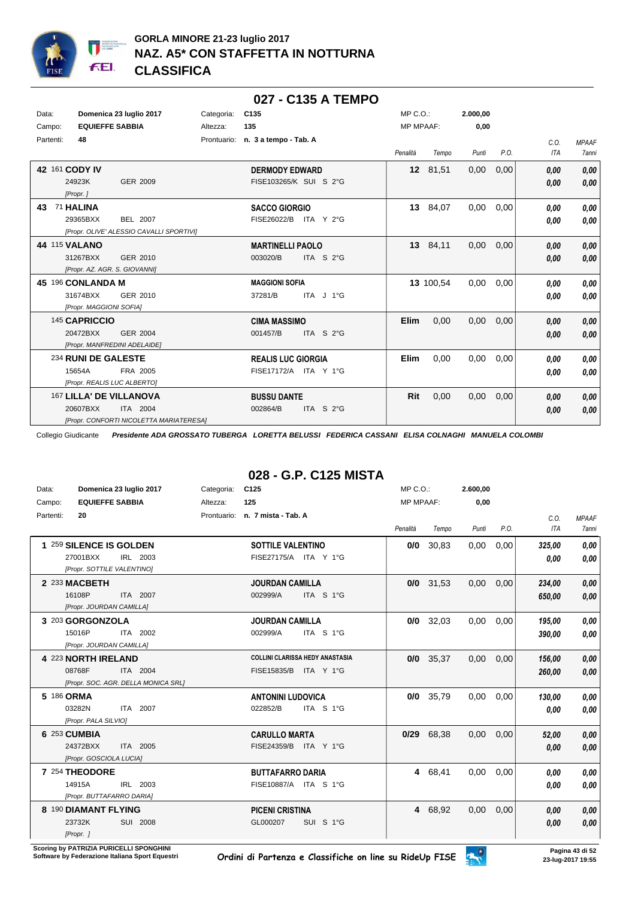

|           |                         |                                          |            | 027 - C135 A TEMPO                |                  |           |          |      |            |              |
|-----------|-------------------------|------------------------------------------|------------|-----------------------------------|------------------|-----------|----------|------|------------|--------------|
| Data:     |                         | Domenica 23 luglio 2017                  | Categoria: | C135                              | $MP C. O.$ :     |           | 2.000,00 |      |            |              |
| Campo:    | <b>EQUIEFFE SABBIA</b>  |                                          | Altezza:   | 135                               | <b>MP MPAAF:</b> |           | 0,00     |      |            |              |
| Partenti: | 48                      |                                          |            | Prontuario: n. 3 a tempo - Tab. A |                  |           |          |      | C.O.       | <b>MPAAF</b> |
|           |                         |                                          |            |                                   | Penalità         | Tempo     | Punti    | P.O. | <b>ITA</b> | 7anni        |
|           | 42 161 CODY IV          |                                          |            | <b>DERMODY EDWARD</b>             |                  | 12 81,51  | 0,00     | 0,00 | 0,00       | 0,00         |
|           | 24923K<br>[Propr.]      | <b>GER 2009</b>                          |            | FISE103265/K SUI S 2°G            |                  |           |          |      | 0.00       | 0,00         |
| 43        | 71 HALINA               |                                          |            | <b>SACCO GIORGIO</b>              | 13               | 84,07     | 0,00     | 0,00 | 0,00       | 0,00         |
|           | 29365BXX                | <b>BEL 2007</b>                          |            | FISE26022/B<br>ITA Y 2°G          |                  |           |          |      | 0.00       | 0,00         |
|           |                         | [Propr. OLIVE' ALESSIO CAVALLI SPORTIVI] |            |                                   |                  |           |          |      |            |              |
|           | <b>44 115 VALANO</b>    |                                          |            | <b>MARTINELLI PAOLO</b>           |                  | 13 84,11  | 0,00     | 0,00 | 0.00       | 0,00         |
|           | 31267BXX                | GER 2010                                 |            | ITA S 2°G<br>003020/B             |                  |           |          |      | 0,00       | 0,00         |
|           |                         | [Propr. AZ. AGR. S. GIOVANNI]            |            |                                   |                  |           |          |      |            |              |
|           | 45 196 CONLANDA M       |                                          |            | <b>MAGGIONI SOFIA</b>             |                  | 13 100,54 | 0,00     | 0,00 | 0.00       | 0,00         |
|           | 31674BXX                | GER 2010                                 |            | ITA J 1°G<br>37281/B              |                  |           |          |      | 0.00       | 0,00         |
|           | [Propr. MAGGIONI SOFIA] |                                          |            |                                   |                  |           |          |      |            |              |
|           | 145 CAPRICCIO           |                                          |            | <b>CIMA MASSIMO</b>               | <b>Elim</b>      | 0.00      | 0,00     | 0,00 | 0.00       | 0,00         |
|           | 20472BXX                | <b>GER 2004</b>                          |            | 001457/B<br>ITA S 2°G             |                  |           |          |      | 0.00       | 0.00         |
|           |                         | [Propr. MANFREDINI ADELAIDE]             |            |                                   |                  |           |          |      |            |              |
|           | 234 RUNI DE GALESTE     |                                          |            | <b>REALIS LUC GIORGIA</b>         | <b>Elim</b>      | 0,00      | 0,00     | 0,00 | 0.00       | 0,00         |
|           | 15654A                  | FRA 2005                                 |            | FISE17172/A ITA Y 1°G             |                  |           |          |      | 0.00       | 0.00         |
|           |                         | [Propr. REALIS LUC ALBERTO]              |            |                                   |                  |           |          |      |            |              |
|           |                         | 167 LILLA' DE VILLANOVA                  |            | <b>BUSSU DANTE</b>                | Rit              | 0,00      | 0,00     | 0,00 | 0,00       | 0,00         |
|           | 20607BXX                | ITA 2004                                 |            | ITA S 2°G<br>002864/B             |                  |           |          |      | 0,00       | 0,00         |
|           |                         | [Propr. CONFORTI NICOLETTA MARIATERESA]  |            |                                   |                  |           |          |      |            |              |

## **028 - G.P. C125 MISTA**

| Data:     | Domenica 23 luglio 2017             | Categoria: | C125                                   | MP C. O.         |             | 2.600,00 |      |            |              |
|-----------|-------------------------------------|------------|----------------------------------------|------------------|-------------|----------|------|------------|--------------|
| Campo:    | <b>EQUIEFFE SABBIA</b>              | Altezza:   | 125                                    | <b>MP MPAAF:</b> |             | 0,00     |      |            |              |
| Partenti: | 20                                  |            | Prontuario: n. 7 mista - Tab. A        |                  |             |          |      | C.O.       | <b>MPAAF</b> |
|           |                                     |            |                                        | Penalità         | Tempo       | Punti    | P.O. | <b>ITA</b> | <b>7anni</b> |
|           | 1 259 SILENCE IS GOLDEN             |            | <b>SOTTILE VALENTINO</b>               | 0/0              | 30,83       | 0,00     | 0,00 | 325,00     | 0.00         |
|           | 27001BXX<br>IRL 2003                |            | FISE27175/A ITA Y 1°G                  |                  |             |          |      | 0.00       | 0.00         |
|           | [Propr. SOTTILE VALENTINO]          |            |                                        |                  |             |          |      |            |              |
|           | 2 233 MACBETH                       |            | <b>JOURDAN CAMILLA</b>                 | 0/0              | 31,53       | 0,00     | 0,00 | 234,00     | 0.00         |
|           | 16108P<br>ITA 2007                  |            | 002999/A<br>ITA S 1°G                  |                  |             |          |      | 650,00     | 0,00         |
|           | [Propr. JOURDAN CAMILLA]            |            |                                        |                  |             |          |      |            |              |
|           | 3 203 GORGONZOLA                    |            | <b>JOURDAN CAMILLA</b>                 | 0/0              | 32,03       | 0,00     | 0,00 | 195,00     | 0.00         |
|           | 15016P<br>ITA 2002                  |            | 002999/A<br>ITA S 1°G                  |                  |             |          |      | 390,00     | 0.00         |
|           | [Propr. JOURDAN CAMILLA]            |            |                                        |                  |             |          |      |            |              |
|           | 4 223 NORTH IRELAND                 |            | <b>COLLINI CLARISSA HEDY ANASTASIA</b> |                  | $0/0$ 35,37 | 0,00     | 0,00 | 156,00     | 0.00         |
|           | 08768F<br>ITA 2004                  |            | FISE15835/B ITA Y 1°G                  |                  |             |          |      | 260,00     | 0,00         |
|           | [Propr. SOC. AGR. DELLA MONICA SRL] |            |                                        |                  |             |          |      |            |              |
|           | 5 186 ORMA                          |            | <b>ANTONINI LUDOVICA</b>               | 0/0              | 35,79       | 0,00     | 0,00 | 130,00     | 0.00         |
|           | ITA 2007<br>03282N                  |            | 022852/B<br>ITA S 1°G                  |                  |             |          |      | 0.00       | 0,00         |
|           | [Propr. PALA SILVIO]                |            |                                        |                  |             |          |      |            |              |
|           | 6 253 CUMBIA                        |            | <b>CARULLO MARTA</b>                   |                  | 0/29 68,38  | 0,00     | 0,00 | 52,00      | 0.00         |
|           | 24372BXX<br>ITA 2005                |            | FISE24359/B ITA Y 1°G                  |                  |             |          |      | 0,00       | 0.00         |
|           | [Propr. GOSCIOLA LUCIA]             |            |                                        |                  |             |          |      |            |              |
|           | 7 254 THEODORE                      |            | <b>BUTTAFARRO DARIA</b>                |                  | 4 68,41     | 0,00     | 0,00 | 0.00       | 0.00         |
|           | 14915A<br>IRL 2003                  |            | FISE10887/A ITA S 1°G                  |                  |             |          |      | 0,00       | 0.00         |
|           | [Propr. BUTTAFARRO DARIA]           |            |                                        |                  |             |          |      |            |              |
|           | 8 190 DIAMANT FLYING                |            | <b>PICENI CRISTINA</b>                 |                  | 4 68,92     | 0,00     | 0,00 | 0,00       | 0,00         |
|           | 23732K<br>SUI 2008                  |            | SUI S 1°G<br>GL000207                  |                  |             |          |      | 0.00       | 0.00         |
|           | [Propr.]                            |            |                                        |                  |             |          |      |            |              |

**Scoring by PATRIZIA PURICELLI SPONGHINI<br>Software by Federazione Italiana Sport Equestri** 

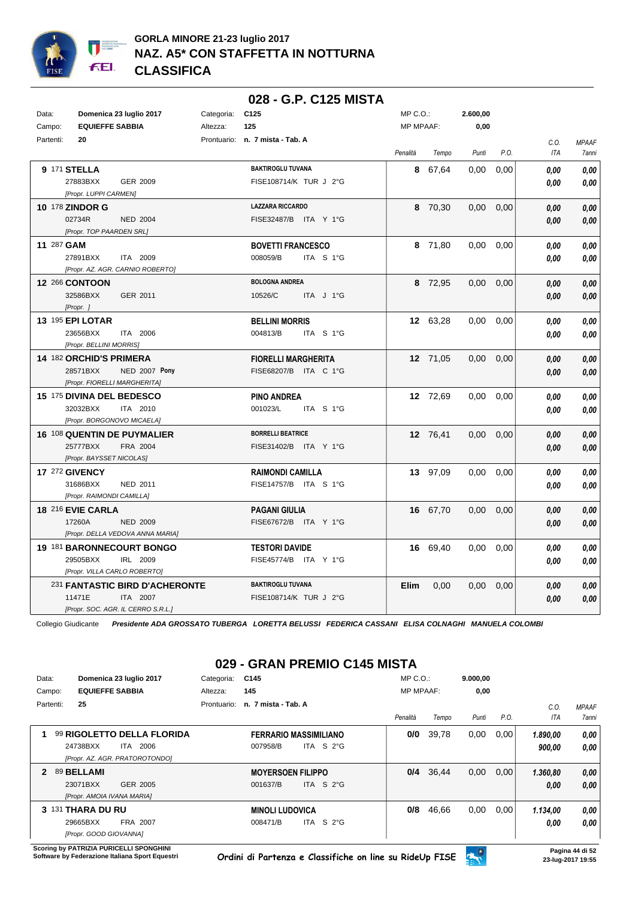

|            |                                       |                                                      |            |                                 | 028 - G.P. C125 MISTA |                  |          |          |      |                    |                                     |
|------------|---------------------------------------|------------------------------------------------------|------------|---------------------------------|-----------------------|------------------|----------|----------|------|--------------------|-------------------------------------|
| Data:      |                                       | Domenica 23 luglio 2017                              | Categoria: | C <sub>125</sub>                |                       | MP C.O.:         |          | 2.600,00 |      |                    |                                     |
| Campo:     | <b>EQUIEFFE SABBIA</b>                |                                                      | Altezza:   | 125                             |                       | <b>MP MPAAF:</b> |          | 0,00     |      |                    |                                     |
| Partenti:  | 20                                    |                                                      |            | Prontuario: n. 7 mista - Tab. A |                       | Penalità         | Tempo    | Punti    | P.O. | C.O.<br><b>ITA</b> | <b>MPAAF</b><br><i><b>7anni</b></i> |
|            | 9 171 STELLA                          |                                                      |            | <b>BAKTIROGLU TUVANA</b>        |                       |                  | 8 67,64  | 0.00     | 0,00 | 0.00               | 0.00                                |
|            | 27883BXX<br>[Propr. LUPPI CARMEN]     | GER 2009                                             |            | FISE108714/K TUR J 2°G          |                       |                  |          |          |      | 0.00               | 0.00                                |
|            | 10 178 ZINDOR G                       |                                                      |            | <b>LAZZARA RICCARDO</b>         |                       |                  | 8 70,30  | 0,00     | 0,00 | 0.00               | 0,00                                |
|            | 02734R<br>[Propr. TOP PAARDEN SRL]    | <b>NED 2004</b>                                      |            | FISE32487/B ITA Y 1°G           |                       |                  |          |          |      | 0,00               | 0,00                                |
| 11 287 GAM |                                       |                                                      |            | <b>BOVETTI FRANCESCO</b>        |                       |                  | 8 71,80  | 0.00     | 0,00 | 0.00               | 0,00                                |
|            | 27891BXX                              | ITA 2009<br>[Propr. AZ. AGR. CARNIO ROBERTO]         |            | 008059/B                        | ITA S 1°G             |                  |          |          |      | 0.00               | 0.00                                |
|            | <b>12 266 CONTOON</b>                 |                                                      |            | <b>BOLOGNA ANDREA</b>           |                       |                  | 8 72,95  | $0.00\,$ | 0,00 | 0.00               | 0,00                                |
|            | 32586BXX<br>[Propr. ]                 | GER 2011                                             |            | 10526/C                         | ITA J 1°G             |                  |          |          |      | 0.00               | 0,00                                |
|            | <b>13 195 EPI LOTAR</b>               |                                                      |            | <b>BELLINI MORRIS</b>           |                       |                  | 12 63,28 | 0,00     | 0,00 | 0.00               | 0,00                                |
|            | 23656BXX<br>[Propr. BELLINI MORRIS]   | ITA 2006                                             |            | 004813/B                        | ITA S 1°G             |                  |          |          |      | 0.00               | 0.00                                |
|            | 14 182 ORCHID'S PRIMERA               |                                                      |            | <b>FIORELLI MARGHERITA</b>      |                       |                  | 12 71,05 | 0,00     | 0,00 | 0.00               | 0.00                                |
|            | 28571BXX                              | <b>NED 2007 Pony</b><br>[Propr. FIORELLI MARGHERITA] |            | FISE68207/B ITA C 1°G           |                       |                  |          |          |      | 0,00               | 0,00                                |
|            | 15 175 DIVINA DEL BEDESCO             |                                                      |            | <b>PINO ANDREA</b>              |                       |                  | 12 72,69 | 0,00     | 0,00 | 0,00               | 0,00                                |
|            | 32032BXX                              | ITA 2010<br>[Propr. BORGONOVO MICAELA]               |            | 001023/L                        | ITA S 1°G             |                  |          |          |      | 0.00               | 0,00                                |
|            |                                       | <b>16 108 QUENTIN DE PUYMALIER</b>                   |            | <b>BORRELLI BEATRICE</b>        |                       |                  | 12 76,41 | 0,00     | 0,00 | 0.00               | 0,00                                |
|            | 25777BXX<br>[Propr. BAYSSET NICOLAS]  | FRA 2004                                             |            | FISE31402/B ITA Y 1°G           |                       |                  |          |          |      | 0.00               | 0,00                                |
|            | 17 272 GIVENCY                        |                                                      |            | <b>RAIMONDI CAMILLA</b>         |                       |                  | 13 97,09 | 0,00     | 0,00 | 0.00               | 0.00                                |
|            | 31686BXX<br>[Propr. RAIMONDI CAMILLA] | <b>NED 2011</b>                                      |            | FISE14757/B ITA S 1°G           |                       |                  |          |          |      | 0.00               | 0,00                                |
|            | 18 216 EVIE CARLA                     |                                                      |            | <b>PAGANI GIULIA</b>            |                       |                  | 16 67,70 | 0,00     | 0,00 | 0.00               | 0,00                                |
|            | 17260A                                | <b>NED 2009</b>                                      |            | FISE67672/B ITA Y 1°G           |                       |                  |          |          |      | 0.00               | 0.00                                |
|            |                                       | [Propr. DELLA VEDOVA ANNA MARIA]                     |            |                                 |                       |                  |          |          |      |                    |                                     |
|            |                                       | 19 181 BARONNECOURT BONGO                            |            | <b>TESTORI DAVIDE</b>           |                       |                  | 16 69,40 | 0,00     | 0,00 | 0.00               | 0.00                                |
|            | 29505BXX                              | IRL 2009<br>[Propr. VILLA CARLO ROBERTO]             |            | FISE45774/B ITA Y 1°G           |                       |                  |          |          |      | 0.00               | 0.00                                |
|            |                                       | 231 FANTASTIC BIRD D'ACHERONTE                       |            | <b>BAKTIROGLU TUVANA</b>        |                       | Elim             | 0,00     | 0,00     | 0,00 | 0.00               | 0,00                                |
|            | 11471E                                | ITA 2007                                             |            | FISE108714/K TUR J 2°G          |                       |                  |          |          |      | 0.00               | 0.00                                |
|            |                                       | [Propr. SOC. AGR. IL CERRO S.R.L.]                   |            |                                 |                       |                  |          |          |      |                    |                                     |

## **029 - GRAN PREMIO C145 MISTA**

| Data:        | Domenica 23 luglio 2017        | Categoria:  | C145                     |                                 | $MP C. O.$ :     |       | 9.000,00 |      |          |              |
|--------------|--------------------------------|-------------|--------------------------|---------------------------------|------------------|-------|----------|------|----------|--------------|
| Campo:       | <b>EQUIEFFE SABBIA</b>         | Altezza:    | 145                      |                                 | <b>MP MPAAF:</b> |       | 0,00     |      |          |              |
| Partenti:    | 25                             | Prontuario: | n. 7 mista - Tab. A      |                                 |                  |       |          |      | C.0.     | <b>MPAAF</b> |
|              |                                |             |                          |                                 | Penalità         | Tempo | Punti    | P.O. | ITA      | 7anni        |
|              | 99 RIGOLETTO DELLA FLORIDA     |             |                          | <b>FERRARIO MASSIMILIANO</b>    | 0/0              | 39,78 | 0,00     | 0,00 | 1.890,00 | 0.00         |
|              | 24738BXX<br>2006<br>ITA I      |             | 007958/B                 | ITA S $2^{\circ}$ G             |                  |       |          |      | 900,00   | 0.00         |
|              | [Propr. AZ. AGR. PRATOROTONDO] |             |                          |                                 |                  |       |          |      |          |              |
| $\mathbf{p}$ | 89 BELLAMI                     |             | <b>MOYERSOEN FILIPPO</b> |                                 | 0/4              | 36,44 | 0,00     | 0,00 | 1.360,80 | 0,00         |
|              | 23071BXX<br>GER 2005           |             | 001637/B                 | ITA S $2^{\circ}$ G             |                  |       |          |      | 0,00     | 0.00         |
|              | [Propr. AMOIA IVANA MARIA]     |             |                          |                                 |                  |       |          |      |          |              |
|              | 3 131 THARA DU RU              |             | <b>MINOLI LUDOVICA</b>   |                                 | 0/8              | 46,66 | 0,00     | 0,00 | 1.134,00 | 0,00         |
|              | 29665BXX<br>FRA 2007           |             | 008471/B                 | S <sub>2</sub> °G<br><b>ITA</b> |                  |       |          |      | 0.00     | 0.00         |
|              | [Propr. GOOD GIOVANNA]         |             |                          |                                 |                  |       |          |      |          |              |

**Scoring by PATRIZIA PURICELLI SPONGHINI<br>Software by Federazione Italiana Sport Equestri** 

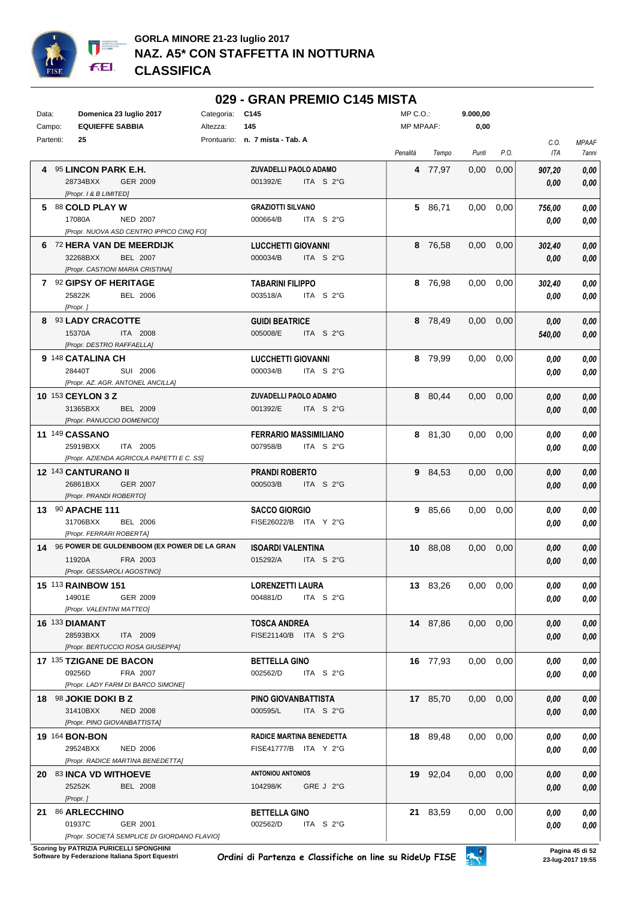

#### **029 - GRAN PREMIO C145 MISTA**

| Data:     |          | Domenica 23 luglio 2017                        | Categoria: C145 |                                 | MP C.O.:         |          | 9.000,00          |      |        |              |
|-----------|----------|------------------------------------------------|-----------------|---------------------------------|------------------|----------|-------------------|------|--------|--------------|
| Campo:    |          | <b>EQUIEFFE SABBIA</b>                         | Altezza:        | 145                             | <b>MP MPAAF:</b> |          | 0,00              |      |        |              |
| Partenti: |          | 25                                             |                 | Prontuario: n. 7 mista - Tab. A |                  |          |                   |      | C.O.   | <b>MPAAF</b> |
|           |          |                                                |                 |                                 | Penalità         | Tempo    | Punti             | P.O. | ITA    | 7anni        |
|           |          | 4 95 LINCON PARK E.H.                          |                 | <b>ZUVADELLI PAOLO ADAMO</b>    |                  | 4 77,97  | 0,00              | 0,00 | 907,20 | 0,00         |
|           |          | 28734BXX<br>GER 2009                           |                 | 001392/E<br>ITA S 2°G           |                  |          |                   |      | 0,00   | 0,00         |
|           |          | [Propr. 1 & B LIMITED]                         |                 |                                 |                  |          |                   |      |        |              |
|           |          | 5 88 COLD PLAY W                               |                 | <b>GRAZIOTTI SILVANO</b>        |                  | 5 86,71  | 0,00              | 0,00 | 756,00 | 0,00         |
|           | 17080A   | <b>NED 2007</b>                                |                 | 000664/B<br>ITA $S2G$           |                  |          |                   |      | 0,00   | 0,00         |
|           |          | [Propr. NUOVA ASD CENTRO IPPICO CINQ FO]       |                 |                                 |                  |          |                   |      |        |              |
|           |          | 6 72 HERA VAN DE MEERDIJK                      |                 | <b>LUCCHETTI GIOVANNI</b>       |                  | 8 76,58  | 0,00              | 0,00 | 302,40 | 0,00         |
|           |          | 32268BXX<br><b>BEL 2007</b>                    |                 | 000034/B<br>ITA S 2°G           |                  |          |                   |      | 0,00   | 0,00         |
|           |          | [Propr. CASTIONI MARIA CRISTINA]               |                 |                                 |                  |          |                   |      |        |              |
|           |          | 7 92 GIPSY OF HERITAGE                         |                 | <b>TABARINI FILIPPO</b>         |                  | 8 76,98  | 0,00              | 0,00 | 302,40 | 0,00         |
|           |          | 25822K<br><b>BEL 2006</b>                      |                 | 003518/A<br>ITA $S2G$           |                  |          |                   |      | 0.00   | 0,00         |
|           | [Propr.] |                                                |                 |                                 |                  |          |                   |      |        |              |
|           |          | 8 93 LADY CRACOTTE                             |                 | <b>GUIDI BEATRICE</b>           |                  | 8 78,49  | 0,00              | 0,00 | 0,00   | 0,00         |
|           | 15370A   | ITA 2008                                       |                 | 005008/E<br>ITA S 2°G           |                  |          |                   |      | 540,00 | 0,00         |
|           |          | [Propr. DESTRO RAFFAELLA]                      |                 |                                 |                  |          |                   |      |        |              |
|           |          | 9 148 CATALINA CH                              |                 | <b>LUCCHETTI GIOVANNI</b>       |                  | 8 79,99  | $0,00$ $0,00$     |      | 0,00   | 0,00         |
|           | 28440T   | SUI 2006                                       |                 | 000034/B<br>ITA S 2°G           |                  |          |                   |      | 0.00   | 0,00         |
|           |          | [Propr. AZ. AGR. ANTONEL ANCILLA]              |                 |                                 |                  |          |                   |      |        |              |
|           |          | 10 153 CEYLON 3 Z                              |                 | ZUVADELLI PAOLO ADAMO           |                  | 8 80,44  | $0,00$ $0,00$     |      | 0,00   | 0,00         |
|           |          | 31365BXX<br><b>BEL 2009</b>                    |                 | 001392/E<br>ITA S 2°G           |                  |          |                   |      | 0,00   | 0,00         |
|           |          | [Propr. PANUCCIO DOMENICO]                     |                 |                                 |                  |          |                   |      |        |              |
|           |          | 11 149 CASSANO                                 |                 | <b>FERRARIO MASSIMILIANO</b>    |                  | 8 81,30  | $0,00$ $0,00$     |      | 0.00   | 0,00         |
|           |          | 25919BXX<br>ITA 2005                           |                 | 007958/B<br>ITA $S2G$           |                  |          |                   |      | 0.00   | 0,00         |
|           |          | [Propr. AZIENDA AGRICOLA PAPETTI E C. SS]      |                 |                                 |                  |          |                   |      |        |              |
|           |          | 12 143 CANTURANO II                            |                 | <b>PRANDI ROBERTO</b>           |                  | 9 84,53  | $0,00$ $0,00$     |      | 0,00   | 0,00         |
|           |          | 26861BXX<br><b>GER 2007</b>                    |                 | 000503/B<br>ITA S 2°G           |                  |          |                   |      | 0,00   | 0,00         |
|           |          | [Propr. PRANDI ROBERTO]                        |                 |                                 |                  |          |                   |      |        |              |
|           |          | 13 90 APACHE 111                               |                 | <b>SACCO GIORGIO</b>            |                  | 9 85,66  | 0,00              | 0,00 | 0.00   | 0,00         |
|           |          | 31706BXX<br><b>BEL 2006</b>                    |                 | FISE26022/B ITA Y 2°G           |                  |          |                   |      | 0.00   | 0,00         |
|           |          | [Propr. FERRARI ROBERTA]                       |                 |                                 |                  |          |                   |      |        |              |
|           |          | 14 96 POWER DE GULDENBOOM (EX POWER DE LA GRAN |                 | <b>ISOARDI VALENTINA</b>        |                  | 10 88,08 | 0,00              | 0,00 | 0.00   | 0,00         |
|           | 11920A   | FRA 2003                                       |                 | 015292/A<br>ITA S 2°G           |                  |          |                   |      | 0,00   | 0,00         |
|           |          | [Propr. GESSAROLI AGOSTINO]                    |                 |                                 |                  |          |                   |      |        |              |
|           |          | 15 113 RAINBOW 151                             |                 | <b>LORENZETTI LAURA</b>         |                  | 13 83,26 | 0,00              | 0,00 | 0,00   | 0,00         |
|           |          | 14901E<br>GER 2009                             |                 | 004881/D<br>ITA $S$ 2°G         |                  |          |                   |      | 0,00   | 0,00         |
|           |          | [Propr. VALENTINI MATTEO]                      |                 |                                 |                  |          |                   |      |        |              |
|           |          | <b>16 133 DIAMANT</b>                          |                 | <b>TOSCA ANDREA</b>             |                  | 14 87,86 | $0,00$ $0,00$     |      | 0,00   | 0,00         |
|           |          | 28593BXX<br>ITA 2009                           |                 | FISE21140/B ITA S 2°G           |                  |          |                   |      | 0,00   | 0,00         |
|           |          | [Propr. BERTUCCIO ROSA GIUSEPPA]               |                 |                                 |                  |          |                   |      |        |              |
|           |          | 17 135 TZIGANE DE BACON                        |                 | <b>BETTELLA GINO</b>            |                  | 16 77,93 | $0,00$ $0,00$     |      | 0.00   | 0,00         |
|           |          | 09256D<br>FRA 2007                             |                 | 002562/D<br>ITA $S$ 2°G         |                  |          |                   |      | 0,00   | 0,00         |
|           |          | [Propr. LADY FARM DI BARCO SIMONE]             |                 |                                 |                  |          |                   |      |        |              |
|           |          | 18 98 JOKIE DOKI B Z                           |                 | PINO GIOVANBATTISTA             |                  | 17 85,70 | 0,00              | 0,00 | 0,00   | 0,00         |
|           |          | 31410BXX<br><b>NED 2008</b>                    |                 | 000595/L<br>ITA S 2°G           |                  |          |                   |      | 0,00   | 0,00         |
|           |          | [Propr. PINO GIOVANBATTISTA]                   |                 |                                 |                  |          |                   |      |        |              |
|           |          | 19 164 BON-BON                                 |                 | <b>RADICE MARTINA BENEDETTA</b> |                  | 18 89,48 | $0.00 \quad 0.00$ |      | 0,00   | 0,00         |
|           |          | 29524BXX<br><b>NED 2006</b>                    |                 | FISE41777/B ITA Y 2°G           |                  |          |                   |      | 0.00   | 0,00         |
|           |          | [Propr. RADICE MARTINA BENEDETTA]              |                 |                                 |                  |          |                   |      |        |              |
|           |          | 20 83 INCA VD WITHOEVE                         |                 | <b>ANTONIOU ANTONIOS</b>        |                  | 19 92,04 | $0.00 \quad 0.00$ |      | 0,00   | 0,00         |
|           |          | 25252K<br><b>BEL 2008</b>                      |                 | GRE J 2°G<br>104298/K           |                  |          |                   |      | 0.00   | 0,00         |
|           | [Propr.] |                                                |                 |                                 |                  |          |                   |      |        |              |
|           |          | 21 86 ARLECCHINO                               |                 | <b>BETTELLA GINO</b>            |                  | 21 83,59 | $0.00 \quad 0.00$ |      | 0.00   | 0,00         |
|           | 01937C   | GER 2001                                       |                 | ITA S 2°G<br>002562/D           |                  |          |                   |      | 0.00   | 0,00         |
|           |          | [Propr. SOCIETÀ SEMPLICE DI GIORDANO FLAVIO]   |                 |                                 |                  |          |                   |      |        |              |

**.**<br>Scoring by PATRIZIA PURICELLI SPONGHINI<br>Software by Federazione Italiana Sport Equestri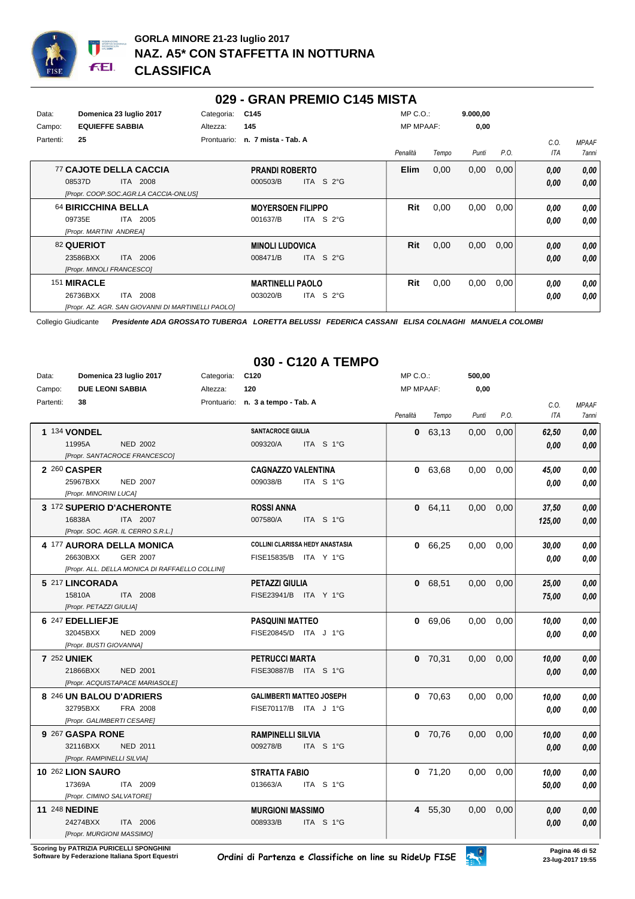

#### **029 - GRAN PREMIO C145 MISTA**

| Data:     | Domenica 23 luglio 2017                            | Categoria:  | C <sub>145</sub>         |                     | $MP C. O.$ :     |       | 9.000,00 |      |      |              |
|-----------|----------------------------------------------------|-------------|--------------------------|---------------------|------------------|-------|----------|------|------|--------------|
| Campo:    | <b>EQUIEFFE SABBIA</b>                             | Altezza:    | 145                      |                     | <b>MP MPAAF:</b> |       | 0,00     |      |      |              |
| Partenti: | 25                                                 | Prontuario: | n. 7 mista - Tab. A      |                     |                  |       |          |      | C.0. | <b>MPAAF</b> |
|           |                                                    |             |                          |                     | Penalità         | Tempo | Punti    | P.O. | ITA  | <b>7anni</b> |
|           | <b>77 CAJOTE DELLA CACCIA</b>                      |             | <b>PRANDI ROBERTO</b>    |                     | <b>Elim</b>      | 0,00  | 0,00     | 0,00 | 0,00 | 0.00         |
|           | 08537D<br><b>ITA 2008</b>                          |             | 000503/B                 | ITA S 2°G           |                  |       |          |      | 0,00 | 0,00         |
|           | [Propr. COOP.SOC.AGR.LA CACCIA-ONLUS]              |             |                          |                     |                  |       |          |      |      |              |
|           | 64 BIRICCHINA BELLA                                |             | <b>MOYERSOEN FILIPPO</b> |                     | Rit              | 0,00  | 0,00     | 0,00 | 0.00 | 0,00         |
|           | 09735E<br>ITA 2005                                 |             | 001637/B                 | ITA S $2^{\circ}$ G |                  |       |          |      | 0.00 | 0.00         |
|           | [Propr. MARTINI ANDREA]                            |             |                          |                     |                  |       |          |      |      |              |
|           | 82 QUERIOT                                         |             | <b>MINOLI LUDOVICA</b>   |                     | Rit              | 0,00  | 0,00     | 0,00 | 0,00 | 0,00         |
|           | ITA 2006<br>23586BXX                               |             | 008471/B                 | ITA S 2°G           |                  |       |          |      | 0,00 | 0.00         |
|           | [Propr. MINOLI FRANCESCO]                          |             |                          |                     |                  |       |          |      |      |              |
|           | 151 MIRACLE                                        |             | <b>MARTINELLI PAOLO</b>  |                     | Rit              | 0,00  | 0,00     | 0,00 | 0.00 | 0,00         |
|           | ITA 2008<br>26736BXX                               |             | 003020/B                 | ITA S 2°G           |                  |       |          |      | 0,00 | 0.00         |
|           | [Propr. AZ. AGR. SAN GIOVANNI DI MARTINELLI PAOLO] |             |                          |                     |                  |       |          |      |      |              |

Collegio Giudicante *Presidente ADA GROSSATO TUBERGA LORETTA BELUSSI FEDERICA CASSANI ELISA COLNAGHI MANUELA COLOMBI*

# **030 - C120 A TEMPO**

| Data:     | Domenica 23 luglio 2017            |                                                 | Categoria: | C <sub>120</sub>                  |                                        | MP C.O.:         |           | 500,00            |      |            |              |
|-----------|------------------------------------|-------------------------------------------------|------------|-----------------------------------|----------------------------------------|------------------|-----------|-------------------|------|------------|--------------|
| Campo:    | <b>DUE LEONI SABBIA</b>            |                                                 | Altezza:   | 120                               |                                        | <b>MP MPAAF:</b> |           | 0,00              |      |            |              |
| Partenti: | 38                                 |                                                 |            | Prontuario: n. 3 a tempo - Tab. A |                                        |                  |           |                   |      | C.O.       | <b>MPAAF</b> |
|           |                                    |                                                 |            |                                   |                                        | Penalità         | Tempo     | Punti             | P.O. | <b>ITA</b> | 7anni        |
|           | <b>1 134 VONDEL</b>                |                                                 |            | <b>SANTACROCE GIULIA</b>          |                                        |                  | 0, 63, 13 | 0,00              | 0,00 | 62,50      | 0,00         |
|           | 11995A                             | <b>NED 2002</b>                                 |            | 009320/A                          | ITA S 1°G                              |                  |           |                   |      | 0.00       | 0.00         |
|           | [Propr. SANTACROCE FRANCESCO]      |                                                 |            |                                   |                                        |                  |           |                   |      |            |              |
|           | 2 260 CASPER                       |                                                 |            | <b>CAGNAZZO VALENTINA</b>         |                                        |                  | 0 63,68   | $0.00 \quad 0.00$ |      | 45,00      | 0,00         |
|           | 25967BXX                           | <b>NED 2007</b>                                 |            | 009038/B                          | ITA S 1°G                              |                  |           |                   |      | 0.00       | 0,00         |
|           | [Propr. MINORINI LUCA]             |                                                 |            |                                   |                                        |                  |           |                   |      |            |              |
|           | 3 172 SUPERIO D'ACHERONTE          |                                                 |            | <b>ROSSI ANNA</b>                 |                                        |                  | 0 64,11   | 0,00              | 0.00 | 37,50      | 0,00         |
|           | 16838A                             | ITA 2007                                        |            | 007580/A                          | ITA S 1°G                              |                  |           |                   |      | 125,00     | 0,00         |
|           | [Propr. SOC. AGR. IL CERRO S.R.L.] |                                                 |            |                                   |                                        |                  |           |                   |      |            |              |
|           | 4 177 AURORA DELLA MONICA          |                                                 |            |                                   | <b>COLLINI CLARISSA HEDY ANASTASIA</b> | 0                | 66,25     | 0,00              | 0,00 | 30,00      | 0,00         |
|           | 26630BXX                           | <b>GER 2007</b>                                 |            | FISE15835/B ITA Y 1°G             |                                        |                  |           |                   |      | 0.00       | 0,00         |
|           |                                    | [Propr. ALL. DELLA MONICA DI RAFFAELLO COLLINI] |            |                                   |                                        |                  |           |                   |      |            |              |
|           | 5 217 LINCORADA                    |                                                 |            | PETAZZI GIULIA                    |                                        |                  | 0 68,51   | 0,00              | 0,00 | 25,00      | 0,00         |
|           | 15810A                             | ITA 2008                                        |            | FISE23941/B ITA Y 1°G             |                                        |                  |           |                   |      | 75,00      | 0,00         |
|           | [Propr. PETAZZI GIULIA]            |                                                 |            |                                   |                                        |                  |           |                   |      |            |              |
|           | 6 247 EDELLIEFJE                   |                                                 |            | <b>PASQUINI MATTEO</b>            |                                        |                  | 0 69,06   | 0,00              | 0,00 | 10,00      | 0,00         |
|           | 32045BXX                           | <b>NED 2009</b>                                 |            | FISE20845/D ITA J 1°G             |                                        |                  |           |                   |      | 0.00       | 0,00         |
|           | [Propr. BUSTI GIOVANNA]            |                                                 |            |                                   |                                        |                  |           |                   |      |            |              |
|           | <b>7 252 UNIEK</b>                 |                                                 |            | <b>PETRUCCI MARTA</b>             |                                        |                  | $0$ 70,31 | 0,00              | 0,00 | 10,00      | 0,00         |
|           | 21866BXX                           | <b>NED 2001</b>                                 |            | FISE30887/B ITA S 1°G             |                                        |                  |           |                   |      | 0.00       | 0,00         |
|           | [Propr. ACQUISTAPACE MARIASOLE]    |                                                 |            |                                   |                                        |                  |           |                   |      |            |              |
|           | 8 246 UN BALOU D'ADRIERS           |                                                 |            |                                   | <b>GALIMBERTI MATTEO JOSEPH</b>        |                  | $0$ 70,63 | $0.00\,$          | 0,00 | 10,00      | 0,00         |
|           | 32795BXX                           | FRA 2008                                        |            | FISE70117/B ITA J 1°G             |                                        |                  |           |                   |      | 0.00       | 0,00         |
|           | [Propr. GALIMBERTI CESARE]         |                                                 |            |                                   |                                        |                  |           |                   |      |            |              |
|           | 9 267 GASPA RONE                   |                                                 |            | <b>RAMPINELLI SILVIA</b>          |                                        |                  | $0$ 70,76 | 0,00              | 0,00 | 10.00      | 0,00         |
|           | 32116BXX                           | <b>NED 2011</b>                                 |            | 009278/B                          | ITA S 1°G                              |                  |           |                   |      | 0.00       | 0,00         |
|           | [Propr. RAMPINELLI SILVIA]         |                                                 |            |                                   |                                        |                  |           |                   |      |            |              |
|           | 10 262 LION SAURO                  |                                                 |            | <b>STRATTA FABIO</b>              |                                        |                  | $0$ 71,20 | 0.00              | 0,00 | 10.00      | 0,00         |
|           | 17369A                             | ITA 2009                                        |            | 013663/A                          | ITA S 1°G                              |                  |           |                   |      | 50,00      | 0,00         |
|           | [Propr. CIMINO SALVATORE]          |                                                 |            |                                   |                                        |                  |           |                   |      |            |              |
|           | <b>11 248 NEDINE</b>               |                                                 |            | <b>MURGIONI MASSIMO</b>           |                                        |                  | 4 55,30   | 0,00              | 0,00 | 0.00       | 0,00         |
|           | 24274BXX                           | ITA 2006                                        |            | 008933/B                          | ITA S 1°G                              |                  |           |                   |      | 0.00       | 0,00         |
|           | [Propr. MURGIONI MASSIMO]          |                                                 |            |                                   |                                        |                  |           |                   |      |            |              |

**Scoring by PATRIZIA PURICELLI SPONGHINI<br>Software by Federazione Italiana Sport Equestri** 

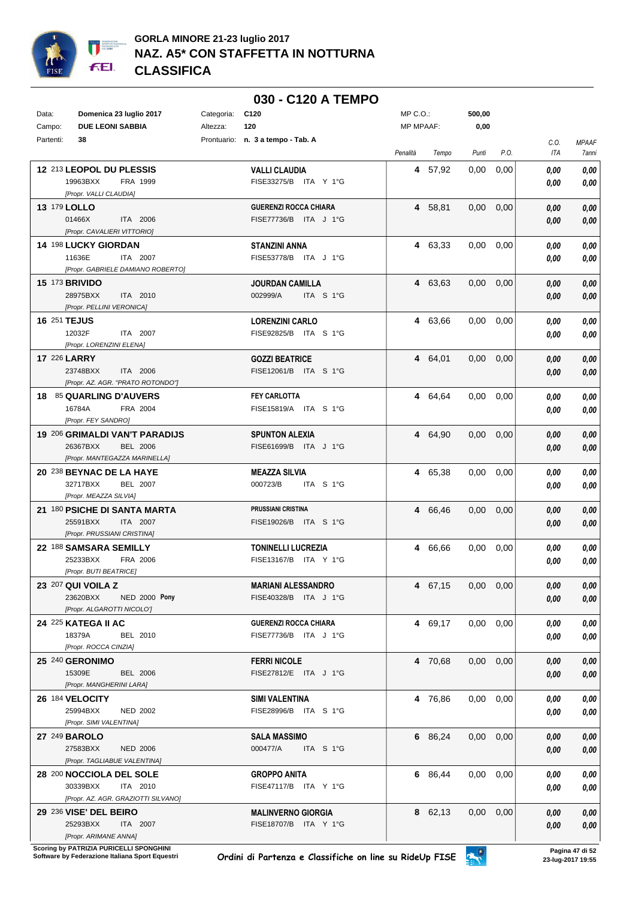

|           |                                                             |            | 030 - C120 A TEMPO                                    |                  |         |          |      |              |                       |
|-----------|-------------------------------------------------------------|------------|-------------------------------------------------------|------------------|---------|----------|------|--------------|-----------------------|
| Data:     | Domenica 23 luglio 2017                                     | Categoria: | C120                                                  | MP C.O.:         |         | 500,00   |      |              |                       |
| Campo:    | <b>DUE LEONI SABBIA</b>                                     | Altezza:   | 120                                                   | <b>MP MPAAF:</b> |         | 0,00     |      |              |                       |
| Partenti: | 38                                                          |            | Prontuario: n. 3 a tempo - Tab. A                     | Penalità         | Tempo   | Punti    | P.O. | C.O.<br>ITA  | <b>MPAAF</b><br>7anni |
|           | 12 213 LEOPOL DU PLESSIS                                    |            | <b>VALLI CLAUDIA</b>                                  |                  | 4 57,92 | 0,00     | 0,00 | 0.00         | 0,00                  |
|           | 19963BXX<br>FRA 1999                                        |            | FISE33275/B ITA Y 1°G                                 |                  |         |          |      | 0.00         | 0,00                  |
|           | [Propr. VALLI CLAUDIA]                                      |            |                                                       |                  |         |          |      |              |                       |
|           | <b>13 179 LOLLO</b><br>01466X<br>ITA 2006                   |            | <b>GUERENZI ROCCA CHIARA</b><br>FISE77736/B ITA J 1°G |                  | 4 58,81 | 0,00     | 0,00 | 0.00         | 0,00                  |
|           | [Propr. CAVALIERI VITTORIO]                                 |            |                                                       |                  |         |          |      | 0.00         | 0,00                  |
|           | <b>14 198 LUCKY GIORDAN</b>                                 |            | <b>STANZINI ANNA</b>                                  |                  | 4 63,33 | 0,00     | 0,00 | 0.00         | 0,00                  |
|           | 11636E<br>ITA 2007                                          |            | FISE53778/B ITA J 1°G                                 |                  |         |          |      | 0.00         | 0.00                  |
|           | [Propr. GABRIELE DAMIANO ROBERTO]                           |            |                                                       |                  |         |          |      |              |                       |
|           | <b>15 173 BRIVIDO</b>                                       |            | <b>JOURDAN CAMILLA</b>                                |                  | 4 63,63 | 0,00     | 0,00 | 0.00         | 0,00                  |
|           | 28975BXX<br>ITA 2010<br>[Propr. PELLINI VERONICA]           |            | 002999/A<br>ITA S 1°G                                 |                  |         |          |      | 0,00         | 0,00                  |
|           | 16 251 TEJUS                                                |            | <b>LORENZINI CARLO</b>                                |                  | 4 63,66 | 0,00     | 0,00 | 0.00         | 0,00                  |
|           | 12032F<br>ITA 2007                                          |            | FISE92825/B ITA S 1°G                                 |                  |         |          |      | 0.00         | 0.00                  |
|           | [Propr. LORENZINI ELENA]                                    |            |                                                       |                  |         |          |      |              |                       |
|           | <b>17 226 LARRY</b>                                         |            | <b>GOZZI BEATRICE</b>                                 |                  | 4 64,01 | 0,00     | 0,00 | 0.00         | 0,00                  |
|           | 23748BXX<br>ITA 2006<br>[Propr. AZ. AGR. "PRATO ROTONDO"]   |            | FISE12061/B ITA S 1°G                                 |                  |         |          |      | 0,00         | 0,00                  |
|           | 18 85 QUARLING D'AUVERS                                     |            | <b>FEY CARLOTTA</b>                                   |                  | 4 64.64 | 0,00     | 0,00 | 0.00         | 0,00                  |
|           | 16784A<br>FRA 2004                                          |            | FISE15819/A ITA S 1°G                                 |                  |         |          |      | 0,00         | 0,00                  |
|           | [Propr. FEY SANDRO]                                         |            |                                                       |                  |         |          |      |              |                       |
|           | 19 206 GRIMALDI VAN'T PARADIJS                              |            | <b>SPUNTON ALEXIA</b>                                 |                  | 4 64,90 | 0,00     | 0,00 | 0.00         | 0,00                  |
|           | 26367BXX<br><b>BEL 2006</b>                                 |            | FISE61699/B ITA J 1°G                                 |                  |         |          |      | 0,00         | 0,00                  |
|           | [Propr. MANTEGAZZA MARINELLA]<br>20 238 BEYNAC DE LA HAYE   |            | <b>MEAZZA SILVIA</b>                                  |                  | 4 65,38 | 0,00     | 0,00 | 0.00         | 0,00                  |
|           | 32717BXX<br><b>BEL 2007</b>                                 |            | 000723/B<br>ITA S 1°G                                 |                  |         |          |      | 0.00         | 0.00                  |
|           | [Propr. MEAZZA SILVIA]                                      |            |                                                       |                  |         |          |      |              |                       |
|           | 21 180 PSICHE DI SANTA MARTA                                |            | PRUSSIANI CRISTINA                                    |                  | 4 66,46 | 0,00     | 0,00 | 0,00         | 0,00                  |
|           | 25591BXX<br>ITA 2007                                        |            | FISE19026/B ITA S 1°G                                 |                  |         |          |      | 0,00         | 0,00                  |
|           | [Propr. PRUSSIANI CRISTINA]<br>22 188 SAMSARA SEMILLY       |            | <b>TONINELLI LUCREZIA</b>                             |                  | 4 66,66 | 0,00     | 0,00 | 0,00         | 0,00                  |
|           | 25233BXX<br>FRA 2006                                        |            | FISE13167/B ITA Y 1°G                                 |                  |         |          |      | 0.00         | 0.00                  |
|           | [Propr. BUTI BEATRICE]                                      |            |                                                       |                  |         |          |      |              |                       |
|           | 23 207 QUI VOILA Z                                          |            | <b>MARIANI ALESSANDRO</b>                             |                  | 4 67,15 | 0.00     | 0,00 | 0,00         | 0,00                  |
|           | <b>NED 2000 Pony</b><br>23620BXX                            |            | FISE40328/B ITA J 1°G                                 |                  |         |          |      | 0,00         | 0,00                  |
|           | [Propr. ALGAROTTI NICOLO']<br>24 225 KATEGA II AC           |            | <b>GUERENZI ROCCA CHIARA</b>                          |                  |         |          |      |              |                       |
|           | 18379A<br>BEL 2010                                          |            | FISE77736/B ITA J 1°G                                 |                  | 4 69,17 | 0,00     | 0,00 | 0.00<br>0.00 | 0,00<br>0,00          |
|           | [Propr. ROCCA CINZIA]                                       |            |                                                       |                  |         |          |      |              |                       |
|           | 25 240 GERONIMO                                             |            | <b>FERRI NICOLE</b>                                   |                  | 4 70,68 | 0,00     | 0,00 | 0.00         | 0,00                  |
|           | 15309E<br><b>BEL 2006</b>                                   |            | FISE27812/E ITA J 1°G                                 |                  |         |          |      | 0,00         | 0,00                  |
|           | [Propr. MANGHERINI LARA]                                    |            |                                                       |                  |         |          |      |              |                       |
|           | 26 184 VELOCITY<br>25994BXX<br><b>NED 2002</b>              |            | <b>SIMI VALENTINA</b><br>FISE28996/B ITA S 1°G        |                  | 4 76,86 | 0,00     | 0,00 | 0.00         | 0,00                  |
|           | [Propr. SIMI VALENTINA]                                     |            |                                                       |                  |         |          |      | 0,00         | 0,00                  |
|           | 27 249 BAROLO                                               |            | <b>SALA MASSIMO</b>                                   |                  | 6 86,24 | $0.00\,$ | 0,00 | 0.00         | 0,00                  |
|           | 27583BXX<br><b>NED 2006</b>                                 |            | 000477/A<br>ITA S 1°G                                 |                  |         |          |      | 0,00         | 0,00                  |
|           | [Propr. TAGLIABUE VALENTINA]                                |            |                                                       |                  |         |          |      |              |                       |
|           | 28 200 NOCCIOLA DEL SOLE                                    |            | <b>GROPPO ANITA</b>                                   |                  | 6 86,44 | $0.00\,$ | 0,00 | 0.00         | 0,00                  |
|           | 30339BXX<br>ITA 2010<br>[Propr. AZ. AGR. GRAZIOTTI SILVANO] |            | FISE47117/B ITA Y 1°G                                 |                  |         |          |      | 0,00         | 0,00                  |
|           | 29 236 VISE' DEL BEIRO                                      |            | <b>MALINVERNO GIORGIA</b>                             |                  | 8 62,13 | 0,00     | 0,00 | 0.00         | 0,00                  |
|           | 25293BXX<br>ITA 2007                                        |            | FISE18707/B ITA Y 1°G                                 |                  |         |          |      | 0,00         | 0,00                  |
|           | [Propr. ARIMANE ANNA]                                       |            |                                                       |                  |         |          |      |              |                       |

**Scoring by PATRIZIA PURICELLI SPONGHINI<br>Software by Federazione Italiana Sport Equestri**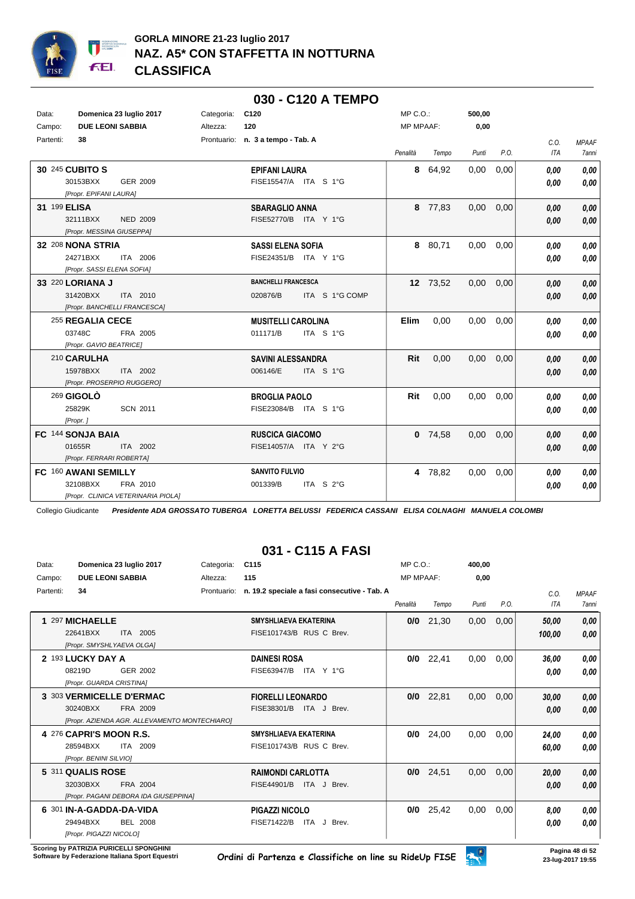

|              |                                    |            |                                   | 030 - C120 A TEMPO    |                  |           |        |      |            |              |
|--------------|------------------------------------|------------|-----------------------------------|-----------------------|------------------|-----------|--------|------|------------|--------------|
| Data:        | Domenica 23 luglio 2017            | Categoria: | C120                              |                       | MP C.O.:         |           | 500,00 |      |            |              |
| Campo:       | <b>DUE LEONI SABBIA</b>            | Altezza:   | 120                               |                       | <b>MP MPAAF:</b> |           | 0,00   |      |            |              |
| Partenti:    | 38                                 |            | Prontuario: n. 3 a tempo - Tab. A |                       |                  |           |        |      | C.O.       | <b>MPAAF</b> |
|              |                                    |            |                                   |                       | Penalità         | Tempo     | Punti  | P.O. | <b>ITA</b> | <b>7anni</b> |
|              | 30 245 CUBITO S                    |            | <b>EPIFANI LAURA</b>              |                       |                  | 8 64,92   | 0,00   | 0,00 | 0.00       | 0,00         |
|              | 30153BXX<br>GER 2009               |            |                                   | FISE15547/A ITA S 1°G |                  |           |        |      | 0.00       | 0,00         |
|              | [Propr. EPIFANI LAURA]             |            |                                   |                       |                  |           |        |      |            |              |
| 31 199 ELISA |                                    |            | <b>SBARAGLIO ANNA</b>             |                       |                  | 8 77,83   | 0,00   | 0,00 | 0,00       | 0.00         |
|              | 32111BXX<br><b>NED 2009</b>        |            |                                   | FISE52770/B ITA Y 1°G |                  |           |        |      | 0,00       | 0,00         |
|              | [Propr. MESSINA GIUSEPPA]          |            |                                   |                       |                  |           |        |      |            |              |
|              | 32 208 NONA STRIA                  |            | <b>SASSI ELENA SOFIA</b>          |                       |                  | 8 80,71   | 0.00   | 0.00 | 0.00       | 0,00         |
|              | 24271BXX<br>ITA 2006               |            |                                   | FISE24351/B ITA Y 1°G |                  |           |        |      | 0,00       | 0,00         |
|              | [Propr. SASSI ELENA SOFIA]         |            |                                   |                       |                  |           |        |      |            |              |
|              | 33 220 LORIANA J                   |            | <b>BANCHELLI FRANCESCA</b>        |                       |                  | 12 73,52  | 0,00   | 0,00 | 0.00       | 0,00         |
|              | 31420BXX<br>ITA 2010               |            | 020876/B                          | ITA S 1°G COMP        |                  |           |        |      | 0.00       | 0,00         |
|              | [Propr. BANCHELLI FRANCESCA]       |            |                                   |                       |                  |           |        |      |            |              |
|              | 255 REGALIA CECE                   |            | <b>MUSITELLI CAROLINA</b>         |                       | <b>Elim</b>      | 0,00      | 0,00   | 0,00 | 0.00       | 0.00         |
|              | 03748C<br>FRA 2005                 |            | 011171/B                          | ITA S 1°G             |                  |           |        |      | 0,00       | 0,00         |
|              | [Propr. GAVIO BEATRICE]            |            |                                   |                       |                  |           |        |      |            |              |
|              | 210 CARULHA                        |            | <b>SAVINI ALESSANDRA</b>          |                       | Rit              | 0.00      | 0.00   | 0.00 | 0.00       | 0,00         |
|              | 15978BXX<br>ITA 2002               |            | 006146/E                          | ITA S 1°G             |                  |           |        |      | 0,00       | 0,00         |
|              | [Propr. PROSERPIO RUGGERO]         |            |                                   |                       |                  |           |        |      |            |              |
|              | 269 GIGOLO                         |            | <b>BROGLIA PAOLO</b>              |                       | Rit              | 0,00      | 0,00   | 0,00 | 0.00       | 0,00         |
|              | <b>SCN 2011</b><br>25829K          |            |                                   | FISE23084/B ITA S 1°G |                  |           |        |      | 0.00       | 0,00         |
|              | [Propr.]                           |            |                                   |                       |                  |           |        |      |            |              |
|              | FC 144 SONJA BAIA                  |            | <b>RUSCICA GIACOMO</b>            |                       |                  | $0$ 74,58 | 0,00   | 0,00 | 0.00       | 0,00         |
|              | 01655R<br>ITA 2002                 |            |                                   | FISE14057/A ITA Y 2°G |                  |           |        |      | 0,00       | 0,00         |
|              | [Propr. FERRARI ROBERTA]           |            |                                   |                       |                  |           |        |      |            |              |
|              | FC 160 AWANI SEMILLY               |            | <b>SANVITO FULVIO</b>             |                       |                  | 4 78,82   | 0,00   | 0,00 | 0.00       | 0,00         |
|              | 32108BXX<br>FRA 2010               |            | 001339/B                          | ITA S 2°G             |                  |           |        |      | 0.00       | 0,00         |
|              | [Propr. CLINICA VETERINARIA PIOLA] |            |                                   |                       |                  |           |        |      |            |              |

## **031 - C115 A FASI**

| Data:     | Domenica 23 luglio 2017                       | Categoria:  | C <sub>115</sub>                             | MP C.O.          |       | 400,00 |      |        |              |
|-----------|-----------------------------------------------|-------------|----------------------------------------------|------------------|-------|--------|------|--------|--------------|
| Campo:    | <b>DUE LEONI SABBIA</b>                       | Altezza:    | 115                                          | <b>MP MPAAF:</b> |       | 0.00   |      |        |              |
| Partenti: | 34                                            | Prontuario: | n. 19.2 speciale a fasi consecutive - Tab. A |                  |       |        |      | C.0.   | <b>MPAAF</b> |
|           |                                               |             |                                              | Penalità         | Tempo | Punti  | P.O. | ITA    | <b>7anni</b> |
|           | 297 MICHAELLE                                 |             | <b>SMYSHLIAEVA EKATERINA</b>                 | 0/0              | 21,30 | 0,00   | 0,00 | 50,00  | 0,00         |
|           | 22641BXX<br>ITA 2005                          |             | FISE101743/B RUS C Brev.                     |                  |       |        |      | 100,00 | 0,00         |
|           | [Propr. SMYSHLYAEVA OLGA]                     |             |                                              |                  |       |        |      |        |              |
|           | 2 193 LUCKY DAY A                             |             | <b>DAINESI ROSA</b>                          | 0/0              | 22,41 | 0,00   | 0,00 | 36,00  | 0,00         |
|           | 08219D<br>GER 2002                            |             | FISE63947/B<br>ITA Y 1°G                     |                  |       |        |      | 0.00   | 0,00         |
|           | [Propr. GUARDA CRISTINA]                      |             |                                              |                  |       |        |      |        |              |
|           | 3 303 VERMICELLE D'ERMAC                      |             | <b>FIORELLI LEONARDO</b>                     | 0/0              | 22,81 | 0,00   | 0,00 | 30,00  | 0,00         |
|           | 30240BXX<br>FRA 2009                          |             | FISE38301/B<br>ITA J Brev.                   |                  |       |        |      | 0,00   | 0,00         |
|           | [Propr. AZIENDA AGR. ALLEVAMENTO MONTECHIARO] |             |                                              |                  |       |        |      |        |              |
|           | 4 276 CAPRI'S MOON R.S.                       |             | <b>SMYSHLIAEVA EKATERINA</b>                 | 0/0              | 24,00 | 0,00   | 0,00 | 24,00  | 0,00         |
|           | 2009<br>28594BXX<br>ITA                       |             | FISE101743/B RUS C Brev.                     |                  |       |        |      | 60,00  | 0,00         |
|           | [Propr. BENINI SILVIO]                        |             |                                              |                  |       |        |      |        |              |
|           | 5 311 QUALIS ROSE                             |             | <b>RAIMONDI CARLOTTA</b>                     | 0/0              | 24,51 | 0,00   | 0,00 | 20,00  | 0,00         |
|           | 32030BXX<br>FRA 2004                          |             | FISE44901/B<br>ITA J Brev.                   |                  |       |        |      | 0,00   | 0,00         |
|           | [Propr. PAGANI DEBORA IDA GIUSEPPINA]         |             |                                              |                  |       |        |      |        |              |
|           | 6 301 IN-A-GADDA-DA-VIDA                      |             | <b>PIGAZZI NICOLO</b>                        | 0/0              | 25,42 | 0,00   | 0,00 | 8.00   | 0,00         |
|           | 29494BXX<br><b>BEL 2008</b>                   |             | <b>FISE71422/B</b><br>ITA J Brev.            |                  |       |        |      | 0,00   | 0,00         |
|           | [Propr. PIGAZZI NICOLO]                       |             |                                              |                  |       |        |      |        |              |

**Scoring by PATRIZIA PURICELLI SPONGHINI<br>Software by Federazione Italiana Sport Equestri**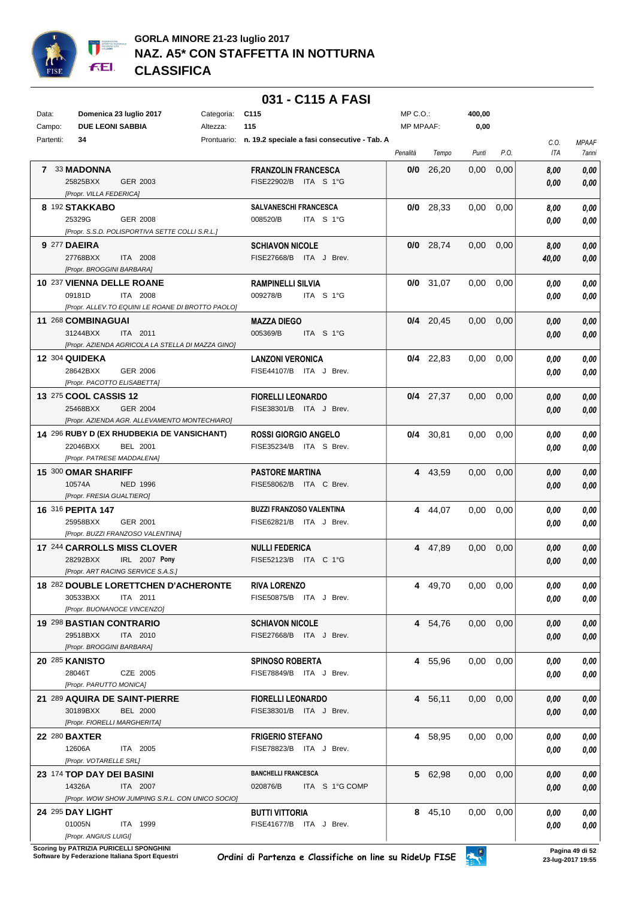

#### **031 - C115 A FASI**

| Data:     | Domenica 23 luglio 2017                           | Categoria: C115 |                                                          | MP C.O.:  |             | 400,00            |      |       |                     |
|-----------|---------------------------------------------------|-----------------|----------------------------------------------------------|-----------|-------------|-------------------|------|-------|---------------------|
| Campo:    | <b>DUE LEONI SABBIA</b>                           | Altezza:        | 115                                                      | MP MPAAF: |             | 0,00              |      |       |                     |
| Partenti: | 34                                                |                 | Prontuario: n. 19.2 speciale a fasi consecutive - Tab. A |           |             |                   |      | C.O.  | MPAAF               |
|           |                                                   |                 |                                                          | Penalità  | Tempo       | Punti             | P.O. | ITA   | <i><b>7anni</b></i> |
|           | 7 33 MADONNA                                      |                 | <b>FRANZOLIN FRANCESCA</b>                               |           | $0/0$ 26,20 | 0.00 <sub>1</sub> | 0,00 | 8.00  | 0.00                |
|           | 25825BXX<br>GER 2003                              |                 | FISE22902/B ITA S 1°G                                    |           |             |                   |      | 0.00  | 0,00                |
|           | [Propr. VILLA FEDERICA]                           |                 |                                                          |           |             |                   |      |       |                     |
|           | 8 192 STAKKABO                                    |                 | <b>SALVANESCHI FRANCESCA</b>                             |           | $0/0$ 28,33 | $0.00 \quad 0.00$ |      | 8,00  | 0,00                |
|           | 25329G<br>GER 2008                                |                 | 008520/B<br>ITA S 1°G                                    |           |             |                   |      | 0,00  | 0,00                |
|           | [Propr. S.S.D. POLISPORTIVA SETTE COLLI S.R.L.]   |                 |                                                          |           |             |                   |      |       |                     |
|           | 9 277 DAEIRA                                      |                 | <b>SCHIAVON NICOLE</b>                                   |           | $0/0$ 28,74 | $0,00$ $0,00$     |      | 8,00  | 0,00                |
|           | 27768BXX<br>ITA 2008                              |                 | FISE27668/B ITA J Brev.                                  |           |             |                   |      | 40,00 | 0,00                |
|           | [Propr. BROGGINI BARBARA]                         |                 |                                                          |           |             |                   |      |       |                     |
|           | 10 237 VIENNA DELLE ROANE                         |                 | <b>RAMPINELLI SILVIA</b>                                 |           | $0/0$ 31,07 | $0.00\,$          | 0,00 | 0.00  | 0,00                |
|           | 09181D<br>ITA 2008                                |                 | 009278/B<br>ITA S 1°G                                    |           |             |                   |      | 0.00  | 0,00                |
|           | [Propr. ALLEV.TO EQUINI LE ROANE DI BROTTO PAOLO] |                 |                                                          |           |             |                   |      |       |                     |
|           | 11 268 COMBINAGUAI                                |                 | <b>MAZZA DIEGO</b>                                       |           | $0/4$ 20,45 | $0.00\,$          | 0,00 | 0,00  | 0,00                |
|           | 31244BXX<br>ITA 2011                              |                 | 005369/B<br>ITA S 1°G                                    |           |             |                   |      | 0.00  | 0,00                |
|           | [Propr. AZIENDA AGRICOLA LA STELLA DI MAZZA GINO] |                 |                                                          |           |             |                   |      |       |                     |
|           | 12 304 QUIDEKA                                    |                 | <b>LANZONI VERONICA</b>                                  |           | $0/4$ 22,83 | $0.00\,$          | 0,00 | 0,00  | 0,00                |
|           | 28642BXX<br>GER 2006                              |                 | FISE44107/B ITA J Brev.                                  |           |             |                   |      | 0.00  | 0,00                |
|           | [Propr. PACOTTO ELISABETTA]                       |                 |                                                          |           |             |                   |      |       |                     |
|           | <b>13 275 COOL CASSIS 12</b>                      |                 | <b>FIORELLI LEONARDO</b>                                 |           | $0/4$ 27,37 | $0.00\,$          | 0,00 | 0,00  | 0,00                |
|           | 25468BXX<br>GER 2004                              |                 | FISE38301/B ITA J Brev.                                  |           |             |                   |      | 0,00  | 0,00                |
|           | [Propr. AZIENDA AGR. ALLEVAMENTO MONTECHIARO]     |                 |                                                          |           |             |                   |      |       |                     |
|           | 14 296 RUBY D (EX RHUDBEKIA DE VANSICHANT)        |                 | <b>ROSSI GIORGIO ANGELO</b>                              |           | $0/4$ 30,81 | $0,00$ $0,00$     |      | 0,00  | 0,00                |
|           | 22046BXX<br>BEL 2001                              |                 | FISE35234/B ITA S Brev.                                  |           |             |                   |      | 0,00  | 0,00                |
|           | [Propr. PATRESE MADDALENA]                        |                 |                                                          |           |             |                   |      |       |                     |
|           | 15 300 OMAR SHARIFF                               |                 | <b>PASTORE MARTINA</b>                                   |           | 4 43,59     | $0,00$ $0,00$     |      | 0.00  | 0,00                |
|           | 10574A<br><b>NED 1996</b>                         |                 | FISE58062/B ITA C Brev.                                  |           |             |                   |      | 0,00  | 0,00                |
|           | [Propr. FRESIA GUALTIERO]                         |                 |                                                          |           |             |                   |      |       |                     |
|           | 16 316 PEPITA 147                                 |                 | <b>BUZZI FRANZOSO VALENTINA</b>                          |           | 4 44,07     | $0,00$ $0,00$     |      | 0,00  | 0,00                |
|           | 25958BXX<br>GER 2001                              |                 | FISE62821/B ITA J Brev.                                  |           |             |                   |      | 0.00  | 0,00                |
|           | [Propr. BUZZI FRANZOSO VALENTINA]                 |                 |                                                          |           |             |                   |      |       |                     |
|           | 17 244 CARROLLS MISS CLOVER                       |                 | <b>NULLI FEDERICA</b>                                    |           | 4 47,89     | $0,00$ $0,00$     |      | 0,00  | 0,00                |
|           | 28292BXX<br>IRL 2007 Pony                         |                 | FISE52123/B ITA C 1°G                                    |           |             |                   |      | 0.00  | 0,00                |
|           | [Propr. ART RACING SERVICE S.A.S.]                |                 |                                                          |           |             |                   |      |       |                     |
|           | 18 282 DOUBLE LORETTCHEN D'ACHERONTE              |                 | <b>RIVA LORENZO</b>                                      |           | 4 49,70     | $0,00$ 0,00       |      | 0,00  | 0,00                |
|           | 30533BXX<br>ITA 2011                              |                 | FISE50875/B ITA J Brev.                                  |           |             |                   |      | 0,00  | 0,00                |
|           | [Propr. BUONANOCE VINCENZO]                       |                 |                                                          |           |             |                   |      |       |                     |
|           | 19 298 BASTIAN CONTRARIO                          |                 | <b>SCHIAVON NICOLE</b>                                   |           | 4 54,76     | $0,00$ $0,00$     |      | 0,00  | 0,00                |
|           | 29518BXX<br>ITA 2010                              |                 | FISE27668/B ITA J Brev.                                  |           |             |                   |      | 0,00  | 0,00                |
|           | [Propr. BROGGINI BARBARA]                         |                 |                                                          |           |             |                   |      |       |                     |
|           | <b>20 285 KANISTO</b>                             |                 | <b>SPINOSO ROBERTA</b>                                   |           | 4 55,96     | $0,00$ $0,00$     |      | 0,00  | 0,00                |
|           | 28046T<br>CZE 2005                                |                 | FISE78849/B ITA J Brev.                                  |           |             |                   |      | 0,00  | 0,00                |
|           | [Propr. PARUTTO MONICA]                           |                 |                                                          |           |             |                   |      |       |                     |
|           | 21 289 AQUIRA DE SAINT-PIERRE                     |                 | <b>FIORELLI LEONARDO</b>                                 |           | 4 56,11     | $0,00$ $0,00$     |      | 0,00  | 0,00                |
|           | 30189BXX<br><b>BEL 2000</b>                       |                 | FISE38301/B ITA J Brev.                                  |           |             |                   |      | 0,00  | 0,00                |
|           | [Propr. FIORELLI MARGHERITA]                      |                 |                                                          |           |             |                   |      |       |                     |
|           | <b>22 280 BAXTER</b>                              |                 | <b>FRIGERIO STEFANO</b>                                  |           | 4 58,95     | $0,00$ $0,00$     |      | 0,00  | 0,00                |
|           | 12606A<br>ITA 2005                                |                 | FISE78823/B ITA J Brev.                                  |           |             |                   |      | 0,00  | 0,00                |
|           | [Propr. VOTARELLE SRL]                            |                 |                                                          |           |             |                   |      |       |                     |
|           | 23 174 TOP DAY DEI BASINI                         |                 | <b>BANCHELLI FRANCESCA</b>                               |           | 5 62,98     | $0,00$ $0,00$     |      | 0,00  | 0,00                |
|           | 14326A<br>ITA 2007                                |                 | 020876/B<br>ITA S 1°G COMP                               |           |             |                   |      | 0,00  | 0,00                |
|           | [Propr. WOW SHOW JUMPING S.R.L. CON UNICO SOCIO]  |                 |                                                          |           |             |                   |      |       |                     |
|           | 24 295 DAY LIGHT                                  |                 | BUTTI VITTORIA                                           |           | 8 45,10     | $0,00$ $0,00$     |      | 0,00  | 0,00                |
|           | 01005N<br>ITA 1999                                |                 | FISE41677/B ITA J Brev.                                  |           |             |                   |      | 0,00  | 0,00                |
|           | [Propr. ANGIUS LUIGI]                             |                 |                                                          |           |             |                   |      |       |                     |

**Scoring by PATRIZIA PURICELLI SPONGHINI<br>Software by Federazione Italiana Sport Equestri**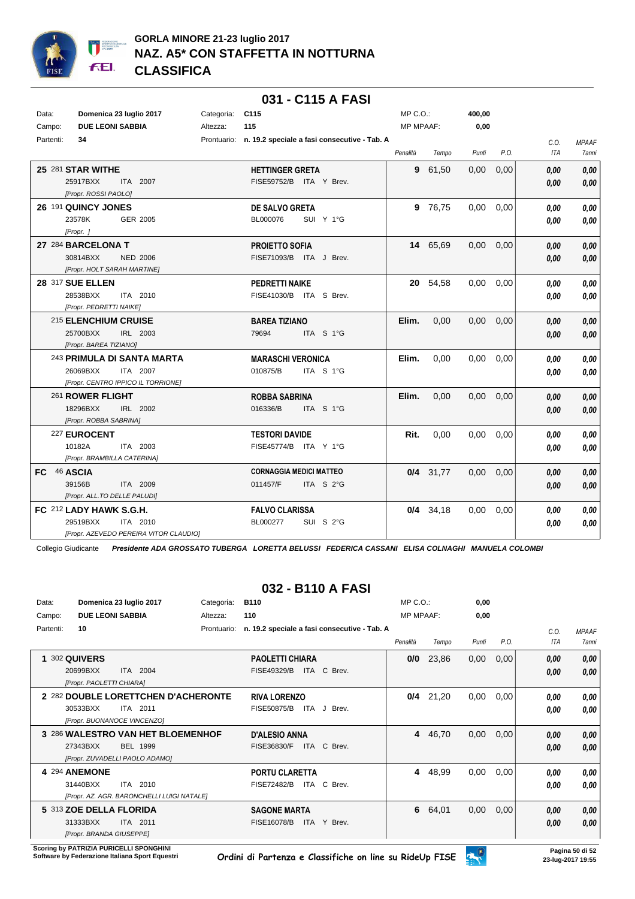

|             |                                                                                           |            | <u> U31 - U115 A FASI</u>                                |                  |             |        |      |                    |                              |
|-------------|-------------------------------------------------------------------------------------------|------------|----------------------------------------------------------|------------------|-------------|--------|------|--------------------|------------------------------|
| Data:       | Domenica 23 luglio 2017                                                                   | Categoria: | C <sub>115</sub>                                         | $MP C. O.$ :     |             | 400,00 |      |                    |                              |
| Campo:      | <b>DUE LEONI SABBIA</b>                                                                   | Altezza:   | 115                                                      | <b>MP MPAAF:</b> |             | 0,00   |      |                    |                              |
| Partenti:   | 34                                                                                        |            | Prontuario: n. 19.2 speciale a fasi consecutive - Tab. A | Penalità         | Tempo       | Punti  | P.O. | C.O.<br><b>ITA</b> | <b>MPAAF</b><br><b>7anni</b> |
|             | 25 281 STAR WITHE<br>25917BXX<br>ITA 2007<br>[Propr. ROSSI PAOLO]                         |            | <b>HETTINGER GRETA</b><br>FISE59752/B ITA Y Brev.        | 9                | 61,50       | 0,00   | 0,00 | 0.00<br>0.00       | 0,00<br>0,00                 |
|             | 26 191 QUINCY JONES<br>23578K<br>GER 2005<br>[Propr.]                                     |            | DE SALVO GRETA<br>BL000076<br>SUI Y 1°G                  | 9                | 76,75       | 0,00   | 0,00 | 0.00<br>0.00       | 0,00<br>0,00                 |
|             | 27 284 BARCELONA T<br>30814BXX<br><b>NED 2006</b><br>[Propr. HOLT SARAH MARTINE]          |            | <b>PROJETTO SOFIA</b><br>FISE71093/B ITA J Brev.         |                  | 14 65,69    | 0,00   | 0,00 | 0.00<br>0,00       | 0,00<br>0,00                 |
|             | 28 317 SUE ELLEN<br>28538BXX<br>ITA 2010<br>[Propr. PEDRETTI NAIKE]                       |            | <b>PEDRETTI NAIKE</b><br>FISE41030/B ITA S Brev.         |                  | 20 54,58    | 0,00   | 0,00 | 0,00<br>0.00       | 0,00<br>0,00                 |
|             | 215 ELENCHIUM CRUISE<br>25700BXX<br>IRL 2003<br>[Propr. BAREA TIZIANO]                    |            | <b>BAREA TIZIANO</b><br>79694<br>ITA S 1°G               | Elim.            | 0,00        | 0,00   | 0,00 | 0.00<br>0.00       | 0,00<br>0,00                 |
|             | 243 PRIMULA DI SANTA MARTA<br>ITA 2007<br>26069BXX<br>[Propr. CENTRO IPPICO IL TORRIONE]  |            | <b>MARASCHI VERONICA</b><br>ITA S 1°G<br>010875/B        | Elim.            | 0,00        | 0,00   | 0,00 | 0.00<br>0.00       | 0,00<br>0,00                 |
|             | 261 ROWER FLIGHT<br>18296BXX<br>IRL 2002<br>[Propr. ROBBA SABRINA]                        |            | <b>ROBBA SABRINA</b><br>ITA S 1°G<br>016336/B            | Elim.            | 0.00        | 0.00   | 0,00 | 0.00<br>0.00       | 0,00<br>0,00                 |
|             | 227 EUROCENT<br>10182A<br>ITA 2003<br>[Propr. BRAMBILLA CATERINA]                         |            | <b>TESTORI DAVIDE</b><br>FISE45774/B ITA Y 1°G           | Rit.             | 0,00        | 0,00   | 0,00 | 0.00<br>0,00       | 0,00<br>0.00                 |
| FC 46 ASCIA | 39156B<br>ITA 2009<br>[Propr. ALL.TO DELLE PALUDI]                                        |            | <b>CORNAGGIA MEDICI MATTEO</b><br>011457/F<br>ITA S 2°G  |                  | $0/4$ 31,77 | 0,00   | 0,00 | 0.00<br>0.00       | 0,00<br>0.00                 |
|             | FC 212 LADY HAWK S.G.H.<br>29519BXX<br>ITA 2010<br>[Propr. AZEVEDO PEREIRA VITOR CLAUDIO] |            | <b>FALVO CLARISSA</b><br>BL000277<br>SUI S 2°G           |                  | $0/4$ 34,18 | 0,00   | 0,00 | 0.00<br>0.00       | 0,00<br>0.00                 |

#### **031 - C115 A FASI**

Collegio Giudicante *Presidente ADA GROSSATO TUBERGA LORETTA BELUSSI FEDERICA CASSANI ELISA COLNAGHI MANUELA COLOMBI*

### **032 - B110 A FASI**

| Data:     | Domenica 23 luglio 2017                                                                            | Categoria:  | <b>B110</b>                                                    | $MP C. O.$ :     |       | 0,00  |      |              |                              |
|-----------|----------------------------------------------------------------------------------------------------|-------------|----------------------------------------------------------------|------------------|-------|-------|------|--------------|------------------------------|
| Campo:    | <b>DUE LEONI SABBIA</b>                                                                            | Altezza:    | 110                                                            | <b>MP MPAAF:</b> |       | 0,00  |      |              |                              |
| Partenti: | 10                                                                                                 | Prontuario: | n. 19.2 speciale a fasi consecutive - Tab. A                   | Penalità         | Tempo | Punti | P.O. | C.O.<br>ITA  | <b>MPAAF</b><br><b>7anni</b> |
|           | 302 QUIVERS<br>2004<br>20699BXX<br><b>ITA</b><br>[Propr. PAOLETTI CHIARA]                          |             | <b>PAOLETTI CHIARA</b><br>FISE49329/B<br>C Brev.<br><b>ITA</b> | 0/0              | 23,86 | 0,00  | 0,00 | 0,00<br>0,00 | 0.00<br>0.00                 |
|           | 2 282 DOUBLE LORETTCHEN D'ACHERONTE<br>30533BXX<br>ITA 2011<br>[Propr. BUONANOCE VINCENZO]         |             | <b>RIVA LORENZO</b><br><b>FISE50875/B</b><br>ITA J<br>Brev.    | 0/4              | 21,20 | 0,00  | 0,00 | 0,00<br>0,00 | 0,00<br>0,00                 |
|           | 3 286 WALESTRO VAN HET BLOEMENHOF<br><b>BEL 1999</b><br>27343BXX<br>[Propr. ZUVADELLI PAOLO ADAMO] |             | <b>D'ALESIO ANNA</b><br>ITA C Brev.<br>FISE36830/F             | 4                | 46,70 | 0,00  | 0,00 | 0,00<br>0,00 | 0,00<br>0.00                 |
|           | 4 294 ANEMONE<br>31440BXX<br>ITA 2010<br>[Propr. AZ. AGR. BARONCHELLI LUIGI NATALE]                |             | <b>PORTU CLARETTA</b><br>C Brev.<br><b>FISE72482/B</b><br>ITA  | 4                | 48,99 | 0,00  | 0,00 | 0.00<br>0,00 | 0,00<br>0,00                 |
|           | 5 313 ZOE DELLA FLORIDA<br>31333BXX<br>ITA 2011<br>[Propr. BRANDA GIUSEPPE]                        |             | <b>SAGONE MARTA</b><br>FISE16078/B<br>Y Brev.<br><b>ITA</b>    | 6                | 64,01 | 0,00  | 0,00 | 0,00<br>0,00 | 0,00<br>0,00                 |

**Scoring by PATRIZIA PURICELLI SPONGHINI<br>Software by Federazione Italiana Sport Equestri**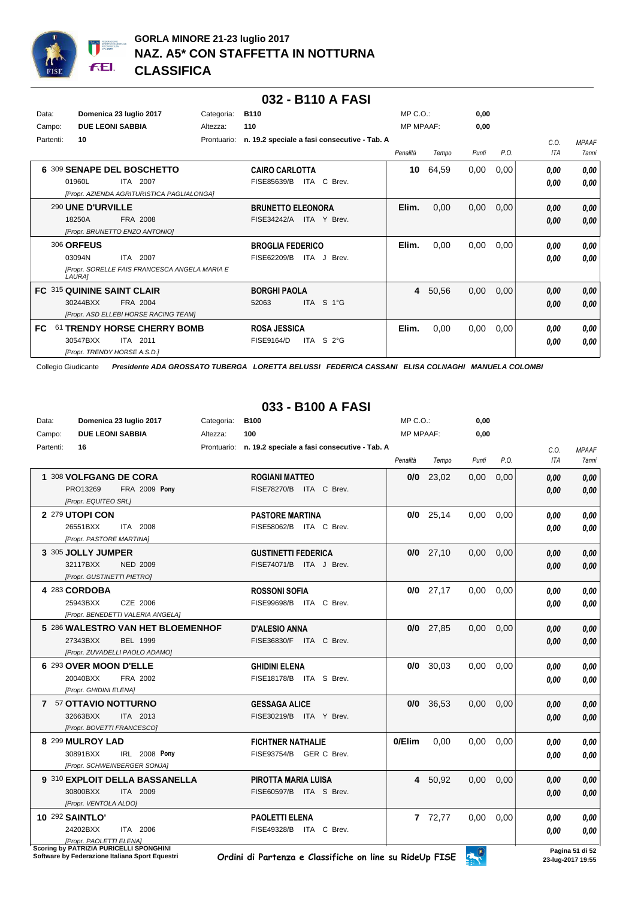

#### **032 - B110 A FASI**

| Data:<br>Campo: | Domenica 23 luglio 2017<br><b>DUE LEONI SABBIA</b>                                                        | Categoria:<br>Altezza: | <b>B110</b><br>110                                                   | $MP C. O.$ :<br><b>MP MPAAF:</b> |       | 0,00<br>0,00 |      |                    |                              |
|-----------------|-----------------------------------------------------------------------------------------------------------|------------------------|----------------------------------------------------------------------|----------------------------------|-------|--------------|------|--------------------|------------------------------|
| Partenti:       | 10                                                                                                        | Prontuario:            | n. 19.2 speciale a fasi consecutive - Tab. A                         | Penalità                         | Tempo | Punti        | P.O. | C.O.<br><b>ITA</b> | <b>MPAAF</b><br><b>7anni</b> |
|                 | 6 309 SENAPE DEL BOSCHETTO<br>01960L<br>ITA 2007<br>[Propr. AZIENDA AGRITURISTICA PAGLIALONGA]            |                        | <b>CAIRO CARLOTTA</b><br>ITA C Brev.<br>FISE85639/B                  | 10                               | 64,59 | 0,00         | 0,00 | 0,00<br>0,00       | 0,00<br>0,00                 |
|                 | 290 UNE D'URVILLE<br>18250A<br>FRA 2008<br>[Propr. BRUNETTO ENZO ANTONIO]                                 |                        | <b>BRUNETTO ELEONORA</b><br>FISE34242/A<br>ITA Y Brev.               | Elim.                            | 0,00  | 0,00         | 0,00 | 0,00<br>0,00       | 0,00<br>0.00                 |
|                 | <b>306 ORFEUS</b><br><b>ITA 2007</b><br>03094N<br>[Propr. SORELLE FAIS FRANCESCA ANGELA MARIA E<br>LAURA] |                        | <b>BROGLIA FEDERICO</b><br>FISE62209/B<br>ITA J Brev.                | Elim.                            | 0,00  | 0,00         | 0,00 | 0,00<br>0.00       | 0,00<br>0,00                 |
|                 | FC 315 QUININE SAINT CLAIR<br>FRA 2004<br>30244BXX<br>[Propr. ASD ELLEBI HORSE RACING TEAM]               |                        | <b>BORGHI PAOLA</b><br>ITA S 1°G<br>52063                            | 4                                | 50,56 | 0,00         | 0,00 | 0,00<br>0,00       | 0,00<br>0.00                 |
| FC.             | 61 TRENDY HORSE CHERRY BOMB<br>30547BXX<br>ITA 2011<br>[Propr. TRENDY HORSE A.S.D.]                       |                        | <b>ROSA JESSICA</b><br>ITA<br>S <sub>2</sub> °G<br><b>FISE9164/D</b> | Elim.                            | 0,00  | 0,00         | 0,00 | 0.00<br>0,00       | 0,00<br>0,00                 |

Collegio Giudicante *Presidente ADA GROSSATO TUBERGA LORETTA BELUSSI FEDERICA CASSANI ELISA COLNAGHI MANUELA COLOMBI*

## **033 - B100 A FASI**

| Data:     | Domenica 23 luglio 2017                 | Categoria: | <b>B100</b>                                              | MP C.O.:         |             | 0,00  |      |      |                 |
|-----------|-----------------------------------------|------------|----------------------------------------------------------|------------------|-------------|-------|------|------|-----------------|
| Campo:    | <b>DUE LEONI SABBIA</b>                 | Altezza:   | 100                                                      | <b>MP MPAAF:</b> |             | 0,00  |      |      |                 |
| Partenti: | 16                                      |            | Prontuario: n. 19.2 speciale a fasi consecutive - Tab. A |                  |             |       |      | C.O. | <b>MPAAF</b>    |
|           |                                         |            |                                                          | Penalità         | Tempo       | Punti | P.O. | ITA  | <b>7anni</b>    |
|           |                                         |            |                                                          |                  |             |       |      |      |                 |
|           | 1 308 VOLFGANG DE CORA                  |            | <b>ROGIANI MATTEO</b>                                    |                  | $0/0$ 23,02 | 0,00  | 0,00 | 0.00 | 0,00            |
|           | PRO13269<br>FRA 2009 Pony               |            | FISE78270/B ITA C Brev.                                  |                  |             |       |      | 0.00 | 0,00            |
|           | [Propr. EQUITEO SRL]                    |            |                                                          |                  |             |       |      |      |                 |
|           | 2 279 UTOPI CON                         |            | <b>PASTORE MARTINA</b>                                   |                  | $0/0$ 25,14 | 0,00  | 0,00 | 0.00 | 0,00            |
|           | 26551BXX<br>ITA 2008                    |            | FISE58062/B ITA C Brev.                                  |                  |             |       |      | 0.00 | 0,00            |
|           | [Propr. PASTORE MARTINA]                |            |                                                          |                  |             |       |      |      |                 |
|           | 3 305 JOLLY JUMPER                      |            | <b>GUSTINETTI FEDERICA</b>                               |                  | $0/0$ 27,10 | 0,00  | 0,00 | 0,00 | 0,00            |
|           | 32117BXX<br><b>NED 2009</b>             |            | FISE74071/B ITA J Brev.                                  |                  |             |       |      | 0.00 | 0,00            |
|           | [Propr. GUSTINETTI PIETRO]              |            |                                                          |                  |             |       |      |      |                 |
|           | 4 283 CORDOBA                           |            | <b>ROSSONI SOFIA</b>                                     |                  | $0/0$ 27,17 | 0,00  | 0,00 | 0,00 | 0,00            |
|           | 25943BXX<br>CZE 2006                    |            | FISE99698/B ITA C Brev.                                  |                  |             |       |      | 0.00 | 0,00            |
|           | [Propr. BENEDETTI VALERIA ANGELA]       |            |                                                          |                  |             |       |      |      |                 |
|           | 5 286 WALESTRO VAN HET BLOEMENHOF       |            | <b>D'ALESIO ANNA</b>                                     |                  | $0/0$ 27,85 | 0,00  | 0,00 | 0,00 | 0,00            |
|           | 27343BXX<br><b>BEL 1999</b>             |            | FISE36830/F ITA C Brev.                                  |                  |             |       |      | 0.00 | 0,00            |
|           | [Propr. ZUVADELLI PAOLO ADAMO]          |            |                                                          |                  |             |       |      |      |                 |
|           | 6 293 OVER MOON D'ELLE                  |            | <b>GHIDINI ELENA</b>                                     |                  | $0/0$ 30,03 | 0,00  | 0,00 | 0.00 | 0,00            |
|           | 20040BXX<br>FRA 2002                    |            | FISE18178/B ITA S Brev.                                  |                  |             |       |      |      |                 |
|           | [Propr. GHIDINI ELENA]                  |            |                                                          |                  |             |       |      | 0.00 | 0.00            |
|           |                                         |            |                                                          |                  |             |       |      |      |                 |
|           | 7 57 OTTAVIO NOTTURNO                   |            | <b>GESSAGA ALICE</b>                                     |                  | $0/0$ 36,53 | 0,00  | 0,00 | 0,00 | 0,00            |
|           | 32663BXX<br>ITA 2013                    |            | FISE30219/B ITA Y Brev.                                  |                  |             |       |      | 0.00 | 0.00            |
|           | [Propr. BOVETTI FRANCESCO]              |            |                                                          |                  |             |       |      |      |                 |
|           | 8 299 MULROY LAD                        |            | <b>FICHTNER NATHALIE</b>                                 | 0/Elim           | 0,00        | 0,00  | 0,00 | 0.00 | 0,00            |
|           | IRL 2008 Pony<br>30891BXX               |            | FISE93754/B GER C Brev.                                  |                  |             |       |      | 0.00 | 0.00            |
|           | [Propr. SCHWEINBERGER SONJA]            |            |                                                          |                  |             |       |      |      |                 |
|           | 9 310 EXPLOIT DELLA BASSANELLA          |            | PIROTTA MARIA LUISA                                      |                  | 4 50,92     | 0,00  | 0,00 | 0.00 | 0,00            |
|           | 30800BXX<br>ITA 2009                    |            | FISE60597/B ITA S Brev.                                  |                  |             |       |      | 0.00 | 0,00            |
|           | [Propr. VENTOLA ALDO]                   |            |                                                          |                  |             |       |      |      |                 |
|           | <b>10 292 SAINTLO'</b>                  |            | <b>PAOLETTI ELENA</b>                                    |                  | 7 72,77     | 0,00  | 0,00 | 0.00 | 0,00            |
|           | ITA 2006<br>24202BXX                    |            | FISE49328/B<br>ITA C Brev.                               |                  |             |       |      | 0.00 | 0.00            |
|           | [Propr. PAOLETTI ELENA]                 |            |                                                          |                  |             |       |      |      |                 |
|           | Scoring by PATRIZIA PURICELLI SPONGHINI |            |                                                          |                  |             | A     |      |      | Pagina 51 di 52 |